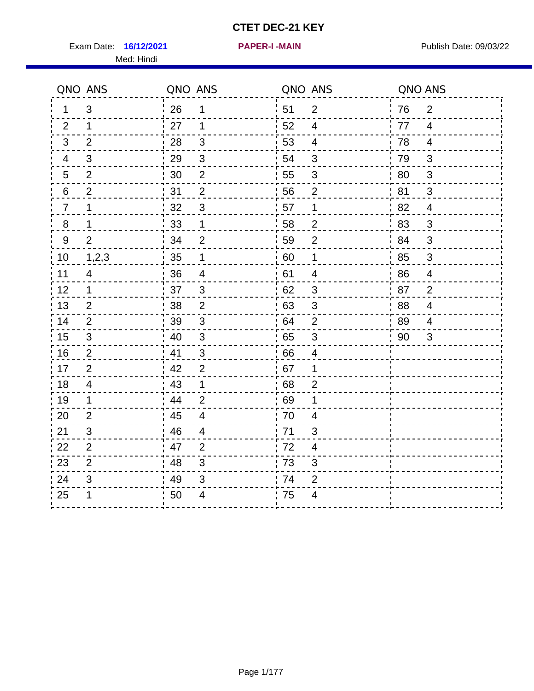Exam Date: 16/12/2021 **PAPER-I-MAIN Exam Date: 09/03/22** Med: Hindi

**16/12/2021 PAPER-I -MAIN**

|                  | QNO ANS                 | QNO ANS |                           | QNO ANS |                         | QNO ANS |                         |
|------------------|-------------------------|---------|---------------------------|---------|-------------------------|---------|-------------------------|
| $\mathbf 1$      | 3                       | 26      | 1                         | 51      | 2                       | 76      | 2                       |
| 2                | 1                       | 27      | $\mathbf 1$               | 52      | $\overline{4}$          | 77      | $\overline{4}$          |
| $\mathbf{3}$     | 2                       | 28      | 3                         | 53      | $\overline{4}$          | 78      | $\overline{4}$          |
| 4                | 3                       | 29      | $\ensuremath{\mathsf{3}}$ | 54      | 3                       | 79      | 3                       |
| 5                | $\overline{2}$          | 30      | $\mathbf 2$               | 55      | $\sqrt{3}$              | 80      | $\mathbf{3}$            |
| 6                | 2                       | 31      | $\overline{2}$            | 56      | 2                       | 81      | 3                       |
| $\overline{7}$   | 1                       | 32      | $\mathfrak{S}$            | 57      | $\mathbf 1$             | 82      | $\overline{4}$          |
| 8                | 1                       | 33      | $\mathbf 1$               | 58      | $\mathbf 2$             | 83      | 3                       |
| $\boldsymbol{9}$ | $\overline{2}$          | 34      | $\overline{2}$            | 59      | $\overline{2}$          | 84      | 3                       |
| 10               | 1,2,3                   | 35      | $\mathbf 1$               | 60      | $\mathbf{1}$            | 85      | $\mathbf{3}$            |
| 11               | $\overline{4}$          | 36      | $\overline{\mathbf{4}}$   | 61      | $\overline{\mathbf{4}}$ | 86      | $\overline{\mathbf{4}}$ |
| 12               | $\mathbf{1}$            | 37      | $\mathfrak{3}$            | 62      | $\sqrt{3}$              | 87      | $\overline{2}$          |
| 13               | 2                       | 38      | $\overline{2}$            | 63      | 3                       | 88      | $\overline{4}$          |
| 14               | 2                       | 39      | 3                         | 64      | 2                       | 89      | 4                       |
| 15               | 3                       | 40      | $\mathbf{3}$              | 65      | $\mathbf{3}$            | 90      | 3                       |
| 16               | 2                       | 41      | 3                         | 66      | $\overline{4}$          |         |                         |
| 17               | $\overline{2}$          | 42      | $\overline{2}$            | 67      | 1                       |         |                         |
| 18               | $\overline{\mathbf{4}}$ | 43      | $\mathbf 1$               | 68      | $\overline{2}$          |         |                         |
| 19               | $\mathbf 1$             | 44      | $\overline{2}$            | 69      | 1                       |         |                         |
| 20               | $\overline{2}$          | 45      | $\overline{4}$            | 70      | $\overline{4}$          |         |                         |
| 21               | 3                       | 46      | 4                         | 71      | 3                       |         |                         |
| 22               | $\overline{2}$          | 47      | 2                         | 72      | $\overline{4}$          |         |                         |
| 23               | $\overline{2}$          | 48      | 3                         | 73      | 3                       |         |                         |
| 24               | 3                       | 49      | 3                         | 74      | $\overline{2}$          |         |                         |
| 25               | 1                       | 50      | 4                         | 75      | $\overline{4}$          |         |                         |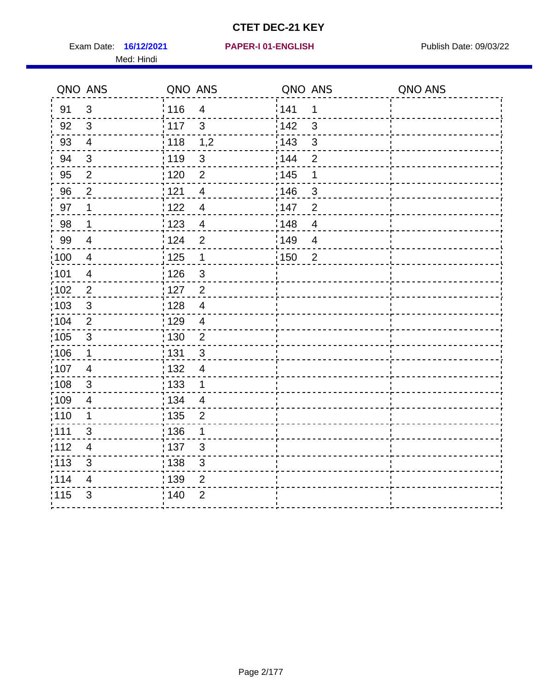Exam Date: 16/12/2021 PAPER-I 01-ENGLISH PREER Publish Date: 09/03/22 Med: Hindi

|      | QNO ANS                   | QNO ANS           |                          | QNO ANS           |                         | QNO ANS |
|------|---------------------------|-------------------|--------------------------|-------------------|-------------------------|---------|
| 91   | $\mathbf{3}$              | 116               | $\overline{4}$           | 141               | 1                       |         |
| 92   | 3                         | 117               | $\mathbf{3}$             | 142               | 3                       |         |
| 93   | $\overline{4}$            | 118               | 1,2                      | $\frac{1}{2}$ 143 | $\mathfrak{S}$          |         |
| 94   | 3                         | : 119             | $\mathbf{3}$             | : 144             | $\overline{2}$          |         |
| 95   | $\overline{2}$            | : 120             | $\overline{2}$           | : 145             | 1                       |         |
| 96   | $\overline{2}$            | 121               | $\overline{4}$           | 146               | 3                       |         |
| 97   | 1                         | : 122             | $\overline{\mathcal{A}}$ | 147               | $\overline{2}$          |         |
| 98   | $\mathbf{1}$              | 123               | $\overline{4}$           | 148               | $\overline{\mathbf{4}}$ |         |
| 99   | $\overline{4}$            | 124               | $\overline{2}$           | :149              | $\overline{4}$          |         |
| :100 | $\overline{4}$            | 125               | $\overline{1}$           | 150               | 2                       |         |
| :101 | $\overline{\mathbf{4}}$   | : 126             | $\mathfrak{S}$           |                   |                         |         |
| 102  | $\overline{2}$            | :127              | $\overline{2}$           |                   |                         |         |
| 103  | 3                         | :128              | $\overline{4}$           |                   |                         |         |
| 104  | $\overline{2}$            | : 129             | $\overline{4}$           |                   |                         |         |
| 105  | $\sqrt{3}$                | $\frac{1}{1}$ 130 | $\overline{2}$           |                   |                         |         |
| :106 | $\mathbf 1$               | : 131             | 3                        |                   |                         |         |
| 107  | $\overline{4}$            | :132              | $\overline{4}$           |                   |                         |         |
| 108  | $\ensuremath{\mathsf{3}}$ | 133               | $\mathbf 1$              |                   |                         |         |
| :109 | $\overline{4}$            | : 134             | $\overline{4}$           |                   |                         |         |
| :110 | 1                         | : 135             | 2                        |                   |                         |         |
| 111  | 3                         | : 136             | $\mathbf 1$              |                   |                         |         |
| 112  | $\overline{4}$            | 137               | $\mathfrak{S}$           |                   |                         |         |
| 113  | $\mathbf{3}$              | : 138             | $\mathfrak{S}$           |                   |                         |         |
| 114  | 4                         | 139               | 2                        |                   |                         |         |
| 115  | 3                         | 140               | $\overline{2}$           |                   |                         |         |
|      |                           |                   |                          |                   |                         |         |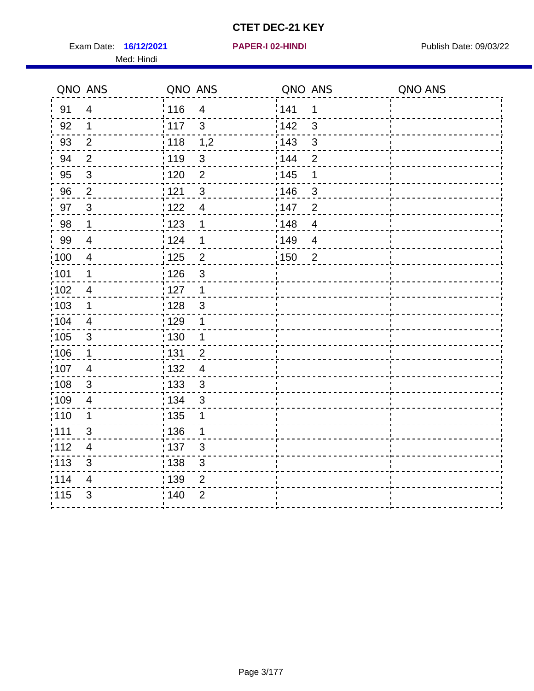Exam Date: 16/12/2021 **PAPER-I 02-HINDI Exam Date: 09/03/22** Med: Hindi

**16/12/2021 PAPER-I 02-HINDI**

|       | QNO ANS                  | QNO ANS           |                | QNO ANS |                | QNO ANS |
|-------|--------------------------|-------------------|----------------|---------|----------------|---------|
| 91    | $\overline{4}$           | 116               | $\overline{4}$ | 141     | 1              |         |
| 92    | $\mathbf{1}$             | 117               | $\mathbf{3}$   | 142     | $\mathbf{3}$   |         |
| 93    | $\overline{2}$           | 118               | 1,2            | 143     | $\mathfrak{S}$ |         |
| 94    | $\overline{2}$           | : 119             | $\mathbf{3}$   | 144     | $\overline{2}$ |         |
| 95    | $\sqrt{3}$               | : 120             | $\overline{2}$ | : 145   | 1              |         |
| 96    | $\overline{2}$           | 121               | 3              | 146     | 3              |         |
| 97    | $\mathbf{3}$             | 122               | 4              | 147     | $\overline{2}$ |         |
| 98    | $\mathbf{1}$             | $\frac{1}{2}$ 123 | 1              | 148     | $\overline{4}$ |         |
| 99    | $\overline{4}$           | 124               | $\mathbf 1$    | :149    | $\overline{4}$ |         |
| 100   | $\overline{4}$           | $\frac{1}{1}$ 125 | $\overline{2}$ | 150     | $\overline{2}$ |         |
| :101  | 1                        | : 126             | $\mathfrak{S}$ |         |                |         |
| 102   | $\overline{4}$           | : 127             | $\mathbf{1}$   |         |                |         |
| 103   | $\mathbf 1$              | : 128             | $\mathbf{3}$   |         |                |         |
| :104  | $\overline{4}$           | $\frac{1}{1}$ 129 | $\mathbf 1$    |         |                |         |
| 105   | $\sqrt{3}$               | : 130             | $\mathbf 1$    |         |                |         |
| :106  | $\mathbf 1$              | ;131              | $\overline{2}$ |         |                |         |
| ;107  | 4                        | : 132             | $\overline{4}$ |         |                |         |
| 108   | $\sqrt{3}$               | $\frac{1}{1}$ 133 | $\mathbf{3}$   |         |                |         |
| :109  | $\overline{4}$           | : 134             | $\mathfrak{3}$ |         |                |         |
| :110  | 1                        | : 135             | 1              |         |                |         |
| : 111 | 3                        | 136               | 1              |         |                |         |
| 112   | $\overline{\mathcal{A}}$ | 137               | $\sqrt{3}$     |         |                |         |
| 113   | $\mathfrak{S}$           | : 138             | 3              |         |                |         |
| 114   | 4                        | 139               | 2              |         |                |         |
| 115   | 3                        | 140               | $\overline{2}$ |         |                |         |
|       |                          |                   |                |         |                |         |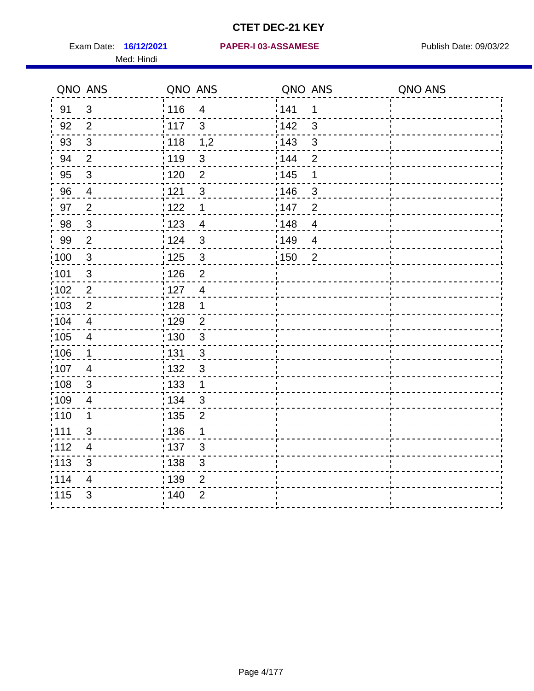Med: Hindi

|                   | QNO ANS                  | QNO ANS           |                          | QNO ANS |                | QNO ANS |
|-------------------|--------------------------|-------------------|--------------------------|---------|----------------|---------|
| 91                | $\sqrt{3}$               | 116               | $\overline{\mathcal{A}}$ | 141     | 1              |         |
| 92                | $\overline{2}$           | 117               | $\mathfrak{S}$           | 142     | $\mathfrak{S}$ |         |
| 93                | $\sqrt{3}$               | $\frac{1}{2}$ 118 | 1,2                      | 143     | $\mathfrak{S}$ |         |
| 94                | $\overline{2}$           | : 119             | $\mathbf{3}$             | 144     | $\overline{2}$ |         |
| 95                | 3                        | :120              | 2                        | : 145   | 1              |         |
| 96                | $\overline{4}$           | 121               | $\sqrt{3}$               | :146    | $\sqrt{3}$     |         |
| 97                | $\overline{2}$           | 122               | $\mathbf 1$              | 147     | $\overline{2}$ |         |
| 98                | $\overline{3}$           | 123               | $\overline{4}$           | 148     | $\overline{4}$ |         |
| 99                | $\mathbf{2}$             | 124               | $\sqrt{3}$               | 149¦    | $\overline{4}$ |         |
| $\frac{1}{1}$ 100 | $\mathbf{3}$             | 125               | $\mathbf{3}$             | 150     | $\overline{2}$ |         |
| :101              | $\mathfrak{S}$           | 126               | $\overline{2}$           |         |                |         |
| 102               | $\overline{2}$           | : 127             | $\overline{4}$           |         |                |         |
| 103               | 2                        | 128               | $\mathbf 1$              |         |                |         |
| 104               | $\overline{4}$           | : 129             | $\overline{2}$           |         |                |         |
| 105               | $\overline{\mathbf{4}}$  | 130               | $\mathbf{3}$             |         |                |         |
| 106               | 1                        | 131               | 3                        |         |                |         |
| :107              | $\overline{4}$           | : 132             | $\mathbf{3}$             |         |                |         |
| :108              | $\sqrt{3}$               | 133               | $\mathbf{1}$             |         |                |         |
| 109               | $\overline{\mathbf{4}}$  | : 134             | $\mathbf{3}$             |         |                |         |
| :110              | 1                        | : 135             | $\overline{2}$           |         |                |         |
| :111              | $\mathfrak{S}$           | : 136             | $\mathbf 1$              |         |                |         |
| 112               | $\overline{\mathcal{A}}$ | 137               | $\mathfrak{S}$           |         |                |         |
| : 113             | 3                        | ; 138             | 3                        |         |                |         |
| 114               | 4                        | 139               | 2                        |         |                |         |
| 115               | 3                        | 140               | $\overline{2}$           |         |                |         |
|                   |                          |                   |                          |         |                |         |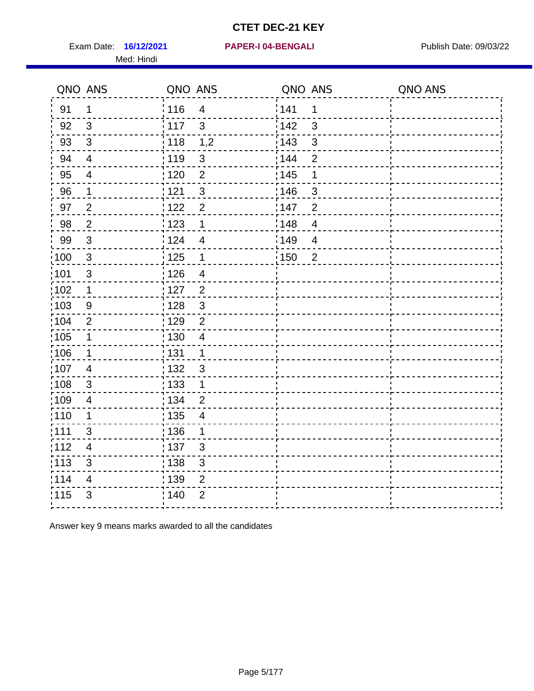Exam Date: 16/12/2021 PAPER-I 04-BENGALI PRER Publish Date: 09/03/22 Med: Hindi

|                   | QNO ANS                   | QNO ANS           |                          | QNO ANS |                | QNO ANS |
|-------------------|---------------------------|-------------------|--------------------------|---------|----------------|---------|
| 91                | $\mathbf 1$               | 116               | $\overline{4}$           | 141     | 1              |         |
| 92                | $\mathfrak{B}$            | $\frac{1}{2}$ 117 | $\mathbf{3}$             | 142     | $\mathfrak{3}$ |         |
| 93                | $\sqrt{3}$                | $\frac{1}{2}$ 118 | 1,2                      | 143     | $\mathfrak{S}$ |         |
| 94                | $\overline{4}$            | : 119             | $\mathfrak{3}$           | 144     | $\overline{2}$ |         |
| 95                | $\overline{4}$            | : 120             | $\overline{2}$           | : 145   | 1              |         |
| 96                | 1                         | 121               | $\mathfrak{S}$           | :146    | 3              |         |
| 97                | $\overline{2}$            | 122               | $\overline{2}$           | 147     | $\overline{2}$ |         |
| 98                | $\overline{2}$            | 123               | $\mathbf 1$              | 148     | $\overline{4}$ |         |
| 99                | $\sqrt{3}$                | 124               | $\overline{4}$           | 149     | $\overline{4}$ |         |
| 100               | $\sqrt{3}$                | $\frac{1}{1}$ 125 | $\mathbf 1$              | 150     | $\overline{2}$ |         |
| 101               | $\mathfrak{S}$            | 126               | $\overline{\mathcal{A}}$ |         |                |         |
| 102               | $\mathbf 1$               | :127              | $\overline{2}$           |         |                |         |
| 103               | 9                         | : 128             | 3                        |         |                |         |
| 104               | 2                         | : 129             | $\overline{2}$           |         |                |         |
| :105              | $\mathbf 1$               | $\frac{1}{1}$ 130 | $\overline{4}$           |         |                |         |
| $\frac{1}{1}$ 106 | $\mathbf 1$               | : 131             | $\overline{1}$           |         |                |         |
| 107               | 4                         | : 132             | $\mathbf{3}$             |         |                |         |
| 108               | $\mathbf{3}$              | $\frac{1}{1}$ 133 | $\mathbf{1}$             |         |                |         |
| :109              | $\overline{\mathcal{A}}$  | : 134             | $\overline{2}$           |         |                |         |
| 110               | 1                         | : 135             | $\overline{4}$           |         |                |         |
| 1111              | 3                         | : 136             | $\mathbf 1$              |         |                |         |
| 112               | $\overline{\mathbf{4}}$   | : 137             | 3                        |         |                |         |
| $\frac{1}{1}$ 113 | $\ensuremath{\mathsf{3}}$ | : 138             | $\sqrt{3}$               |         |                |         |
| 114               | 4                         | 139               | $\overline{2}$           |         |                |         |
| 115               | $\mathfrak{S}$            | ; 140             | $\overline{2}$           |         |                |         |
|                   |                           |                   |                          |         |                |         |

Answer key 9 means marks awarded to all the candidates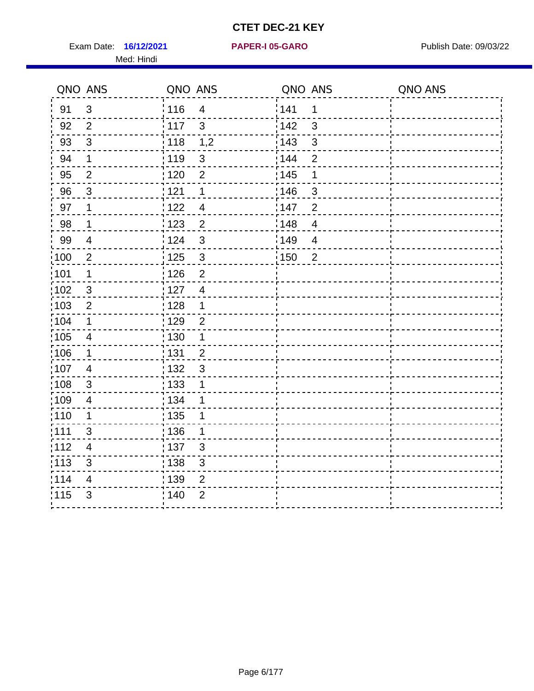Exam Date: 16/12/2021 **PAPER-I 05-GARO** Publish Date: 09/03/22 Med: Hindi

**16/12/2021 PAPER-I 05-GARO**

|       | QNO ANS                  | QNO ANS           |                | QNO ANS           |                | QNO ANS |
|-------|--------------------------|-------------------|----------------|-------------------|----------------|---------|
| 91    | $\mathfrak{S}$           | 116               | $\overline{4}$ | 1141              | 1              |         |
| 92    | $\overline{2}$           | 117               | $\mathbf{3}$   | 142               | $\mathbf{3}$   |         |
| 93    | $\sqrt{3}$               | $\frac{1}{118}$   | 1,2            | 143               | $\sqrt{3}$     |         |
| 94    | 1                        | : 119             | $\mathfrak{S}$ | : 144             | $\overline{2}$ |         |
| 95    | 2                        | :120              | $\overline{2}$ | : 145             | 1              |         |
| 96    | 3                        | 121               | 1              | :146              | 3              |         |
| 97    | 1                        | : 122             | $\overline{4}$ | 147               | $\overline{2}$ |         |
| 98    | $\mathbf 1$              | $\frac{1}{2}$ 123 | $\overline{2}$ | : 148             | $\overline{4}$ |         |
| 99    | $\overline{\mathcal{A}}$ | 124               | 3              | $\frac{1}{2}$ 149 | $\overline{4}$ |         |
| 100   | $\boldsymbol{2}$         | 125               | $\mathbf{3}$   | : 150             | $\overline{2}$ |         |
| 101   | 1                        | 126               | $\overline{2}$ |                   |                |         |
| 102   | 3                        | : 127             | $\overline{4}$ |                   |                |         |
| :103  | $\overline{2}$           | : 128             | $\mathbf 1$    |                   |                |         |
| 104   | $\mathbf 1$              | : 129             | $\overline{2}$ |                   |                |         |
| 105   | $\overline{4}$           | $\frac{1}{1}$ 130 | $\mathbf{1}$   |                   |                |         |
| 106   | $\mathbf 1$              | : 131             | $\overline{2}$ |                   |                |         |
| 107   | $\overline{4}$           | : 132             | $\mathbf{3}$   |                   |                |         |
| :108  | $\sqrt{3}$               | : 133             | 1              |                   |                |         |
| :109  | $\overline{4}$           | : 134             | 1              |                   |                |         |
| :110  | 1                        | : 135             | 1              |                   |                |         |
| 1111  | 3                        | 136               | 1              |                   |                |         |
| 112   | 4                        | : 137             | $\mathfrak{S}$ |                   |                |         |
| : 113 | $\sqrt{3}$               | : 138             | $\mathfrak{S}$ |                   |                |         |
| 114   | 4                        | : 139             | $\overline{2}$ |                   |                |         |
| 115   | $\mathfrak{B}$           | 140               | $\overline{2}$ |                   |                |         |
|       |                          |                   |                |                   |                |         |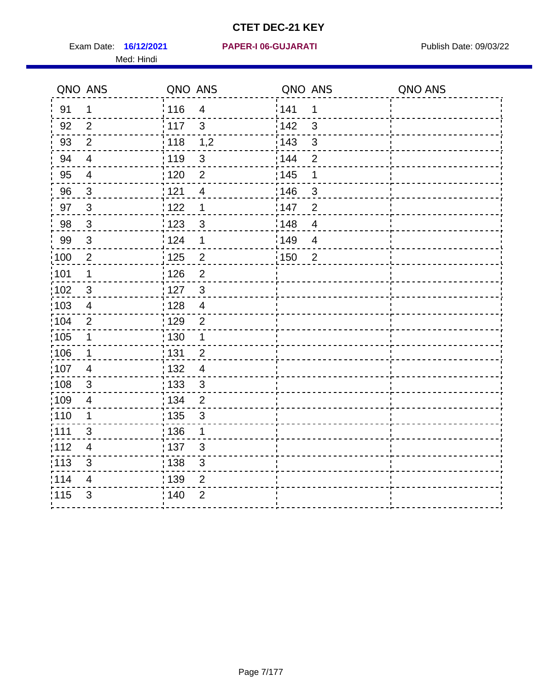Med: Hindi

#### **16/12/2021 PAPER-I 06-GUJARATI** Exam Date: Publish Date: 09/03/22

|                   | QNO ANS        | QNO ANS           |                | QNO ANS |                | QNO ANS |
|-------------------|----------------|-------------------|----------------|---------|----------------|---------|
| 91                | $\mathbf 1$    | : 116             | $\overline{4}$ | 141     | 1              |         |
| 92                | 2              | $\frac{1}{117}$   | $\mathbf{3}$   | 142     | 3              |         |
| 93                | $\overline{2}$ | 118               | 1,2            | 143     | 3              |         |
| 94                | $\overline{4}$ | : 119             | $\mathfrak{3}$ | : 144   | $\overline{2}$ |         |
| 95                | $\overline{4}$ | : 120             | $\overline{2}$ | : 145   | 1              |         |
| 96                | $\mathfrak{S}$ | 121               | 4              | 146     | 3              |         |
| 97                | $\overline{3}$ | 122               | 1              | 147     | $\overline{2}$ |         |
| 98                | $\mathbf{3}$   | $\frac{1}{2}$ 123 | $\mathfrak{S}$ | 148     | $\overline{4}$ |         |
| 99                | $\sqrt{3}$     | 124               | 1              | 149     | $\overline{4}$ |         |
| $\frac{1}{1}$ 100 | $\sqrt{2}$     | $\frac{1}{1}$ 125 | $\overline{2}$ | : 150   | $\overline{2}$ |         |
| :101              | 1              | : 126             | $\overline{2}$ |         |                |         |
| 102               | 3              | : 127             | $\mathbf{3}$   |         |                |         |
| :103              | 4              | : 128             | $\overline{4}$ |         |                |         |
| 104               | $\overline{2}$ | : 129             | $\overline{2}$ |         |                |         |
| 105               | $\mathbf{1}$   | 130               | $\mathbf{1}$   |         |                |         |
| :106              | $\mathbf 1$    | 131               | $\overline{2}$ |         |                |         |
| 107               | $\overline{4}$ | : 132             | $\overline{4}$ |         |                |         |
| 108               | $\sqrt{3}$     | : 133             | $\mathfrak{3}$ |         |                |         |
| :109              | $\overline{4}$ | : 134             | $\overline{2}$ |         |                |         |
| :110              | 1              | : 135             | 3              |         |                |         |
| : 111             | 3              | : 136             | $\mathbf{1}$   |         |                |         |
| 112               | $\overline{4}$ | 137               | $\mathfrak{B}$ |         |                |         |
| 113               | $\mathfrak{S}$ | 138               | 3              |         |                |         |
| 114               | 4              | 139               | 2              |         |                |         |
| 115               | 3              | 140               | $\overline{2}$ |         |                |         |
|                   |                |                   |                |         |                |         |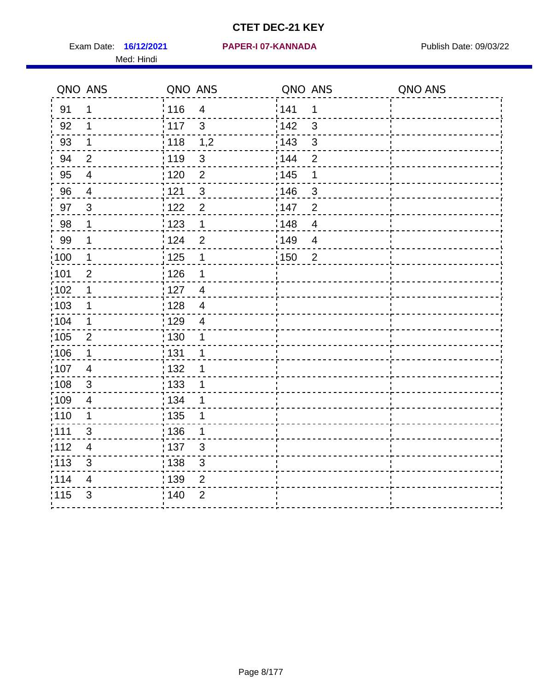Exam Date: 16/12/2021 **PAPER-I 07-KANNADA** Publish Date: 09/03/22 Med: Hindi

|                   | QNO ANS                   | QNO ANS |                          | QNO ANS |                | QNO ANS |
|-------------------|---------------------------|---------|--------------------------|---------|----------------|---------|
| 91                | $\mathbf 1$               | 116     | $\overline{\mathbf{4}}$  | 141     | $\mathbf 1$    |         |
| 92                | 1                         | 117     | 3                        | 142     | 3              |         |
| 93                | $\mathbf 1$               | 118     | 1,2                      | 143     | 3              |         |
| 94                | 2                         | : 119   | $\sqrt{3}$               | : 144   | $\overline{2}$ |         |
| 95                | 4                         | :120    | $\overline{2}$           | : 145   | 1              |         |
| 96                | 4                         | : 121   | $\sqrt{3}$               | 146     | $\sqrt{3}$     |         |
| 97                | $\mathfrak{B}$            | : 122   | $\overline{2}$           | 147     | $\overline{2}$ |         |
| 98                | 1                         | 123     | $\mathbf{1}$             | 148     | $\overline{4}$ |         |
| 99                | 1                         | : 124   | $\mathbf 2$              | 149     | $\overline{4}$ |         |
| :100              | $\mathbf 1$               | : 125   | $\mathbf 1$              | 150     | $\overline{2}$ |         |
| :101              | $\overline{2}$            | 126     | 1                        |         |                |         |
| 102               | 1                         | : 127   | $\overline{4}$           |         |                |         |
| 103               | 1                         | 128     | $\overline{4}$           |         |                |         |
| 104               | 1                         | : 129   | $\overline{\mathcal{A}}$ |         |                |         |
| 105               | $\overline{2}$            | : 130   | 1                        |         |                |         |
| :106              | 1                         | : 131   | 1                        |         |                |         |
| ,107              | $\overline{4}$            | : 132   | 1                        |         |                |         |
| $\frac{1}{1}$ 108 | $\ensuremath{\mathsf{3}}$ | 133     | 1                        |         |                |         |
| :109              | $\overline{\mathcal{A}}$  | : 134   | 1                        |         |                |         |
| :110              | 1                         | : 135   | 1                        |         |                |         |
| :111              | 3                         | : 136   | 1                        |         |                |         |
| 112               | $\overline{\mathcal{A}}$  | : 137   | $\mathsf 3$              |         |                |         |
| : 113             | $\mathfrak{S}$            | : 138   | $\mathfrak{S}$           |         |                |         |
| 114               | 4                         | 139     | 2                        |         |                |         |
| 115               | 3                         | : 140   | $\overline{2}$           |         |                |         |
|                   |                           |         |                          |         |                |         |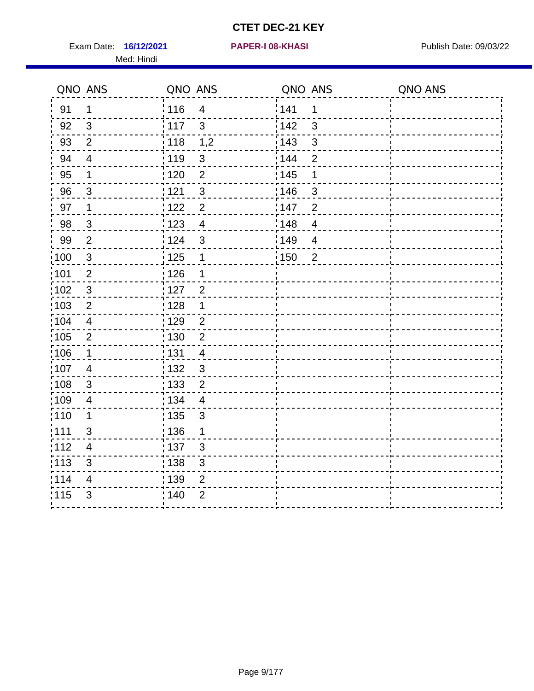Exam Date: 16/12/2021 **PAPER-I 08-KHASI** Publish Date: 09/03/22 Med: Hindi

#### **16/12/2021 PAPER-I 08-KHASI**

|                   | QNO ANS                   | QNO ANS           |                           | QNO ANS           |                          | QNO ANS |
|-------------------|---------------------------|-------------------|---------------------------|-------------------|--------------------------|---------|
| 91                | $\mathbf 1$               | 116               | $\overline{4}$            | 141               | 1                        |         |
| 92                | $\mathfrak{S}$            | 117               | 3                         | 142               | $\mathfrak{S}$           |         |
| 93                | $\overline{2}$            | 118               | 1,2                       | 143               | $\mathbf{3}$             |         |
| 94                | $\overline{\mathcal{A}}$  | : 119             | $\mathbf{3}$              | : 144             | $\overline{2}$           |         |
| 95                | 1                         | : 120             | $\overline{2}$            | : 145             | 1                        |         |
| 96                | 3                         | : 121             | $\sqrt{3}$                | 146               | $\sqrt{3}$               |         |
| 97                | 1                         | 122               | $\overline{2}$            | 147               | $\overline{2}$           |         |
| 98                | $\mathbf{3}$              | 1123              | $\overline{4}$            | 148               | $\overline{\mathcal{A}}$ |         |
| 99                | $\mathbf{2}$              | 124               | $\sqrt{3}$                | :149              | $\overline{\mathcal{A}}$ |         |
| 100               | $\sqrt{3}$                | 125               | $\mathbf 1$               | $\frac{1}{1}$ 150 | $\overline{2}$           |         |
| 101               | $\mathbf{2}$              | : 126             | 1                         |                   |                          |         |
| 102               | $\mathbf{3}$              | : 127             | $\overline{2}$            |                   |                          |         |
| 103               | $\overline{2}$            | 128               | $\mathbf 1$               |                   |                          |         |
| :104              | $\overline{4}$            | : 129             | $\overline{2}$            |                   |                          |         |
| $\frac{1}{1}$ 105 | $\mathbf{2}$              | $\frac{1}{1}$ 130 | $\boldsymbol{2}$          |                   |                          |         |
| $\frac{1}{1}$ 106 | $\mathbf{1}$              | : 131             | $\overline{4}$            |                   |                          |         |
| :107              | 4                         | :132              | $\mathbf{3}$              |                   |                          |         |
| 108               | $\mathbf{3}$              | : 133             | $\overline{2}$            |                   |                          |         |
| .109              | $\overline{\mathcal{A}}$  | : 134             | $\overline{4}$            |                   |                          |         |
| :110              | 1                         | : 135             | $\mathfrak{S}$            |                   |                          |         |
| :111              | 3                         | : 136             | 1                         |                   |                          |         |
| 112               | $\overline{\mathbf{4}}$   | : 137             | $\mathfrak{B}$            |                   |                          |         |
| $\frac{1}{1}$ 113 | $\ensuremath{\mathsf{3}}$ | 138               | $\ensuremath{\mathsf{3}}$ |                   |                          |         |
| 114               | 4                         | : 139             | $\overline{2}$            |                   |                          |         |
| 115               | $\mathfrak{B}$            | ; 140             | $\overline{2}$            |                   |                          |         |
|                   |                           |                   |                           |                   |                          |         |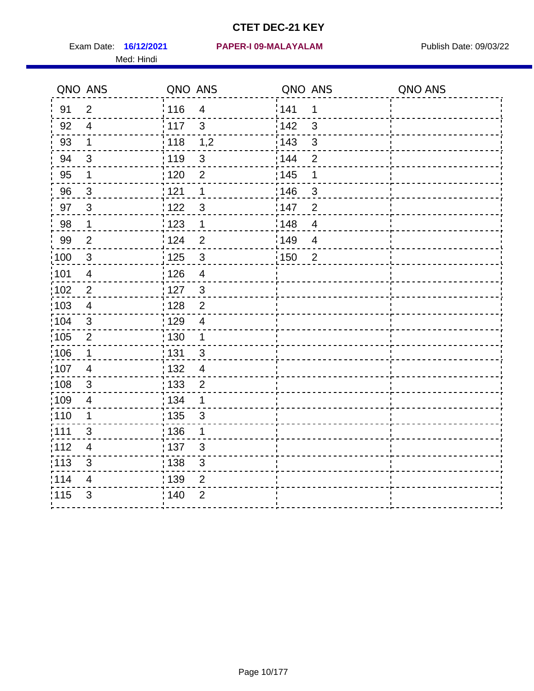Med: Hindi

|                   | QNO ANS                  | QNO ANS           |                         | QNO ANS |                | QNO ANS |
|-------------------|--------------------------|-------------------|-------------------------|---------|----------------|---------|
| 91                | $\overline{2}$           | 116               | $\overline{\mathbf{4}}$ | 141     | $\mathbf 1$    |         |
| 92                | $\overline{4}$           | 117               | 3                       | 142     | 3              |         |
| 93                | $\mathbf 1$              | 118               | 1,2                     | 143     | $\mathbf{3}$   |         |
| 94                | $\mathbf{3}$             | : 119             | $\mathbf{3}$            | : 144   | 2              |         |
| 95                | 1                        | :120              | 2                       | : 145   | 1              |         |
| 96                | $\mathbf{3}$             | : 121             | 1                       | 146     | $\sqrt{3}$     |         |
| 97                | $\mathbf{3}$             | : 122             | 3                       | 147     | $\overline{2}$ |         |
| 98                | $\mathbf{1}$             | 123               | $\overline{1}$          | 148     | $\overline{4}$ |         |
| 99                | $\mathbf{2}$             | : 124             | $\overline{2}$          | 149     | $\overline{4}$ |         |
| :100              | $\mathbf{3}$             | $\frac{1}{1}$ 125 | $\mathbf{3}$            | 150     | $\overline{2}$ |         |
| :101              | $\overline{4}$           | : 126             | $\overline{4}$          |         |                |         |
| 102               | $\overline{2}$           | : 127             | $\mathbf{3}$            |         |                |         |
| 103               | $\overline{4}$           | : 128             | $\overline{2}$          |         |                |         |
| 104               | $\mathfrak{S}$           | : 129             | $\overline{4}$          |         |                |         |
| 105               | $\overline{2}$           | : 130             | $\mathbf 1$             |         |                |         |
| :106              | 1                        | : 131             | 3                       |         |                |         |
| :107              | $\overline{4}$           | : 132             | $\overline{4}$          |         |                |         |
| $\frac{1}{1}$ 108 | $\sqrt{3}$               | $\frac{1}{1}$ 133 | $\overline{2}$          |         |                |         |
| :109              | $\overline{\mathcal{A}}$ | : 134             | 1                       |         |                |         |
| :110              | 1                        | : 135             | 3                       |         |                |         |
| 111               | 3                        | : 136             | $\mathbf 1$             |         |                |         |
| 112               | $\overline{\mathcal{A}}$ | $\frac{1}{1}$ 137 | $\sqrt{3}$              |         |                |         |
| : 113             | $\mathfrak{S}$           | : 138             | $\mathfrak{S}$          |         |                |         |
| 114               | 4                        | 139               | 2                       |         |                |         |
| 115               | 3                        | : 140             | $\overline{2}$          |         |                |         |
|                   |                          |                   |                         |         |                |         |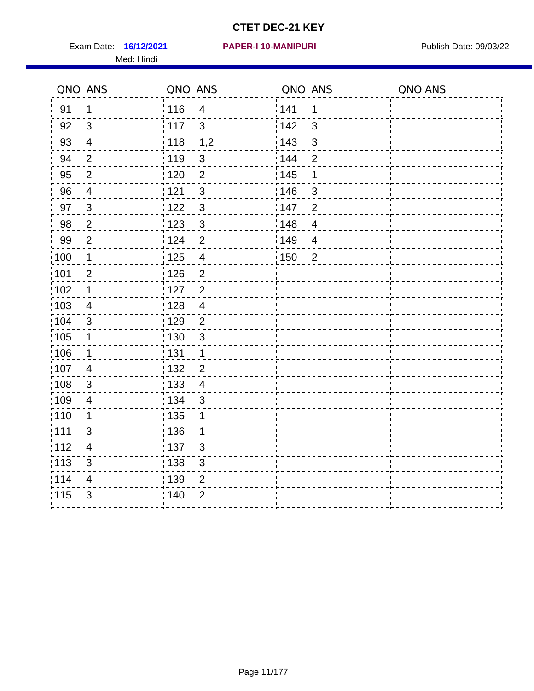Exam Date: 16/12/2021 PAPER-I 10-MANIPURI PREMICLE Publish Date: 09/03/22 Med: Hindi

#### **16/12/2021 PAPER-I 10-MANIPURI**

|      | QNO ANS                   | QNO ANS           |                         | QNO ANS |                | QNO ANS |
|------|---------------------------|-------------------|-------------------------|---------|----------------|---------|
| 91   | $\mathbf 1$               | 116               | $\overline{\mathbf{4}}$ | 141     | 1              |         |
| 92   | 3                         | 117               | $\mathbf{3}$            | 142     | 3              |         |
| 93   | $\overline{4}$            | 118               | 1,2                     | 143     | $\mathfrak{S}$ |         |
| 94   | $\overline{2}$            | : 119             | $\mathbf{3}$            | : 144   | $\overline{2}$ |         |
| 95   | $\overline{2}$            | : 120             | $\overline{2}$          | : 145   | 1              |         |
| 96   | $\overline{4}$            | 121               | $\mathfrak{S}$          | 146     | 3              |         |
| 97   | $\mathbf{3}$              | :122              | $\mathbf{3}$            | 147     | $\overline{2}$ |         |
| 98   | $\overline{c}$            | $\frac{1}{2}$ 123 | $\overline{3}$          | 148     | $\overline{4}$ |         |
| 99   | $\mathbf{2}$              | :124              | $\overline{2}$          | :149    | $\overline{4}$ |         |
| 100  | $\mathbf{1}$              | 125               | $\overline{4}$          | : 150   | 2              |         |
| 101  | $\overline{2}$            | : 126             | $\overline{2}$          |         |                |         |
| 102  | 1                         | 127               | $\overline{2}$          |         |                |         |
| 103  | $\overline{4}$            | 128               | $\overline{4}$          |         |                |         |
| 104  | $\mathfrak{S}$            | : 129             | $\overline{2}$          |         |                |         |
| 105  | $\mathbf 1$               | 130               | $\mathbf{3}$            |         |                |         |
| :106 | $\mathbf 1$               | 131               | $\mathbf 1$             |         |                |         |
| :107 | $\overline{4}$            | : 132             | $\overline{2}$          |         |                |         |
| 108  | $\ensuremath{\mathsf{3}}$ | : 133             | $\overline{4}$          |         |                |         |
| :109 | $\overline{\mathbf{4}}$   | : 134             | $\mathbf{3}$            |         |                |         |
| :110 | 1                         | 135               | 1                       |         |                |         |
| 111  | 3                         | : 136             | $\mathbf{1}$            |         |                |         |
| 112  | $\overline{4}$            | 137               | $\mathfrak{B}$          |         |                |         |
| 113  | $\mathbf{3}$              | 138               | $\mathfrak{S}$          |         |                |         |
| 114  | 4                         | : 139             | 2                       |         |                |         |
| 115  | 3                         | 140               | $\overline{2}$          |         |                |         |
|      |                           |                   |                         |         |                |         |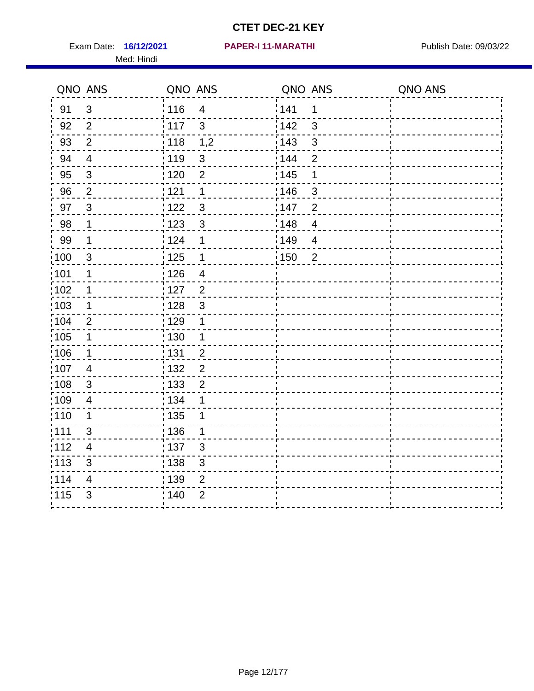Exam Date: 16/12/2021 PAPER-I 11-MARATHI PUBlish Date: 09/03/22 Med: Hindi

|                   | QNO ANS                 | QNO ANS           |                          | QNO ANS |                | QNO ANS |
|-------------------|-------------------------|-------------------|--------------------------|---------|----------------|---------|
| 91                | $\mathbf{3}$            | 116               | $\overline{\mathbf{4}}$  | 141     | $\mathbf 1$    |         |
| 92                | $\overline{2}$          | 117               | 3                        | 142     | 3              |         |
| 93                | $\overline{2}$          | 118               | 1,2                      | 143     | 3              |         |
| 94                | $\overline{4}$          | : 119             | $\mathfrak{3}$           | : 144   | $\overline{2}$ |         |
| 95                | 3                       | : 120             | 2                        | : 145   | 1              |         |
| 96                | $\overline{2}$          | 121               | $\mathbf 1$              | 146     | 3              |         |
| 97                | $\mathbf{3}$            | $122$             | $\mathbf{3}$             | 147     | $\overline{2}$ |         |
| $98\,$            | $\mathbf{1}$            | $\frac{1}{2}$ 123 | $\mathbf{3}$             | 148     | $\overline{4}$ |         |
| 99                | $\mathbf 1$             | 124               | 1                        | 149     | $\overline{4}$ |         |
| $\frac{1}{1}$ 100 | $\mathfrak{S}$          | 125               | $\mathbf{1}$             | 150     | $\overline{2}$ |         |
| 101               | 1                       | 126               | $\overline{\mathcal{A}}$ |         |                |         |
| 102               | 1                       | : 127             | $\overline{2}$           |         |                |         |
| 103               | $\mathbf 1$             | 128               | $\mathbf{3}$             |         |                |         |
| 104               | $\overline{2}$          | : 129             | 1                        |         |                |         |
| $\frac{1}{1}$ 105 | $\mathbf 1$             | : 130             | 1                        |         |                |         |
| ;106              | $\mathbf{1}$            | : 131             | $\overline{2}$           |         |                |         |
| :107              | $\overline{4}$          | : 132             | $\overline{2}$           |         |                |         |
| 108               | $\sqrt{3}$              | : 133             | $\overline{2}$           |         |                |         |
| :109              | $\overline{\mathbf{4}}$ | : 134             | 1                        |         |                |         |
| :110              | 1                       | : 135             | 1                        |         |                |         |
| 111               | 3                       | : 136             | 1                        |         |                |         |
| 112               | $\overline{4}$          | $\frac{1}{1}$ 137 | $\mathfrak{S}$           |         |                |         |
| 113               | $\mathbf{3}$            | 138               | 3                        |         |                |         |
| 114               | 4                       | 139               | $\overline{2}$           |         |                |         |
| 115               | 3                       | 140               | $\overline{2}$           |         |                |         |
|                   |                         |                   |                          |         |                |         |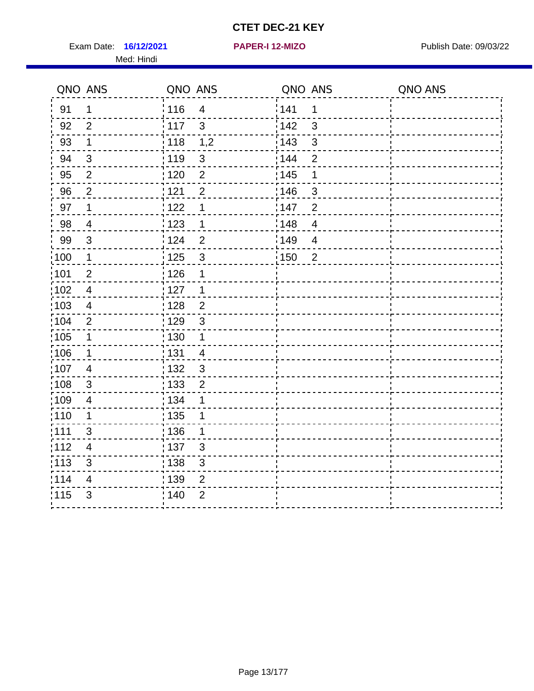Exam Date: 16/12/2021 **PAPER-I 12-MIZO** PUBLISH Date: 09/03/22

Med: Hindi

**16/12/2021 PAPER-I 12-MIZO**

|                   | QNO ANS                  | QNO ANS           |                | QNO ANS |                | QNO ANS |
|-------------------|--------------------------|-------------------|----------------|---------|----------------|---------|
| 91                | $\mathbf 1$              | 116               | $\overline{4}$ | 1141    | $\mathbf 1$    |         |
| 92                | $\overline{2}$           | 117               | $\mathbf{3}$   | 142     | $\mathfrak{S}$ |         |
| 93                | $\mathbf 1$              | 118               | 1,2            | 143     | $\mathfrak{S}$ |         |
| 94                | 3                        | : 119             | 3              | : 144   | $\overline{2}$ |         |
| 95                | 2                        | : 120             | $\overline{2}$ | : 145   | 1              |         |
| 96                | $\overline{2}$           | 121               | $\overline{2}$ | :146    | 3              |         |
| 97                | $\mathbf 1$              | 122               | 1              | 147     | $\overline{2}$ |         |
| 98                | $\overline{4}$           | 123               | $\mathbf{1}$   | 148     | $\overline{4}$ |         |
| 99                | $\sqrt{3}$               | 124               | $\overline{2}$ | 149     | $\overline{4}$ |         |
| $\frac{1}{1}$ 100 | $\overline{\mathbf{1}}$  | $\frac{1}{1}$ 125 | $\mathfrak{S}$ | 150     | $\overline{2}$ |         |
| :101              | $\overline{2}$           | : 126             | 1              |         |                |         |
| 102               | $\overline{4}$           | : 127             | $\mathbf 1$    |         |                |         |
| 103               | $\overline{4}$           | : 128             | $\overline{2}$ |         |                |         |
| 104               | $\overline{2}$           | : 129             | $\mathbf{3}$   |         |                |         |
| $\frac{1}{1}$ 105 | $\mathbf{1}$             | : 130             | $\mathbf{1}$   |         |                |         |
| :106              | $\mathbf 1$              | : 131             | $\overline{4}$ |         |                |         |
| 107               | $\overline{4}$           | 132               | $\mathbf{3}$   |         |                |         |
| 108               | $\sqrt{3}$               | : 133             | $\overline{2}$ |         |                |         |
| :109              | $\overline{\mathbf{4}}$  | : 134             | 1              |         |                |         |
| :110              | 1                        | : 135             | 1              |         |                |         |
| 1111              | 3                        | 136               | 1              |         |                |         |
| 112               | $\overline{\mathcal{A}}$ | : 137             | $\sqrt{3}$     |         |                |         |
| 113               | $\sqrt{3}$               | $\frac{1}{1}$ 138 | 3              |         |                |         |
| 114               | $\overline{4}$           | :139              | 2              |         |                |         |
| 115               | $\mathfrak{S}$           | 140               | $\overline{2}$ |         |                |         |
|                   |                          |                   |                |         |                |         |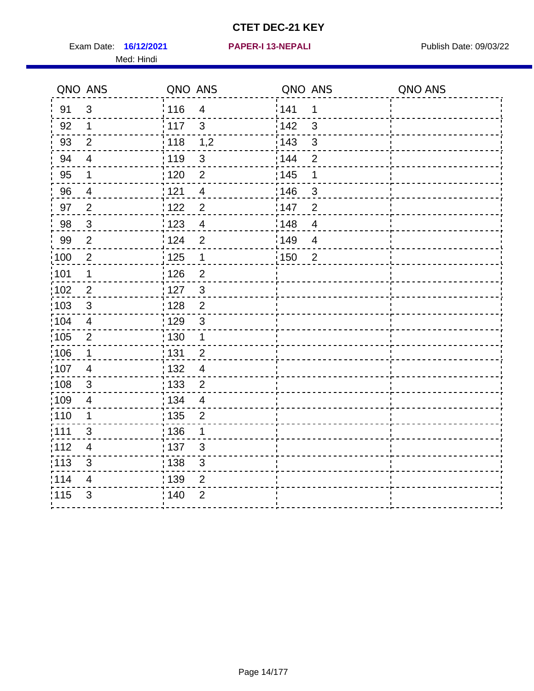Exam Date: 16/12/2021 **PAPER-I 13-NEPALI Exam Date: 09/03/22** Med: Hindi

**16/12/2021 PAPER-I 13-NEPALI**

|                   | QNO ANS                  | QNO ANS           |                         | QNO ANS           |                | QNO ANS |
|-------------------|--------------------------|-------------------|-------------------------|-------------------|----------------|---------|
| 91                | $\mathbf{3}$             | 116               | $\overline{\mathbf{4}}$ | 141               | $\mathbf 1$    |         |
| 92                | $\mathbf 1$              | : 117             | $\mathbf{3}$            | 142               | 3              |         |
| 93                | $\overline{2}$           | $\frac{1}{118}$   | 1,2                     | $\frac{1}{2}$ 143 | $\mathfrak{S}$ |         |
| 94                | $\overline{\mathcal{A}}$ | : 119             | $\mathbf{3}$            | 144               | $\overline{2}$ |         |
| 95                | 1                        | : 120             | $\overline{2}$          | : 145             | 1              |         |
| 96                | 4                        | 121               | $\overline{4}$          | :146              | 3              |         |
| 97                | $\overline{2}$           | 122               | $\overline{2}$          | 147               | $\overline{2}$ |         |
| 98                | $\mathbf{3}$             | 123               | $\overline{4}$          | 148               | $\overline{4}$ |         |
| 99                | $\overline{2}$           | 124               | $\overline{2}$          | 149               | $\overline{4}$ |         |
| $\frac{1}{1}$ 100 | $\sqrt{2}$               | $\frac{1}{1}$ 125 | $\mathbf 1$             | 150               | $\overline{2}$ |         |
| :101              | 1                        | : 126             | $\overline{2}$          |                   |                |         |
| 102               | $\overline{2}$           | : 127             | $\mathbf{3}$            |                   |                |         |
| 103               | $\mathbf{3}$             | : 128             | $\overline{2}$          |                   |                |         |
| $\frac{1}{104}$   | $\overline{4}$           | : 129             | $\mathfrak{3}$          |                   |                |         |
| $\frac{1}{1}$ 105 | $\overline{2}$           | $\frac{1}{1}$ 130 | $\mathbf 1$             |                   |                |         |
| :106              | $\mathbf 1$              | : 131             | $\overline{2}$          |                   |                |         |
| 107               | $\overline{4}$           | 132               | $\overline{4}$          |                   |                |         |
| 108               | $\sqrt{3}$               | 133               | $\overline{2}$          |                   |                |         |
| :109              | $\overline{\mathbf{4}}$  | : 134             | $\overline{4}$          |                   |                |         |
| :110              | 1                        | 135               | $\overline{2}$          |                   |                |         |
| 1111              | 3                        | 136               | 1                       |                   |                |         |
| 112               | $\overline{\mathcal{A}}$ | $\frac{1}{1}$ 137 | $\mathfrak{S}$          |                   |                |         |
| 113               | $\sqrt{3}$               | : 138             | 3                       |                   |                |         |
| 114               | $\overline{4}$           | 139               | 2                       |                   |                |         |
| 115               | $\mathfrak{S}$           | 140               | $\overline{2}$          |                   |                |         |
|                   |                          |                   |                         |                   |                |         |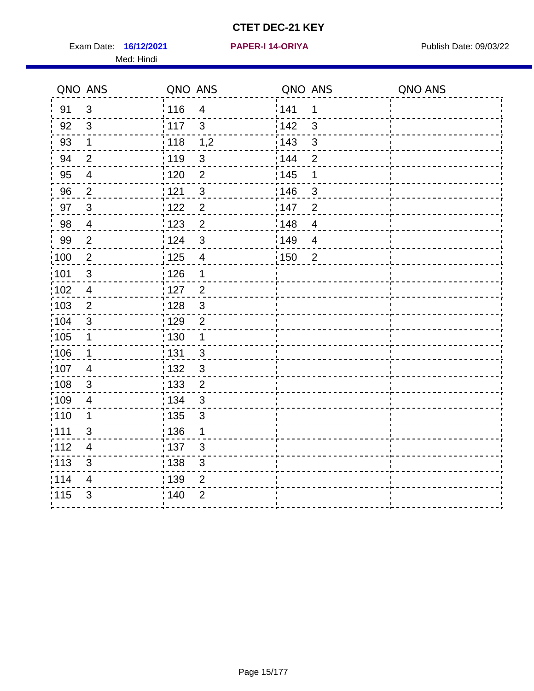Exam Date: 16/12/2021 **PAPER-I 14-ORIYA** Publish Date: 09/03/22 Med: Hindi

**16/12/2021 PAPER-I 14-ORIYA**

|      | QNO ANS                  | QNO ANS           |                | QNO ANS |                          | QNO ANS |
|------|--------------------------|-------------------|----------------|---------|--------------------------|---------|
| 91   | $\mathbf{3}$             | 116               | $\overline{4}$ | 1141    | 1                        |         |
| 92   | 3                        | 117               | $\mathbf{3}$   | 142     | $\mathfrak{S}$           |         |
| 93   | $\mathbf 1$              | 118               | 1,2            | 143     | $\mathfrak{S}$           |         |
| 94   | $\overline{2}$           | : 119             | 3              | 144     | $\overline{2}$           |         |
| 95   | $\overline{\mathcal{A}}$ | : 120             | $\overline{2}$ | : 145   | 1                        |         |
| 96   | $\overline{2}$           | 121               | $\mathbf{3}$   | :146    | 3                        |         |
| 97   | $\mathbf{3}$             | 122               | $\overline{2}$ | 147     | $\overline{2}$           |         |
| 98   | $\overline{4}$           | 1123              | $\overline{2}$ | 148     | $\overline{4}$           |         |
| 99   | $\overline{2}$           | 124               | $\sqrt{3}$     | 149     | $\overline{\mathcal{A}}$ |         |
| 100  | $\overline{2}$           | 125               | $\overline{4}$ | 150     | $\overline{2}$           |         |
| :101 | $\sqrt{3}$               | $\frac{1}{1}$ 126 | 1              |         |                          |         |
| 102  | $\overline{4}$           | : 127             | $\overline{2}$ |         |                          |         |
| 103  | 2                        | : 128             | $\mathbf{3}$   |         |                          |         |
| 104  | $\mathbf{3}$             | : 129             | $\overline{2}$ |         |                          |         |
| 105  | $\mathbf 1$              | $\frac{1}{1}$ 130 | $\mathbf{1}$   |         |                          |         |
| :106 | $\mathbf 1$              | : 131             | $\mathbf{3}$   |         |                          |         |
| 107  | 4                        | :132              | 3              |         |                          |         |
| 108  | $\sqrt{3}$               | : 133             | $\overline{2}$ |         |                          |         |
| :109 | $\overline{\mathbf{4}}$  | : 134             | $\mathbf{3}$   |         |                          |         |
| :110 | 1                        | : 135             | 3              |         |                          |         |
| 111  | 3                        | : 136             | $\mathbf{1}$   |         |                          |         |
| 112  | $\overline{4}$           | 137               | 3              |         |                          |         |
| 113  | $\mathfrak{S}$           | : 138             | 3              |         |                          |         |
| 114  | 4                        | : 139             | 2              |         |                          |         |
| 115  | 3                        | 140               | $\overline{2}$ |         |                          |         |
|      |                          |                   |                |         |                          |         |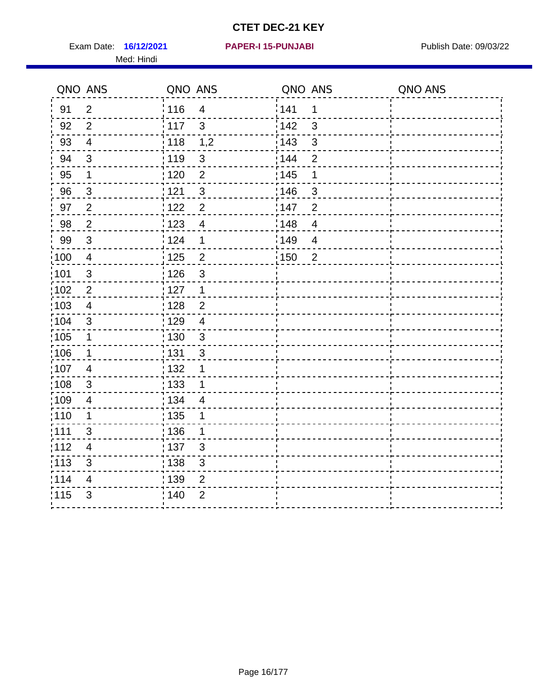Exam Date: 16/12/2021 PAPER-I 15-PUNJABI PUBLISH Date: 09/03/22 Med: Hindi

|                   | QNO ANS                 | QNO ANS           |                         | QNO ANS |                | QNO ANS |
|-------------------|-------------------------|-------------------|-------------------------|---------|----------------|---------|
| 91                | $\overline{2}$          | 116               | $\overline{\mathbf{4}}$ | 141     | $\mathbf 1$    |         |
| 92                | $\overline{2}$          | 117               | 3                       | 142     | 3              |         |
| 93                | $\overline{4}$          | 118               | 1,2                     | 143     | 3              |         |
| 94                | 3                       | : 119             | $\mathbf{3}$            | : 144   | $\overline{2}$ |         |
| 95                | 1                       | : 120             | $\overline{2}$          | : 145   | 1              |         |
| 96                | $\mathfrak{S}$          | 121               | $\mathfrak{S}$          | 146     | 3              |         |
| 97                | $\overline{2}$          | $122$             | $\overline{2}$          | 147     | $\overline{2}$ |         |
| 98                | $\overline{2}$          | $\frac{1}{2}$ 123 | $\overline{4}$          | 148     | $\overline{4}$ |         |
| 99                | $\sqrt{3}$              | 124               | 1                       | 149     | $\overline{4}$ |         |
| $\frac{1}{1}$ 100 | $\overline{4}$          | 125               | $\overline{2}$          | 150     | $\overline{2}$ |         |
| :101              | $\sqrt{3}$              | 126               | 3                       |         |                |         |
| 102               | $\overline{2}$          | : 127             | 1                       |         |                |         |
| 103               | $\overline{4}$          | 128               | $\overline{2}$          |         |                |         |
| 104               | $\mathfrak{S}$          | 129               | $\overline{4}$          |         |                |         |
| $\frac{1}{1}$ 105 | $\mathbf 1$             | : 130             | $\mathbf{3}$            |         |                |         |
| ;106              | $\mathbf{1}$            | : 131             | $\mathbf{3}$            |         |                |         |
| :107              | $\overline{4}$          | : 132             | 1                       |         |                |         |
| 108               | $\sqrt{3}$              | : 133             | $\mathbf 1$             |         |                |         |
| :109              | $\overline{\mathbf{4}}$ | : 134             | $\overline{4}$          |         |                |         |
| :110              | 1                       | : 135             | 1                       |         |                |         |
| 111               | 3                       | : 136             | 1                       |         |                |         |
| 112               | $\overline{4}$          | 137               | $\mathfrak{S}$          |         |                |         |
| 113               | $\mathfrak{S}$          | : 138             | 3                       |         |                |         |
| 114               | 4                       | 139               | 2                       |         |                |         |
| 115               | 3                       | 140               | $\overline{2}$          |         |                |         |
|                   |                         |                   |                         |         |                |         |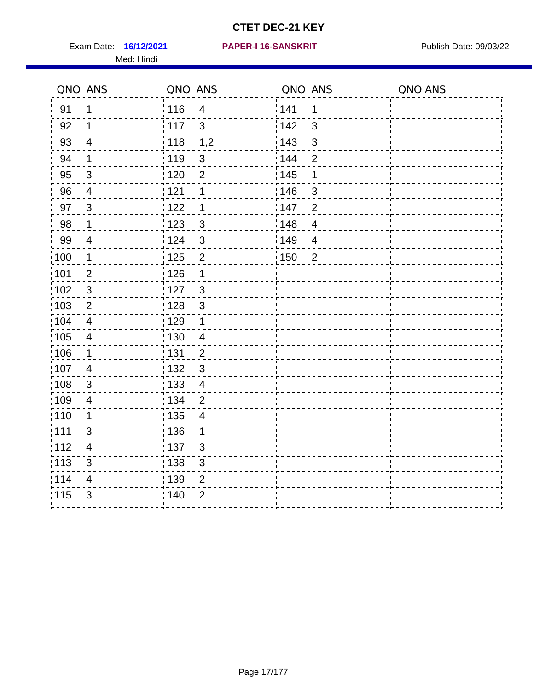Exam Date: 16/12/2021 PAPER-I 16-SANSKRIT Publish Date: 09/03/22 Med: Hindi

#### **PAPER-I 16-SANSKRIT**

|                   | QNO ANS                  | QNO ANS           |                          | QNO ANS           |                | QNO ANS |
|-------------------|--------------------------|-------------------|--------------------------|-------------------|----------------|---------|
| 91                | $\mathbf{1}$             | : 116             | $\overline{4}$           | 141               | 1              |         |
| 92                | $\mathbf 1$              | $\frac{1}{117}$   | $\mathbf{3}$             | 142               | 3              |         |
| 93                | $\overline{4}$           | 118               | 1,2                      | 143               | 3              |         |
| 94                | $\mathbf 1$              | : 119             | $\mathbf{3}$             | : 144             | $\overline{2}$ |         |
| 95                | $\mathbf{3}$             | : 120             | $\overline{2}$           | : 145             | 1              |         |
| 96                | $\overline{4}$           | 121               | 1                        | 146               | 3              |         |
| 97                | $\overline{3}$           | 122               | 1                        | 147               | $\overline{2}$ |         |
| 98                | $\mathbf{1}$             | 123               | $\mathbf{3}$             | 148               | $\overline{4}$ |         |
| 99                | $\overline{4}$           | 124               | 3                        | 149               | $\overline{4}$ |         |
| $\frac{1}{1}$ 100 | $\mathbf{1}$             | $\frac{1}{1}$ 125 | $\overline{2}$           | $\frac{1}{1}$ 150 | $\overline{2}$ |         |
| :101              | $\mathbf 2$              | : 126             | 1                        |                   |                |         |
| 102               | $\mathbf{3}$             | : 127             | $\mathbf{3}$             |                   |                |         |
| 103               | $\overline{2}$           | : 128             | $\mathbf{3}$             |                   |                |         |
| $\frac{1}{104}$   | $\overline{4}$           | $\frac{1}{1}$ 129 | $\mathbf 1$              |                   |                |         |
| 105               | $\overline{\mathbf{4}}$  | 130               | $\overline{4}$           |                   |                |         |
| :106              | $\mathbf 1$              | 131               | $\overline{2}$           |                   |                |         |
| 107               | $\overline{4}$           | 132               | $\mathbf{3}$             |                   |                |         |
| 108               | $\sqrt{3}$               | : 133             | $\overline{\mathbf{4}}$  |                   |                |         |
| :109              | $\overline{4}$           | : 134             | $\overline{2}$           |                   |                |         |
| :110              | 1                        | : 135             | $\overline{\mathcal{A}}$ |                   |                |         |
| : 111             | 3                        | 136               | 1                        |                   |                |         |
| 112               | $\overline{\mathcal{A}}$ | 137               | $\mathfrak{B}$           |                   |                |         |
| 113               | $\mathbf{3}$             | : 138             | 3                        |                   |                |         |
| 114               | 4                        | 139               | 2                        |                   |                |         |
| 115               | 3                        | 140               | $\overline{2}$           |                   |                |         |
|                   |                          |                   |                          |                   |                |         |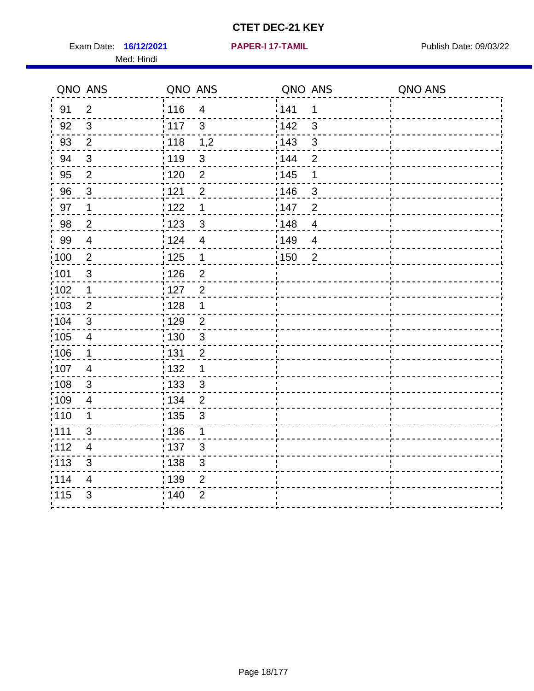Exam Date: 16/12/2021 **PAPER-I 17-TAMIL Exam Date: 09/03/22** Med: Hindi

**16/12/2021 PAPER-I 17-TAMIL**

|                   | QNO ANS                   | QNO ANS           |                         | QNO ANS |                | QNO ANS |
|-------------------|---------------------------|-------------------|-------------------------|---------|----------------|---------|
| 91                | $\overline{2}$            | 116               | $\overline{\mathbf{4}}$ | 141     | 1              |         |
| 92                | $\mathbf{3}$              | 117               | $\mathfrak{S}$          | 142     | $\mathbf{3}$   |         |
| 93                | $\mathbf{2}$              | 118               | 1,2                     | 143     | $\mathfrak{S}$ |         |
| 94                | $\sqrt{3}$                | : 119             | $\sqrt{3}$              | 144     | $\overline{2}$ |         |
| 95                | $\overline{2}$            | : 120             | $\overline{c}$          | : 145   | 1              |         |
| 96                | 3                         | 1121              | $\overline{2}$          | 146     | 3              |         |
| 97                | $\mathbf 1$               | 122               | $\mathbf 1$             | 147     | $\overline{2}$ |         |
| 98                | $\overline{2}$            | ¦ 123             | $\mathbf{3}$            | 148     | $\overline{4}$ |         |
| 99                | $\overline{\mathbf{4}}$   | 124               | $\overline{4}$          | 149     | $\overline{4}$ |         |
| 100               | $\overline{2}$            | 125               | $\mathbf{1}$            | 150     | $\overline{2}$ |         |
| 101               | $\sqrt{3}$                | : 126             | $\overline{2}$          |         |                |         |
| :102              | $\mathbf 1$               | : 127             | $\overline{2}$          |         |                |         |
| 103               | $\overline{2}$            | : 128             | $\mathbf 1$             |         |                |         |
| 104               | 3                         | : 129             | $\overline{2}$          |         |                |         |
| :105              | $\overline{4}$            | : 130             | $\mathfrak{S}$          |         |                |         |
| :106              | $\mathbf 1$               | : 131             | $\overline{2}$          |         |                |         |
| 107               | $\overline{4}$            | : 132             | $\mathbf 1$             |         |                |         |
| 108               | $\mathbf{3}$              | : 133             | $\mathbf{3}$            |         |                |         |
| $\frac{1}{1}$ 109 | $\overline{\mathbf{4}}$   | : 134             | $\overline{c}$          |         |                |         |
| :110              | 1                         | $\frac{1}{1}$ 135 | $\mathbf{3}$            |         |                |         |
| : 111             | 3                         | : 136             | $\mathbf 1$             |         |                |         |
| 112               | $\overline{4}$            | : 137             | 3                       |         |                |         |
| : 113             | $\ensuremath{\mathsf{3}}$ | : 138             | $\mathsf 3$             |         |                |         |
| 114               | 4                         | : 139             | $\overline{2}$          |         |                |         |
| 115               | 3                         | : 140             | $\overline{2}$          |         |                |         |
|                   |                           |                   |                         |         |                |         |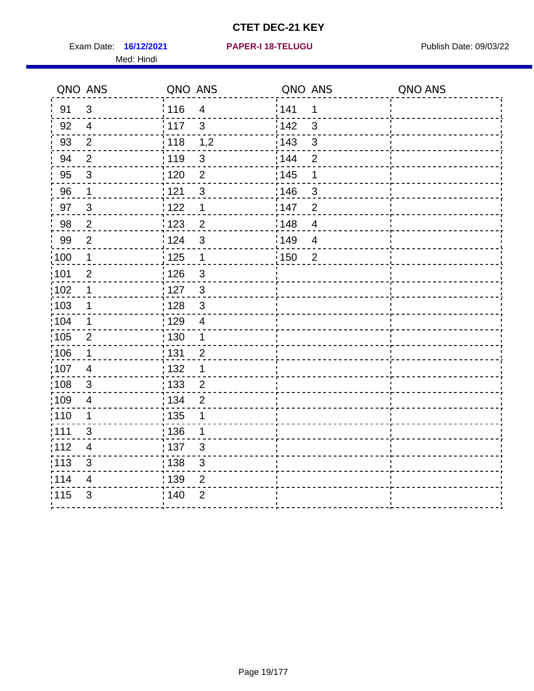Exam Date: 16/12/2021 **PAPER-I 18-TELUGU** PUBLISH Date: 09/03/22 Med: Hindi

|       | QNO ANS                   | QNO ANS           |                           | QNO ANS |                | QNO ANS |
|-------|---------------------------|-------------------|---------------------------|---------|----------------|---------|
| 91    | $\mathfrak{B}$            | : 116             | $\overline{4}$            | 141     | 1              |         |
| 92    | $\overline{4}$            | $\frac{1}{2}$ 117 | $\mathfrak{S}$            | 142     | $\mathbf{3}$   |         |
| 93    | $\mathbf{2}$              | $\frac{1}{1}$ 118 | 1,2                       | 143     | $\mathsf 3$    |         |
| 94    | $\overline{2}$            | : 119             | $\mathbf{3}$              | : 144   | $\overline{2}$ |         |
| 95    | 3                         | :120              | 2                         | : 145   | 1              |         |
| 96    | $\mathbf{1}$              | 121               | $\sqrt{3}$                | 146     | $\mathfrak{S}$ |         |
| 97    | $\mathfrak{S}$            | 122               | $\mathbf 1$               | 147     | $\overline{2}$ |         |
| 98    | $\mathbf 2$               | $\frac{1}{2}$ 123 | $\overline{c}$            | 148     | $\overline{4}$ |         |
| 99    | $\mathbf{2}$              | 124               | $\mathfrak{S}$            | :149    | $\overline{4}$ |         |
| 100   | $\mathbf 1$               | 125               | $\mathbf 1$               | :150    | $\overline{2}$ |         |
| 101   | $\overline{2}$            | : 126             | $\ensuremath{\mathsf{3}}$ |         |                |         |
| 102   | 1                         | : 127             | $\mathbf{3}$              |         |                |         |
| :103  | $\mathbf 1$               | : 128             | $\mathbf{3}$              |         |                |         |
| :104  | $\mathbf{1}$              | : 129             | $\overline{4}$            |         |                |         |
| 105   | $\sqrt{2}$                | $\frac{1}{1}$ 130 | $\mathbf{1}$              |         |                |         |
| :106  | $\mathbf 1$               | : 131             | $\overline{2}$            |         |                |         |
| 107   | $\overline{4}$            | : 132             | $\mathbf 1$               |         |                |         |
| 108   | $\mathbf{3}$              | : 133             | $\overline{2}$            |         |                |         |
| ;109  | $\overline{4}$            | : 134             | $\overline{2}$            |         |                |         |
| :110  | $\mathbf 1$               | : 135             | 1                         |         |                |         |
| :111  | 3                         | : 136             | 1                         |         |                |         |
| 112   | 4                         | : 137             | $\sqrt{3}$                |         |                |         |
| : 113 | $\ensuremath{\mathsf{3}}$ | : 138             | $\ensuremath{\mathsf{3}}$ |         |                |         |
| 114   | 4                         | : 139             | $\overline{2}$            |         |                |         |
| 115   | 3                         | 140               | $\overline{2}$            |         |                |         |
|       |                           |                   |                           |         |                |         |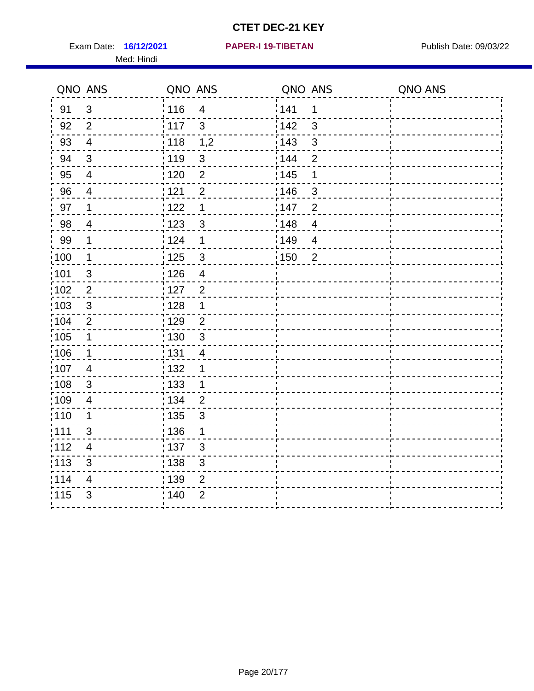Exam Date: 16/12/2021 **PAPER-I 19-TIBETAN** Publish Date: 09/03/22 Med: Hindi

|                   | QNO ANS                 | QNO ANS           |                         | QNO ANS           |                | QNO ANS |
|-------------------|-------------------------|-------------------|-------------------------|-------------------|----------------|---------|
| 91                | $\mathbf{3}$            | 116               | $\overline{\mathbf{4}}$ | 141               | $\mathbf 1$    |         |
| 92                | $\overline{2}$          | 117               | 3                       | 142               | 3              |         |
| 93                | $\overline{4}$          | 118               | 1,2                     | 143               | 3              |         |
| 94                | 3                       | : 119             | $\mathfrak{3}$          | : 144             | $\overline{2}$ |         |
| 95                | $\overline{4}$          | : 120             | $\overline{2}$          | : 145             | 1              |         |
| 96                | 4                       | 121               | $\overline{2}$          | 146               | 3              |         |
| 97                | $\mathbf 1$             | $122$             | 1                       | 147               | $\overline{2}$ |         |
| $98\,$            | $\overline{\mathbf{4}}$ | $\frac{1}{2}$ 123 | $\mathbf{3}$            | $\frac{1}{2}$ 148 | $\overline{4}$ |         |
| 99                | $\mathbf 1$             | 124               | 1                       | 149               | $\overline{4}$ |         |
| $\frac{1}{1}$ 100 | $\overline{1}$          | 125               | $\mathbf{3}$            | 150               | $\overline{2}$ |         |
| :101              | $\sqrt{3}$              | 126               | $\overline{\mathbf{4}}$ |                   |                |         |
| 102               | $\overline{2}$          | : 127             | $\overline{2}$          |                   |                |         |
| 103               | $\mathbf{3}$            | : 128             | $\mathbf 1$             |                   |                |         |
| 104               | $\overline{2}$          | : 129             | $\overline{2}$          |                   |                |         |
| $\frac{1}{1}$ 105 | $\mathbf 1$             | : 130             | $\mathbf{3}$            |                   |                |         |
| ;106              | $\mathbf{1}$            | : 131             | 4                       |                   |                |         |
| :107              | $\overline{4}$          | : 132             | 1                       |                   |                |         |
| 108               | $\sqrt{3}$              | : 133             | $\mathbf{1}$            |                   |                |         |
| :109              | $\overline{\mathbf{4}}$ | : 134             | $\overline{2}$          |                   |                |         |
| :110              | 1                       | : 135             | 3                       |                   |                |         |
| 111               | 3                       | : 136             | $\mathbf{1}$            |                   |                |         |
| 112               | $\overline{4}$          | 137               | $\mathfrak{S}$          |                   |                |         |
| 113               | $\mathbf{3}$            | : 138             | 3                       |                   |                |         |
| 114               | 4                       | 139               | 2                       |                   |                |         |
| 115               | 3                       | 140               | $\overline{2}$          |                   |                |         |
|                   |                         |                   |                         |                   |                |         |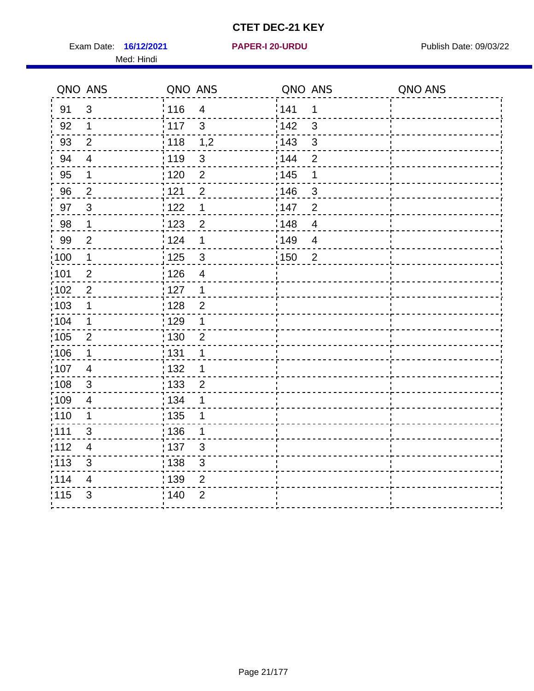Exam Date: 16/12/2021 **PAPER-I 20-URDU** PAPER 120-VERSITY Publish Date: 09/03/22 Med: Hindi

**16/12/2021 PAPER-I 20-URDU**

|                   | QNO ANS          | QNO ANS                             | QNO ANS                 | QNO ANS |
|-------------------|------------------|-------------------------------------|-------------------------|---------|
| 91                | $\mathbf{3}$     | 116<br>$\overline{4}$               | 1141<br>$\mathbf 1$     |         |
| 92                | $\mathbf 1$      | $\mathbf{3}$<br>117                 | 142<br>$\mathbf{3}$     |         |
| 93                | $\overline{2}$   | 118<br>1,2                          | 143<br>$\mathbf{3}$     |         |
| 94                | $\overline{4}$   | : 119<br>$\sqrt{3}$                 | : 144<br>$\overline{2}$ |         |
| 95                | 1                | : 120<br>$\overline{2}$             | : 145<br>1              |         |
| 96                | $\overline{2}$   | 121<br>$\overline{2}$               | 146<br>$\mathfrak{S}$   |         |
| 97                | $\mathbf{3}$     | 122<br>1                            | 147<br>$\overline{2}$   |         |
| 98                | $\mathbf{1}$     | 123<br>$\overline{2}$               | 148<br>$\overline{4}$   |         |
| 99                | $\overline{2}$   | 124<br>$\mathbf 1$                  | :149<br>$\overline{4}$  |         |
| $\frac{1}{1}$ 100 | $\mathbf{1}$     | $\frac{1}{1}$ 125<br>$\mathfrak{S}$ | 150<br>$\overline{2}$   |         |
| :101              | $\boldsymbol{2}$ | : 126<br>$\overline{\mathcal{A}}$   |                         |         |
| 102               | $\overline{2}$   | 127<br>$\mathbf 1$                  |                         |         |
| 103               | 1                | : 128<br>$\overline{2}$             |                         |         |
| 104               | $\mathbf 1$      | : 129<br>$\mathbf 1$                |                         |         |
| :105              | $\sqrt{2}$       | $\frac{1}{1}$ 130<br>$\mathbf 2$    |                         |         |
| :106              | $\mathbf 1$      | : 131<br>$\mathbf 1$                |                         |         |
| 107               | $\overline{4}$   | :132<br>$\mathbf 1$                 |                         |         |
| 108               | $\mathbf{3}$     | : 133<br>$\overline{2}$             |                         |         |
| :109              | $\overline{4}$   | : 134<br>1                          |                         |         |
| :110              | 1                | : 135<br>1                          |                         |         |
| ;111              | $\mathfrak{S}$   | : 136<br>1                          |                         |         |
| 112               | 4                | : 137<br>$\mathfrak{S}$             |                         |         |
| :113              | $\sqrt{3}$       | : 138<br>$\ensuremath{\mathsf{3}}$  |                         |         |
| 114               | $\overline{4}$   | : 139<br>$\overline{2}$             |                         |         |
| 115               | $\mathfrak{S}$   | 140<br>$\overline{2}$               |                         |         |
|                   |                  |                                     |                         |         |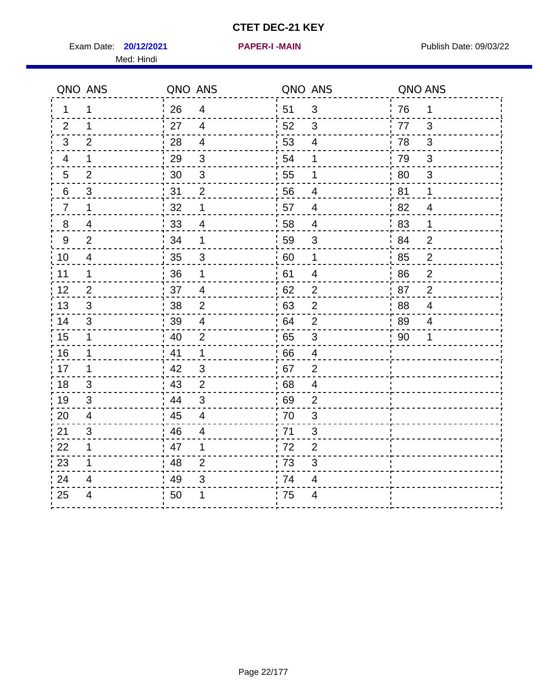Exam Date: **20/12/2021 PAPER-I-MAIN PROVIDED:** Publish Date: 09/03/22 Med: Hindi

**20/12/2021 PAPER-I -MAIN**

|                  | QNO ANS                  | QNO ANS |                           | QNO ANS |                          | QNO ANS |                |
|------------------|--------------------------|---------|---------------------------|---------|--------------------------|---------|----------------|
| 1                | 1                        | 26      | $\overline{4}$            | 51      | 3                        | 76      | $\mathbf 1$    |
| 2                | 1                        | 27      | $\overline{4}$            | 52      | 3                        | 77      | 3              |
| 3                | 2                        | 28      | $\overline{4}$            | 53      | $\overline{4}$           | 78      | 3              |
| 4                | 1                        | 29      | $\mathfrak{S}$            | 54      | 1                        | 79      | 3              |
| 5                | $\overline{2}$           | 30      | $\ensuremath{\mathsf{3}}$ | 55      | 1                        | 80      | $\sqrt{3}$     |
| 6                | 3                        | 31      | $\overline{2}$            | 56      | 4                        | 81      | 1              |
| $\overline{7}$   | 1                        | 32      | $\mathbf 1$               | 57      | $\overline{4}$           | 82      | $\overline{4}$ |
| 8                | 4                        | 33      | 4                         | 58      | $\overline{4}$           | 83      | $\mathbf 1$    |
| $\boldsymbol{9}$ | $\overline{2}$           | 34      | 1                         | 59      | $\sqrt{3}$               | 84      | $\overline{2}$ |
| 10               | $\overline{\mathcal{A}}$ | 35      | 3                         | 60      | $\mathbf 1$              | 85      | $\overline{c}$ |
| 11               | $\mathbf 1$              | 36      | $\mathbf 1$               | 61      | $\overline{\mathcal{A}}$ | 86      | $\mathbf 2$    |
| 12               | $\overline{2}$           | 37      | $\overline{4}$            | 62      | $\overline{2}$           | 87      | $\overline{2}$ |
| 13               | 3                        | 38      | $\overline{2}$            | 63      | $\overline{2}$           | 88      | 4              |
| 14               | 3                        | 39      | 4                         | 64      | $\overline{2}$           | 89      | 4              |
| 15               | $\mathbf 1$              | 40      | $\overline{2}$            | 65      | $\mathfrak{B}$           | 90      | 1              |
| 16               | 1                        | 41      | $\mathbf{1}$              | 66      | $\overline{4}$           |         |                |
| 17               | 1                        | 42      | 3                         | 67      | $\overline{2}$           |         |                |
| 18               | 3                        | 43      | $\overline{2}$            | 68      | $\overline{4}$           |         |                |
| 19               | 3                        | 44      | $\ensuremath{\mathsf{3}}$ | 69      | $\mathbf{2}$             |         |                |
| 20               | $\overline{4}$           | 45      | $\overline{\mathcal{L}}$  | 70      | $\mathfrak{S}$           |         |                |
| 21               | 3                        | 46      | 4                         | 71      | 3                        |         |                |
| 22               | $\mathbf 1$              | 47      | $\mathbf 1$               | 72      | $\overline{2}$           |         |                |
| 23               | 1                        | 48      | $\overline{2}$            | 73      | 3                        |         |                |
| 24               | 4                        | 49      | 3                         | 74      | $\overline{4}$           |         |                |
| 25               | 4                        | 50      | 1                         | 75      | $\overline{4}$           |         |                |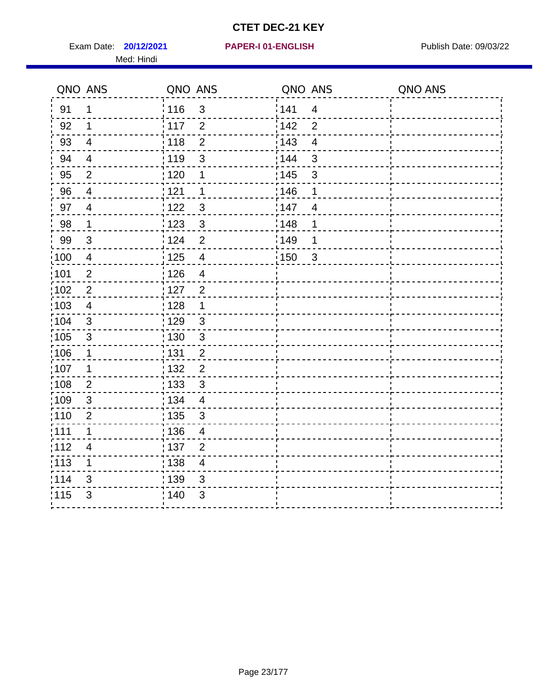Exam Date: **20/12/2021 PAPER-I 01-ENGLISH Propriet Algebra 20/03/22** Med: Hindi

|                   | QNO ANS                  | QNO ANS           |                         | QNO ANS |                         | QNO ANS |
|-------------------|--------------------------|-------------------|-------------------------|---------|-------------------------|---------|
| 91                | $\mathbf 1$              | 116               | $\mathfrak{S}$          | 141     | $\overline{\mathbf{4}}$ |         |
| 92                | 1                        | 117               | $\overline{2}$          | 142     | $\overline{2}$          |         |
| 93                | $\overline{4}$           | 118               | $\overline{2}$          | 143     | $\overline{4}$          |         |
| 94                | 4                        | : 119             | $\mathbf{3}$            | 144     | 3                       |         |
| 95                | 2                        | :120              | 1                       | : 145   | 3                       |         |
| 96                | 4                        | 121               | 1                       | 146     | 1                       |         |
| 97                | $\overline{\mathcal{A}}$ | : 122             | $\mathbf{3}$            | 147     | $\overline{4}$          |         |
| 98                | $\mathbf{1}$             | 123               | $\mathbf{3}$            | 148     | 1                       |         |
| 99                | $\sqrt{3}$               | : 124             | $\overline{2}$          | :149    | 1                       |         |
| :100              | $\overline{4}$           | 125               | $\overline{4}$          | 150     | $\sqrt{3}$              |         |
| :101              | $\overline{2}$           | : 126             | $\overline{\mathbf{4}}$ |         |                         |         |
| 102               | $\overline{2}$           | : 127             | $\overline{2}$          |         |                         |         |
| 103               | $\overline{4}$           | : 128             | $\mathbf 1$             |         |                         |         |
| 104               | $\mathbf{3}$             | : 129             | $\sqrt{3}$              |         |                         |         |
| :105              | $\sqrt{3}$               | : 130             | $\mathsf 3$             |         |                         |         |
| :106              | 1                        | : 131             | $\overline{2}$          |         |                         |         |
| :107              | 1                        | : 132             | $\overline{2}$          |         |                         |         |
| $\frac{1}{1}$ 108 | $\mathbf{2}$             | $\frac{1}{1}$ 133 | $\sqrt{3}$              |         |                         |         |
| :109              | $\sqrt{3}$               | : 134             | $\overline{\mathbf{4}}$ |         |                         |         |
| :110              | $\overline{2}$           | : 135             | 3                       |         |                         |         |
| 111               | $\mathbf 1$              | : 136             | $\overline{4}$          |         |                         |         |
| 112               | $\overline{\mathcal{A}}$ | 137               | $\overline{c}$          |         |                         |         |
| $\frac{1}{1}$ 113 | 1                        | : 138             | $\overline{4}$          |         |                         |         |
| 114               | 3                        | 139               | 3                       |         |                         |         |
| 115               | 3                        | : 140             | $\sqrt{3}$              |         |                         |         |
|                   |                          |                   |                         |         |                         |         |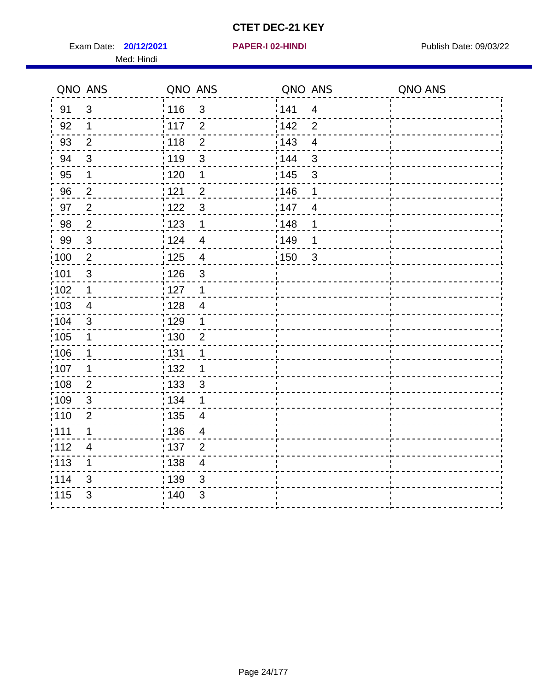Exam Date: **20/12/2021 PAPER-I 02-HINDI Exam Date: 09/03/22** Med: Hindi

**20/12/2021 PAPER-I 02-HINDI**

|                   | QNO ANS        | QNO ANS           |                          | QNO ANS |                         | QNO ANS |
|-------------------|----------------|-------------------|--------------------------|---------|-------------------------|---------|
| 91                | $\mathfrak{S}$ | 116               | $\mathbf{3}$             | 1141    | $\overline{4}$          |         |
| 92                | $\mathbf 1$    | 117               | $\overline{2}$           | 142     | $\overline{2}$          |         |
| 93                | $\overline{2}$ | 118               | $\overline{2}$           | 143     | $\overline{\mathbf{4}}$ |         |
| 94                | 3              | : 119             | $\mathfrak{B}$           | : 144   | 3                       |         |
| 95                | 1              | : 120             | 1                        | : 145   | 3                       |         |
| 96                | $\overline{2}$ | 121               | $\overline{2}$           | 146     | 1                       |         |
| 97                | $\overline{2}$ | 122               | $\mathbf{3}$             | 147     | $\overline{4}$          |         |
| 98                | $\overline{2}$ | 123               | $\mathbf{1}$             | 148     | 1                       |         |
| 99                | $\sqrt{3}$     | 124               | $\overline{\mathbf{4}}$  | :149    | 1                       |         |
| :100              | $\sqrt{2}$     | $\frac{1}{1}$ 125 | $\overline{4}$           | 150     | $\mathfrak{3}$          |         |
| :101              | $\mathfrak{S}$ | : 126             | $\mathsf 3$              |         |                         |         |
| 102               | $\mathbf{1}$   | : 127             | $\mathbf{1}$             |         |                         |         |
| 103               | 4              | : 128             | $\overline{4}$           |         |                         |         |
| 104               | $\mathbf{3}$   | $\frac{1}{1}$ 129 | $\mathbf 1$              |         |                         |         |
| $\frac{1}{1}$ 105 | $\mathbf 1$    | : 130             | $\overline{c}$           |         |                         |         |
| :106              | $\mathbf{1}$   | : 131             | 1                        |         |                         |         |
| ;107              | $\mathbf{1}$   | 132               | $\mathbf 1$              |         |                         |         |
| 108               | $\overline{2}$ | 133               | $\mathfrak{3}$           |         |                         |         |
| :109              | $\sqrt{3}$     | : 134             | $\mathbf 1$              |         |                         |         |
| :110              | $\overline{2}$ | : 135             | 4                        |         |                         |         |
| :111              | $\mathbf 1$    | : 136             | $\overline{\mathcal{A}}$ |         |                         |         |
| 112               | $\overline{4}$ | : 137             | $\overline{2}$           |         |                         |         |
| 113               | 1              | : 138             | $\overline{4}$           |         |                         |         |
| 114               | 3              | : 139             | 3                        |         |                         |         |
| 115               | $\mathfrak{S}$ | 140               | $\mathfrak{B}$           |         |                         |         |
|                   |                |                   |                          |         |                         |         |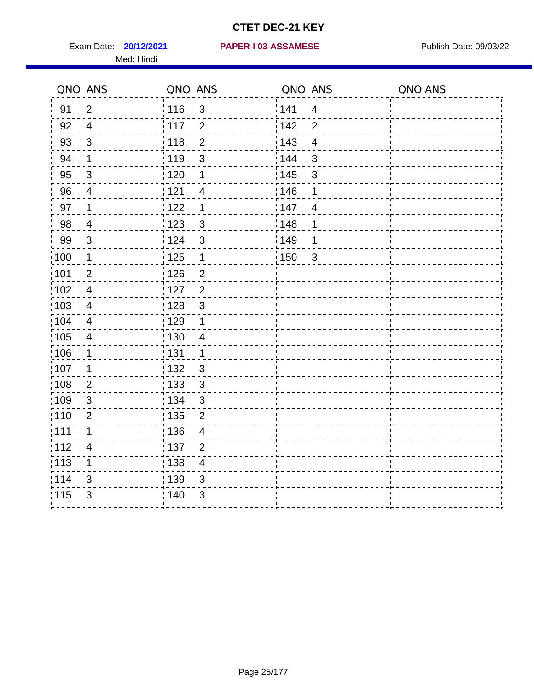Med: Hindi

#### **20/12/2021 PAPER-I 03-ASSAMESE** Exam Date: Publish Date: 09/03/22

|                   | QNO ANS                  | QNO ANS           |                | QNO ANS |                          | QNO ANS |
|-------------------|--------------------------|-------------------|----------------|---------|--------------------------|---------|
| 91                | $\overline{2}$           | 116               | $\mathfrak{S}$ | 1141    | $\overline{4}$           |         |
| 92                | $\overline{4}$           | $\frac{1}{2}$ 117 | $\overline{2}$ | 142     | $\overline{2}$           |         |
| 93                | $\mathfrak{S}$           | 118               | $\overline{2}$ | 143     | $\overline{\mathcal{A}}$ |         |
| 94                | 1                        | : 119             | 3              | : 144   | 3                        |         |
| 95                | $\mathfrak{B}$           | : 120             | 1              | : 145   | $\mathfrak{S}$           |         |
| 96                | 4                        | : 121             | 4              | 146     | 1                        |         |
| 97                | 1                        | 1122              | 1              | 147     | $\overline{4}$           |         |
| 98                | $\overline{\mathcal{A}}$ | 1123              | $\mathbf{3}$   | 148     | 1                        |         |
| 99                | $\sqrt{3}$               | 124               | $\mathbf{3}$   | :149    | 1                        |         |
| :100              | $\mathbf 1$              | 125               | $\mathbf 1$    | 150     | $\mathbf{3}$             |         |
| $\frac{1}{1}$ 101 | $\overline{2}$           | : 126             | $\overline{2}$ |         |                          |         |
| 102               | $\overline{4}$           | : 127             | $\overline{2}$ |         |                          |         |
| 103               | 4                        | : 128             | $\mathbf{3}$   |         |                          |         |
| :104              | $\overline{4}$           | : 129             | 1              |         |                          |         |
| :105              | $\overline{\mathbf{4}}$  | : 130             | $\overline{4}$ |         |                          |         |
| 106               | 1                        | : 131             | $\mathbf 1$    |         |                          |         |
| 107               | 1                        | :132              | $\mathbf{3}$   |         |                          |         |
| :108              | $\mathbf{2}$             | : 133             | $\sqrt{3}$     |         |                          |         |
| :109              | $\sqrt{3}$               | : 134             | $\sqrt{3}$     |         |                          |         |
| :110              | $\overline{2}$           | : 135             | $\overline{2}$ |         |                          |         |
| 111               | 1                        | : 136             | $\overline{4}$ |         |                          |         |
| 112               | $\overline{\mathcal{A}}$ | : 137             | $\mathbf{2}$   |         |                          |         |
| $\frac{1}{1}$ 113 | 1                        | : 138             | $\overline{4}$ |         |                          |         |
| 114               | 3                        | 139               | 3              |         |                          |         |
| 115               | 3                        | : 140             | $\mathfrak{B}$ |         |                          |         |
|                   |                          |                   |                |         |                          |         |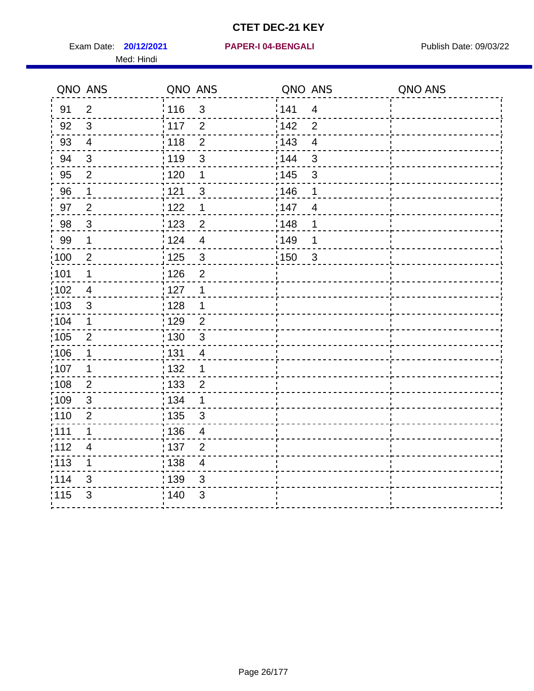Exam Date: **20/12/2021 PAPER-I 04-BENGALI Exam Date: 09/03/22** Med: Hindi

|                   | QNO ANS        | QNO ANS           |                         | QNO ANS           |                         | QNO ANS |
|-------------------|----------------|-------------------|-------------------------|-------------------|-------------------------|---------|
| 91                | $\overline{2}$ | 116               | $\mathfrak{S}$          | 141               | $\overline{4}$          |         |
| 92                | $\mathfrak{S}$ | $\frac{1}{2}$ 117 | $\overline{2}$          | 142               | $\overline{2}$          |         |
| 93                | $\overline{4}$ | 118               | $\overline{2}$          | 143               | $\overline{\mathbf{4}}$ |         |
| 94                | 3              | : 119             | 3                       | : 144             | 3                       |         |
| 95                | $\overline{2}$ | : 120             | 1                       | : 145             | 3                       |         |
| 96                | 1              | 121               | 3                       | 146               | 1                       |         |
| 97                | $\overline{2}$ | : 122             | 1                       | 147               | $\overline{4}$          |         |
| 98                | $\mathbf{3}$   | 123               | $\overline{2}$          | 148               | 1                       |         |
| 99                | $\mathbf 1$    | i 124             | $\overline{4}$          | $\frac{1}{2}$ 149 | 1                       |         |
| $\frac{1}{1}$ 100 | $\mathbf{2}$   | $\frac{1}{1}$ 125 | $\mathfrak{S}$          | 150               | $\mathbf{3}$            |         |
| :101              | 1              | : 126             | $\overline{2}$          |                   |                         |         |
| 102               | $\overline{4}$ | : 127             | 1                       |                   |                         |         |
| ;103              | 3              | : 128             | $\mathbf 1$             |                   |                         |         |
| 104               | $\mathbf 1$    | : 129             | $\overline{2}$          |                   |                         |         |
| 105               | $\overline{2}$ | 130               | $\mathbf{3}$            |                   |                         |         |
| :106              | 1              | : 131             | $\overline{4}$          |                   |                         |         |
| 107               | 1              | :132              | $\mathbf 1$             |                   |                         |         |
| 108               | $\overline{2}$ | 133               | $\overline{2}$          |                   |                         |         |
| :109              | $\sqrt{3}$     | : 134             | $\mathbf 1$             |                   |                         |         |
| :110              | 2              | : 135             | 3                       |                   |                         |         |
| 111               | $\mathbf 1$    | 136               | $\overline{4}$          |                   |                         |         |
| 112               | $\overline{4}$ | 137               | $\overline{2}$          |                   |                         |         |
| 113               | 1              | 138               | $\overline{\mathbf{4}}$ |                   |                         |         |
| 114               | 3              | 139               | 3                       |                   |                         |         |
| 115               | 3              | 140               | $\mathfrak{S}$          |                   |                         |         |
|                   |                |                   |                         |                   |                         |         |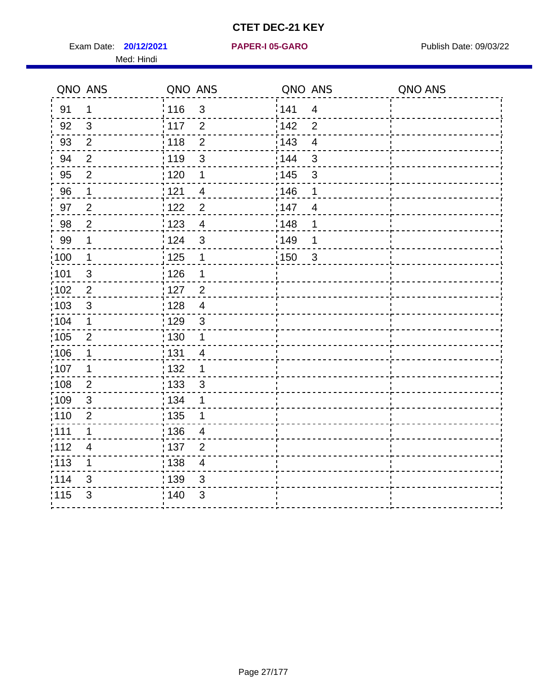Exam Date: **20/12/2021 PAPER-I 05-GARO** Publish Date: 09/03/22 Med: Hindi

**20/12/2021 PAPER-I 05-GARO**

|                   | QNO ANS        | QNO ANS           |                | QNO ANS |                         | QNO ANS |
|-------------------|----------------|-------------------|----------------|---------|-------------------------|---------|
| 91                | $\mathbf{1}$   | 116               | $\mathbf{3}$   | 141     | $\overline{\mathbf{4}}$ |         |
| 92                | $\mathfrak{B}$ | 117               | $\overline{2}$ | 142     | $\overline{2}$          |         |
| 93                | $\overline{2}$ | 118               | $\overline{2}$ | 143     | $\overline{\mathbf{4}}$ |         |
| 94                | $\overline{2}$ | : 119             | $\mathfrak{S}$ | 144     | 3                       |         |
| 95                | $\overline{2}$ | :120              | 1              | : 145   | 3                       |         |
| 96                | $\mathbf 1$    | 121               | 4              | 146     | 1                       |         |
| 97                | $\overline{2}$ | 122               | $\overline{2}$ | 147     | $\overline{4}$          |         |
| 98                | $\overline{c}$ | 123               | $\overline{4}$ | 148     | 1                       |         |
| 99                | $\mathbf 1$    | 124               | $\mathfrak{3}$ | :149    | 1                       |         |
| $\frac{1}{1}$ 100 | $\overline{1}$ | 125               | $\mathbf 1$    | 150     | $\sqrt{3}$              |         |
| 101               | $\mathfrak{S}$ | 126               | 1              |         |                         |         |
| 102               | $\overline{2}$ | : 127             | $\overline{2}$ |         |                         |         |
| 103               | $\mathbf{3}$   | 128               | $\overline{4}$ |         |                         |         |
| 104               | $\mathbf 1$    | : 129             | $\mathbf{3}$   |         |                         |         |
| $\frac{1}{1}$ 105 | $\overline{2}$ | : 130             | $\mathbf 1$    |         |                         |         |
| :106              | 1              | : 131             | 4              |         |                         |         |
| :107              | 1              | : 132             | $\mathbf 1$    |         |                         |         |
| 108               | $\overline{2}$ | $\frac{1}{1}$ 133 | $\sqrt{3}$     |         |                         |         |
| :109              | $\mathfrak{S}$ | : 134             | 1              |         |                         |         |
| :110              | $\overline{2}$ | : 135             | 1              |         |                         |         |
| :111              | $\mathbf 1$    | : 136             | $\overline{4}$ |         |                         |         |
| 112               | $\overline{4}$ | 137               | $\overline{2}$ |         |                         |         |
| 113               | 1              | : 138             | $\overline{4}$ |         |                         |         |
| 114               | 3              | 139               | 3              |         |                         |         |
| 115               | 3              | 140               | $\sqrt{3}$     |         |                         |         |
|                   |                |                   |                |         |                         |         |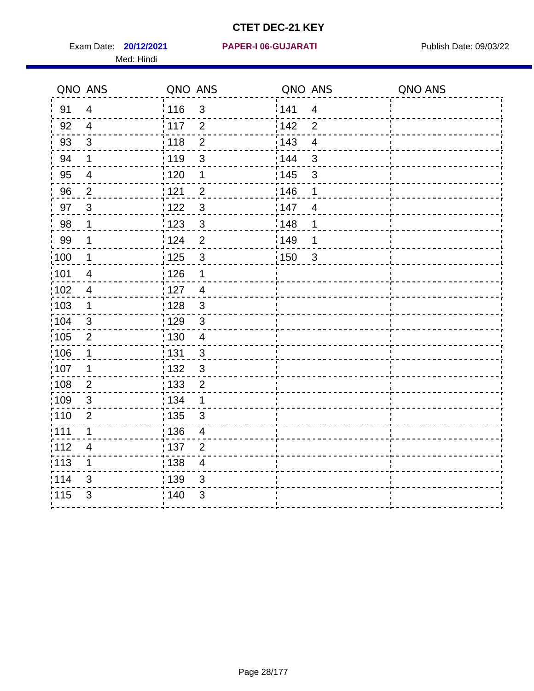Med: Hindi

|                   | QNO ANS                  | QNO ANS           |                  | QNO ANS |                          | QNO ANS |
|-------------------|--------------------------|-------------------|------------------|---------|--------------------------|---------|
| 91                | $\overline{4}$           | : 116             | $\mathfrak{S}$   | 1141    | $\overline{4}$           |         |
| 92                | $\overline{4}$           | $\frac{1}{2}$ 117 | $\overline{2}$   | 142     | $\overline{2}$           |         |
| 93                | $\mathfrak{S}$           | 118               | $\overline{2}$   | 143     | $\overline{\mathcal{A}}$ |         |
| 94                | 1                        | : 119             | 3                | : 144   | 3                        |         |
| 95                | $\overline{\mathcal{A}}$ | : 120             | 1                | : 145   | $\mathfrak{S}$           |         |
| 96                | $\overline{2}$           | : 121             | $\overline{2}$   | 146     | 1                        |         |
| 97                | $\mathfrak{B}$           | 1122              | $\sqrt{3}$       | 147     | $\overline{4}$           |         |
| 98                | 1                        | 1123              | $\mathbf{3}$     | 148     | 1                        |         |
| 99                | $\mathbf 1$              | 124               | $\overline{2}$   | :149    | 1                        |         |
| :100              | $\mathbf 1$              | 125               | $\mathbf{3}$     | 150     | $\mathbf{3}$             |         |
| :101              | $\overline{4}$           | : 126             | 1                |         |                          |         |
| 102               | $\overline{4}$           | : 127             | $\overline{4}$   |         |                          |         |
| :103              | $\mathbf 1$              | : 128             | $\mathbf{3}$     |         |                          |         |
| 104               | $\mathfrak{B}$           | : 129             | $\mathbf{3}$     |         |                          |         |
| 105               | $\mathbf{2}$             | : 130             | $\overline{4}$   |         |                          |         |
| 106               | 1                        | : 131             | 3                |         |                          |         |
| 107               | 1                        | :132              | 3                |         |                          |         |
| $\frac{1}{1}$ 108 | $\overline{2}$           | : 133             | $\boldsymbol{2}$ |         |                          |         |
| :109              | $\sqrt{3}$               | : 134             | $\mathbf 1$      |         |                          |         |
| :110              | $\overline{2}$           | : 135             | 3                |         |                          |         |
| 111               | 1                        | : 136             | $\overline{4}$   |         |                          |         |
| 112               | $\overline{\mathcal{A}}$ | : 137             | $\overline{2}$   |         |                          |         |
| $\frac{1}{1}$ 113 | 1                        | : 138             | $\overline{4}$   |         |                          |         |
| 114               | 3                        | 139               | 3                |         |                          |         |
| 115               | 3                        | : 140             | $\mathfrak{B}$   |         |                          |         |
|                   |                          |                   |                  |         |                          |         |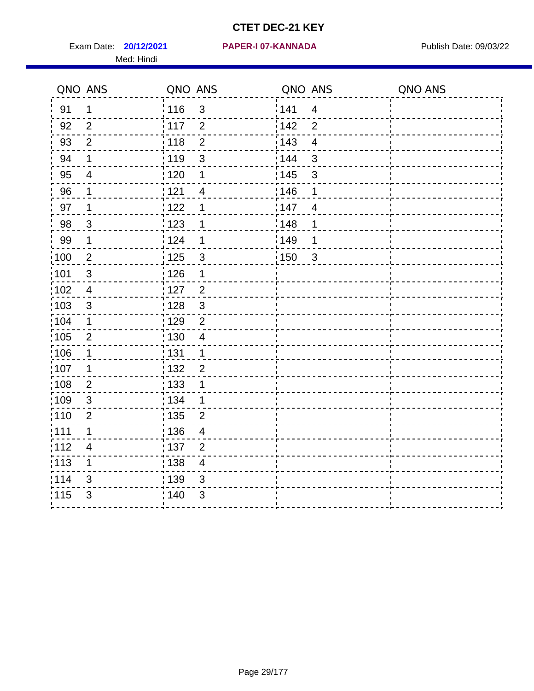Exam Date: **20/12/2021 PAPER-I 07-KANNADA** Publish Date: 09/03/22 Med: Hindi

|                   | QNO ANS                  | QNO ANS                          | QNO ANS                           | QNO ANS |
|-------------------|--------------------------|----------------------------------|-----------------------------------|---------|
| 91                | $\mathbf{1}$             | 116<br>3                         | 141<br>$\overline{\mathbf{4}}$    |         |
| 92                | 2                        | 117<br>$\overline{2}$            | 142<br>$\overline{2}$             |         |
| 93                | $\overline{2}$           | $\overline{2}$<br>118            | 143<br>$\overline{\mathbf{4}}$    |         |
| 94                | 1                        | : 119<br>3                       | 144<br>3                          |         |
| 95                | 4                        | : 120<br>1                       | : 145<br>3                        |         |
| 96                | 1                        | 121<br>$\overline{4}$            | 146<br>1                          |         |
| 97                | 1                        | 122<br>1                         | 147<br>$\overline{4}$             |         |
| 98                | $\mathbf{3}$             | $\frac{1}{2}$ 123<br>1           | 148<br>1                          |         |
| 99                | $\mathbf{1}$             | 124<br>1                         | ¦149<br>1                         |         |
| $\frac{1}{1}$ 100 | $\overline{2}$           | 125<br>$\mathbf{3}$              | $\frac{1}{2}$ 150<br>$\mathbf{3}$ |         |
| 101               | $\mathsf 3$              | 126<br>1                         |                                   |         |
| 102               | $\overline{4}$           | : 127<br>$\overline{2}$          |                                   |         |
| 103               | $\mathfrak{S}$           | $\mathfrak{3}$<br>128            |                                   |         |
| 104               | $\mathbf 1$              | : 129<br>$\overline{2}$          |                                   |         |
| 105               | $\mathbf 2$              | : 130<br>$\overline{4}$          |                                   |         |
| :106              | 1                        | : 131<br>$\mathbf 1$             |                                   |         |
| :107              | 1                        | : 132<br>$\overline{2}$          |                                   |         |
| 108               | $\overline{2}$           | : 133<br>$\mathbf 1$             |                                   |         |
| :109              | $\sqrt{3}$               | : 134<br>$\mathbf{1}$            |                                   |         |
| :110              | 2                        | : 135<br>2                       |                                   |         |
| :111              | 1                        | : 136<br>$\overline{4}$          |                                   |         |
| 112               | $\overline{\mathcal{A}}$ | 137<br>$\overline{2}$            |                                   |         |
| : 113             | 1                        | : 138<br>$\overline{\mathbf{4}}$ |                                   |         |
| 114               | 3                        | : 139<br>3                       |                                   |         |
| 115               | 3                        | 140<br>$\sqrt{3}$                |                                   |         |
|                   |                          |                                  |                                   |         |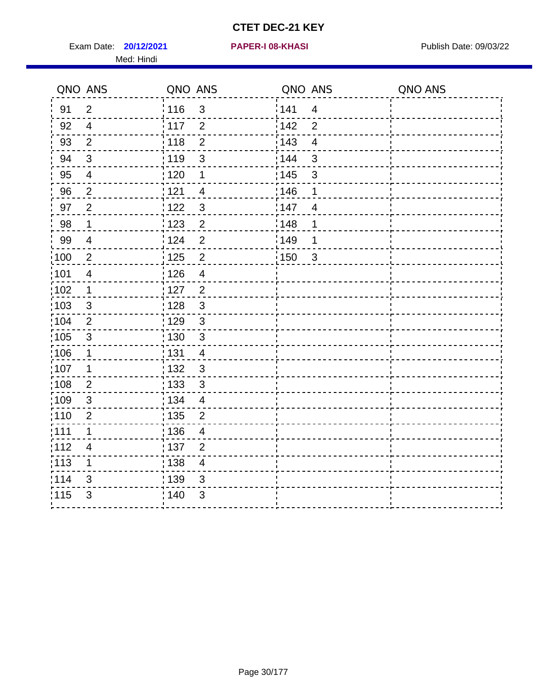Exam Date: **20/12/2021 PAPER-I 08-KHASI PREXALL RESOUNDER 108-KHASI** Publish Date: 09/03/22 Med: Hindi

**20/12/2021 PAPER-I 08-KHASI**

|                   | QNO ANS                  | QNO ANS           |                | QNO ANS |                | QNO ANS |
|-------------------|--------------------------|-------------------|----------------|---------|----------------|---------|
| 91                | $\overline{2}$           | 116               | $\mathbf{3}$   | 141     | $\overline{4}$ |         |
| 92                | $\overline{4}$           | 117               | $\overline{2}$ | 142     | $\overline{2}$ |         |
| 93                | $\overline{2}$           | 118               | $\mathbf{2}$   | 143     | $\overline{4}$ |         |
| 94                | $\mathbf{3}$             | : 119             | $\mathfrak{3}$ | 144     | $\mathfrak{3}$ |         |
| 95                | $\overline{4}$           | : 120             | 1              | : 145   | $\mathfrak{S}$ |         |
| 96                | $\overline{2}$           | 121               | 4              | 146     | 1              |         |
| 97                | $\overline{2}$           | 122               | $\mathbf{3}$   | 147     | 4              |         |
| 98                | $\mathbf{1}$             | $\frac{1}{2}$ 123 | $\overline{2}$ | 148     | 1              |         |
| 99                | $\overline{4}$           | 124               | $\overline{2}$ | :149    | 1              |         |
| $\frac{1}{1}$ 100 | $\sqrt{2}$               | $\frac{1}{1}$ 125 | $\overline{2}$ | 150     | $\mathbf{3}$   |         |
| :101              | $\overline{\mathcal{A}}$ | : 126             | $\overline{4}$ |         |                |         |
| 102               | $\mathbf{1}$             | : 127             | $\overline{2}$ |         |                |         |
| 103               | 3                        | : 128             | $\mathbf{3}$   |         |                |         |
| 104               | $\overline{2}$           | : 129             | $\mathbf{3}$   |         |                |         |
| 105               | $\sqrt{3}$               | : 130             | $\mathfrak{S}$ |         |                |         |
| :106              | $\mathbf{1}$             | : 131             | 4              |         |                |         |
| ;107              | 1                        | : 132             | $\mathbf{3}$   |         |                |         |
| 108               | $\overline{2}$           | : 133             | $\sqrt{3}$     |         |                |         |
| :109              | $\sqrt{3}$               | : 134             | $\overline{4}$ |         |                |         |
| :110              | $\overline{2}$           | : 135             | 2              |         |                |         |
| :111              | $\mathbf 1$              | : 136             | $\overline{4}$ |         |                |         |
| 112               | $\overline{\mathcal{A}}$ | 137               | $\overline{2}$ |         |                |         |
| 113               | 1                        | : 138             | $\overline{4}$ |         |                |         |
| 114               | 3                        | 139               | 3              |         |                |         |
| 115               | 3                        | 140               | $\mathfrak{B}$ |         |                |         |
|                   |                          |                   |                |         |                |         |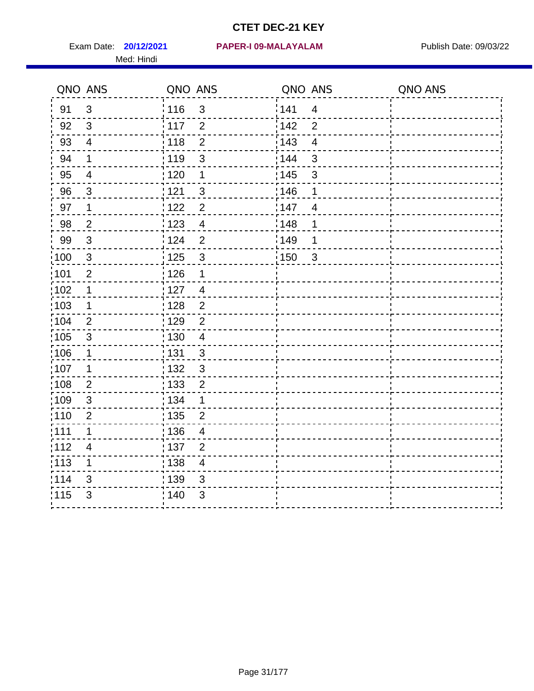Med: Hindi

|                   | QNO ANS                  | QNO ANS           |                | QNO ANS |                         | QNO ANS |
|-------------------|--------------------------|-------------------|----------------|---------|-------------------------|---------|
| 91                | $\mathfrak{S}$           | 116               | $\mathsf 3$    | 141     | $\overline{\mathbf{4}}$ |         |
| 92                | 3                        | 117               | $\overline{2}$ | 142     | $\overline{2}$          |         |
| 93                | $\overline{4}$           | 118               | $\overline{2}$ | 143     | $\overline{4}$          |         |
| 94                | 1                        | : 119             | $\mathfrak{S}$ | 144     | 3                       |         |
| 95                | $\overline{4}$           | :120              | 1              | : 145   | 3                       |         |
| 96                | $\mathfrak{S}$           | : 121             | $\mathbf{3}$   | 146     | 1                       |         |
| 97                | 1                        | : 122             | $\overline{2}$ | 147     | $\overline{4}$          |         |
| 98                | $\mathbf 2$              | 123               | $\overline{4}$ | 148     | 1                       |         |
| 99                | $\sqrt{3}$               | : 124             | $\overline{2}$ | :149    | 1                       |         |
| :100              | $\mathbf{3}$             | 125               | $\mathbf{3}$   | 150     | $\sqrt{3}$              |         |
| :101              | $\overline{2}$           | : 126             | 1              |         |                         |         |
| 102               | 1                        | : 127             | $\overline{4}$ |         |                         |         |
| 103               | $\mathbf 1$              | : 128             | $\overline{2}$ |         |                         |         |
| 104               | 2                        | : 129             | $\overline{2}$ |         |                         |         |
| 105               | $\sqrt{3}$               | : 130             | $\overline{4}$ |         |                         |         |
| :106              | 1                        | : 131             | 3              |         |                         |         |
| :107              | 1                        | : 132             | $\mathbf{3}$   |         |                         |         |
| $\frac{1}{1}$ 108 | $\mathbf{2}$             | $\frac{1}{1}$ 133 | $\mathbf 2$    |         |                         |         |
| :109              | $\sqrt{3}$               | : 134             | 1              |         |                         |         |
| :110              | $\overline{2}$           | : 135             | $\overline{2}$ |         |                         |         |
| 111               | $\mathbf 1$              | : 136             | $\overline{4}$ |         |                         |         |
| 112               | $\overline{\mathcal{A}}$ | : 137             | $\overline{c}$ |         |                         |         |
| $\frac{1}{1}$ 113 | 1                        | : 138             | $\overline{4}$ |         |                         |         |
| 114               | 3                        | 139               | 3              |         |                         |         |
| 115               | 3                        | : 140             | $\sqrt{3}$     |         |                         |         |
|                   |                          |                   |                |         |                         |         |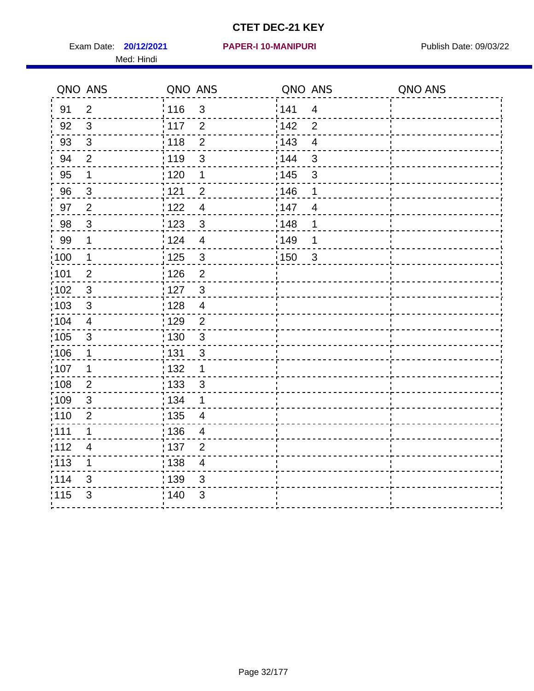Exam Date: **20/12/2021 PAPER-I 10-MANIPURI Propose Additional Publish Date: 09/03/22** Med: Hindi

|                   | QNO ANS        | QNO ANS           |                         | QNO ANS |                         | QNO ANS |
|-------------------|----------------|-------------------|-------------------------|---------|-------------------------|---------|
| 91                | $\overline{2}$ | 116               | 3                       | 141     | $\overline{4}$          |         |
| 92                | 3              | 117               | $\overline{2}$          | 142     | $\overline{2}$          |         |
| 93                | $\mathbf{3}$   | 118               | $\overline{2}$          | 143     | $\overline{\mathbf{4}}$ |         |
| 94                | $\overline{2}$ | : 119             | $\mathfrak{S}$          | : 144   | 3                       |         |
| 95                | 1              | : 120             | $\mathbf 1$             | : 145   | 3                       |         |
| 96                | $\mathfrak{S}$ | 121               | $\overline{2}$          | 146     | 1                       |         |
| 97                | $\overline{2}$ | 122               | $\overline{4}$          | 147     | $\overline{4}$          |         |
| 98                | $\mathbf{3}$   | $\frac{1}{2}$ 123 | $\mathbf{3}$            | 148     | 1                       |         |
| 99                | $\mathbf 1$    | 124               | $\overline{4}$          | ¦149    | 1                       |         |
| $\frac{1}{1}$ 100 | $\overline{1}$ | 125               | $\mathfrak{S}$          | 150     | $\mathbf{3}$            |         |
| :101              | $\mathbf 2$    | 126               | $\overline{2}$          |         |                         |         |
| 102               | $\mathbf{3}$   | : 127             | $\mathbf{3}$            |         |                         |         |
| 103               | $\mathbf{3}$   | 128               | $\overline{4}$          |         |                         |         |
| 104               | $\overline{4}$ | : 129             | $\overline{2}$          |         |                         |         |
| 105               | $\sqrt{3}$     | : 130             | $\mathbf{3}$            |         |                         |         |
| :106              | 1              | : 131             | $\mathbf{3}$            |         |                         |         |
| :107              | 1              | : 132             | $\mathbf 1$             |         |                         |         |
| 108               | $\overline{2}$ | : 133             | $\mathfrak{S}$          |         |                         |         |
| :109              | $\sqrt{3}$     | : 134             | 1                       |         |                         |         |
| :110              | 2              | : 135             | 4                       |         |                         |         |
| 111               | $\mathbf 1$    | : 136             | $\overline{4}$          |         |                         |         |
| 112               | $\overline{4}$ | 137               | $\overline{2}$          |         |                         |         |
| : 113             | 1              | 138               | $\overline{\mathbf{4}}$ |         |                         |         |
| 114               | 3              | 139               | 3                       |         |                         |         |
| 115               | 3              | 140               | $\sqrt{3}$              |         |                         |         |
|                   |                |                   |                         |         |                         |         |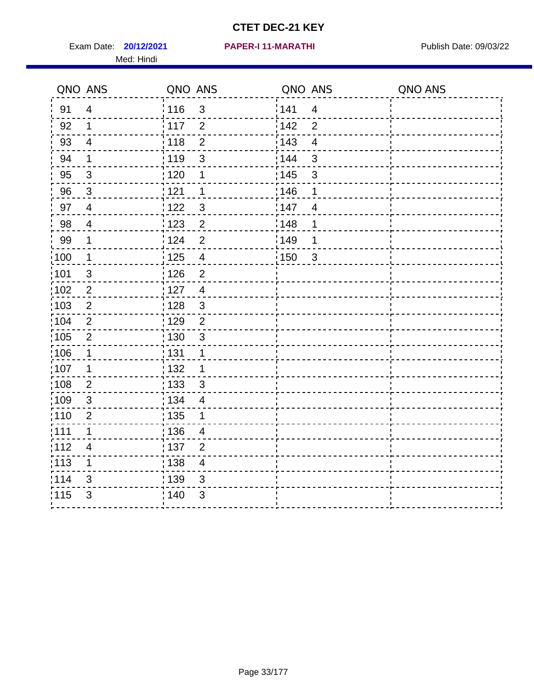Exam Date: **20/12/2021 PAPER-I 11-MARATHI Exam Date: 09/03/22** Med: Hindi

|      | QNO ANS                  | QNO ANS           |                         | QNO ANS           |                         | QNO ANS |
|------|--------------------------|-------------------|-------------------------|-------------------|-------------------------|---------|
| 91   | $\overline{4}$           | 116               | $\mathfrak{S}$          | 141               | $\overline{4}$          |         |
| 92   | $\mathbf 1$              | 117               | $\overline{2}$          | 142               | $\overline{2}$          |         |
| 93   | $\overline{4}$           | 118               | $\overline{2}$          | 143               | $\overline{\mathbf{4}}$ |         |
| 94   | 1                        | : 119             | 3                       | : 144             | 3                       |         |
| 95   | $\mathfrak{S}$           | : 120             | 1                       | : 145             | 3                       |         |
| 96   | $\mathbf{3}$             | 121               | 1                       | 146               | 1                       |         |
| 97   | $\overline{\mathcal{A}}$ | : 122             | $\mathbf{3}$            | 147               | $\overline{4}$          |         |
| 98   | $\overline{4}$           | 123               | $\overline{2}$          | 148               | 1                       |         |
| 99   | $\mathbf 1$              | 124               | $\overline{2}$          | $\frac{1}{2}$ 149 | 1                       |         |
| :100 | $\mathbf 1$              | $\frac{1}{2}$ 125 | $\overline{\mathbf{4}}$ | 150               | $\mathbf{3}$            |         |
| :101 | $\sqrt{3}$               | : 126             | $\overline{2}$          |                   |                         |         |
| 102  | $\overline{2}$           | 127               | $\overline{4}$          |                   |                         |         |
| 103  | 2                        | :128              | $\mathbf{3}$            |                   |                         |         |
| 104  | $\overline{2}$           | : 129             | $\overline{2}$          |                   |                         |         |
| 105  | $\overline{2}$           | $\frac{1}{1}$ 130 | $\mathbf{3}$            |                   |                         |         |
| :106 | 1                        | : 131             | 1                       |                   |                         |         |
| 107  | 1                        | :132              | 1                       |                   |                         |         |
| 108  | $\overline{2}$           | : 133             | $\mathbf{3}$            |                   |                         |         |
| :109 | $\sqrt{3}$               | : 134             | $\overline{4}$          |                   |                         |         |
| :110 | 2                        | : 135             | 1                       |                   |                         |         |
| 111  | $\mathbf 1$              | : 136             | $\overline{4}$          |                   |                         |         |
| 112  | $\overline{\mathcal{A}}$ | 137               | $\overline{2}$          |                   |                         |         |
| 113  | 1                        | 138               | $\overline{\mathbf{4}}$ |                   |                         |         |
| 114  | 3                        | 139               | 3                       |                   |                         |         |
| 115  | 3                        | 140               | $\mathfrak{S}$          |                   |                         |         |
|      |                          |                   |                         |                   |                         |         |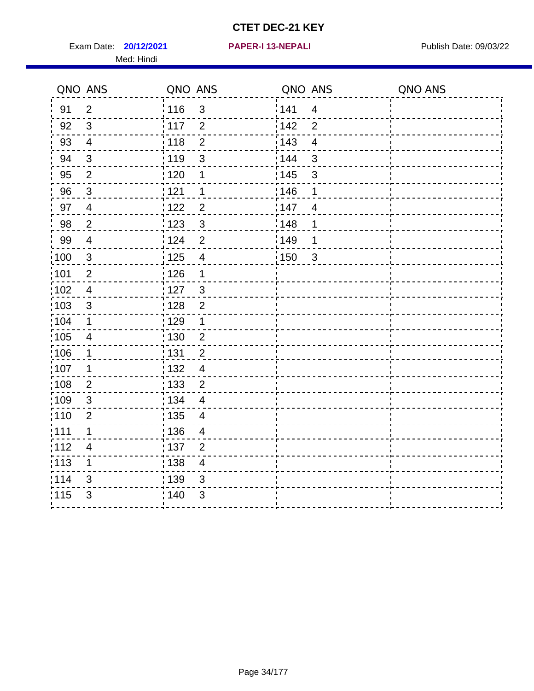Exam Date: **20/12/2021 PAPER-I 13-NEPALI Exam Date: 09/03/22** Med: Hindi

**20/12/2021 PAPER-I 13-NEPALI**

|       | QNO ANS        | QNO ANS           |                | QNO ANS           |                         | QNO ANS |
|-------|----------------|-------------------|----------------|-------------------|-------------------------|---------|
| 91    | $\overline{2}$ | 116               | $\mathfrak{S}$ | 141               | $\overline{4}$          |         |
| 92    | $\mathbf{3}$   | 117               | $\overline{2}$ | 142               | $\overline{2}$          |         |
| 93    | $\overline{4}$ | 118               | $\overline{2}$ | 143               | $\overline{\mathbf{4}}$ |         |
| 94    | $\mathfrak{B}$ | : 119             | 3              | 144               | 3                       |         |
| 95    | $\overline{2}$ | : 120             | 1              | : 145             | 3                       |         |
| 96    | $\mathfrak{S}$ | 121               | 1              | 146               | 1                       |         |
| 97    | $\overline{4}$ | 122               | $\overline{c}$ | 147               | $\overline{4}$          |         |
| 98    | $\overline{2}$ | 123               | $\mathbf{3}$   | ¦148              | 1                       |         |
| 99    | $\overline{4}$ | 124               | $\overline{2}$ | :149              | 1                       |         |
| :100  | $\sqrt{3}$     | 125               | $\overline{4}$ | $\frac{1}{1}$ 150 | $\mathbf{3}$            |         |
| :101  | $\mathbf 2$    | : 126             | 1              |                   |                         |         |
| 102   | $\overline{4}$ | : 127             | $\mathbf{3}$   |                   |                         |         |
| 103   | 3              | :128              | $\overline{2}$ |                   |                         |         |
| 104   | $\mathbf 1$    | : 129             | 1              |                   |                         |         |
| 105   | $\overline{4}$ | $\frac{1}{1}$ 130 | $\overline{2}$ |                   |                         |         |
| :106  | 1              | : 131             | $\overline{2}$ |                   |                         |         |
| ;107  | 1              | : 132             | $\overline{4}$ |                   |                         |         |
| 108   | $\overline{2}$ | : 133             | $\overline{2}$ |                   |                         |         |
| :109  | $\sqrt{3}$     | : 134             | $\overline{4}$ |                   |                         |         |
| :110  | $\overline{2}$ | : 135             | $\overline{4}$ |                   |                         |         |
| 111   | $\mathbf 1$    | : 136             | $\overline{4}$ |                   |                         |         |
| 112   | 4              | $\frac{1}{1}$ 137 | $\overline{2}$ |                   |                         |         |
| : 113 | 1              | : 138             | $\overline{4}$ |                   |                         |         |
| 114   | 3              | : 139             | 3              |                   |                         |         |
| 115   | $\mathfrak{S}$ | 140               | $\mathfrak{S}$ |                   |                         |         |
|       |                |                   |                |                   |                         |         |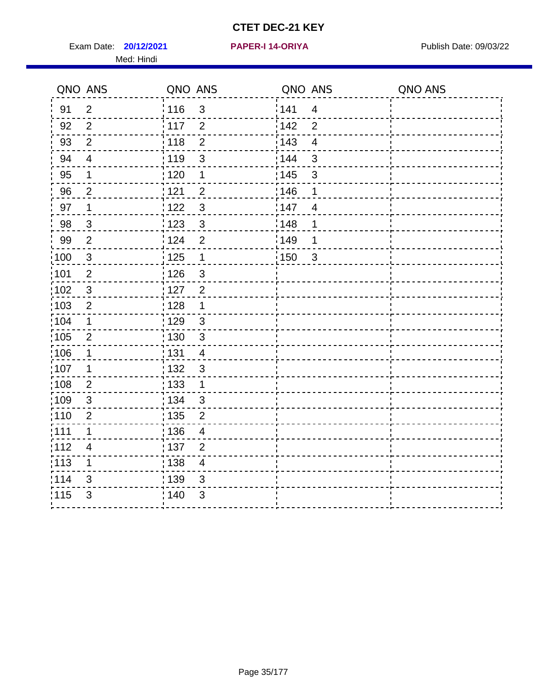Exam Date: **20/12/2021 PAPER-I 14-ORIYA** Publish Date: 09/03/22 Med: Hindi

**20/12/2021 PAPER-I 14-ORIYA**

|                   | QNO ANS                  | QNO ANS           |                | QNO ANS |                         | QNO ANS |
|-------------------|--------------------------|-------------------|----------------|---------|-------------------------|---------|
| 91                | $\overline{2}$           | : 116             | $\mathfrak{S}$ | 141     | $\overline{\mathbf{4}}$ |         |
| 92                | $\overline{2}$           | 117               | $\overline{2}$ | 142     | $\overline{2}$          |         |
| 93                | $\overline{2}$           | 118               | $\overline{2}$ | 143     | $\overline{4}$          |         |
| 94                | $\overline{\mathcal{A}}$ | : 119             | 3              | 144     | 3                       |         |
| 95                | 1                        | : 120             | 1              | : 145   | 3                       |         |
| 96                | $\overline{2}$           | : 121             | $\overline{2}$ | 146     | 1                       |         |
| 97                | $\mathbf 1$              | : 122             | $\mathbf{3}$   | 147     | $\overline{4}$          |         |
| 98                | $\mathbf{3}$             | $\frac{1}{2}$ 123 | $\mathfrak{S}$ | 148     | 1                       |         |
| 99                | $\overline{2}$           | 124               | $\overline{2}$ | :149    | 1                       |         |
| :100              | $\mathbf{3}$             | 125               | $\overline{1}$ | 150     | $\sqrt{3}$              |         |
| :101              | $\overline{2}$           | : 126             | 3              |         |                         |         |
| 102               | $\mathbf{3}$             | : 127             | $\overline{2}$ |         |                         |         |
| 103               | $\overline{2}$           | : 128             | 1              |         |                         |         |
| 104               | 1                        | : 129             | $\mathfrak{S}$ |         |                         |         |
| 105               | $\overline{2}$           | : 130             | $\mathbf{3}$   |         |                         |         |
| :106              | 1                        | : 131             | $\overline{4}$ |         |                         |         |
| :107              | 1                        | : 132             | $\mathfrak{3}$ |         |                         |         |
| :108              | $\mathbf{2}$             | $\frac{1}{1}$ 133 | $\mathbf 1$    |         |                         |         |
| :109              | $\mathfrak{S}$           | : 134             | $\mathbf{3}$   |         |                         |         |
| :110              | $\overline{2}$           | : 135             | $\overline{2}$ |         |                         |         |
| 111               | 1                        | 136               | $\overline{4}$ |         |                         |         |
| 112               | $\overline{4}$           | 137               | $\overline{2}$ |         |                         |         |
| $\frac{1}{1}$ 113 | 1                        | : 138             | $\overline{4}$ |         |                         |         |
| 114               | 3                        | 139               | 3              |         |                         |         |
| 115               | 3                        | 140               | $\sqrt{3}$     |         |                         |         |
|                   |                          |                   |                |         |                         |         |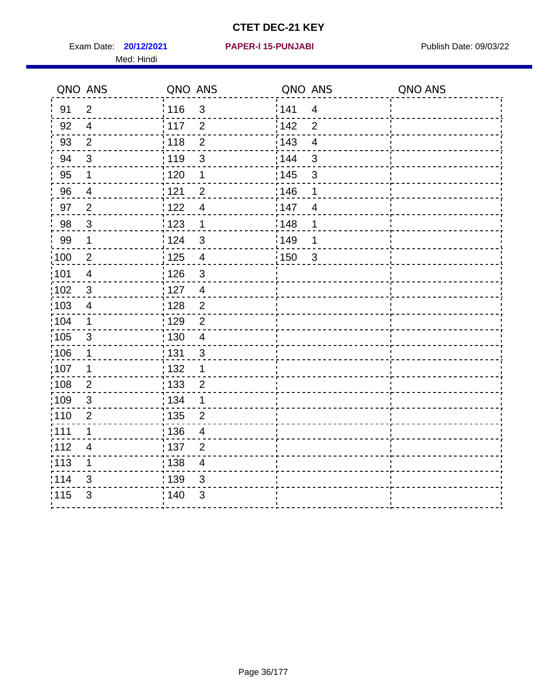Exam Date: **20/12/2021 PAPER-I 15-PUNJABI PRACEL PROPER PUBLISH Date: 09/03/22** Med: Hindi

|                   | QNO ANS                  | QNO ANS           |                          | QNO ANS |                         | QNO ANS |
|-------------------|--------------------------|-------------------|--------------------------|---------|-------------------------|---------|
| 91                | $\overline{2}$           | 116               | 3                        | 141     | $\overline{\mathbf{4}}$ |         |
| 92                | $\overline{4}$           | 117               | $\overline{2}$           | 142     | $\overline{2}$          |         |
| 93                | $\overline{2}$           | 118               | $\overline{2}$           | 143     | $\overline{\mathbf{4}}$ |         |
| 94                | 3                        | : 119             | $\mathfrak{S}$           | 144     | 3                       |         |
| 95                | 1                        | : 120             | $\mathbf 1$              | : 145   | 3                       |         |
| 96                | 4                        | 121               | $\overline{2}$           | 146     | 1                       |         |
| 97                | $\overline{2}$           | 122               | $\overline{\mathcal{A}}$ | 147     | $\overline{4}$          |         |
| 98                | $\mathbf{3}$             | $\frac{1}{2}$ 123 | $\mathbf{1}$             | 148     | 1                       |         |
| 99                | $\mathbf{1}$             | 124               | $\mathfrak{S}$           | ¦149    | 1                       |         |
| $\frac{1}{1}$ 100 | $\overline{2}$           | 125               | $\overline{\mathbf{4}}$  | 150     | $\mathfrak{S}$          |         |
| :101              | $\overline{\mathcal{A}}$ | 126               | 3                        |         |                         |         |
| 102               | 3                        | : 127             | $\overline{4}$           |         |                         |         |
| 103               | $\overline{4}$           | 128               | $\overline{2}$           |         |                         |         |
| 104               | $\mathbf 1$              | : 129             | $\overline{2}$           |         |                         |         |
| 105               | $\sqrt{3}$               | : 130             | $\overline{4}$           |         |                         |         |
| ;106              | 1                        | : 131             | $\mathbf{3}$             |         |                         |         |
| :107              | 1                        | : 132             | $\mathbf 1$              |         |                         |         |
| 108               | $\overline{2}$           | $\frac{1}{1}$ 133 | $\overline{2}$           |         |                         |         |
| :109              | $\sqrt{3}$               | : 134             | $\mathbf 1$              |         |                         |         |
| :110              | 2                        | : 135             | 2                        |         |                         |         |
| 111               | $\mathbf 1$              | : 136             | $\overline{4}$           |         |                         |         |
| 112               | $\overline{4}$           | 137               | $\overline{2}$           |         |                         |         |
| : 113             | 1                        | 138               | $\overline{4}$           |         |                         |         |
| 114               | 3                        | :139              | 3                        |         |                         |         |
| 115               | 3                        | 140               | $\sqrt{3}$               |         |                         |         |
|                   |                          |                   |                          |         |                         |         |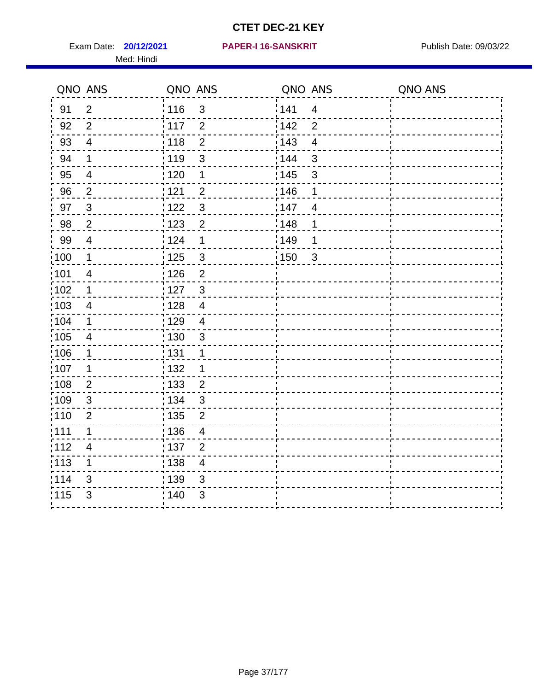Exam Date: **20/12/2021 PAPER-I 16-SANSKRIT** Publish Date: 09/03/22 Med: Hindi

|                   | QNO ANS                  | QNO ANS           |                         | QNO ANS           |                         | QNO ANS |
|-------------------|--------------------------|-------------------|-------------------------|-------------------|-------------------------|---------|
| 91                | $\overline{2}$           | 116               | $\mathfrak{S}$          | 141               | $\overline{4}$          |         |
| 92                | $\overline{2}$           | $\frac{1}{2}$ 117 | $\overline{2}$          | 142               | $\overline{2}$          |         |
| 93                | $\overline{4}$           | 118               | $\overline{2}$          | 143               | $\overline{\mathbf{4}}$ |         |
| 94                | 1                        | : 119             | 3                       | : 144             | 3                       |         |
| 95                | $\overline{\mathcal{A}}$ | : 120             | 1                       | : 145             | 3                       |         |
| 96                | $\overline{2}$           | 121               | $\overline{2}$          | 146               | 1                       |         |
| 97                | $\sqrt{3}$               | : 122             | $\mathfrak{S}$          | 147               | $\overline{4}$          |         |
| 98                | $\overline{2}$           | 123               | $\overline{2}$          | 148               | 1                       |         |
| 99                | $\overline{4}$           | 124               | 1                       | $\frac{1}{2}$ 149 | 1                       |         |
| $\frac{1}{1}$ 100 | $\mathbf 1$              | $\frac{1}{1}$ 125 | $\mathbf{3}$            | 150               | $\mathbf{3}$            |         |
| :101              | $\overline{4}$           | : 126             | $\overline{2}$          |                   |                         |         |
| $\frac{1}{1}$ 102 | $\mathbf 1$              | : 127             | $\mathbf{3}$            |                   |                         |         |
| ;103              | 4                        | :128              | $\overline{4}$          |                   |                         |         |
| 104               | $\mathbf 1$              | : 129             | $\overline{\mathbf{4}}$ |                   |                         |         |
| 105               | $\overline{\mathbf{4}}$  | $\frac{1}{1}$ 130 | $\mathbf{3}$            |                   |                         |         |
| :106              | 1                        | : 131             | 1                       |                   |                         |         |
| 107               | 1                        | :132              | 1                       |                   |                         |         |
| 108               | $\overline{2}$           | 133               | $\overline{2}$          |                   |                         |         |
| :109              | $\sqrt{3}$               | : 134             | $\mathbf{3}$            |                   |                         |         |
| :110              | 2                        | : 135             | $\overline{2}$          |                   |                         |         |
| 111               | $\mathbf 1$              | : 136             | $\overline{4}$          |                   |                         |         |
| 112               | $\overline{\mathcal{A}}$ | 137               | $\overline{2}$          |                   |                         |         |
| 113               | 1                        | : 138             | $\overline{\mathbf{4}}$ |                   |                         |         |
| 114               | 3                        | 139               | 3                       |                   |                         |         |
| 115               | 3                        | 140               | $\mathfrak{S}$          |                   |                         |         |
|                   |                          |                   |                         |                   |                         |         |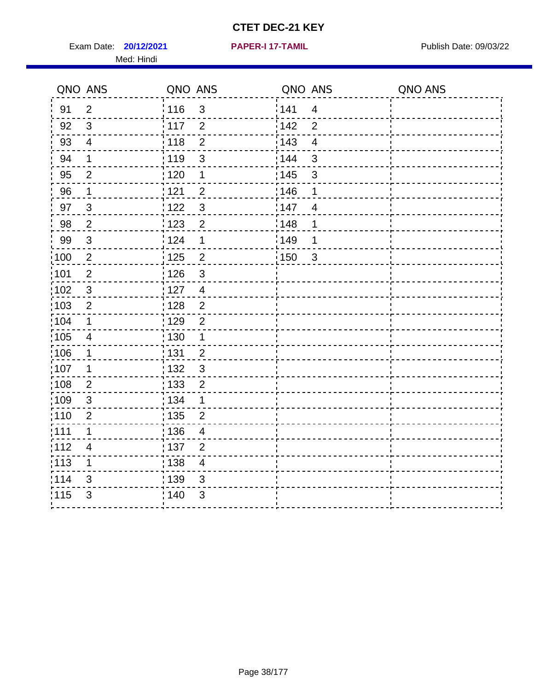Exam Date: **20/12/2021 PAPER-I 17-TAMIL Exam Date: 09/03/22** Med: Hindi

**20/12/2021 PAPER-I 17-TAMIL**

|                   | QNO ANS                  | QNO ANS           |                | QNO ANS           |                | QNO ANS |
|-------------------|--------------------------|-------------------|----------------|-------------------|----------------|---------|
| 91                | $\overline{2}$           | 116               | 3              | 1141              | $\overline{4}$ |         |
| 92                | $\mathfrak{S}$           | $\frac{1}{117}$   | $\overline{2}$ | 142               | $\overline{2}$ |         |
| 93                | $\overline{4}$           | : 118             | $\overline{2}$ | 143               | $\overline{4}$ |         |
| 94                | $\mathbf 1$              | : 119             | 3              | 144               | 3              |         |
| 95                | $\overline{2}$           | : 120             | 1              | : 145             | 3              |         |
| 96                | 1                        | 121               | $\overline{2}$ | 146               | 1              |         |
| 97                | $\mathfrak{S}$           | 122               | $\mathbf{3}$   | 147               | $\overline{4}$ |         |
| 98                | $\overline{2}$           | $\frac{1}{2}$ 123 | $\overline{2}$ | 148               | 1              |         |
| 99                | $\sqrt{3}$               | 124               | 1              | :149              | 1              |         |
| $\frac{1}{1}$ 100 | $\sqrt{2}$               | $\frac{1}{1}$ 125 | $\overline{2}$ | $\frac{1}{1}$ 150 | $\sqrt{3}$     |         |
| :101              | $\mathbf 2$              | : 126             | $\mathfrak{S}$ |                   |                |         |
| 102               | $\mathbf{3}$             | : 127             | $\overline{4}$ |                   |                |         |
| 103               | $\overline{2}$           | : 128             | $\overline{2}$ |                   |                |         |
| 104               | $\mathbf 1$              | : 129             | $\overline{2}$ |                   |                |         |
| 105               | $\overline{4}$           | : 130             | $\mathbf{1}$   |                   |                |         |
| 106               | 1                        | : 131             | $\overline{2}$ |                   |                |         |
| :107              | 1                        | : 132             | $\mathbf{3}$   |                   |                |         |
| $\frac{1}{1}$ 108 | $\overline{2}$           | : 133             | $\overline{2}$ |                   |                |         |
| 109               | $\mathfrak{B}$           | : 134             | $\mathbf{1}$   |                   |                |         |
| :110              | $\overline{2}$           | : 135             | $\overline{2}$ |                   |                |         |
| 111               | 1                        | 136               | $\overline{4}$ |                   |                |         |
| 112               | $\overline{\mathcal{A}}$ | : 137             | $\overline{2}$ |                   |                |         |
| $\frac{1}{1}$ 113 | 1                        | : 138             | $\overline{4}$ |                   |                |         |
| 114               | 3                        | 139               | 3              |                   |                |         |
| 115               | 3                        | 140               | $\mathfrak{S}$ |                   |                |         |
|                   |                          |                   |                |                   |                |         |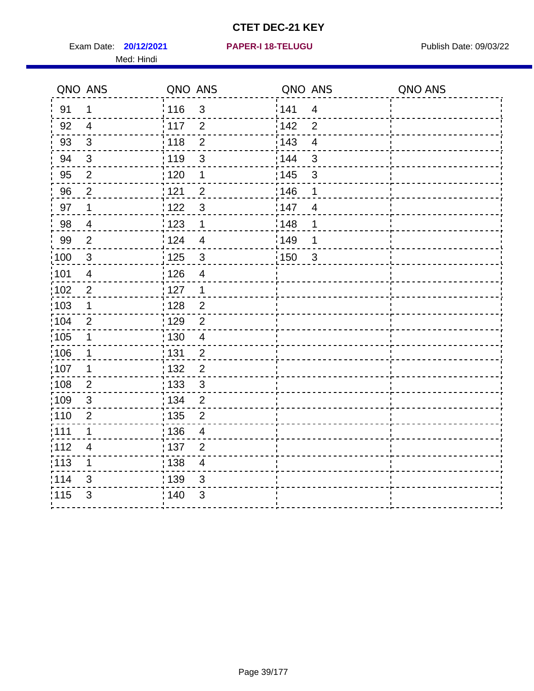Exam Date: **20/12/2021 PAPER-I 18-TELUGU Exam Date: 09/03/22** Med: Hindi

|                   | QNO ANS                 | QNO ANS           |                         | QNO ANS |                         | QNO ANS |
|-------------------|-------------------------|-------------------|-------------------------|---------|-------------------------|---------|
| 91                | $\mathbf 1$             | 116               | $\mathfrak{S}$          | 141     | $\overline{\mathbf{4}}$ |         |
| 92                | $\overline{4}$          | 117               | $\overline{2}$          | 142     | $\overline{2}$          |         |
| 93                | $\sqrt{3}$              | 118               | $\overline{2}$          | 143     | $\overline{\mathbf{4}}$ |         |
| 94                | 3                       | : 119             | $\mathfrak{B}$          | 144     | 3                       |         |
| 95                | 2                       | : 120             | $\mathbf 1$             | : 145   | 3                       |         |
| 96                | $\overline{2}$          | 121               | $\overline{2}$          | 146     | 1                       |         |
| 97                | $\mathbf 1$             | : 122             | $\mathbf{3}$            | 147     | $\overline{4}$          |         |
| $98\,$            | $\overline{4}$          | 123               | $\mathbf{1}$            | ¦148    | 1                       |         |
| 99                | $\mathbf{2}$            | :124              | $\overline{\mathbf{4}}$ | :149    | 1                       |         |
| $\frac{1}{1}$ 100 | $\mathbf{3}$            | 125               | $\mathbf{3}$            | 150     | $\mathbf{3}$            |         |
| 101               | $\overline{\mathbf{4}}$ | : 126             | $\overline{\mathbf{4}}$ |         |                         |         |
| 102               | $\overline{2}$          | : 127             | $\mathbf{1}$            |         |                         |         |
| 103               | $\mathbf{1}$            | : 128             | $\overline{2}$          |         |                         |         |
| 104               | $\overline{2}$          | : 129             | $\overline{2}$          |         |                         |         |
| $\frac{1}{1}$ 105 | $\mathbf 1$             | $\frac{1}{1}$ 130 | $\overline{\mathbf{4}}$ |         |                         |         |
| :106              | $\mathbf{1}$            | : 131             | $\overline{2}$          |         |                         |         |
| 107               | $\mathbf{1}$            | : 132             | $\overline{2}$          |         |                         |         |
| 108               | $\overline{2}$          | : 133             | $\mathbf{3}$            |         |                         |         |
| :109              | $\mathbf{3}$            | : 134             | $\overline{2}$          |         |                         |         |
| :110              | $\overline{2}$          | 135               | $\overline{2}$          |         |                         |         |
| :111              | 1                       | : 136             | $\overline{4}$          |         |                         |         |
| 112               | $\overline{4}$          | : 137             | $\overline{2}$          |         |                         |         |
| 113               | $\mathbf 1$             | : 138             | $\overline{\mathbf{4}}$ |         |                         |         |
| 114               | 3                       | 139               | 3                       |         |                         |         |
| 115               | 3                       | 140               | $\mathfrak{S}$          |         |                         |         |
|                   |                         |                   |                         |         |                         |         |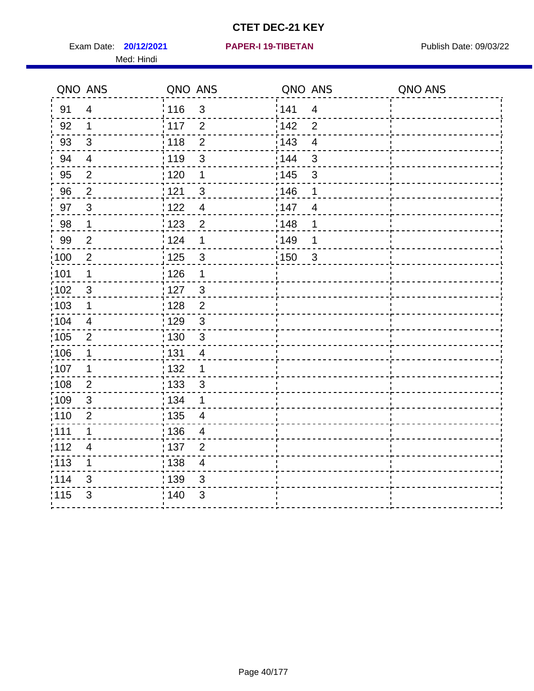Exam Date: **20/12/2021 PAPER-I 19-TIBETAN** Publish Date: 09/03/22 Med: Hindi

|                   | QNO ANS                  | QNO ANS           |                | QNO ANS |                         | QNO ANS |
|-------------------|--------------------------|-------------------|----------------|---------|-------------------------|---------|
| 91                | $\overline{4}$           | 116               | $\mathfrak{S}$ | 141     | $\overline{\mathbf{4}}$ |         |
| 92                | 1                        | 117               | $\overline{2}$ | 142     | $\overline{2}$          |         |
| 93                | $\sqrt{3}$               | 118               | $\overline{2}$ | 143     | $\overline{4}$          |         |
| 94                | $\overline{\mathcal{A}}$ | : 119             | $\mathbf{3}$   | 144     | 3                       |         |
| 95                | 2                        | :120              | 1              | : 145   | 3                       |         |
| 96                | $\overline{2}$           | 121               | $\sqrt{3}$     | 146     | 1                       |         |
| 97                | $\mathbf{3}$             | : 122             | $\overline{4}$ | 147     | $\overline{4}$          |         |
| 98                | $\mathbf{1}$             | 123               | $\overline{c}$ | 148     | 1                       |         |
| 99                | $\overline{2}$           | : 124             | 1              | :149    | 1                       |         |
| $\frac{1}{1}$ 100 | $\overline{2}$           | : 125             | $\mathbf{3}$   | 150     | $\sqrt{3}$              |         |
| :101              | 1                        | 126               | 1              |         |                         |         |
| 102               | 3                        | : 127             | 3              |         |                         |         |
| 103               | $\mathbf 1$              | : 128             | $\overline{2}$ |         |                         |         |
| 104               | $\overline{\mathbf{4}}$  | : 129             | $\sqrt{3}$     |         |                         |         |
| 105               | $\overline{2}$           | : 130             | $\sqrt{3}$     |         |                         |         |
| :106              | 1                        | : 131             | $\overline{4}$ |         |                         |         |
| :107              | 1                        | : 132             | 1              |         |                         |         |
| $\frac{1}{1}$ 108 | $\mathbf{2}$             | $\frac{1}{1}$ 133 | $\mathsf 3$    |         |                         |         |
| :109              | $\sqrt{3}$               | : 134             | 1              |         |                         |         |
| :110              | $\overline{2}$           | : 135             | 4              |         |                         |         |
| 111               | $\mathbf 1$              | : 136             | $\overline{4}$ |         |                         |         |
| 112               | $\overline{\mathcal{A}}$ | : 137             | $\overline{c}$ |         |                         |         |
| $\frac{1}{1}$ 113 | 1                        | : 138             | $\overline{4}$ |         |                         |         |
| 114               | 3                        | 139               | 3              |         |                         |         |
| 115               | 3                        | : 140             | $\sqrt{3}$     |         |                         |         |
|                   |                          |                   |                |         |                         |         |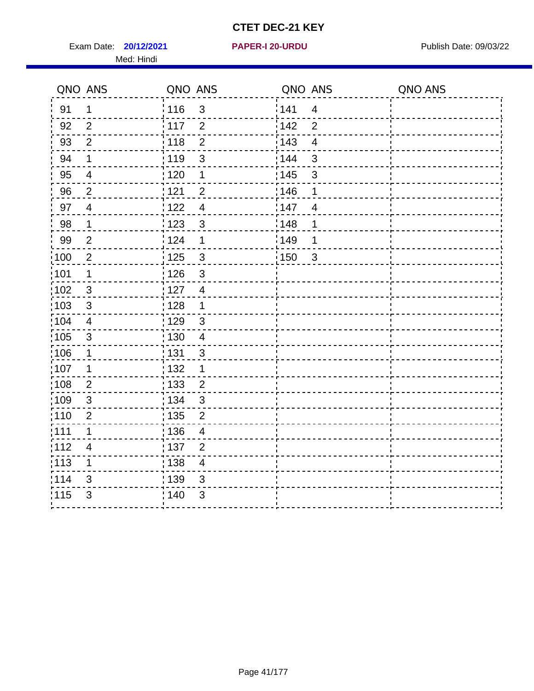Exam Date: **20/12/2021 PAPER-I 20-URDU Product by Publish Date: 09/03/22** Med: Hindi

**20/12/2021 PAPER-I 20-URDU**

|                   | QNO ANS                  | QNO ANS           |                          | QNO ANS           |                         | QNO ANS |
|-------------------|--------------------------|-------------------|--------------------------|-------------------|-------------------------|---------|
| 91                | 1                        | 116               | $\mathfrak{S}$           | 141               | $\overline{4}$          |         |
| 92                | 2                        | 117               | $\overline{2}$           | 142               | 2                       |         |
| 93                | $\overline{2}$           | 118               | $\overline{2}$           | 143               | $\overline{\mathbf{4}}$ |         |
| 94                | $\mathbf 1$              | : 119             | 3                        | : 144             | 3                       |         |
| 95                | $\overline{4}$           | : 120             | 1                        | : 145             | 3                       |         |
| 96                | $\overline{2}$           | 121               | $\overline{2}$           | 146               | 1                       |         |
| 97                | $\overline{4}$           | 122               | $\overline{4}$           | 147               | $\overline{4}$          |         |
| 98                | $\mathbf{1}$             | 123               | $\mathbf{3}$             | 148               | 1                       |         |
| 99                | $\overline{2}$           | 124               | 1                        | $\frac{1}{2}$ 149 | 1                       |         |
| :100              | $\mathbf 2$              | $\frac{1}{1}$ 125 | $\mathbf{3}$             | 150               | $\mathfrak{3}$          |         |
| :101              | 1                        | : 126             | $\mathfrak{S}$           |                   |                         |         |
| 102               | 3                        | : 127             | $\overline{4}$           |                   |                         |         |
| 103               | $\mathbf{3}$             | : 128             | $\mathbf{1}$             |                   |                         |         |
| $\frac{1}{104}$   | $\overline{4}$           | : 129             | $\mathfrak{3}$           |                   |                         |         |
| $\frac{1}{1}$ 105 | $\mathbf{3}$             | 130               | $\overline{4}$           |                   |                         |         |
| :106              | $\mathbf 1$              | : 131             | 3                        |                   |                         |         |
| ;107              | 1                        | 132               | $\mathbf 1$              |                   |                         |         |
| 108               | $\overline{2}$           | $\frac{1}{1}$ 133 | $\overline{2}$           |                   |                         |         |
| :109              | $\sqrt{3}$               | : 134             | $\mathbf{3}$             |                   |                         |         |
| :110              | $\overline{2}$           | 135               | $\overline{2}$           |                   |                         |         |
| :111              | $\mathbf 1$              | : 136             | $\overline{4}$           |                   |                         |         |
| 112               | $\overline{\mathcal{A}}$ | $\frac{1}{1}$ 137 | $\overline{2}$           |                   |                         |         |
| : 113             | 1                        | $\frac{1}{1}$ 138 | $\overline{\mathcal{A}}$ |                   |                         |         |
| 114               | 3                        | :139              | 3                        |                   |                         |         |
| 115               | $\mathfrak{S}$           | 140               | $\mathfrak{S}$           |                   |                         |         |
|                   |                          |                   |                          |                   |                         |         |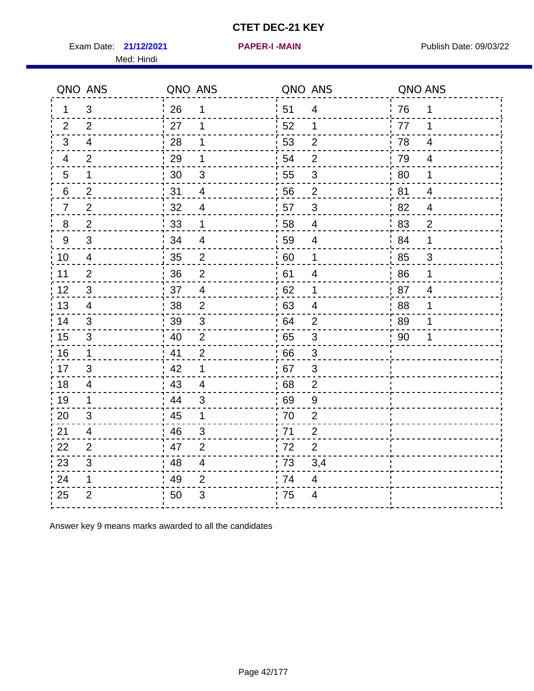Exam Date: 21/12/2021 **PAPER-I-MAIN Exam Date: 09/03/22** Med: Hindi

**21/12/2021 PAPER-I -MAIN**

| QNO ANS          |                           | QNO ANS |                           | QNO ANS |                           | QNO ANS |                |
|------------------|---------------------------|---------|---------------------------|---------|---------------------------|---------|----------------|
| $\mathbf{1}$     | 3                         | 26      | 1                         | 51      | $\overline{4}$            | 76      | 1              |
| $\overline{2}$   | $\overline{2}$            | 27      | 1                         | 52      | 1                         | 77      | 1              |
| 3                | $\overline{\mathcal{A}}$  | 28      | 1                         | 53      | $\overline{2}$            | 78      | 4              |
| $\overline{4}$   | $\overline{2}$            | 29      | $\mathbf 1$               | 54      | $\overline{2}$            | 79      | $\overline{4}$ |
| $\sqrt{5}$       | 1                         | 30      | $\ensuremath{\mathsf{3}}$ | 55      | $\ensuremath{\mathsf{3}}$ | 80      | 1              |
| 6                | $\overline{c}$            | 31      | $\overline{4}$            | 56      | $\overline{2}$            | 81      | $\overline{4}$ |
| $\overline{7}$   | $\overline{2}$            | 32      | $\overline{4}$            | 57      | 3                         | 82      | $\overline{4}$ |
| $\boldsymbol{8}$ | $\overline{2}$            | 33      | 1                         | 58      | $\overline{4}$            | 83      | $\overline{2}$ |
| $\boldsymbol{9}$ | $\mathfrak{S}$            | 34      | $\overline{4}$            | 59      | $\overline{4}$            | 84      | $\mathbf 1$    |
| 10               | $\overline{4}$            | 35      | $\mathbf{2}$              | 60      | 1                         | 85      | 3              |
| 11               | $\overline{2}$            | 36      | $\overline{2}$            | 61      | $\overline{4}$            | 86      | $\mathbf 1$    |
| 12               | $\ensuremath{\mathsf{3}}$ | 37      | $\overline{\mathbf{4}}$   | 62      | 1                         | 87      | $\overline{4}$ |
| 13               | $\overline{\mathcal{A}}$  | 38      | $\overline{2}$            | 63      | $\overline{4}$            | 88      | 1              |
| 14               | 3                         | 39      | 3                         | 64      | $\overline{2}$            | 89      | 1              |
| 15               | $\sqrt{3}$                | 40      | $\overline{2}$            | 65      | $\mathbf{3}$              | 90      | 1              |
| 16               | 1                         | 41      | $\overline{2}$            | 66      | $\mathfrak{3}$            |         |                |
| 17               | 3                         | 42      | 1                         | 67      | 3                         |         |                |
| 18               | 4                         | 43      | $\overline{4}$            | 68      | $\overline{2}$            |         |                |
| 19               | 1                         | -44     | 3                         | 69      | $9\,$                     |         |                |
| 20               | $\mathfrak{S}$            | 45      | $\mathbf{1}$              | 70      | $\overline{2}$            |         |                |
| 21               | $\overline{4}$            | 46      | 3                         | 71      | $\overline{2}$            |         |                |
| 22               | $\overline{2}$            | 47      | $\overline{2}$            | 72      | $\overline{2}$            |         |                |
| 23               | 3                         | 48      | $\overline{4}$            | 73      | 3,4                       |         |                |
| 24               | 1                         | 49      | $\overline{2}$            | 74      | $\overline{4}$            |         |                |
| 25               | $\overline{2}$            | 50      | 3                         | 75      | 4                         |         |                |
|                  |                           |         |                           |         |                           |         |                |

Answer key 9 means marks awarded to all the candidates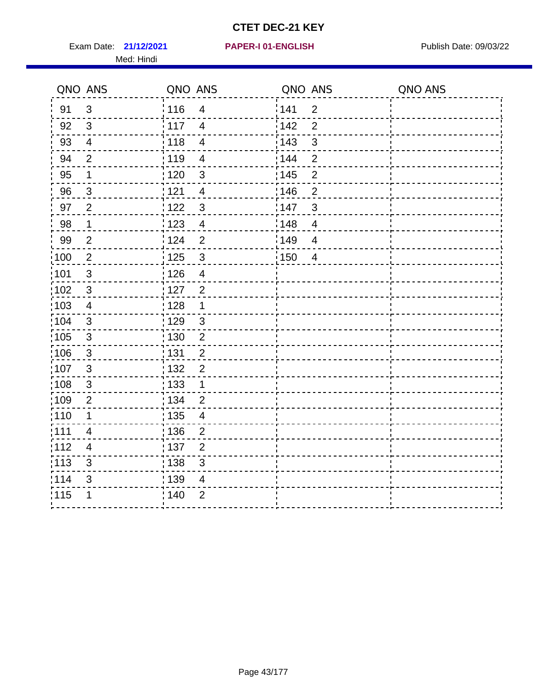Exam Date: 21/12/2021 PAPER-I 01-ENGLISH PREER Publish Date: 09/03/22 Med: Hindi

|                   | QNO ANS                  | QNO ANS |                          | QNO ANS |                | QNO ANS |
|-------------------|--------------------------|---------|--------------------------|---------|----------------|---------|
| 91                | $\mathfrak{S}$           | 116     | $\overline{4}$           | 141     | $\overline{2}$ |         |
| 92                | $\mathfrak{B}$           | 117     | $\overline{4}$           | 142     | $\overline{2}$ |         |
| 93                | $\overline{4}$           | 118     | $\overline{4}$           | 143     | 3              |         |
| 94                | $\overline{2}$           | : 119   | $\overline{\mathcal{A}}$ | 144     | $\overline{2}$ |         |
| 95                | 1                        | : 120   | $\mathfrak{B}$           | : 145   | $\overline{2}$ |         |
| 96                | $\mathfrak{S}$           | 121     | $\overline{\mathcal{A}}$ | 146     | $\overline{2}$ |         |
| 97                | $\overline{2}$           | $122$   | $\mathbf{3}$             | 147     | 3              |         |
| 98                | $\mathbf{1}$             | 123     | $\overline{\mathbf{4}}$  | 148     | $\overline{4}$ |         |
| 99                | $\mathbf{2}$             | 124     | $\overline{2}$           | 149     | $\overline{4}$ |         |
| $\frac{1}{1}$ 100 | $\sqrt{2}$               | 125     | $\mathbf{3}$             | 150     | $\overline{4}$ |         |
| :101              | $\sqrt{3}$               | 126     | $\overline{\mathbf{4}}$  |         |                |         |
| 102               | $\mathbf{3}$             | : 127   | $\overline{2}$           |         |                |         |
| 103               | $\overline{4}$           | : 128   | $\mathbf{1}$             |         |                |         |
| 104               | $\mathbf{3}$             | : 129   | $\sqrt{3}$               |         |                |         |
| 105               | $\sqrt{3}$               | : 130   | $\overline{2}$           |         |                |         |
| 106               | $\mathfrak{S}$           | : 131   | $\overline{2}$           |         |                |         |
| :107              | $\mathbf{3}$             | : 132   | $\overline{2}$           |         |                |         |
| 108               | $\sqrt{3}$               | : 133   | $\mathbf{1}$             |         |                |         |
| :109              | $\mathbf 2$              | : 134   | $\overline{2}$           |         |                |         |
| :110              | 1                        | : 135   | $\overline{4}$           |         |                |         |
| 111               | $\overline{\mathcal{A}}$ | : 136   | $\overline{c}$           |         |                |         |
| 112               | $\overline{\mathcal{A}}$ | 137     | $\overline{c}$           |         |                |         |
| 113               | $\mathbf{3}$             | : 138   | 3                        |         |                |         |
| 114               | 3                        | 139     | 4                        |         |                |         |
| 115               | 1                        | 140     | $\mathbf{2}$             |         |                |         |
|                   |                          |         |                          |         |                |         |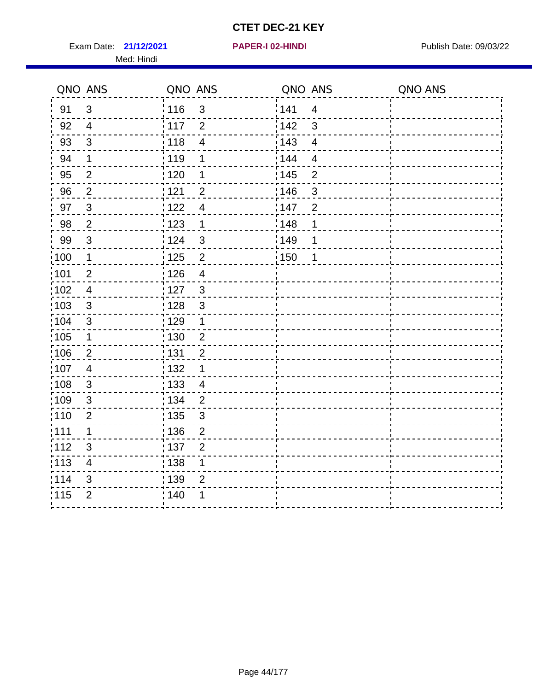Exam Date: 21/12/2021 **PAPER-I 02-HINDI Exam Date: 09/03/22** Med: Hindi

**21/12/2021 PAPER-I 02-HINDI**

|      | QNO ANS                   | QNO ANS           |                          | QNO ANS |                         | QNO ANS |
|------|---------------------------|-------------------|--------------------------|---------|-------------------------|---------|
| 91   | $\mathfrak{B}$            | 116               | $\mathfrak{S}$           | 1141    | $\overline{4}$          |         |
| 92   | $\overline{4}$            | $\frac{1}{2}$ 117 | $\overline{2}$           | 142     | 3                       |         |
| 93   | $\sqrt{3}$                | 118               | $\overline{\mathcal{A}}$ | 143     | $\overline{\mathbf{4}}$ |         |
| 94   | 1                         | : 119             | 1                        | : 144   | $\overline{4}$          |         |
| 95   | $\overline{2}$            | : 120             | 1                        | : 145   | $\overline{2}$          |         |
| 96   | $\overline{2}$            | 121               | $\overline{2}$           | :146    | $\mathfrak{S}$          |         |
| 97   | $\mathfrak{3}$            | 122               | $\overline{4}$           | 147     | $\overline{2}$          |         |
| 98   | $\overline{2}$            | 123               | $\mathbf{1}$             | 148     | 1                       |         |
| 99   | $\ensuremath{\mathsf{3}}$ | 124               | $\sqrt{3}$               | :149    | 1                       |         |
| :100 | $\mathbf 1$               | $\frac{1}{1}$ 125 | $\overline{2}$           | 150     | 1                       |         |
| :101 | $\mathbf 2$               | : 126             | $\overline{4}$           |         |                         |         |
| 102  | $\overline{4}$            | : 127             | $\mathbf{3}$             |         |                         |         |
| 103  | $\mathbf{3}$              | : 128             | $\mathbf{3}$             |         |                         |         |
| 104  | $\mathbf{3}$              | : 129             | $\mathbf 1$              |         |                         |         |
| 105  | $\mathbf 1$               | 130               | $\mathbf 2$              |         |                         |         |
| :106 | $\overline{2}$            | : 131             | $\overline{2}$           |         |                         |         |
| 107  | $\overline{4}$            | :132              | 1                        |         |                         |         |
| 108  | $\sqrt{3}$                | : 133             | $\overline{4}$           |         |                         |         |
| :109 | $\sqrt{3}$                | : 134             | $\overline{2}$           |         |                         |         |
| :110 | $\overline{2}$            | : 135             | 3                        |         |                         |         |
| 111  | $\mathbf 1$               | : 136             | $\overline{2}$           |         |                         |         |
| 112  | $\sqrt{3}$                | : 137             | $\overline{2}$           |         |                         |         |
| 113  | $\overline{\mathbf{4}}$   | 138               | 1                        |         |                         |         |
| 114  | 3                         | : 139             | $\overline{2}$           |         |                         |         |
| 115  | $\overline{2}$            | 140               | 1                        |         |                         |         |
|      |                           |                   |                          |         |                         |         |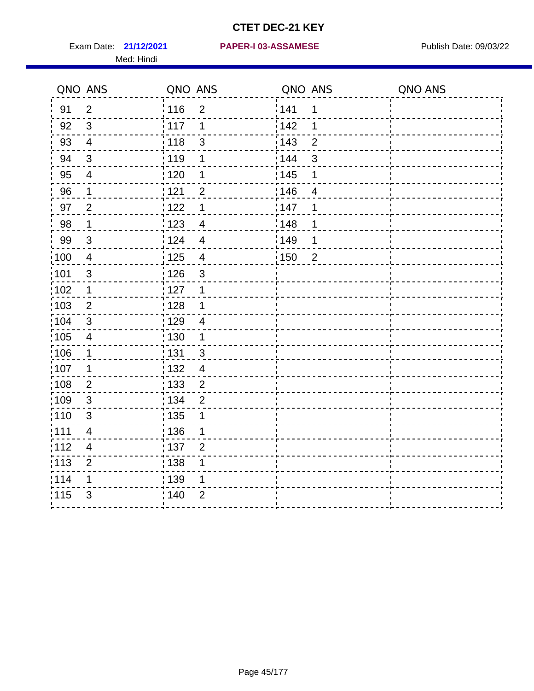Med: Hindi

|       | QNO ANS                  | QNO ANS           |                | QNO ANS |                | QNO ANS |
|-------|--------------------------|-------------------|----------------|---------|----------------|---------|
| 91    | $\overline{2}$           | 116               | $\overline{2}$ | 141     | 1              |         |
| 92    | $\mathfrak{S}$           | 117               | 1              | 142     | 1              |         |
| 93    | $\overline{4}$           | 118               | $\mathsf 3$    | 143     | $\overline{2}$ |         |
| 94    | 3                        | : 119             | 1              | : 144   | 3              |         |
| 95    | 4                        | :120              | 1              | : 145   | 1              |         |
| 96    | $\mathbf 1$              | : 121             | $\overline{2}$ | 146     | $\overline{4}$ |         |
| 97    | $\overline{2}$           | : 122             | 1              | 147     | 1              |         |
| 98    | $\mathbf{1}$             | 123               | $\overline{4}$ | 148     | 1              |         |
| 99    | $\sqrt{3}$               | : 124             | $\overline{4}$ | :149    | 1              |         |
| :100  | $\overline{4}$           | 125               | $\overline{4}$ | 150     | $\overline{2}$ |         |
| :101  | $\mathsf 3$              | 126               | 3              |         |                |         |
| 102   | 1                        | : 127             | 1              |         |                |         |
| 103   | $\overline{2}$           | : 128             | 1              |         |                |         |
| 104   | $\sqrt{3}$               | : 129             | $\overline{4}$ |         |                |         |
| :105  | $\overline{4}$           | : 130             | $\mathbf 1$    |         |                |         |
| 106   | 1                        | : 131             | 3              |         |                |         |
| 107   | 1                        | : 132             | $\overline{4}$ |         |                |         |
| :108  | $\mathbf{2}$             | $\frac{1}{1}$ 133 | $\overline{2}$ |         |                |         |
| 109   | $\mathbf{3}$             | : 134             | $\overline{2}$ |         |                |         |
| :110  | 3                        | : 135             | 1              |         |                |         |
| 111   | $\overline{\mathcal{A}}$ | : 136             | 1              |         |                |         |
| 112   | $\overline{\mathcal{A}}$ | : 137             | $\overline{2}$ |         |                |         |
| : 113 | $\mathbf 2$              | : 138             | 1              |         |                |         |
| 114   | 1                        | : 139             | 1              |         |                |         |
| 115   | 3                        | : 140             | $\overline{2}$ |         |                |         |
|       |                          |                   |                |         |                |         |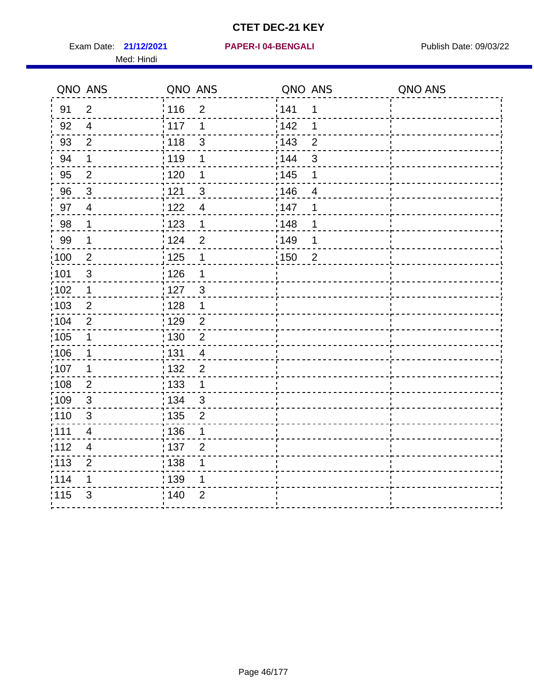Exam Date: 21/12/2021 PAPER-I 04-BENGALI PREREMENT Publish Date: 09/03/22 Med: Hindi

|                   | QNO ANS                  | QNO ANS           |                | QNO ANS           |                | QNO ANS |
|-------------------|--------------------------|-------------------|----------------|-------------------|----------------|---------|
| 91                | $\overline{2}$           | 116               | $\overline{2}$ | 141               | $\mathbf 1$    |         |
| 92                | $\overline{4}$           | 117               | 1              | 142               | 1              |         |
| 93                | $\overline{2}$           | 118               | 3              | 143               | $\overline{2}$ |         |
| 94                | 1                        | : 119             | 1              | 144               | 3              |         |
| 95                | $\overline{2}$           | : 120             | 1              | : 145             | 1              |         |
| 96                | $\mathbf{3}$             | 121               | 3              | 146               | 4              |         |
| 97                | $\overline{\mathcal{A}}$ | : 122             | $\overline{4}$ | 147               | 1              |         |
| 98                | $\mathbf{1}$             | 123               | $\mathbf{1}$   | 148               | 1              |         |
| 99                | $\mathbf 1$              | $\frac{1}{2}$ 124 | $\overline{2}$ | $\frac{1}{2}$ 149 | 1              |         |
| $\frac{1}{1}$ 100 | $\overline{2}$           | $\frac{1}{1}$ 125 | $\mathbf 1$    | $\frac{1}{1}$ 150 | $\overline{2}$ |         |
| :101              | $\sqrt{3}$               | : 126             | 1              |                   |                |         |
| 102               | $\mathbf 1$              | : 127             | 3              |                   |                |         |
| ;103              | 2                        | : 128             | $\mathbf 1$    |                   |                |         |
| 104               | $\overline{2}$           | : 129             | $\overline{2}$ |                   |                |         |
| :105              | $\mathbf 1$              | 130               | $\overline{2}$ |                   |                |         |
| :106              | 1                        | : 131             | $\overline{4}$ |                   |                |         |
| 107               | 1                        | :132              | $\overline{2}$ |                   |                |         |
| 108               | $\overline{2}$           | 133               | $\mathbf{1}$   |                   |                |         |
| :109              | $\sqrt{3}$               | : 134             | $\mathbf{3}$   |                   |                |         |
| : 110             | 3                        | : 135             | $\overline{2}$ |                   |                |         |
| :111              | $\overline{\mathbf{4}}$  | : 136             | 1              |                   |                |         |
| 112               | $\overline{4}$           | 137               | $\overline{2}$ |                   |                |         |
| 113               | $\overline{2}$           | 138               | 1              |                   |                |         |
| 114               | 1                        | 139               | 1              |                   |                |         |
| 115               | 3                        | 140               | $\overline{2}$ |                   |                |         |
|                   |                          |                   |                |                   |                |         |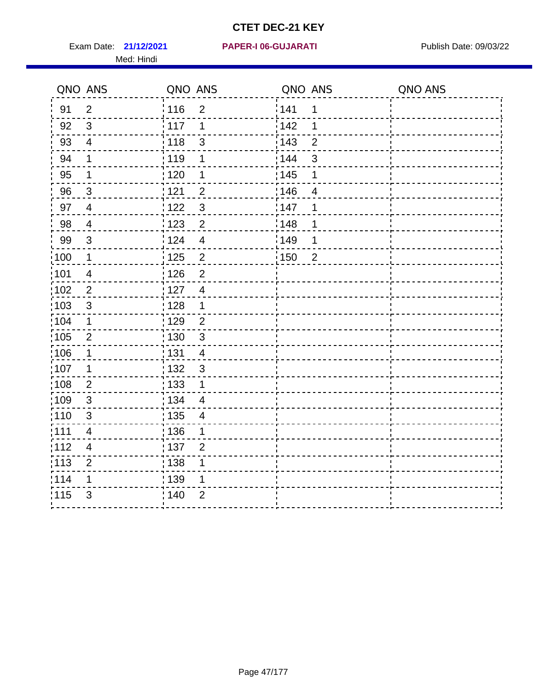Med: Hindi

|                   | QNO ANS                  | QNO ANS |                | QNO ANS |                | QNO ANS |
|-------------------|--------------------------|---------|----------------|---------|----------------|---------|
| 91                | $\overline{2}$           | 116     | $\overline{2}$ | 141     | 1              |         |
| 92                | $\mathfrak{B}$           | 117     | 1              | 142     | 1              |         |
| 93                | $\overline{\mathbf{4}}$  | 118     | $\mathsf 3$    | 143     | $\overline{2}$ |         |
| 94                | 1                        | : 119   | 1              | : 144   | 3              |         |
| 95                | 1                        | :120    | 1              | : 145   | 1              |         |
| 96                | $\mathfrak{S}$           | : 121   | $\overline{2}$ | 146     | $\overline{4}$ |         |
| 97                | $\overline{4}$           | : 122   | $\mathbf{3}$   | 147     | 1              |         |
| 98                | $\overline{4}$           | 123     | $\overline{c}$ | 148     | 1              |         |
| 99                | $\sqrt{3}$               | : 124   | $\overline{4}$ | :149    | 1              |         |
| :100              | $\mathbf 1$              | 125     | $\overline{2}$ | 150     | $\overline{2}$ |         |
| :101              | $\overline{4}$           | 126     | $\overline{2}$ |         |                |         |
| 102               | $\overline{2}$           | : 127   | $\overline{4}$ |         |                |         |
| 103               | $\mathfrak{S}$           | : 128   | $\mathbf 1$    |         |                |         |
| 104               | $\mathbf 1$              | : 129   | $\overline{2}$ |         |                |         |
| 105               | $\overline{2}$           | : 130   | $\mathfrak{S}$ |         |                |         |
| 106               | 1                        | : 131   | 4              |         |                |         |
| 107               | 1                        | : 132   | $\mathbf{3}$   |         |                |         |
| $\frac{1}{1}$ 108 | $\overline{2}$           | 133     | $\mathbf 1$    |         |                |         |
| 109               | $\mathbf{3}$             | : 134   | $\overline{4}$ |         |                |         |
| :110              | 3                        | : 135   | 4              |         |                |         |
| 111               | $\overline{\mathcal{A}}$ | : 136   | 1              |         |                |         |
| 112               | $\overline{\mathcal{A}}$ | : 137   | $\overline{2}$ |         |                |         |
| : 113             | $\overline{2}$           | : 138   | 1              |         |                |         |
| 114               | 1                        | : 139   | 1              |         |                |         |
| 115               | 3                        | : 140   | $\overline{2}$ |         |                |         |
|                   |                          |         |                |         |                |         |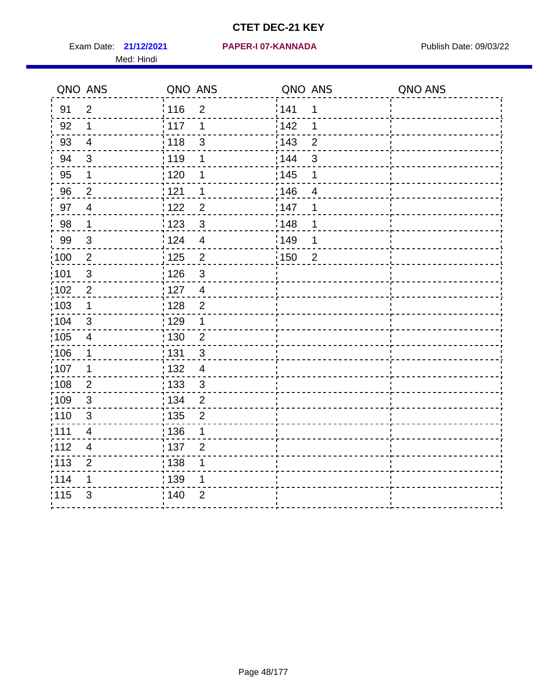Exam Date: 21/12/2021 PAPER-I 07-KANNADA Publish Date: 09/03/22 Med: Hindi

|                   | QNO ANS                  | QNO ANS                          | QNO ANS           |                | QNO ANS |
|-------------------|--------------------------|----------------------------------|-------------------|----------------|---------|
| 91                | $\overline{2}$           | 116<br>$\mathbf 2$               | 141               | $\mathbf 1$    |         |
| 92                | 1                        | 117<br>1                         | 142               | 1              |         |
| 93                | $\overline{4}$           | : 118<br>$\sqrt{3}$              | 143               | $\overline{2}$ |         |
| 94                | $\mathfrak{B}$           | : 119<br>1                       | : 144             | $\mathfrak{S}$ |         |
| 95                | 1                        | :120<br>1                        | : 145             | 1              |         |
| 96                | $\overline{2}$           | 121<br>1                         | 146               | $\overline{4}$ |         |
| 97                | $\overline{\mathcal{A}}$ | 122<br>$\overline{2}$            | 147               | 1              |         |
| 98                | $\mathbf 1$              | 123<br>$\mathfrak{3}$            | 148               | 1              |         |
| 99                | $\sqrt{3}$               | 124<br>$\overline{4}$            | :149              | 1              |         |
| $\frac{1}{1}$ 100 | $\overline{2}$           | 125<br>$\overline{2}$            | $\frac{1}{1}$ 150 | $\overline{2}$ |         |
| :101              | $\sqrt{3}$               | 126<br>$\mathfrak{S}$            |                   |                |         |
| 102               | $\overline{2}$           | : 127<br>$\overline{\mathbf{4}}$ |                   |                |         |
| 103               | $\mathbf 1$              | $\overline{2}$<br>128            |                   |                |         |
| 104               | 3                        | ;129<br>1                        |                   |                |         |
| 105               | $\overline{\mathbf{4}}$  | : 130<br>$\overline{c}$          |                   |                |         |
| 106               | 1                        | 131<br>$\sqrt{3}$                |                   |                |         |
| :107              | $\mathbf 1$              | : 132<br>$\overline{4}$          |                   |                |         |
| $\frac{1}{1}$ 108 | $\mathbf{2}$             | 133<br>$\mathsf 3$               |                   |                |         |
| 109               | $\mathfrak{S}$           | : 134<br>$\overline{2}$          |                   |                |         |
| :110              | 3                        | : 135<br>$\overline{2}$          |                   |                |         |
| 111               | $\overline{4}$           | : 136<br>1                       |                   |                |         |
| 112               | $\overline{\mathcal{A}}$ | 137<br>$\overline{2}$            |                   |                |         |
| : 113             | $\mathbf{2}$             | ; 138<br>1                       |                   |                |         |
| 114               | 1                        | 139<br>1                         |                   |                |         |
| 115               | 3                        | : 140<br>$\overline{2}$          |                   |                |         |
|                   |                          |                                  |                   |                |         |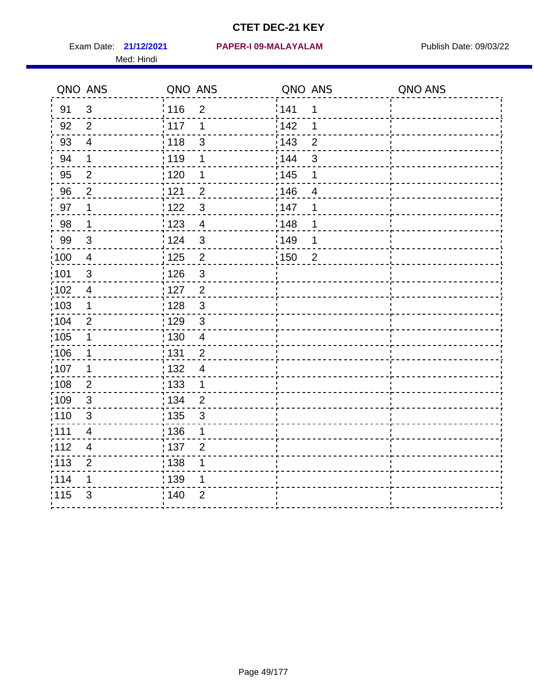Med: Hindi

|                   | QNO ANS                  | QNO ANS           |                         | QNO ANS           |                | QNO ANS |
|-------------------|--------------------------|-------------------|-------------------------|-------------------|----------------|---------|
| 91                | $\mathbf{3}$             | 116               | $\overline{2}$          | 141               | 1              |         |
| 92                | $\overline{2}$           | 117               | 1                       | 142               | 1              |         |
| 93                | $\overline{4}$           | 118               | $\mathsf 3$             | 143               | $\overline{2}$ |         |
| 94                | $\mathbf 1$              | : 119             | $\mathbf 1$             | : 144             | 3              |         |
| 95                | $\overline{2}$           | : 120             | 1                       | : 145             | 1              |         |
| 96                | $\overline{2}$           | 121               | $\overline{2}$          | :146              | 4              |         |
| 97                | 1                        | :122              | $\mathfrak{S}$          | 147               | 1              |         |
| 98                | $\mathbf 1$              | $\frac{1}{2}$ 123 | $\overline{4}$          | 148               | 1              |         |
| 99                | $\sqrt{3}$               | 124               | $\mathfrak{S}$          | :149              | 1              |         |
| 100               | $\overline{4}$           | $\frac{1}{1}$ 125 | $\overline{c}$          | $\frac{1}{1}$ 150 | $\overline{2}$ |         |
| :101              | $\sqrt{3}$               | 126               | $\mathsf 3$             |                   |                |         |
| 102               | $\overline{4}$           | : 127             | $\overline{2}$          |                   |                |         |
| 103               | $\mathbf 1$              | : 128             | $\mathbf{3}$            |                   |                |         |
| 104               | $\overline{2}$           | : 129             | $\mathfrak{3}$          |                   |                |         |
| 105               | $\mathbf 1$              | 130               | $\overline{\mathbf{4}}$ |                   |                |         |
| 106               | 1                        | : 131             | $\overline{2}$          |                   |                |         |
| :107              | 1                        | : 132             | $\overline{4}$          |                   |                |         |
| $\frac{1}{1}$ 108 | $\overline{2}$           | : 133             | $\mathbf{1}$            |                   |                |         |
| 109               | $\mathfrak{S}$           | : 134             | $\overline{2}$          |                   |                |         |
| :110              | 3                        | : 135             | $\mathfrak{S}$          |                   |                |         |
| 111               | $\overline{\mathcal{A}}$ | : 136             | 1                       |                   |                |         |
| 112               | $\overline{\mathbf{4}}$  | : 137             | $\overline{2}$          |                   |                |         |
| : 113             | $\overline{2}$           | 138               | 1                       |                   |                |         |
| 114               | 1                        | 139               | 1                       |                   |                |         |
| 115               | 3                        | : 140             | $\overline{2}$          |                   |                |         |
|                   |                          |                   |                         |                   |                |         |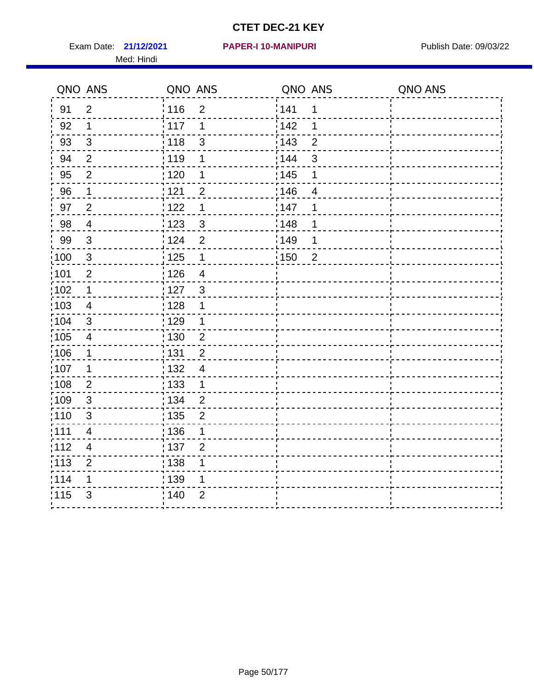Exam Date: 21/12/2021 PAPER-I 10-MANIPURI<br>
Publish Date: 09/03/22 Med: Hindi

|                   | QNO ANS                  | QNO ANS |                | QNO ANS |                | QNO ANS |
|-------------------|--------------------------|---------|----------------|---------|----------------|---------|
| 91                | $\overline{2}$           | 116     | $\overline{2}$ | 141     | 1              |         |
| 92                | 1                        | 117     | 1              | 142     | 1              |         |
| 93                | $\mathbf{3}$             | 118     | $\mathsf 3$    | 143     | $\overline{2}$ |         |
| 94                | 2                        | :119    | 1              | : 144   | 3              |         |
| 95                | 2                        | :120    | 1              | : 145   | 1              |         |
| 96                | 1                        | : 121   | $\overline{2}$ | 146     | $\overline{4}$ |         |
| 97                | $\overline{2}$           | : 122   | 1              | 147     | 1              |         |
| 98                | $\overline{\mathbf{4}}$  | 123     | $\mathbf{3}$   | 148     | 1              |         |
| 99                | $\sqrt{3}$               | : 124   | $\overline{2}$ | :149    | 1              |         |
| :100              | $\mathbf{3}$             | : 125   | $\mathbf 1$    | 150     | $\overline{2}$ |         |
| :101              | $\overline{2}$           | 126     | $\overline{4}$ |         |                |         |
| 102               | 1                        | : 127   | 3              |         |                |         |
| 103               | $\overline{4}$           | : 128   | 1              |         |                |         |
| 104               | $\sqrt{3}$               | : 129   | $\mathbf 1$    |         |                |         |
| :105              | $\overline{4}$           | : 130   | $\overline{2}$ |         |                |         |
| 106               | 1                        | : 131   | $\overline{2}$ |         |                |         |
| 107               | 1                        | : 132   | $\overline{4}$ |         |                |         |
| $\frac{1}{1}$ 108 | $\overline{2}$           | 133     | $\mathbf{1}$   |         |                |         |
| 109               | $\mathbf{3}$             | : 134   | $\overline{2}$ |         |                |         |
| :110              | 3                        | : 135   | $\overline{2}$ |         |                |         |
| 111               | $\overline{\mathcal{A}}$ | : 136   | 1              |         |                |         |
| 112               | $\overline{\mathcal{A}}$ | : 137   | $\overline{2}$ |         |                |         |
| : 113             | $\overline{2}$           | : 138   | 1              |         |                |         |
| 114               | 1                        | : 139   | 1              |         |                |         |
| 115               | 3                        | : 140   | $\overline{2}$ |         |                |         |
|                   |                          |         |                |         |                |         |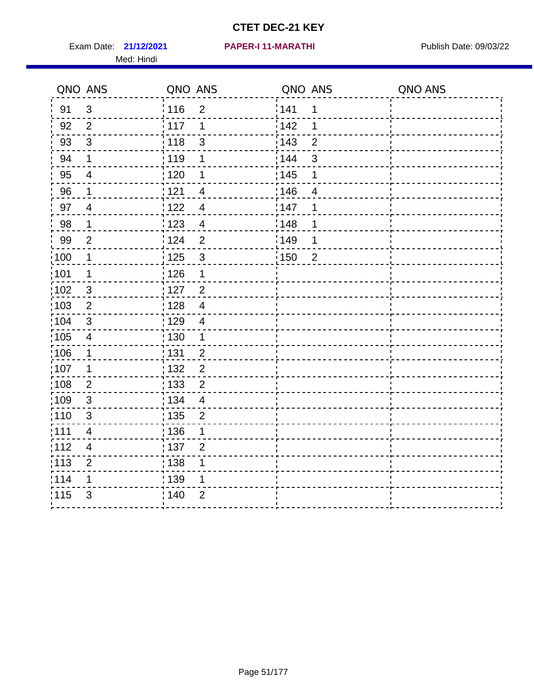Exam Date: 21/12/2021 PAPER-I 11-MARATHI PREER Publish Date: 09/03/22 Med: Hindi

|                   | QNO ANS                  | QNO ANS           |                          | QNO ANS           |                | QNO ANS |
|-------------------|--------------------------|-------------------|--------------------------|-------------------|----------------|---------|
| 91                | $\mathfrak{S}$           | 116               | $\overline{2}$           | 141               | $\mathbf 1$    |         |
| 92                | $\overline{2}$           | 117               | 1                        | 142               | 1              |         |
| 93                | $\mathbf{3}$             | 118               | 3                        | 143               | $\overline{2}$ |         |
| 94                | 1                        | : 119             | 1                        | 144               | 3              |         |
| 95                | $\overline{\mathcal{A}}$ | : 120             | 1                        | : 145             | 1              |         |
| 96                | 1                        | 121               | $\overline{4}$           | 146               | 4              |         |
| 97                | $\overline{4}$           | 122               | $\overline{\mathcal{A}}$ | 147               | 1              |         |
| 98                | $\mathbf{1}$             | 123               | $\overline{4}$           | 148               | 1              |         |
| 99                | $\overline{2}$           | ¦ 124             | $\overline{2}$           | $\frac{1}{2}$ 149 | 1              |         |
| $\frac{1}{1}$ 100 | $\overline{1}$           | $\frac{1}{1}$ 125 | $\mathbf{3}$             | $\frac{1}{1}$ 150 | $\overline{2}$ |         |
| :101              | 1                        | : 126             | 1                        |                   |                |         |
| 102               | $\mathfrak{3}$           | : 127             | $\overline{2}$           |                   |                |         |
| 103               | $\overline{2}$           | : 128             | $\overline{4}$           |                   |                |         |
| 104               | $\mathfrak{3}$           | : 129             | $\overline{4}$           |                   |                |         |
| :105              | $\overline{\mathbf{4}}$  | 130               | $\mathbf 1$              |                   |                |         |
| :106              | 1                        | : 131             | $\overline{2}$           |                   |                |         |
| 107               | 1                        | :132              | $\overline{2}$           |                   |                |         |
| 108               | $\overline{2}$           | 133               | $\overline{2}$           |                   |                |         |
| :109              | $\sqrt{3}$               | : 134             | $\overline{4}$           |                   |                |         |
| : 110             | 3                        | : 135             | 2                        |                   |                |         |
| :111              | $\overline{\mathbf{4}}$  | : 136             | 1                        |                   |                |         |
| 112               | $\overline{4}$           | 137               | $\overline{2}$           |                   |                |         |
| 113               | $\overline{2}$           | 138               | 1                        |                   |                |         |
| 114               | 1                        | 139               | 1                        |                   |                |         |
| 115               | 3                        | 140               | $\overline{2}$           |                   |                |         |
|                   |                          |                   |                          |                   |                |         |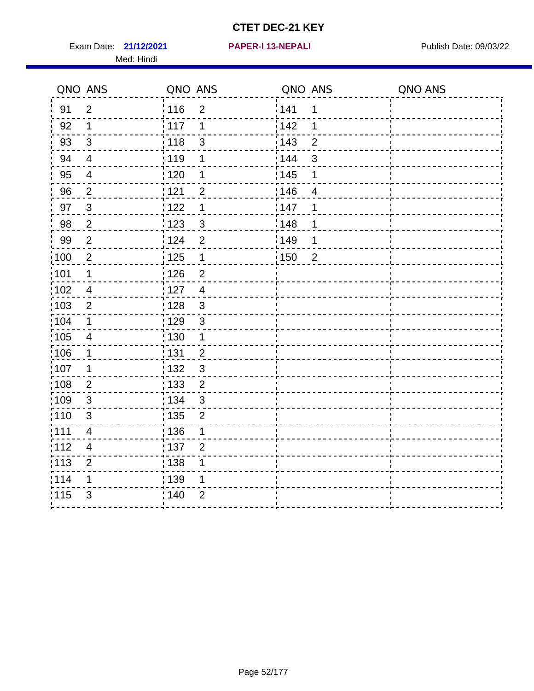Exam Date: 21/12/2021 **PAPER-I 13-NEPALI** Publish Date: 09/03/22 Med: Hindi

**21/12/2021 PAPER-I 13-NEPALI**

|      | QNO ANS                  | QNO ANS |                | QNO ANS           |                | QNO ANS |
|------|--------------------------|---------|----------------|-------------------|----------------|---------|
| 91   | $\overline{2}$           | 116     | $\overline{2}$ | 141               | $\mathbf 1$    |         |
| 92   | 1                        | 117     | 1              | 142               | 1              |         |
| 93   | $\sqrt{3}$               | 118     | 3              | 143               | $\overline{2}$ |         |
| 94   | $\overline{4}$           | : 119   | 1              | 144               | 3              |         |
| 95   | 4                        | : 120   | 1              | : 145             | 1              |         |
| 96   | $\overline{2}$           | 121     | $\overline{2}$ | 146               | $\overline{4}$ |         |
| 97   | $\sqrt{3}$               | 122     | 1              | 147               | 1              |         |
| 98   | $\sqrt{2}$               | 123     | $\mathbf{3}$   | ¦148              | 1              |         |
| 99   | $\mathbf{2}$             | 124     | $\overline{2}$ | $\frac{1}{2}$ 149 | 1              |         |
| 100  | $\overline{2}$           | 125     | $\mathbf{1}$   | $\frac{1}{1}$ 150 | $\overline{2}$ |         |
| :101 | 1                        | : 126   | $\overline{2}$ |                   |                |         |
| 102  | $\overline{4}$           | : 127   | $\overline{4}$ |                   |                |         |
| ;103 | $\overline{2}$           | :128    | $\mathbf{3}$   |                   |                |         |
| 104  | $\mathbf 1$              | : 129   | $\mathfrak{3}$ |                   |                |         |
| 105  | $\overline{4}$           | 130     | $\mathbf 1$    |                   |                |         |
| :106 | 1                        | 131     | $\overline{2}$ |                   |                |         |
| ;107 | 1                        | 132     | $\mathfrak{3}$ |                   |                |         |
| 108  | $\overline{2}$           | : 133   | $\overline{2}$ |                   |                |         |
| :109 | $\sqrt{3}$               | : 134   | $\mathbf{3}$   |                   |                |         |
| 110  | 3                        | : 135   | $\overline{2}$ |                   |                |         |
| :111 | $\overline{\mathcal{A}}$ | : 136   | 1              |                   |                |         |
| 112  | $\overline{4}$           | : 137   | $\overline{2}$ |                   |                |         |
| 113  | $\overline{2}$           | 138     | 1              |                   |                |         |
| 114  | 1                        | : 139   | 1              |                   |                |         |
| 115  | $\mathfrak{S}$           | 140     | $\overline{2}$ |                   |                |         |
|      |                          |         |                |                   |                |         |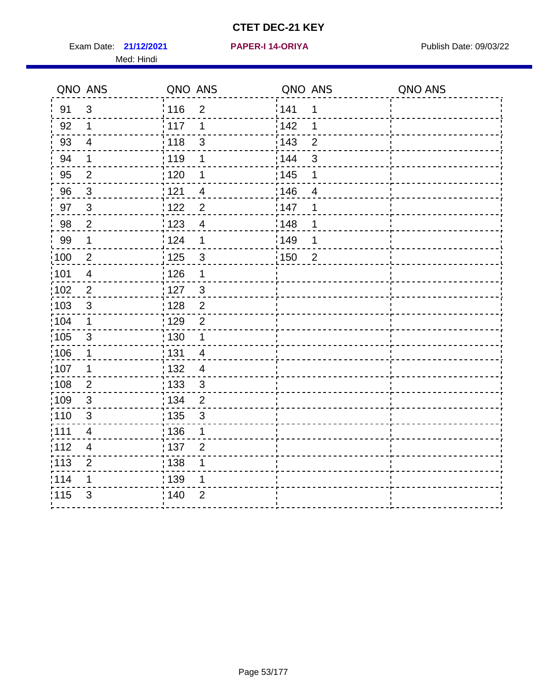Exam Date: 21/12/2021 PAPER-I 14-ORIYA Publish Date: 09/03/22 Med: Hindi

**21/12/2021 PAPER-I 14-ORIYA**

|                   | QNO ANS                 | QNO ANS                             | QNO ANS                             | QNO ANS |
|-------------------|-------------------------|-------------------------------------|-------------------------------------|---------|
| 91                | $\mathfrak{S}$          | 116<br>$\overline{2}$               | 1141<br>1                           |         |
| 92                | 1                       | 117<br>1                            | 142<br>1                            |         |
| 93                | $\overline{4}$          | $\frac{1}{2}$ 118<br>$\mathfrak{S}$ | 143<br>$\overline{2}$               |         |
| 94                | 1                       | : 119<br>1                          | : 144<br>3                          |         |
| 95                | $\overline{2}$          | : 120<br>1                          | : 145<br>1                          |         |
| 96                | $\mathbf{3}$            | 121<br>4                            | 146<br>4                            |         |
| 97                | $\mathbf{3}$            | 122<br>$\overline{2}$               | : 147<br>1                          |         |
| 98                | $\overline{c}$          | 123<br>$\overline{\mathbf{4}}$      | 148<br>1                            |         |
| 99                | 1                       | 124<br>$\mathbf 1$                  | 149<br>1                            |         |
| $\frac{1}{1}$ 100 | $\overline{2}$          | 125<br>$\mathbf{3}$                 | $\frac{1}{2}$ 150<br>$\overline{2}$ |         |
| :101              | $\overline{4}$          | : 126<br>1                          |                                     |         |
| 102               | $\overline{2}$          | : 127<br>$\mathfrak{S}$             |                                     |         |
| 103               | $\mathfrak{S}$          | $\overline{2}$<br>:128              |                                     |         |
| :104              | 1                       | : 129<br>$\overline{2}$             |                                     |         |
| 105               | $\mathfrak{S}$          | 130<br>1                            |                                     |         |
| 106               | 1                       | :131<br>4                           |                                     |         |
| 107               | 1                       | : 132<br>$\overline{4}$             |                                     |         |
| 108               | $\sqrt{2}$              | : 133<br>$\mathfrak{S}$             |                                     |         |
| 109               | 3                       | : 134<br>$\overline{2}$             |                                     |         |
| :110              | 3                       | : 135<br>$\mathbf{3}$               |                                     |         |
| :111              | $\overline{\mathbf{4}}$ | : 136<br>$\mathbf 1$                |                                     |         |
| 112               | 4                       | : 137<br>$\overline{2}$             |                                     |         |
| : 113             | $\overline{2}$          | : 138<br>1                          |                                     |         |
| 114               | 1                       | 139<br>1                            |                                     |         |
| 115               | 3                       | $\overline{2}$<br>140               |                                     |         |
|                   |                         |                                     |                                     |         |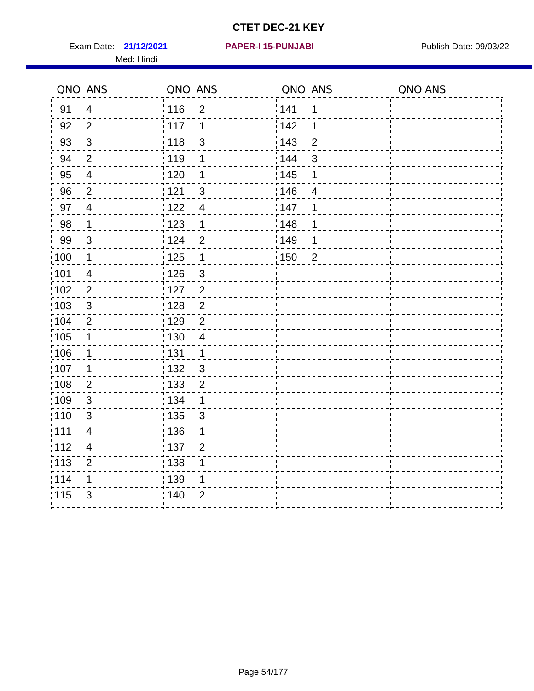Exam Date: 21/12/2021 PAPER-I 15-PUNJABI PUBLISH Date: 09/03/22 Med: Hindi

|                  | QNO ANS                 | QNO ANS                            | QNO ANS |                | QNO ANS |
|------------------|-------------------------|------------------------------------|---------|----------------|---------|
| 91               | $\overline{4}$          | 116<br>$\overline{2}$              | 1141    | 1              |         |
| 92               | $\overline{2}$          | 117<br>1                           | 142     | 1              |         |
| 93               | $\mathfrak{Z}$          | 118<br>$\mathsf 3$                 | 143     | $\overline{2}$ |         |
| 94               | $\overline{2}$          | : 119<br>1                         | : 144   | 3              |         |
| 95               | $\overline{4}$          | : 120<br>1                         | : 145   | 1              |         |
| 96               | $\overline{2}$          | 121<br>3                           | 146     | 4              |         |
| 97               | $\overline{4}$          | 122<br>$\overline{4}$              | 147     | 1              |         |
| 98               | $\mathbf{1}$            | 123<br>$\mathbf{1}$                | 148     | 1              |         |
| 99               | $\sqrt{3}$              | 124<br>$\overline{2}$              | :149    | 1              |         |
| $\frac{1}{2}100$ | $\mathbf 1$             | $\frac{1}{2}$ 125<br>$\mathbf{1}$  | 150     | $\overline{2}$ |         |
| :101             | $\overline{\mathbf{4}}$ | : 126<br>$\ensuremath{\mathsf{3}}$ |         |                |         |
| 102              | $\overline{2}$          | : 127<br>2                         |         |                |         |
| 103              | 3                       | $\overline{2}$<br>:128             |         |                |         |
| 104              | $\overline{2}$          | : 129<br>$\overline{2}$            |         |                |         |
| 105              | $\mathbf 1$             | 130<br>4                           |         |                |         |
| :106             | 1                       | : 131<br>$\mathbf 1$               |         |                |         |
| 107              | 1                       | 3<br>:132                          |         |                |         |
| 108              | $\overline{2}$          | : 133<br>$\overline{2}$            |         |                |         |
| :109             | $\mathsf 3$             | : 134<br>$\mathbf 1$               |         |                |         |
| : 110            | 3                       | : 135<br>3                         |         |                |         |
| 111              | $\overline{\mathbf{4}}$ | : 136<br>1                         |         |                |         |
| 112              | $\overline{4}$          | 137<br>$\overline{2}$              |         |                |         |
| 113              | $\overline{2}$          | 138<br>1                           |         |                |         |
| 114              | 1                       | : 139<br>1                         |         |                |         |
| 115              | 3                       | 140<br>$\overline{2}$              |         |                |         |
|                  |                         |                                    |         |                |         |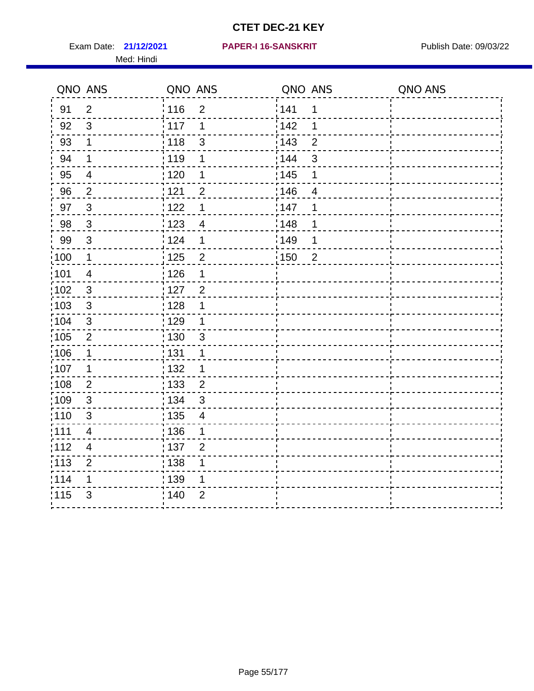Exam Date: 21/12/2021 PAPER-I 16-SANSKRIT Publish Date: 09/03/22 Med: Hindi

|                   | QNO ANS                  | QNO ANS           |                | QNO ANS           |                | QNO ANS |
|-------------------|--------------------------|-------------------|----------------|-------------------|----------------|---------|
| 91                | $\overline{2}$           | 116               | $\overline{2}$ | 141               | $\mathbf 1$    |         |
| 92                | $\mathfrak{S}$           | 117               | 1              | 142               | 1              |         |
| 93                | $\mathbf 1$              | 118               | 3              | 143               | $\overline{2}$ |         |
| 94                | 1                        | : 119             | 1              | 144               | 3              |         |
| 95                | $\overline{\mathcal{A}}$ | : 120             | 1              | : 145             | 1              |         |
| 96                | $\overline{2}$           | 121               | $\overline{2}$ | 146               | 4              |         |
| 97                | $\sqrt{3}$               | 122               | 1              | 147               | 1              |         |
| 98                | $\mathbf{3}$             | 123               | $\overline{4}$ | 148               | 1              |         |
| 99                | $\sqrt{3}$               | $\frac{1}{2}$ 124 | 1              | $\frac{1}{2}$ 149 | 1              |         |
| $\frac{1}{1}$ 100 | $\mathbf 1$              | $\frac{1}{1}$ 125 | $\overline{2}$ | $\frac{1}{1}$ 150 | $\overline{2}$ |         |
| :101              | $\overline{\mathbf{4}}$  | : 126             | 1              |                   |                |         |
| 102               | $\mathfrak{3}$           | : 127             | $\overline{2}$ |                   |                |         |
| 103               | $\mathbf{3}$             | : 128             | 1              |                   |                |         |
| 104               | $\sqrt{3}$               | : 129             | 1              |                   |                |         |
| 105               | $\sqrt{2}$               | 130               | $\mathbf{3}$   |                   |                |         |
| :106              | 1                        | : 131             | 1              |                   |                |         |
| 107               | 1                        | :132              | 1              |                   |                |         |
| 108               | $\sqrt{2}$               | 133               | $\overline{2}$ |                   |                |         |
| :109              | $\sqrt{3}$               | : 134             | $\mathbf{3}$   |                   |                |         |
| : 110             | 3                        | : 135             | $\overline{4}$ |                   |                |         |
| :111              | $\overline{\mathbf{4}}$  | : 136             | 1              |                   |                |         |
| 112               | $\overline{\mathcal{A}}$ | 137               | $\overline{2}$ |                   |                |         |
| 113               | $\overline{2}$           | 138               | 1              |                   |                |         |
| 114               | 1                        | 139               | 1              |                   |                |         |
| 115               | 3                        | 140               | $\overline{2}$ |                   |                |         |
|                   |                          |                   |                |                   |                |         |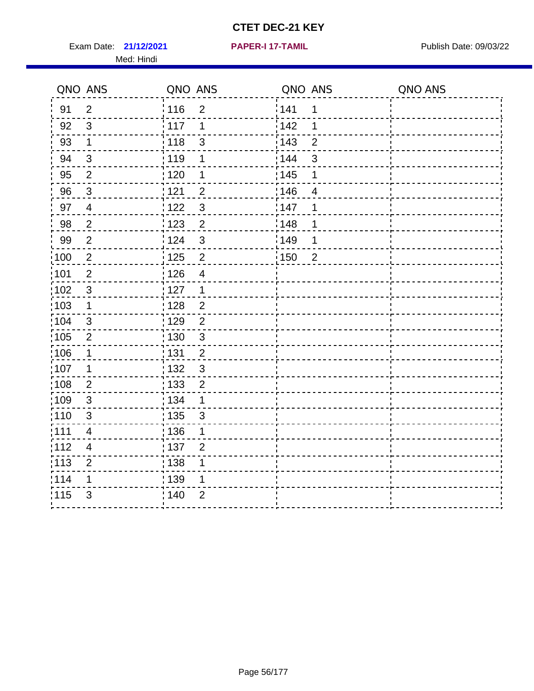Exam Date: 21/12/2021 **PAPER-I 17-TAMIL Exam Date: 09/03/22** Med: Hindi

**21/12/2021 PAPER-I 17-TAMIL**

|                   | QNO ANS                  | QNO ANS           |                | QNO ANS           |                | QNO ANS |
|-------------------|--------------------------|-------------------|----------------|-------------------|----------------|---------|
| 91                | $\overline{2}$           | 116               | $\overline{2}$ | 141               | 1              |         |
| 92                | 3                        | 117               | 1              | 142               | 1              |         |
| 93                | $\mathbf 1$              | 118               | $\mathfrak{S}$ | 143               | $\overline{2}$ |         |
| 94                | $\mathbf{3}$             | : 119             | 1              | 144               | 3              |         |
| 95                | $\overline{2}$           | : 120             | 1              | : 145             | 1              |         |
| 96                | 3                        | 121               | $\overline{2}$ | 146               | 4              |         |
| 97                | $\overline{4}$           | 122               | 3              | 147               | 1              |         |
| 98                | $\overline{2}$           | $\frac{1}{2}$ 123 | $\overline{2}$ | 148               | 1              |         |
| 99                | $\overline{2}$           | 124               | 3              | :149              | 1              |         |
| $\frac{1}{1}$ 100 | $\sqrt{2}$               | $\frac{1}{1}$ 125 | $\overline{2}$ | $\frac{1}{1}$ 150 | $\overline{2}$ |         |
| :101              | $\overline{2}$           | : 126             | $\overline{4}$ |                   |                |         |
| 102               | $\mathbf{3}$             | : 127             | $\mathbf{1}$   |                   |                |         |
| 103               | 1                        | : 128             | $\overline{2}$ |                   |                |         |
| 104               | $\mathfrak{3}$           | 129               | $\overline{2}$ |                   |                |         |
| 105               | $\overline{2}$           | : 130             | $\mathfrak{S}$ |                   |                |         |
| 106               | 1                        | : 131             | $\overline{2}$ |                   |                |         |
| :107              | 1                        | : 132             | $\mathfrak{3}$ |                   |                |         |
| :108              | $\overline{2}$           | : 133             | $\overline{2}$ |                   |                |         |
| 109               | $\mathfrak{S}$           | : 134             | $\mathbf 1$    |                   |                |         |
| :110              | 3                        | : 135             | 3              |                   |                |         |
| 111               | $\overline{\mathcal{A}}$ | 136               | 1              |                   |                |         |
| 112               | $\overline{4}$           | : 137             | $\overline{2}$ |                   |                |         |
| : 113             | $\overline{2}$           | : 138             | 1              |                   |                |         |
| 114               | 1                        | 139               | 1              |                   |                |         |
| 115               | 3                        | 140               | $\overline{2}$ |                   |                |         |
|                   |                          |                   |                |                   |                |         |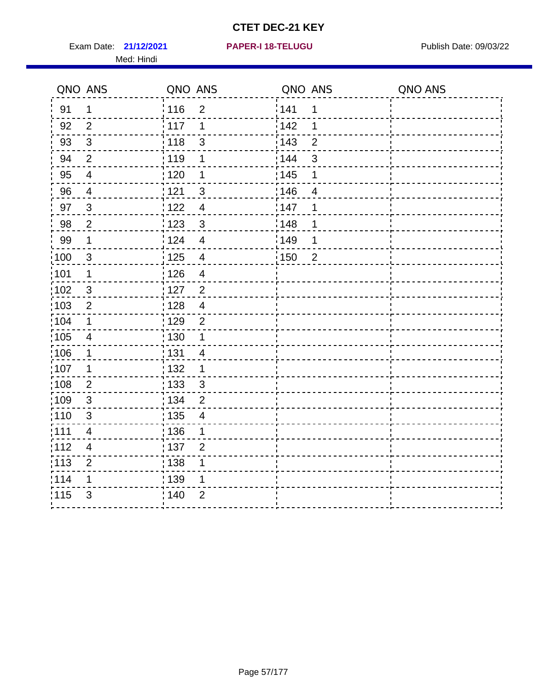Exam Date: 21/12/2021 PAPER-I 18-TELUGU PREER PUblish Date: 09/03/22 Med: Hindi

**21/12/2021 PAPER-I 18-TELUGU**

|                   | QNO ANS        | QNO ANS                             | QNO ANS                 | QNO ANS |
|-------------------|----------------|-------------------------------------|-------------------------|---------|
| 91                | $\mathbf 1$    | : 116<br>$\overline{2}$             | 141<br>1                |         |
| 92                | $\overline{2}$ | 117<br>1                            | 142<br>1                |         |
| 93                | $\sqrt{3}$     | : 118<br>$\mathfrak{S}$             | 143<br>$\overline{2}$   |         |
| 94                | $\overline{2}$ | : 119<br>1                          | : 144<br>$\mathfrak{S}$ |         |
| 95                | 4              | :120<br>1                           | : 145<br>1              |         |
| 96                | $\overline{4}$ | 121<br>$\sqrt{3}$                   | 146<br>4                |         |
| 97                | $\mathfrak{S}$ | 122<br>$\overline{4}$               | 147<br>1                |         |
| 98                | $\mathbf 2$    | $\frac{1}{2}$ 123<br>$\mathbf 3$    | 148<br>1                |         |
| 99                | $\mathbf 1$    | 124<br>$\overline{\mathbf{4}}$      | :149<br>1               |         |
| $\frac{1}{1}$ 100 | $\mathbf{3}$   | 125<br>$\overline{4}$               | 150<br>$\overline{2}$   |         |
| 101               | 1              | : 126<br>$\overline{\mathcal{A}}$   |                         |         |
| 102               | 3              | : 127<br>$\overline{2}$             |                         |         |
| :103              | $\overline{2}$ | : 128<br>$\overline{4}$             |                         |         |
| 104               | $\mathbf{1}$   | : 129<br>$\overline{2}$             |                         |         |
| 105               | $\overline{4}$ | $\frac{1}{1}$ 130<br>$\mathbf 1$    |                         |         |
| :106              | $\mathbf{1}$   | : 131<br>$\overline{4}$             |                         |         |
| 107               | 1              | : 132<br>$\mathbf 1$                |                         |         |
| 108               | $\overline{2}$ | $\frac{1}{1}$ 133<br>$\mathbf{3}$   |                         |         |
| :109              | $\sqrt{3}$     | : 134<br>$\overline{2}$             |                         |         |
| $\frac{1}{1}$ 110 | $\sqrt{3}$     | : 135<br>$\overline{\mathbf{4}}$    |                         |         |
| :111              | 4              | : 136<br>1                          |                         |         |
| 112               | 4              | $\frac{1}{1}$ 137<br>$\overline{2}$ |                         |         |
| 113               | $\overline{2}$ | : 138<br>1                          |                         |         |
| 114               | 1              | : 139<br>1                          |                         |         |
| 115               | 3              | 140<br>$\overline{2}$               |                         |         |
|                   |                |                                     |                         |         |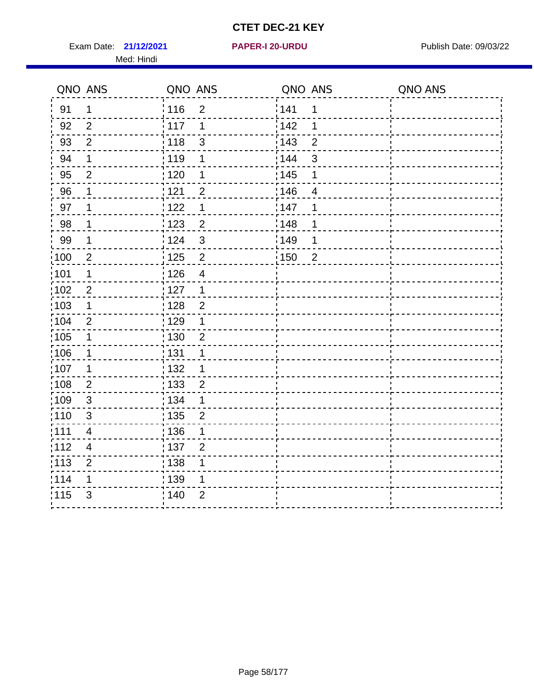Exam Date: 21/12/2021 **PAPER-I 20-URDU** PAPER 120-VIRDU Med: Hindi

**21/12/2021 PAPER-I 20-URDU**

|                   | QNO ANS                  | QNO ANS                             | QNO ANS               | QNO ANS |
|-------------------|--------------------------|-------------------------------------|-----------------------|---------|
| 91                | $\mathbf 1$              | 116<br>$\overline{2}$               | 141<br>$\mathbf 1$    |         |
| 92                | $\overline{2}$           | 117<br>1                            | 142<br>1              |         |
| 93                | $\overline{2}$           | 118<br>$\mathsf 3$                  | 143<br>$\overline{2}$ |         |
| 94                | 1                        | 119<br>1                            | 144<br>3              |         |
| 95                | $\overline{2}$           | : 120<br>1                          | : 145<br>1            |         |
| 96                | 1                        | 121<br>$\overline{2}$               | 146<br>4              |         |
| 97                | 1                        | 122<br>1                            | 147<br>1              |         |
| 98                | $\mathbf 1$              | 123<br>$\overline{2}$               | 148<br>1              |         |
| 99                | $\mathbf 1$              | 124<br>$\mathfrak{S}$               | :149<br>1             |         |
| :100              | $\overline{2}$           | $\overline{2}$<br>$\frac{1}{1}$ 125 | 150<br>$\overline{2}$ |         |
| 101               | 1                        | : 126<br>$\overline{\mathbf{4}}$    |                       |         |
| 102               | $\overline{2}$           | : 127<br>$\mathbf{1}$               |                       |         |
| 103               | $\mathbf 1$              | $\overline{2}$<br>: 128             |                       |         |
| :104              | 2                        | $\frac{1}{1}$ 129<br>1              |                       |         |
| $\frac{1}{1}$ 105 | $\mathbf 1$              | 130<br>$\overline{c}$               |                       |         |
| :106              | $\mathbf 1$              | : 131<br>1                          |                       |         |
| ;107              | $\mathbf{1}$             | 132<br>1                            |                       |         |
| 108               | $\overline{2}$           | : 133<br>$\overline{2}$             |                       |         |
| :109              | $\mathsf 3$              | : 134<br>$\mathbf 1$                |                       |         |
| :110              | 3                        | : 135<br>$\overline{2}$             |                       |         |
| :111              | $\overline{\mathcal{A}}$ | : 136<br>1                          |                       |         |
| 112               | $\overline{\mathcal{A}}$ | : 137<br>$\overline{2}$             |                       |         |
| 113               | $\overline{2}$           | : 138<br>1                          |                       |         |
| 114               | 1                        | : 139<br>1                          |                       |         |
| 115               | $\mathfrak{S}$           | 140<br>$\overline{2}$               |                       |         |
|                   |                          |                                     |                       |         |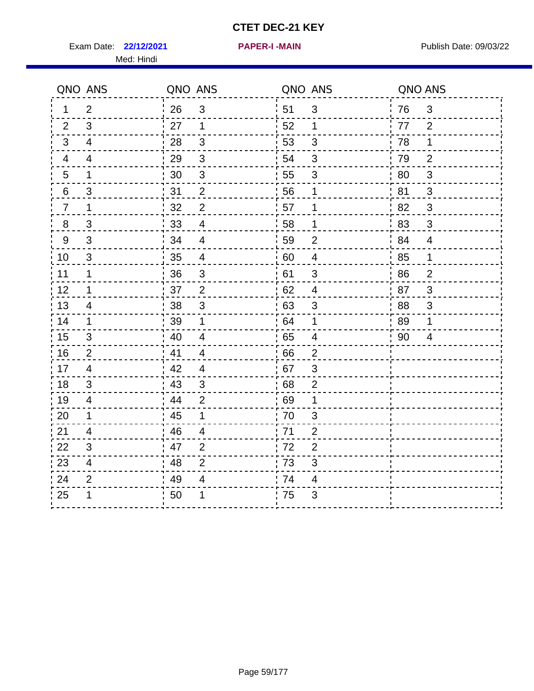**22/12/2021 PAPER-I -MAIN** Exam Date: Publish Date: 09/03/22

Med: Hindi

|  |  |  |  | PAPER-I -MAIN |  |
|--|--|--|--|---------------|--|
|  |  |  |  |               |  |

|                | QNO ANS                  | QNO ANS          |                         | QNO ANS          |                | QNO ANS          |                |
|----------------|--------------------------|------------------|-------------------------|------------------|----------------|------------------|----------------|
| 1              | 2                        | 26               | $\mathbf{3}$            | 51               | $\mathbf{3}$   | 76               | 3              |
| $\overline{2}$ | 3                        | 27               | $\mathbf 1$             | 52               | 1              | 77               | 2              |
| 3              | 4                        | 28               | 3                       | 53               | $\mathfrak{S}$ | 78               | $\mathbf 1$    |
| 4              | 4                        | 29               | $\mathbf{3}$            | 54               | $\sqrt{3}$     | 79               | $\overline{2}$ |
| 5              | $\mathbf 1$              | 30               | $\mathfrak{S}$          | 55               | 3              | 80               | $\mathfrak{S}$ |
| 6              | $\mathfrak{S}$           | 31               | $\overline{\mathbf{c}}$ | 56               | 1              | 81               | $\mathfrak{S}$ |
| $\overline{7}$ | $\mathbf 1$              | 32               | $\overline{2}$          | 57               | 1              | 82               | 3              |
| 8              | 3                        | 33               | 4                       | 58               | $\mathbf 1$    | 83               | 3              |
| 9              | 3                        | 34               | 4                       | 59               | 2              | 84               | 4              |
| 10             | 3                        | $\frac{1}{2}$ 35 | 4                       | $\frac{1}{2}$ 60 | 4              | $\frac{1}{2}$ 85 | $\mathbf 1$    |
| 11             | $\mathbf 1$              | 36               | $\mathbf{3}$            | 61               | $\mathbf{3}$   | 86               | $\overline{2}$ |
| 12             | $\mathbf 1$              | 37               | $\overline{2}$          | 62               | $\overline{4}$ | 87               | 3              |
| 13             | $\overline{4}$           | 38               | $\sqrt{3}$              | 63               | $\sqrt{3}$     | 88               | $\mathsf 3$    |
| 14             | $\mathbf 1$              | 39               | $\mathbf{1}$            | .64              | 1              | 89               | 1              |
| 15             | 3                        | 40               | $\overline{4}$          | .65              | 4              | 90               | 4              |
| 16             | $\overline{2}$           | 41               | 4                       | 66               | $\overline{2}$ |                  |                |
| 17             | 4                        | 42               | $\overline{4}$          | 67               | $\mathfrak{S}$ |                  |                |
| 18             | $\mathfrak{S}$           | 43               | $\sqrt{3}$              | 68               | $\mathbf{2}$   |                  |                |
| 19             | 4                        | 44               | 2                       | 69               | 1              |                  |                |
| 20             | 1                        | 45               | 1                       | 70               | 3              |                  |                |
| 21             | 4                        | 46               | 4                       | 71               | $\overline{2}$ |                  |                |
| 22             | $\mathfrak{S}$           | 47               | $\overline{2}$          | 72               | $\overline{2}$ |                  |                |
| 23             | $\overline{\mathcal{A}}$ | 48               | $\overline{2}$          | 73               | 3              |                  |                |
| 24             | $\overline{2}$           | 49               | 4                       | 74               | 4              |                  |                |
| 25             |                          | 50               | 1                       | 75               | 3              |                  |                |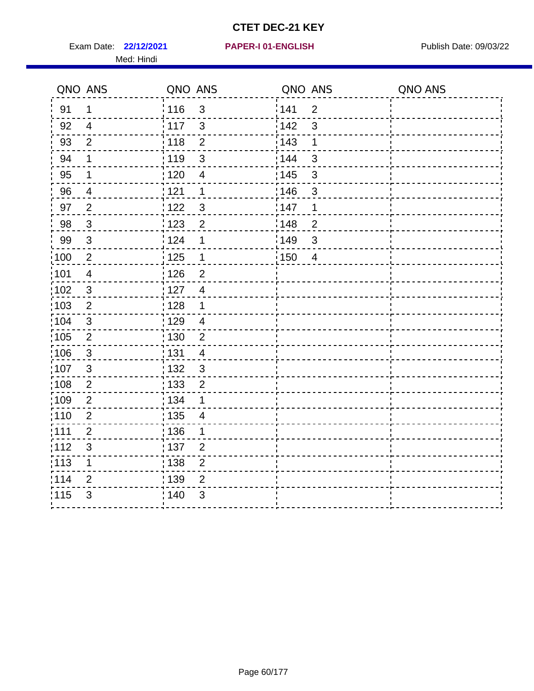Exam Date: 22/12/2021 PAPER-I 01-ENGLISH PREERENT Publish Date: 09/03/22 Med: Hindi

|                   | QNO ANS                   | QNO ANS           |                          | QNO ANS           |                | QNO ANS |
|-------------------|---------------------------|-------------------|--------------------------|-------------------|----------------|---------|
| 91                | $\mathbf 1$               | 116               | $\mathbf{3}$             | 141               | $\overline{2}$ |         |
| 92                | $\overline{4}$            | $\frac{1}{2}$ 117 | $\mathbf{3}$             | 142               | 3              |         |
| 93                | $\overline{2}$            | 118               | $\overline{2}$           | 143               | 1              |         |
| 94                | 1                         | : 119             | 3                        | : 144             | 3              |         |
| 95                | 1                         | : 120             | $\overline{\mathcal{A}}$ | : 145             | 3              |         |
| 96                | 4                         | 121               | 1                        | 146               | 3              |         |
| 97                | $\overline{2}$            | : 122             | $\mathbf{3}$             | 147               | 1              |         |
| 98                | $\mathbf{3}$              | 123               | $\overline{c}$           | 148               | $\overline{c}$ |         |
| 99                | $\ensuremath{\mathsf{3}}$ | 124               | 1                        | $\frac{1}{2}$ 149 | $\mathfrak{S}$ |         |
| $\frac{1}{1}$ 100 | $\overline{2}$            | $\frac{1}{2}$ 125 | $\mathbf 1$              | 150               | $\overline{4}$ |         |
| :101              | $\overline{\mathbf{4}}$   | : 126             | $\overline{2}$           |                   |                |         |
| 102               | $\mathfrak{B}$            | : 127             | $\overline{4}$           |                   |                |         |
| 103               | $\overline{2}$            | : 128             | $\mathbf 1$              |                   |                |         |
| 104               | $\mathbf{3}$              | : 129             | $\overline{4}$           |                   |                |         |
| 105               | $\sqrt{2}$                | 130               | $\overline{2}$           |                   |                |         |
| 106               | $\mathbf{3}$              | : 131             | $\overline{4}$           |                   |                |         |
| 107               | 3                         | :132              | $\mathbf{3}$             |                   |                |         |
| 108               | $\sqrt{2}$                | 133               | $\overline{2}$           |                   |                |         |
| :109              | $\mathbf{2}$              | : 134             | 1                        |                   |                |         |
| :110              | $\overline{2}$            | : 135             | 4                        |                   |                |         |
| 111               | $\overline{2}$            | 136               | 1                        |                   |                |         |
| 112               | $\ensuremath{\mathsf{3}}$ | 137               | $\overline{2}$           |                   |                |         |
| 113               | 1                         | 138               | $\overline{c}$           |                   |                |         |
| 114               | 2                         | 139               | $\overline{2}$           |                   |                |         |
| 115               | 3                         | 140               | $\mathfrak{S}$           |                   |                |         |
|                   |                           |                   |                          |                   |                |         |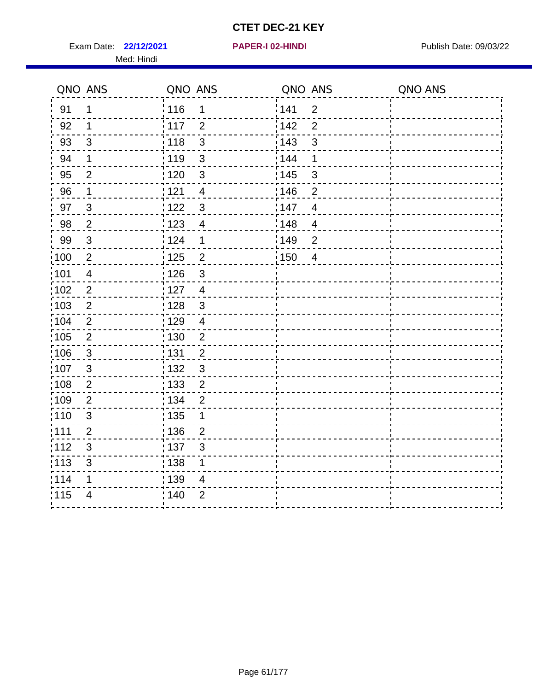Exam Date: 22/12/2021 **PAPER-I 02-HINDI Exam Date: 09/03/22** Med: Hindi

**22/12/2021 PAPER-I 02-HINDI**

|      | QNO ANS        | QNO ANS           |                | QNO ANS |                | QNO ANS |
|------|----------------|-------------------|----------------|---------|----------------|---------|
| 91   | 1              | 116               | $\mathbf 1$    | 1141    | $\overline{2}$ |         |
| 92   | 1              | 117               | $\overline{2}$ | 142     | $\overline{2}$ |         |
| 93   | $\sqrt{3}$     | 118               | $\mathbf{3}$   | 143     | $\mathfrak{S}$ |         |
| 94   | 1              | : 119             | $\mathbf{3}$   | : 144   | 1              |         |
| 95   | $\overline{2}$ | : 120             | 3              | : 145   | 3              |         |
| 96   | $\mathbf 1$    | 121               | $\overline{4}$ | :146    | $\overline{2}$ |         |
| 97   | $\mathbf{3}$   | 122               | $\mathbf{3}$   | 147     | $\overline{4}$ |         |
| 98   | $\overline{2}$ | 123               | $\overline{4}$ | 148     | $\overline{4}$ |         |
| 99   | $\sqrt{3}$     | 124               | $\mathbf 1$    | 149     | $\overline{2}$ |         |
| :100 | $\sqrt{2}$     | $\frac{1}{1}$ 125 | $\overline{2}$ | 150     | $\overline{4}$ |         |
| :101 | $\overline{4}$ | : 126             | $\mathfrak{S}$ |         |                |         |
| 102  | $\overline{2}$ | : 127             | $\overline{4}$ |         |                |         |
| 103  | $\overline{2}$ | : 128             | $\mathbf{3}$   |         |                |         |
| 104  | $\overline{2}$ | : 129             | $\overline{4}$ |         |                |         |
| :105 | $\sqrt{2}$     | : 130             | $\overline{2}$ |         |                |         |
| :106 | 3              | : 131             | $\overline{2}$ |         |                |         |
| 107  | $\mathbf{3}$   | 132               | $\mathbf{3}$   |         |                |         |
| 108  | $\sqrt{2}$     | : 133             | $\overline{2}$ |         |                |         |
| :109 | $\overline{2}$ | : 134             | $\overline{2}$ |         |                |         |
| :110 | $\mathfrak{S}$ | : 135             | 1              |         |                |         |
| :111 | $\overline{2}$ | 136               | $\overline{2}$ |         |                |         |
| 112  | $\sqrt{3}$     | : 137             | $\sqrt{3}$     |         |                |         |
| 113  | $\mathfrak{S}$ | : 138             | 1              |         |                |         |
| 114  | 1              | 139               | 4              |         |                |         |
| 115  | $\overline{4}$ | 140               | $\overline{2}$ |         |                |         |
|      |                |                   |                |         |                |         |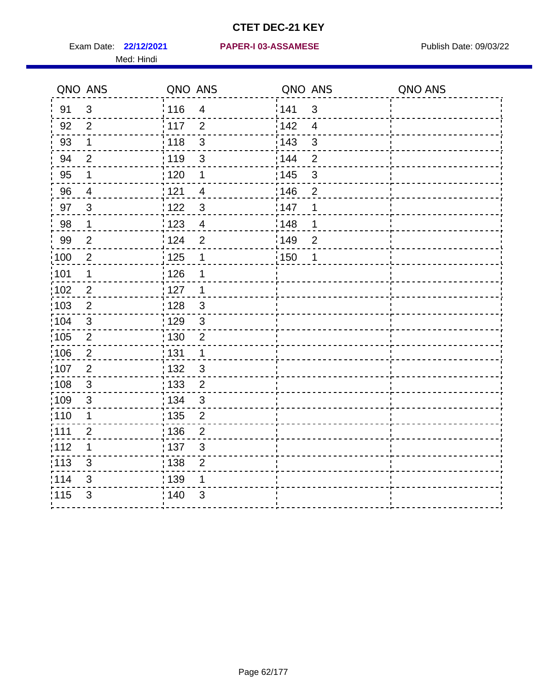Med: Hindi

#### **22/12/2021 PAPER-I 03-ASSAMESE** Exam Date: Publish Date: 09/03/22

|                   | QNO ANS        | QNO ANS           |                         | QNO ANS |                | QNO ANS |
|-------------------|----------------|-------------------|-------------------------|---------|----------------|---------|
| 91                | $\mathbf{3}$   | 116               | $\overline{\mathbf{4}}$ | 1141    | $\mathbf{3}$   |         |
| 92                | $\overline{2}$ | $\frac{1}{2}$ 117 | $\overline{2}$          | 142     | $\overline{4}$ |         |
| 93                | $\mathbf 1$    | 118               | $\mathbf{3}$            | 143     | $\mathfrak{S}$ |         |
| 94                | $\overline{2}$ | : 119             | $\mathfrak{S}$          | : 144   | $\overline{2}$ |         |
| 95                | 1              | : 120             | 1                       | : 145   | $\mathfrak{S}$ |         |
| 96                | $\overline{4}$ | : 121             | 4                       | 146     | $\overline{2}$ |         |
| 97                | $\mathfrak{S}$ | 1122              | $\sqrt{3}$              | 147     | 1              |         |
| 98                | $\mathbf{1}$   | 123               | $\overline{4}$          | 148     | 1              |         |
| 99                | $\overline{2}$ | 124               | $\overline{2}$          | :149    | $\mathbf 2$    |         |
| :100              | $\overline{2}$ | 125               | $\mathbf{1}$            | 150     | 1              |         |
| $\frac{1}{1}$ 101 | $\mathbf 1$    | : 126             | 1                       |         |                |         |
| 102               | $\overline{2}$ | : 127             | 1                       |         |                |         |
| :103              | 2              | :128              | $\mathbf{3}$            |         |                |         |
| :104              | $\mathfrak{S}$ | : 129             | $\mathbf{3}$            |         |                |         |
| 105               | $\sqrt{2}$     | : 130             | $\mathbf 2$             |         |                |         |
| 106               | $\overline{2}$ | : 131             | $\mathbf 1$             |         |                |         |
| 107               | $\overline{2}$ | :132              | $\mathfrak{B}$          |         |                |         |
| $\frac{1}{1}$ 108 | $\sqrt{3}$     | : 133             | $\overline{2}$          |         |                |         |
| :109              | $\mathfrak{S}$ | : 134             | $\sqrt{3}$              |         |                |         |
| :110              | 1              | : 135             | $\overline{2}$          |         |                |         |
| 111               | $\overline{c}$ | : 136             | $\overline{c}$          |         |                |         |
| 112               | 1              | : 137             | $\mathsf 3$             |         |                |         |
| : 113             | 3              | : 138             | $\mathbf{2}$            |         |                |         |
| 114               | 3              | 139               | 1                       |         |                |         |
| 115               | 3              | : 140             | 3                       |         |                |         |
|                   |                |                   |                         |         |                |         |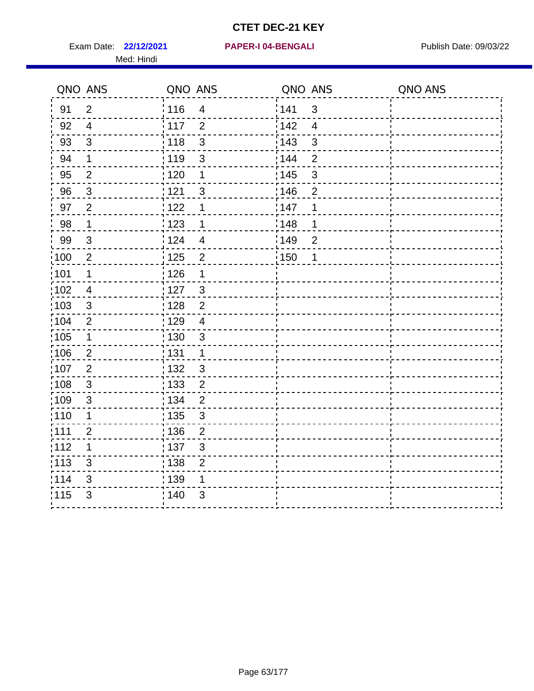Exam Date: 22/12/2021 PAPER-I 04-BENGALI PREREMENT Publish Date: 09/03/22 Med: Hindi

|                   | QNO ANS        | QNO ANS           |                         | QNO ANS           |                | QNO ANS |
|-------------------|----------------|-------------------|-------------------------|-------------------|----------------|---------|
| 91                | $\overline{2}$ | 116               | $\overline{4}$          | 141               | $\mathbf{3}$   |         |
| 92                | $\overline{4}$ | $\frac{1}{2}$ 117 | $\overline{2}$          | 142               | $\overline{4}$ |         |
| 93                | $\mathfrak{S}$ | 118               | $\mathbf{3}$            | 143               | $\mathfrak{S}$ |         |
| 94                | 1              | : 119             | 3                       | : 144             | $\overline{2}$ |         |
| 95                | 2              | : 120             | 1                       | : 145             | 3              |         |
| 96                | $\mathbf{3}$   | 121               | 3                       | 146               | $\overline{2}$ |         |
| 97                | $\overline{2}$ | : 122             | 1                       | 147               | 1              |         |
| 98                | $\mathbf{1}$   | 123               | $\mathbf 1$             | 148               | 1              |         |
| 99                | $\sqrt{3}$     | 124               | $\overline{\mathbf{4}}$ | $\frac{1}{2}$ 149 | $\overline{2}$ |         |
| $\frac{1}{1}$ 100 | $\overline{2}$ | $\frac{1}{1}$ 125 | $\overline{2}$          | 150               | 1              |         |
| :101              | 1              | : 126             | 1                       |                   |                |         |
| 102               | $\overline{4}$ | 127               | 3                       |                   |                |         |
| 103               | 3              | :128              | $\overline{2}$          |                   |                |         |
| 104               | $\overline{2}$ | : 129             | $\overline{4}$          |                   |                |         |
| 105               | $\mathbf 1$    | 130               | $\mathbf{3}$            |                   |                |         |
| :106              | $\overline{2}$ | : 131             | $\mathbf 1$             |                   |                |         |
| 107               | $\overline{2}$ | :132              | $\mathbf{3}$            |                   |                |         |
| 108               | $\sqrt{3}$     | : 133             | $\overline{2}$          |                   |                |         |
| :109              | $\mathfrak{3}$ | : 134             | $\overline{2}$          |                   |                |         |
| :110              | 1              | : 135             | 3                       |                   |                |         |
| : 111             | $\overline{c}$ | : 136             | $\overline{2}$          |                   |                |         |
| 112               | 1              | 137               | $\mathfrak{S}$          |                   |                |         |
| 113               | $\mathfrak{S}$ | : 138             | $\overline{2}$          |                   |                |         |
| 114               | 3              | 139               | 1                       |                   |                |         |
| 115               | 3              | 140               | 3                       |                   |                |         |
|                   |                |                   |                         |                   |                |         |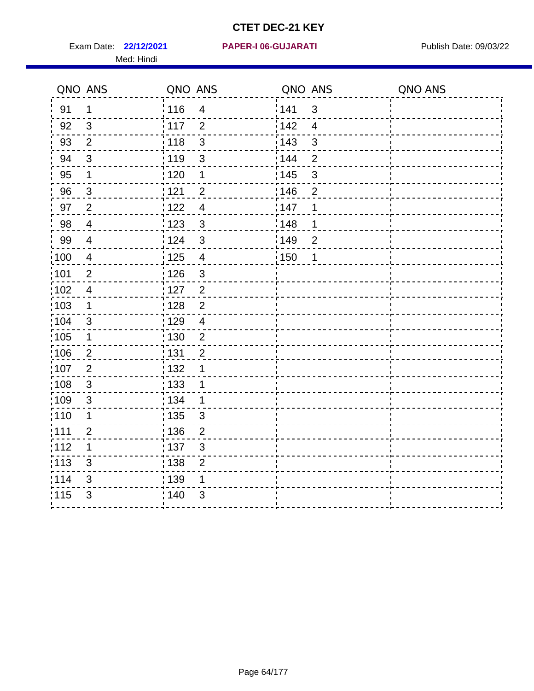**22/12/2021 PAPER-I 06-GUJARATI** Exam Date: Publish Date: 09/03/22 Med: Hindi

|                   | QNO ANS                  | QNO ANS           |                         | QNO ANS |                | QNO ANS |
|-------------------|--------------------------|-------------------|-------------------------|---------|----------------|---------|
| 91                | $\mathbf 1$              | 116               | $\overline{\mathbf{4}}$ | 1141    | $\mathbf{3}$   |         |
| 92                | 3                        | $\frac{1}{2}$ 117 | $\overline{2}$          | 142     | $\overline{4}$ |         |
| 93                | $\overline{2}$           | 118               | $\mathbf{3}$            | 143     | $\mathfrak{S}$ |         |
| 94                | 3                        | : 119             | $\mathfrak{S}$          | : 144   | $\overline{2}$ |         |
| 95                | 1                        | : 120             | 1                       | : 145   | $\mathfrak{S}$ |         |
| 96                | $\mathfrak{S}$           | : 121             | $\overline{2}$          | 146     | $\overline{2}$ |         |
| 97                | $\overline{2}$           | 1122              | $\overline{4}$          | 147     | 1              |         |
| 98                | $\overline{\mathcal{A}}$ | 1123              | $\mathfrak{3}$          | 148     | 1              |         |
| 99                | $\overline{\mathcal{A}}$ | 124               | $\mathbf{3}$            | :149    | $\mathbf 2$    |         |
| :100              | $\overline{4}$           | 125               | $\overline{\mathbf{4}}$ | 150     | 1              |         |
| $\frac{1}{1}$ 101 | $\overline{2}$           | : 126             | $\mathsf 3$             |         |                |         |
| 102               | $\overline{4}$           | : 127             | $\overline{2}$          |         |                |         |
| :103              | $\mathbf 1$              | :128              | $\overline{2}$          |         |                |         |
| 104               | $\mathfrak{B}$           | : 129             | $\overline{4}$          |         |                |         |
| 105               | $\mathbf 1$              | $\frac{1}{1}$ 130 | $\overline{2}$          |         |                |         |
| 106               | $\overline{2}$           | : 131             | $\overline{2}$          |         |                |         |
| 107               | 2                        | :132              | 1                       |         |                |         |
| $\frac{1}{1}$ 108 | $\sqrt{3}$               | : 133             | $\mathbf 1$             |         |                |         |
| :109              | $\mathfrak{S}$           | : 134             | $\mathbf 1$             |         |                |         |
| :110              | 1                        | : 135             | 3                       |         |                |         |
| 111               | $\overline{c}$           | : 136             | $\overline{c}$          |         |                |         |
| 112               | 1                        | : 137             | $\mathsf 3$             |         |                |         |
| $\frac{1}{1}$ 113 | 3                        | : 138             | $\mathbf{2}$            |         |                |         |
| 114               | 3                        | 139               | 1                       |         |                |         |
| 115               | 3                        | : 140             | 3                       |         |                |         |
|                   |                          |                   |                         |         |                |         |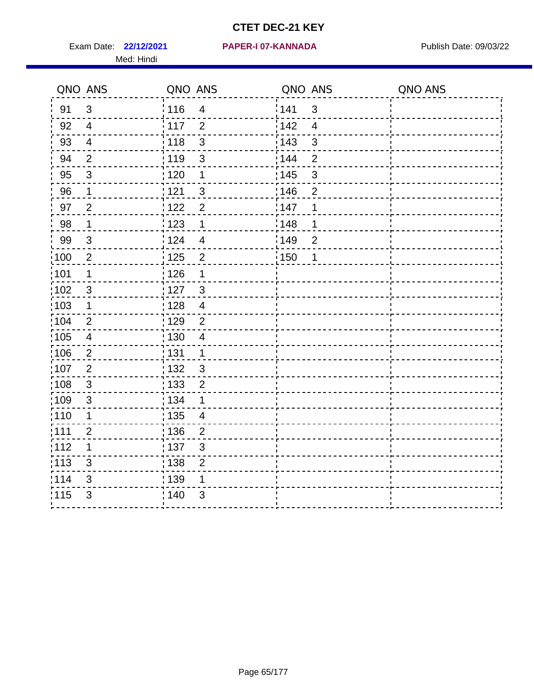Exam Date: 22/12/2021 PAPER-I 07-KANNADA Publish Date: 09/03/22 Med: Hindi

|                   | QNO ANS                   | QNO ANS                 |                         | QNO ANS |                          | QNO ANS |
|-------------------|---------------------------|-------------------------|-------------------------|---------|--------------------------|---------|
| 91                | $\mathfrak{S}$            | 116                     | $\overline{\mathbf{4}}$ | 141     | $\sqrt{3}$               |         |
| 92                | $\overline{4}$            | $\frac{1}{2}$ 117       | $\overline{2}$          | 142     | $\overline{\mathcal{L}}$ |         |
| 93                | $\overline{\mathbf{4}}$   | : 118<br>$\mathbf{3}$   |                         | 143     | $\mathsf 3$              |         |
| 94                | $\overline{2}$            | : 119                   | $\mathbf{3}$            | : 144   | $\overline{2}$           |         |
| 95                | 3                         | :120<br>$\mathbf 1$     |                         | : 145   | 3                        |         |
| 96                | $\mathbf 1$               | 121                     | $\mathfrak{S}$          | :146    | $\mathbf{2}$             |         |
| 97                | $\overline{2}$            | 122<br>$\overline{2}$   |                         | 147     | 1                        |         |
| 98                | $\mathbf 1$               | 123<br>$\mathbf 1$      |                         | 148     | 1                        |         |
| 99                | $\sqrt{3}$                | 124                     | $\overline{\mathbf{4}}$ | :149    | $\overline{c}$           |         |
| $\frac{1}{1}$ 100 | $\overline{2}$            | 125<br>$\overline{2}$   |                         | : 150   | 1                        |         |
| $\frac{1}{1}$ 101 | 1                         | 126                     | 1                       |         |                          |         |
| 102               | $\mathfrak{B}$            | : 127<br>$\mathbf{3}$   |                         |         |                          |         |
| 103               | $\mathbf 1$               | :128<br>$\overline{4}$  |                         |         |                          |         |
| 104               | 2                         | : 129<br>$\overline{2}$ |                         |         |                          |         |
| 105               | $\overline{\mathbf{4}}$   | : 130<br>$\overline{a}$ |                         |         |                          |         |
| 106               | $\overline{2}$            | 131<br>$\mathbf 1$      |                         |         |                          |         |
| :107              | $\overline{2}$            | : 132<br>$\mathbf{3}$   |                         |         |                          |         |
| $\frac{1}{1}$ 108 | $\ensuremath{\mathsf{3}}$ | 133                     | $\mathbf 2$             |         |                          |         |
| 109               | $\mathfrak{S}$            | : 134<br>1              |                         |         |                          |         |
| :110              | 1                         | : 135                   | 4                       |         |                          |         |
| 111               | $\overline{c}$            | : 136<br>$\overline{c}$ |                         |         |                          |         |
| 112               | 1                         | 137                     | $\sqrt{3}$              |         |                          |         |
| : 113             | 3                         | ; 138<br>$\overline{2}$ |                         |         |                          |         |
| 114               | 3                         | 139                     | 1                       |         |                          |         |
| 115               | 3                         | 140                     | 3                       |         |                          |         |
|                   |                           |                         |                         |         |                          |         |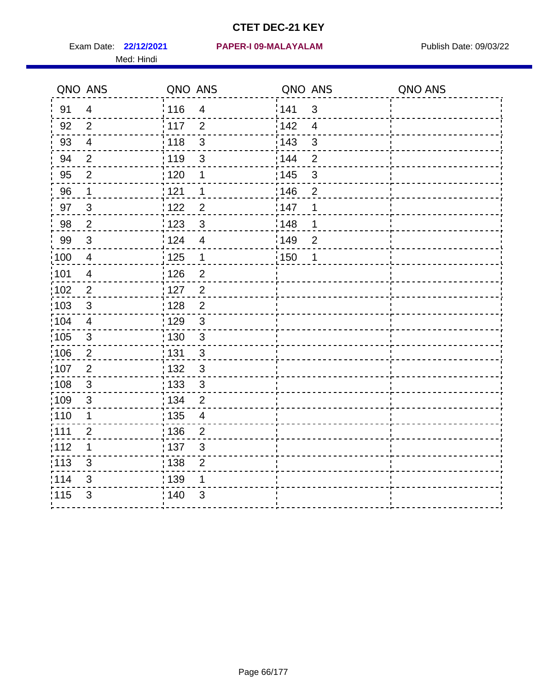Med: Hindi

|                   | QNO ANS                 | QNO ANS           |                         | QNO ANS |                | QNO ANS |
|-------------------|-------------------------|-------------------|-------------------------|---------|----------------|---------|
| 91                | $\overline{4}$          | 116               | $\overline{\mathbf{4}}$ | 141     | $\sqrt{3}$     |         |
| 92                | $\overline{2}$          | 117               | $\overline{2}$          | 142     | $\overline{4}$ |         |
| 93                | $\overline{4}$          | 118               | $\mathbf{3}$            | 143     | 3              |         |
| 94                | 2                       | : 119             | $\mathbf{3}$            | : 144   | $\overline{2}$ |         |
| 95                | 2                       | :120              | 1                       | : 145   | $\mathfrak{S}$ |         |
| 96                | $\mathbf 1$             | : 121             | 1                       | 146     | $\overline{2}$ |         |
| 97                | $\mathfrak{B}$          | : 122             | $\overline{2}$          | 147     | 1              |         |
| 98                | $\sqrt{2}$              | 123               | $\mathbf{3}$            | 148     | 1              |         |
| 99                | $\sqrt{3}$              | 124               | $\overline{4}$          | :149    | $\mathbf 2$    |         |
| $\frac{1}{1}$ 100 | $\overline{4}$          | : 125             | $\mathbf{1}$            | 150     | $\mathbf 1$    |         |
| :101              | $\overline{4}$          | : 126             | $\overline{c}$          |         |                |         |
| 102               | $\overline{2}$          | : 127             | $\overline{2}$          |         |                |         |
| 103               | 3                       | : 128             | $\overline{2}$          |         |                |         |
| 104               | $\overline{4}$          | : 129             | $\sqrt{3}$              |         |                |         |
| 105               | $\sqrt{3}$              | : 130             | $\mathfrak{S}$          |         |                |         |
| 106               | $\overline{2}$          | : 131             | $\mathbf{3}$            |         |                |         |
| ,107              | $\overline{2}$          | : 132             | 3                       |         |                |         |
| $\frac{1}{1}$ 108 | $\sqrt{3}$              | $\frac{1}{1}$ 133 | $\sqrt{3}$              |         |                |         |
| :109              | $\mathbf{3}$            | : 134             | $\overline{2}$          |         |                |         |
| :110              | 1                       | : 135             | 4                       |         |                |         |
| 111               | $\overline{\mathbf{c}}$ | : 136             | $\overline{c}$          |         |                |         |
| 112               | 1                       | : 137             | $\sqrt{3}$              |         |                |         |
| : 113             | $\mathfrak{S}$          | : 138             | $\overline{c}$          |         |                |         |
| 114               | 3                       | 139               | 1                       |         |                |         |
| 115               | 3                       | :140              | 3                       |         |                |         |
|                   |                         |                   |                         |         |                |         |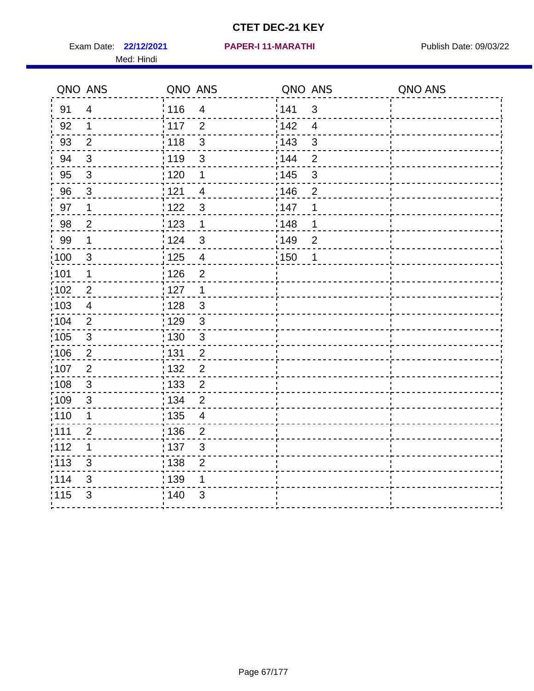Exam Date: 22/12/2021 PAPER-I 11-MARATHI PUBlish Date: 09/03/22 Med: Hindi

|                   | QNO ANS        | QNO ANS           |                         | QNO ANS           |                          | QNO ANS |
|-------------------|----------------|-------------------|-------------------------|-------------------|--------------------------|---------|
| 91                | $\overline{4}$ | 116               | $\overline{\mathbf{4}}$ | 141               | $\sqrt{3}$               |         |
| 92                | $\mathbf 1$    | 117               | $\overline{2}$          | 142               | $\overline{\mathcal{A}}$ |         |
| 93                | $\overline{2}$ | 118               | $\mathbf{3}$            | 143               | 3                        |         |
| 94                | 3              | : 119             | $\mathfrak{S}$          | : 144             | $\overline{2}$           |         |
| 95                | 3              | : 120             | 1                       | : 145             | 3                        |         |
| 96                | $\mathbf{3}$   | 121               | $\overline{4}$          | 146               | $\overline{2}$           |         |
| 97                | $\mathbf 1$    | $122$             | 3                       | 147               | 1                        |         |
| 98                | $\overline{c}$ | $\frac{1}{2}$ 123 | $\mathbf{1}$            | 148               | 1                        |         |
| 99                | $\mathbf 1$    | 124               | $\mathfrak{S}$          | $\frac{1}{2}$ 149 | $\overline{2}$           |         |
| $\frac{1}{1}$ 100 | $\mathbf{3}$   | 125               | $\overline{\mathbf{4}}$ | 150               | 1                        |         |
| :101              | 1              | 126               | $\overline{2}$          |                   |                          |         |
| 102               | 2              | : 127             | 1                       |                   |                          |         |
| 103               | $\overline{4}$ | 128               | $\mathbf{3}$            |                   |                          |         |
| 104               | $\overline{2}$ | : 129             | $\mathfrak{3}$          |                   |                          |         |
| 105               | $\sqrt{3}$     | : 130             | $\mathfrak{S}$          |                   |                          |         |
| :106              | $\overline{2}$ | : 131             | $\overline{2}$          |                   |                          |         |
| 107               | $\overline{2}$ | : 132             | $\overline{2}$          |                   |                          |         |
| 108               | $\sqrt{3}$     | $\frac{1}{1}$ 133 | $\overline{2}$          |                   |                          |         |
| :109              | $\mathfrak{S}$ | : 134             | $\overline{2}$          |                   |                          |         |
| :110              | 1              | : 135             | $\overline{4}$          |                   |                          |         |
| :111              | $\overline{c}$ | : 136             | $\overline{c}$          |                   |                          |         |
| 112               | 1              | 137               | $\mathfrak{S}$          |                   |                          |         |
| 113               | $\mathbf{3}$   | : 138             | $\overline{2}$          |                   |                          |         |
| 114               | 3              | 139               | 1                       |                   |                          |         |
| 115               | 3              | 140               | $\mathfrak{S}$          |                   |                          |         |
|                   |                |                   |                         |                   |                          |         |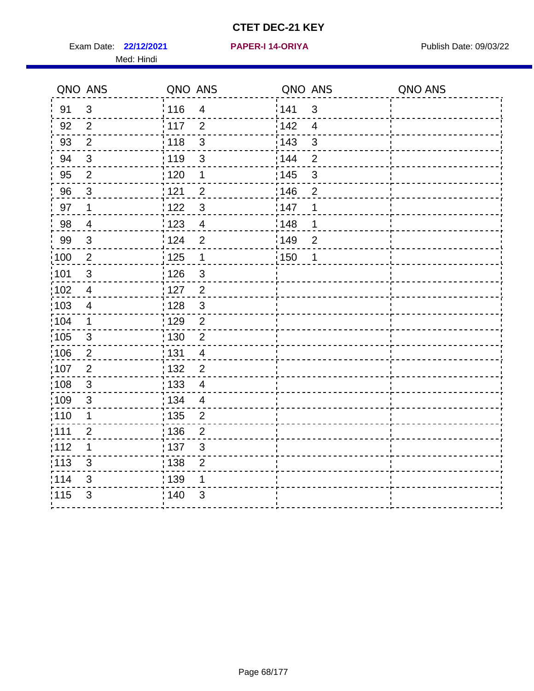Exam Date: 22/12/2021 **PAPER-I 14-ORIYA** Publish Date: 09/03/22 Med: Hindi

**22/12/2021 PAPER-I 14-ORIYA**

|                   | QNO ANS                   | QNO ANS           |                         | QNO ANS |                | QNO ANS |
|-------------------|---------------------------|-------------------|-------------------------|---------|----------------|---------|
| 91                | $\mathfrak{S}$            | 116               | $\overline{\mathbf{4}}$ | 141     | $\mathfrak{B}$ |         |
| 92                | $\overline{2}$            | 117               | $\overline{2}$          | 142     | $\overline{4}$ |         |
| 93                | $\overline{2}$            | 118               | $\mathbf{3}$            | 143     | $\mathbf{3}$   |         |
| 94                | 3                         | : 119             | $\mathfrak{S}$          | 144     | $\overline{2}$ |         |
| 95                | $\overline{2}$            | :120              | $\mathbf 1$             | : 145   | 3              |         |
| 96                | $\mathfrak{S}$            | 121               | $\overline{2}$          | :146    | $\overline{2}$ |         |
| 97                | $\mathbf 1$               | 122               | $\mathbf{3}$            | 147     | 1              |         |
| 98                | $\overline{\mathbf{4}}$   | 123               | $\overline{4}$          | : 148   | 1              |         |
| 99                | $\ensuremath{\mathsf{3}}$ | : 124             | $\overline{2}$          | 149     | $\mathbf 2$    |         |
| $\frac{1}{1}$ 100 | $\sqrt{2}$                | 125               | $\mathbf{1}$            | 150     | 1              |         |
| 101               | $\mathfrak{S}$            | : 126             | 3                       |         |                |         |
| 102               | $\overline{4}$            | : 127             | $\overline{2}$          |         |                |         |
| ;103              | $\overline{4}$            | 128               | $\mathbf{3}$            |         |                |         |
| 104               | $\mathbf{1}$              | : 129             | $\overline{2}$          |         |                |         |
| 105               | $\sqrt{3}$                | : 130             | $\overline{2}$          |         |                |         |
| ;106              | $\overline{2}$            | : 131             | $\overline{4}$          |         |                |         |
| :107              | $\overline{2}$            | : 132             | $\overline{2}$          |         |                |         |
| 108               | $\sqrt{3}$                | $\frac{1}{1}$ 133 | $\overline{\mathbf{4}}$ |         |                |         |
| :109              | $\mathfrak{S}$            | : 134             | $\overline{4}$          |         |                |         |
| :110              | 1                         | : 135             | 2                       |         |                |         |
| 111               | $\overline{2}$            | : 136             | $\overline{2}$          |         |                |         |
| 112               | 1                         | 137               | $\sqrt{3}$              |         |                |         |
| 113               | 3                         | : 138             | $\overline{2}$          |         |                |         |
| 114               | 3                         | : 139             | 1                       |         |                |         |
| 115               | 3                         | 140               | 3                       |         |                |         |
|                   |                           |                   |                         |         |                |         |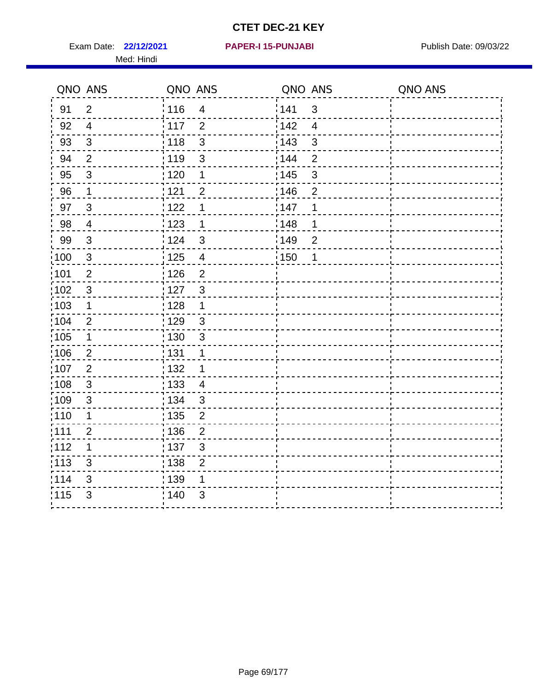Exam Date: 22/12/2021 PAPER-I 15-PUNJABI PUBLISH Date: 09/03/22 Med: Hindi

|        | QNO ANS        | QNO ANS           |                         | QNO ANS           |                          | QNO ANS |
|--------|----------------|-------------------|-------------------------|-------------------|--------------------------|---------|
| 91     | $\overline{2}$ | 116               | $\overline{\mathbf{4}}$ | 141               | $\sqrt{3}$               |         |
| 92     | $\overline{4}$ | 117               | $\overline{2}$          | 142               | $\overline{\mathcal{A}}$ |         |
| 93     | $\sqrt{3}$     | 118               | 3                       | 143               | $\mathbf{3}$             |         |
| 94     | $\overline{2}$ | : 119             | $\mathbf{3}$            | 144               | $\overline{2}$           |         |
| 95     | 3              | : 120             | 1                       | : 145             | 3                        |         |
| 96     | $\mathbf{1}$   | 121               | $\overline{2}$          | 146               | $\overline{2}$           |         |
| 97     | $\mathbf{3}$   | 122               | 1                       | 147               | 1                        |         |
| $98\,$ | $\overline{4}$ | 123               | $\mathbf 1$             | ¦148              | 1                        |         |
| 99     | $\sqrt{3}$     | 124               | $\mathbf{3}$            | $\frac{1}{2}$ 149 | $\overline{2}$           |         |
| :100   | $\sqrt{3}$     | 125               | $\overline{4}$          | $\frac{1}{1}$ 150 | 1                        |         |
| :101   | $\overline{2}$ | : 126             | $\overline{2}$          |                   |                          |         |
| 102    | $\mathfrak{3}$ | : 127             | $\mathbf{3}$            |                   |                          |         |
| ;103   | $\mathbf 1$    | :128              | $\mathbf 1$             |                   |                          |         |
| 104    | $\overline{2}$ | : 129             | $\mathfrak{S}$          |                   |                          |         |
| 105    | $\mathbf 1$    | $\frac{1}{1}$ 130 | $\mathfrak{S}$          |                   |                          |         |
| :106   | $\overline{2}$ | : 131             | 1                       |                   |                          |         |
| 107    | $\overline{2}$ | 132               | 1                       |                   |                          |         |
| 108    | $\mathbf{3}$   | : 133             | $\overline{4}$          |                   |                          |         |
| :109   | $\sqrt{3}$     | : 134             | 3                       |                   |                          |         |
| :110   | 1              | : 135             | $\overline{2}$          |                   |                          |         |
| 111    | $\overline{2}$ | : 136             | $\mathbf{2}$            |                   |                          |         |
| 112    | 1              | $\frac{1}{1}$ 137 | $\mathfrak{S}$          |                   |                          |         |
| 113    | 3              | : 138             | $\overline{2}$          |                   |                          |         |
| 114    | 3              | : 139             | 1                       |                   |                          |         |
| 115    | $\mathfrak{S}$ | 140               | $\mathfrak{S}$          |                   |                          |         |
|        |                |                   |                         |                   |                          |         |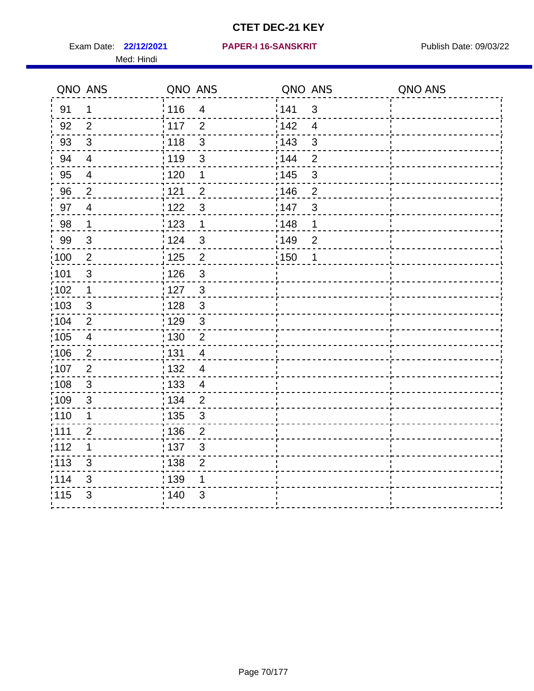Exam Date: 22/12/2021 PAPER-I 16-SANSKRIT Publish Date: 09/03/22 Med: Hindi

|                   | QNO ANS                 | QNO ANS           |                          | QNO ANS           |                         | QNO ANS |
|-------------------|-------------------------|-------------------|--------------------------|-------------------|-------------------------|---------|
| 91                | $\mathbf 1$             | : 116             | $\overline{4}$           | 141               | $\mathbf{3}$            |         |
| 92                | $\overline{2}$          | $\frac{1}{2}$ 117 | $\overline{2}$           | 142               | $\overline{\mathbf{4}}$ |         |
| 93                | $\sqrt{3}$              | 118               | $\mathsf 3$              | 143               | $\mathfrak{S}$          |         |
| 94                | $\overline{4}$          | : 119             | $\mathfrak{S}$           | : 144             | $\overline{2}$          |         |
| 95                | 4                       | : 120             | 1                        | : 145             | $\mathbf{3}$            |         |
| 96                | $\overline{2}$          | 1121              | $\overline{2}$           | :146              | $\overline{2}$          |         |
| 97                | $\overline{4}$          | 122               | $\mathfrak{S}$           | 147               | $\sqrt{3}$              |         |
| 98                | $\mathbf{1}$            | 1123              | $\mathbf{1}$             | : 148             | 1                       |         |
| 99                | $\sqrt{3}$              | 124               | $\mathfrak{S}$           | :149              | $\mathbf 2$             |         |
| 100               | $\sqrt{2}$              | $\frac{1}{1}$ 125 | $\overline{2}$           | $\frac{1}{1}$ 150 | 1                       |         |
| :101              | $\sqrt{3}$              | : 126             | $\mathsf 3$              |                   |                         |         |
| 102               | $\mathbf 1$             | : 127             | $\mathbf{3}$             |                   |                         |         |
| 103               | 3                       | : 128             | $\mathbf{3}$             |                   |                         |         |
| 104               | $\overline{2}$          | : 129             | $\mathbf{3}$             |                   |                         |         |
| 105               | $\overline{\mathbf{4}}$ | 130               | $\overline{2}$           |                   |                         |         |
| 106               | $\overline{2}$          | : 131             | $\overline{\mathcal{A}}$ |                   |                         |         |
| :107              | $\overline{2}$          | : 132             | $\overline{4}$           |                   |                         |         |
| $\frac{1}{1}$ 108 | $\sqrt{3}$              | : 133             | $\overline{4}$           |                   |                         |         |
| :109              | $\mathfrak{B}$          | : 134             | $\overline{2}$           |                   |                         |         |
| :110              | 1                       | : 135             | $\mathfrak{S}$           |                   |                         |         |
| 111               | $\overline{2}$          | : 136             | $\overline{2}$           |                   |                         |         |
| 112               | 1                       | : 137             | $\mathsf 3$              |                   |                         |         |
| :113              | 3                       | : 138             | $\mathbf{2}$             |                   |                         |         |
| 114               | 3                       | 139               | 1                        |                   |                         |         |
| 115               | 3                       | : 140             | 3                        |                   |                         |         |
|                   |                         |                   |                          |                   |                         |         |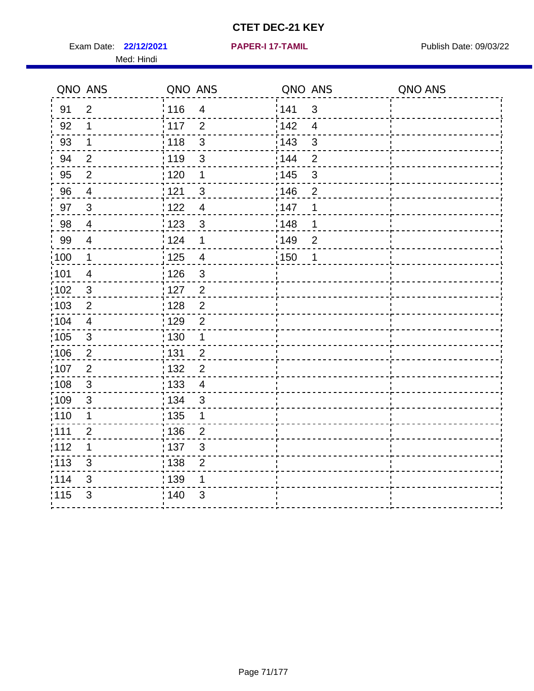Exam Date: 22/12/2021 **PAPER-I 17-TAMIL** Publish Date: 09/03/22 Med: Hindi

**22/12/2021 PAPER-I 17-TAMIL**

|                   | QNO ANS                 | QNO ANS                             | QNO ANS |                | QNO ANS |
|-------------------|-------------------------|-------------------------------------|---------|----------------|---------|
| 91                | $\overline{2}$          | : 116<br>$\overline{4}$             | 141     | $\mathbf{3}$   |         |
| 92                | 1                       | 117<br>$\overline{2}$               | 142     | $\overline{4}$ |         |
| 93                | $\mathbf 1$             | : 118<br>$\mathfrak{S}$             | 143     | $\mathfrak{S}$ |         |
| 94                | $\overline{2}$          | : 119<br>3                          | 144     | $\overline{2}$ |         |
| 95                | $\overline{2}$          | : 120<br>1                          | : 145   | $\mathfrak{S}$ |         |
| 96                | 4                       | 121<br>3                            | :146    | $\overline{2}$ |         |
| 97                | $\mathbf{3}$            | 122<br>$\overline{4}$               | 147     | 1              |         |
| 98                | $\overline{4}$          | : 123<br>$\mathbf{3}$               | 148     | 1              |         |
| 99                | $\overline{\mathbf{4}}$ | 124<br>1                            | :149    | $\overline{c}$ |         |
| 100               | $\mathbf 1$             | $\frac{1}{2}$ 125<br>$\overline{4}$ | : 150   | 1              |         |
| 101               | $\overline{4}$          | 126<br>$\mathfrak{S}$               |         |                |         |
| 102               | $\mathbf{3}$            | : 127<br>$\overline{2}$             |         |                |         |
| 103               | $\overline{2}$          | $\overline{2}$<br>: 128             |         |                |         |
| 104               | $\overline{4}$          | : 129<br>$\overline{2}$             |         |                |         |
| :105              | $\sqrt{3}$              | : 130<br>$\mathbf 1$                |         |                |         |
| 106               | $\overline{2}$          | : 131<br>$\overline{2}$             |         |                |         |
| :107              | $\overline{2}$          | : 132<br>$\overline{2}$             |         |                |         |
| :108              | $\sqrt{3}$              | : 133<br>$\overline{\mathcal{A}}$   |         |                |         |
| :109              | $\sqrt{3}$              | : 134<br>$\mathbf{3}$               |         |                |         |
| : 110             | 1                       | : 135<br>1                          |         |                |         |
| : 111             | $\overline{2}$          | : 136<br>$\overline{2}$             |         |                |         |
| 112               | 1                       | : 137<br>$\mathfrak{S}$             |         |                |         |
| $\frac{1}{1}$ 113 | 3                       | 138<br>$\overline{2}$               |         |                |         |
| 114               | 3                       | 139<br>1                            |         |                |         |
| 115               | 3                       | 140<br>3                            |         |                |         |
|                   |                         |                                     |         |                |         |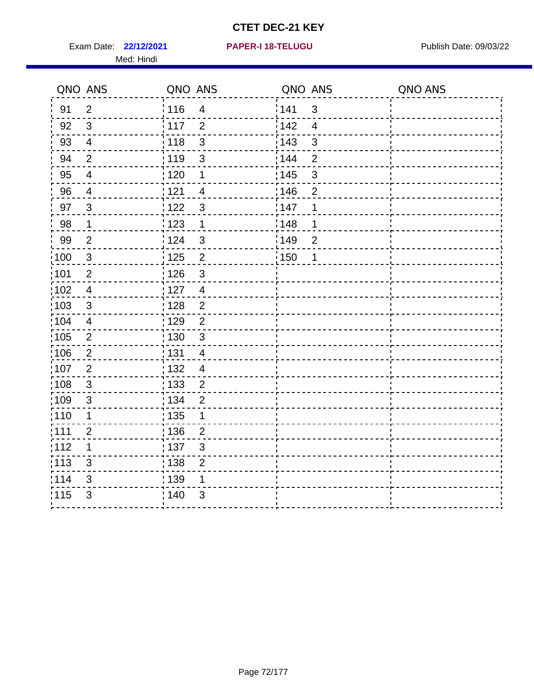Exam Date: 22/12/2021 **PAPER-I 18-TELUGU** PUBLISH Date: 09/03/22 Med: Hindi

|                   | QNO ANS        | QNO ANS           |                         | QNO ANS           |                | QNO ANS |
|-------------------|----------------|-------------------|-------------------------|-------------------|----------------|---------|
| 91                | $\overline{2}$ | 116               | $\overline{4}$          | 141               | $\mathfrak{S}$ |         |
| 92                | $\mathfrak{3}$ | 117               | $\overline{2}$          | 142               | $\overline{4}$ |         |
| 93                | $\overline{4}$ | 118               | $\mathbf{3}$            | $\frac{1}{2}$ 143 | 3              |         |
| 94                | $\overline{2}$ | : 119             | $\mathfrak{3}$          | : 144             | $\overline{2}$ |         |
| 95                | 4              | :120              | 1                       | : 145             | 3              |         |
| 96                | $\overline{4}$ | 121               | $\overline{4}$          | 146               | $\overline{2}$ |         |
| 97                | $\mathbf{3}$   | 122               | $\mathbf{3}$            | 147               | 1              |         |
| $98\,$            | $\mathbf{1}$   | $\frac{1}{2}$ 123 | $\mathbf{1}$            | 148               | 1              |         |
| 99                | $\mathbf{2}$   | 124               | $\mathbf{3}$            | ¦149              | $\overline{c}$ |         |
| $\frac{1}{1}$ 100 | $\mathbf{3}$   | 125               | $\overline{2}$          | 150               | 1              |         |
| 101               | $\mathbf{2}$   | 126               | $\mathfrak{S}$          |                   |                |         |
| 102               | $\overline{4}$ | : 127             | $\overline{\mathbf{4}}$ |                   |                |         |
| 103               | 3              | :128              | $\overline{2}$          |                   |                |         |
| 104               | $\overline{4}$ | : 129             | $\overline{2}$          |                   |                |         |
| 105               | $\sqrt{2}$     | 130               | $\mathfrak{S}$          |                   |                |         |
| :106              | 2              | : 131             | $\overline{4}$          |                   |                |         |
| 107               | 2              | : 132             | $\overline{4}$          |                   |                |         |
| 108               | $\mathbf{3}$   | 133               | $\overline{2}$          |                   |                |         |
| :109              | $\sqrt{3}$     | : 134             | $\overline{2}$          |                   |                |         |
| :110              | 1              | 135               | 1                       |                   |                |         |
| ;111              | $\overline{2}$ | : 136             | $\overline{2}$          |                   |                |         |
| 112               | 1              | : 137             | $\mathsf 3$             |                   |                |         |
| : 113             | $\mathsf 3$    | : 138             | $\mathbf{2}$            |                   |                |         |
| 114               | 3              | : 139             | 1                       |                   |                |         |
| 115               | 3              | 140               | $\mathfrak{S}$          |                   |                |         |
|                   |                |                   |                         |                   |                |         |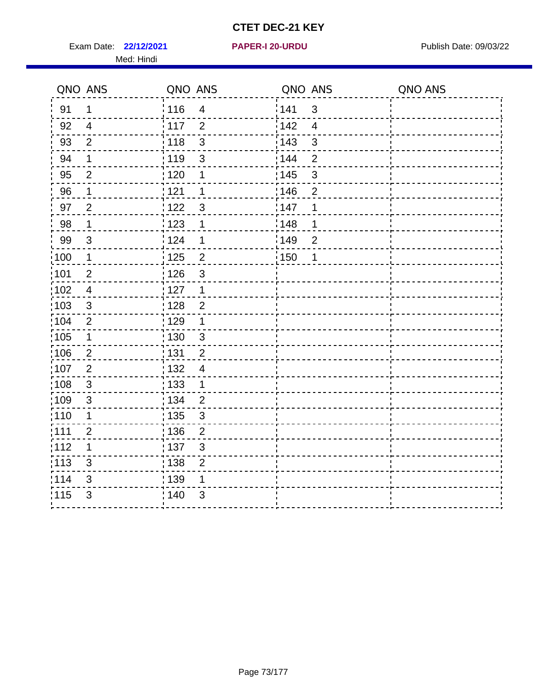Exam Date: 22/12/2021 **PAPER-I 20-URDU** PAPER 120-VIRDU Med: Hindi

**22/12/2021 PAPER-I 20-URDU**

|                   | QNO ANS                   | QNO ANS                             | QNO ANS |                | QNO ANS |
|-------------------|---------------------------|-------------------------------------|---------|----------------|---------|
| 91                | $\mathbf 1$               | 116<br>$\overline{4}$               | 1141    | $\mathsf 3$    |         |
| 92                | $\overline{4}$            | 117<br>$\overline{2}$               | 142     | $\overline{4}$ |         |
| 93                | $\overline{2}$            | 3<br>118                            | 143     | $\mathbf{3}$   |         |
| 94                | 1                         | : 119<br>3                          | 144     | $\overline{2}$ |         |
| 95                | $\overline{2}$            | :120<br>1                           | : 145   | 3              |         |
| 96                | 1                         | : 121<br>1                          | 146     | $\overline{2}$ |         |
| 97                | $\overline{2}$            | 3<br>: 122                          | 147     | 1              |         |
| 98                | $\mathbf 1$               | $\frac{1}{2}$ 123<br>$\mathbf 1$    | ¦148    | 1              |         |
| 99                | $\sqrt{3}$                | 124<br>1                            | :149    | $\overline{2}$ |         |
| :100              | $\mathbf 1$               | $\overline{c}$<br>125               | 150     | 1              |         |
| :101              | $\overline{2}$            | : 126<br>3                          |         |                |         |
| 102               | $\overline{4}$            | : 127<br>1                          |         |                |         |
| 103               | $\mathfrak{S}$            | $\overline{2}$<br>128               |         |                |         |
| 104               | $\overline{2}$            | : 129<br>1                          |         |                |         |
| 105               | $\mathbf 1$               | : 130<br>$\mathbf{3}$               |         |                |         |
| 106               | $\overline{2}$            | : 131<br>$\overline{2}$             |         |                |         |
| ,107              | $\overline{2}$            | : 132<br>$\overline{4}$             |         |                |         |
| $\frac{1}{1}$ 108 | $\ensuremath{\mathsf{3}}$ | $\frac{1}{1}$ 133<br>$\mathbf 1$    |         |                |         |
| :109              | $\mathsf 3$               | : 134<br>$\overline{2}$             |         |                |         |
| :110              | 1                         | : 135<br>3                          |         |                |         |
| 111               | $\overline{c}$            | : 136<br>$\overline{c}$             |         |                |         |
| 112               | 1                         | $\frac{1}{1}$ 137<br>$\mathsf 3$    |         |                |         |
| : 113             | 3                         | $\frac{1}{1}$ 138<br>$\overline{c}$ |         |                |         |
| 114               | 3                         | 139<br>1                            |         |                |         |
| 115               | 3                         | 140<br>3                            |         |                |         |
|                   |                           |                                     |         |                |         |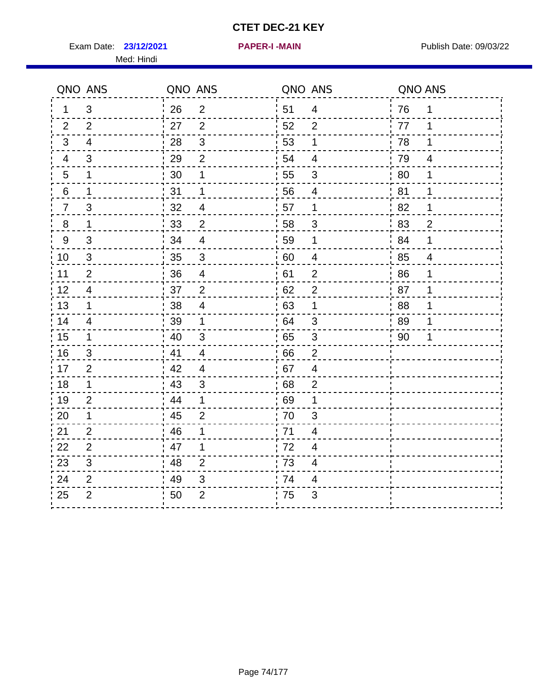**23/12/2021 PAPER-I -MAIN** Exam Date: Publish Date: 09/03/22

Med: Hindi

| PAPER-I -MAIN |  |  |
|---------------|--|--|
|               |  |  |

|                | QNO ANS        | QNO ANS |                           | QNO ANS |                          | QNO ANS |                |
|----------------|----------------|---------|---------------------------|---------|--------------------------|---------|----------------|
| 1              | 3              | 26      | $\overline{c}$            | 51      | $\overline{4}$           | 76      | $\mathbf 1$    |
| $\overline{2}$ | 2              | 27      | 2                         | 52      | 2                        | 77      | 1              |
| 3              | 4              | 28      | 3                         | 53      | 1                        | 78      | 1              |
| 4              | 3              | 29      | $\overline{2}$            | 54      | 4                        | 79      | 4              |
| 5              | 1              | 30      | 1                         | 55      | 3                        | 80      | 1              |
| 6              | $\mathbf 1$    | 31      | 1                         | 56      | 4                        | 81      | $\mathbf 1$    |
| $\overline{7}$ | $\mathbf{3}$   | 32      | $\overline{4}$            | 57      | 1                        | 82      | 1              |
| 8              | $\mathbf{1}$   | 33      | $\overline{2}$            | 58      | 3                        | 83      | $\overline{2}$ |
| 9              | 3              | 34      | $\overline{\mathcal{A}}$  | 59      | 1                        | 84      | 1              |
| 10             | 3              | 35      | $\mathbf{3}$              | 60      | 4                        | 85      | 4              |
| 11             | 2              | 36      | $\overline{4}$            | 61      | $\overline{2}$           | 86      | 1              |
| 12             | 4              | 37      | $\overline{2}$            | 62      | $\overline{2}$           | 87      | 1              |
| 13             | $\mathbf 1$    | 38      | $\overline{\mathbf{4}}$   | 63      | 1                        | 88      | 1              |
| 14             | $\overline{4}$ | 39      | 1                         | 64      | $\mathfrak{S}$           | 89      | 1              |
| 15             | 1              | 40      | 3                         | 65      | 3                        | 90      | 1              |
| 16             | 3              | 41      | 4                         | 66      | 2                        |         |                |
| 17             | $\overline{2}$ | 42      | $\overline{\mathcal{A}}$  | 67      | $\overline{4}$           |         |                |
| $18$           | $\mathbf{1}$   | 43      | $\ensuremath{\mathsf{3}}$ | 68      | $\overline{2}$           |         |                |
| 19             | $\overline{2}$ | 44      | 1                         | 69      | 1                        |         |                |
| 20             | $\mathbf 1$    | 45      | $\overline{2}$            | 70      | 3                        |         |                |
| 21             | $\overline{2}$ | 46      | $\mathbf 1$               | 71      | 4                        |         |                |
| 22             | $\overline{2}$ | 47      | 1                         | 72      | $\overline{\mathcal{A}}$ |         |                |
| 23             | $\sqrt{3}$     | 48      | $\overline{2}$            | 73      | 4                        |         |                |
| 24             | $\overline{2}$ | 49      | 3                         | 74      | 4                        |         |                |
| 25             | $\overline{2}$ | 50      | $\overline{2}$            | 75      | 3                        |         |                |
|                |                |         |                           |         |                          |         |                |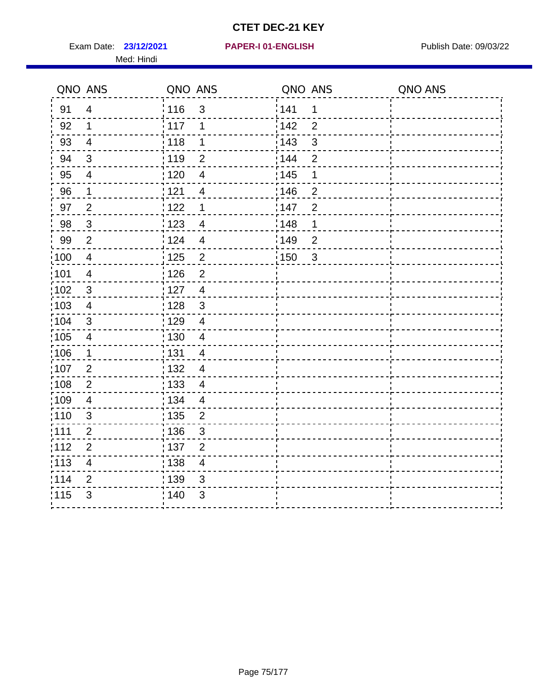Exam Date: 23/12/2021 PAPER-I 01-ENGLISH PREERENT Publish Date: 09/03/22 Med: Hindi

|                   | QNO ANS                  | QNO ANS |                         | QNO ANS           |                | QNO ANS |
|-------------------|--------------------------|---------|-------------------------|-------------------|----------------|---------|
| 91                | $\overline{4}$           | 116     | 3                       | 141               | $\mathbf 1$    |         |
| 92                | $\mathbf 1$              | 117     | 1                       | 142               | $\overline{2}$ |         |
| 93                | $\overline{4}$           | 118     | 1                       | 143               | 3              |         |
| 94                | 3                        | : 119   | $\overline{2}$          | 144               | $\overline{2}$ |         |
| 95                | 4                        | : 120   | $\overline{4}$          | : 145             | 1              |         |
| 96                | $\mathbf 1$              | 121     | $\overline{4}$          | 146               | $\overline{2}$ |         |
| 97                | $\overline{2}$           | $122$   | $\mathbf 1$             | 147               | $\overline{2}$ |         |
| 98                | $\mathbf{3}$             | 123     | $\overline{4}$          | $\frac{1}{2}$ 148 | 1              |         |
| 99                | $\mathbf{2}$             | 124     | $\overline{4}$          | :149              | $\overline{2}$ |         |
| $\frac{1}{1}$ 100 | $\overline{4}$           | 125     | $\overline{2}$          | 150               | $\mathbf{3}$   |         |
| :101              | $\overline{\mathcal{A}}$ | 126     | $\overline{2}$          |                   |                |         |
| 102               | $\mathfrak{B}$           | : 127   | $\overline{4}$          |                   |                |         |
| 103               | $\overline{4}$           | : 128   | $\mathfrak{3}$          |                   |                |         |
| 104               | $\sqrt{3}$               | 129     | $\overline{\mathbf{4}}$ |                   |                |         |
| 105               | $\overline{4}$           | : 130   | $\overline{4}$          |                   |                |         |
| 106               | $\mathbf 1$              | : 131   | $\overline{4}$          |                   |                |         |
| :107              | $\overline{2}$           | : 132   | $\overline{4}$          |                   |                |         |
| 108               | $\overline{2}$           | : 133   | $\overline{4}$          |                   |                |         |
| :109              | $\overline{\mathbf{4}}$  | : 134   | $\overline{4}$          |                   |                |         |
| :110              | 3                        | : 135   | $\overline{2}$          |                   |                |         |
| 111               | $\overline{c}$           | : 136   | $\mathfrak{S}$          |                   |                |         |
| 112               | $\mathbf 2$              | 137     | $\overline{2}$          |                   |                |         |
| : 113             | $\overline{\mathbf{4}}$  | 138     | $\overline{4}$          |                   |                |         |
| 114               | 2                        | 139     | 3                       |                   |                |         |
| 115               | 3                        | 140     | $\sqrt{3}$              |                   |                |         |
|                   |                          |         |                         |                   |                |         |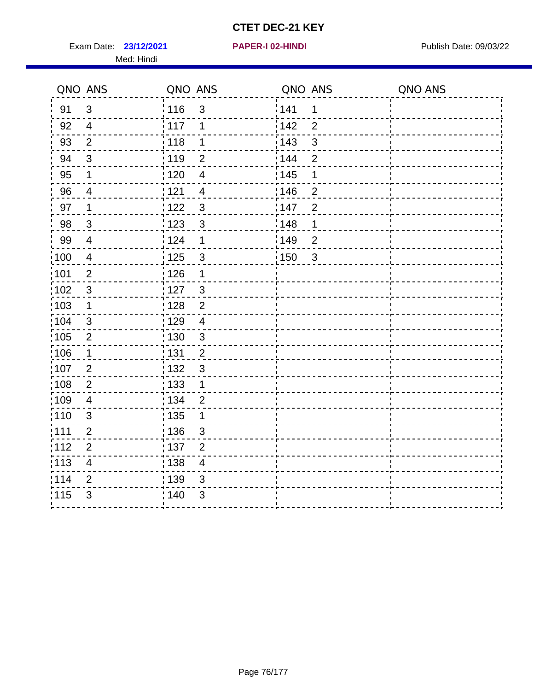Exam Date: 23/12/2021 **PAPER-I 02-HINDI Exam Date: 09/03/22** Med: Hindi

**23/12/2021 PAPER-I 02-HINDI**

|       | QNO ANS                 | QNO ANS |                          | QNO ANS           |                | QNO ANS |
|-------|-------------------------|---------|--------------------------|-------------------|----------------|---------|
| 91    | $\mathbf{3}$            | 116     | $\mathfrak{S}$           | 141               | $\mathbf 1$    |         |
| 92    | $\overline{4}$          | 117     | 1                        | 142               | $\overline{2}$ |         |
| 93    | $\overline{2}$          | 118     | $\mathbf 1$              | 143               | $\sqrt{3}$     |         |
| 94    | 3                       | : 119   | $\overline{2}$           | : 144             | 2              |         |
| 95    | 1                       | : 120   | $\overline{\mathcal{A}}$ | : 145             | 1              |         |
| 96    | 4                       | : 121   | $\overline{4}$           | 146               | $\overline{2}$ |         |
| 97    | 1                       | 122     | $\mathbf{3}$             | 147               | $\overline{2}$ |         |
| 98    | $\mathbf{3}$            | 123     | $\mathfrak{3}$           | 148               | 1              |         |
| 99    | $\overline{4}$          | 124     | $\mathbf 1$              | $\frac{1}{2}$ 149 | $\overline{2}$ |         |
| 100   | $\overline{4}$          | 125     | $\mathfrak{S}$           | 150               | $\sqrt{3}$     |         |
| :101  | $\overline{c}$          | : 126   | 1                        |                   |                |         |
| 102   | $\mathfrak{3}$          | : 127   | $\mathbf{3}$             |                   |                |         |
| 103   | $\mathbf 1$             | : 128   | $\overline{2}$           |                   |                |         |
| :104  | $\mathfrak{3}$          | : 129   | $\overline{\mathbf{4}}$  |                   |                |         |
| 105   | $\overline{2}$          | : 130   | $\mathbf{3}$             |                   |                |         |
| :106  | 1                       | : 131   | $\overline{2}$           |                   |                |         |
| 107   | $\overline{2}$          | : 132   | $\mathbf{3}$             |                   |                |         |
| 108   | $\overline{2}$          | 133     | $\mathbf{1}$             |                   |                |         |
| 109   | $\overline{\mathbf{4}}$ | : 134   | $\overline{2}$           |                   |                |         |
| :110  | $\mathfrak{S}$          | : 135   | 1                        |                   |                |         |
| :111  | $\overline{2}$          | : 136   | 3                        |                   |                |         |
| 112   | $\overline{2}$          | 137     | $\overline{2}$           |                   |                |         |
| : 113 | $\overline{\mathbf{4}}$ | : 138   | $\overline{\mathbf{4}}$  |                   |                |         |
| 114   | 2                       | 139     | 3                        |                   |                |         |
| 115   | 3                       | 140     | 3                        |                   |                |         |
|       |                         |         |                          |                   |                |         |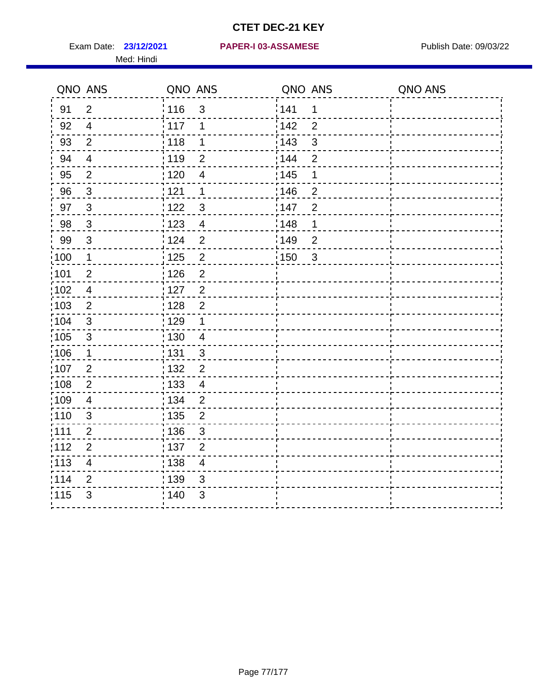Med: Hindi

|       | QNO ANS                  | QNO ANS           |                | QNO ANS |                | QNO ANS |
|-------|--------------------------|-------------------|----------------|---------|----------------|---------|
| 91    | $\overline{2}$           | 116               | $\mathfrak{S}$ | 141     | $\mathbf 1$    |         |
| 92    | $\overline{4}$           | 117               | 1              | 142     | $\overline{2}$ |         |
| 93    | $\overline{2}$           | 118               | $\mathbf 1$    | 143     | 3              |         |
| 94    | $\overline{\mathcal{A}}$ | : 119             | $\overline{2}$ | 144     | $\overline{2}$ |         |
| 95    | $\overline{2}$           | :120              | $\overline{4}$ | : 145   | 1              |         |
| 96    | $\mathfrak{S}$           | : 121             | $\mathbf 1$    | 146     | $\overline{2}$ |         |
| 97    | $\mathbf{3}$             | : 122             | $\mathbf{3}$   | 147     | $\overline{2}$ |         |
| 98    | $\mathbf{3}$             | 123               | $\overline{4}$ | 148     | 1              |         |
| 99    | $\sqrt{3}$               | : 124             | $\overline{2}$ | :149    | $\mathbf 2$    |         |
| :100  | $\mathbf 1$              | $\frac{1}{1}$ 125 | $\overline{2}$ | 150     | $\sqrt{3}$     |         |
| :101  | $\overline{2}$           | : 126             | $\overline{2}$ |         |                |         |
| 102   | $\overline{4}$           | : 127             | $\overline{2}$ |         |                |         |
| 103   | $\overline{2}$           | : 128             | $\overline{2}$ |         |                |         |
| 104   | $\sqrt{3}$               | : 129             | $\mathbf 1$    |         |                |         |
| 105   | $\sqrt{3}$               | : 130             | $\overline{4}$ |         |                |         |
| :106  | $\mathbf{1}$             | : 131             | $\mathbf{3}$   |         |                |         |
| :107  | $\overline{2}$           | : 132             | $\overline{2}$ |         |                |         |
| :108  | $\mathbf 2$              | $\frac{1}{1}$ 133 | $\overline{4}$ |         |                |         |
| :109  | $\overline{\mathcal{A}}$ | : 134             | $\overline{2}$ |         |                |         |
| :110  | 3                        | : 135             | $\overline{2}$ |         |                |         |
| 111   | $\overline{c}$           | : 136             | $\mathsf 3$    |         |                |         |
| 112   | $\mathbf{2}$             | 137               | $\mathbf{2}$   |         |                |         |
| : 113 | $\overline{\mathbf{4}}$  | : 138             | $\overline{4}$ |         |                |         |
| 114   | $\overline{2}$           | 139               | 3              |         |                |         |
| 115   | 3                        | 140               | $\sqrt{3}$     |         |                |         |
|       |                          |                   |                |         |                |         |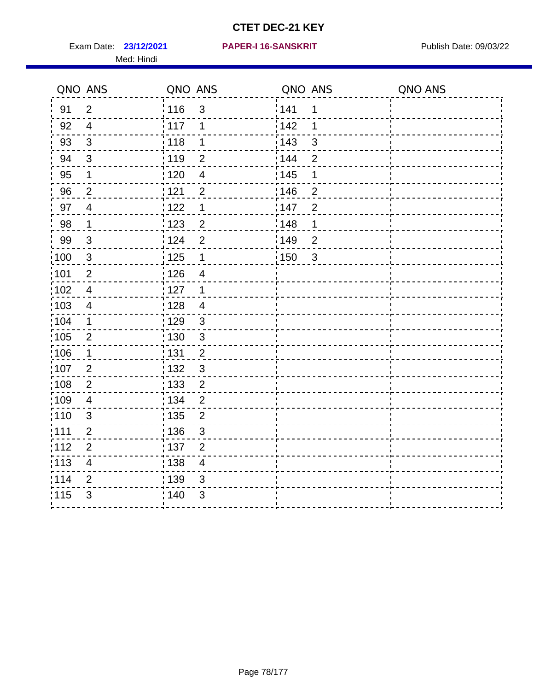Exam Date: 23/12/2021 PAPER-I 16-SANSKRIT Publish Date: 09/03/22 Med: Hindi

|                   | QNO ANS                  | QNO ANS           |                          | QNO ANS           |                | QNO ANS |
|-------------------|--------------------------|-------------------|--------------------------|-------------------|----------------|---------|
| 91                | $\overline{2}$           | 116               | 3                        | 141               | $\mathbf 1$    |         |
| 92                | $\overline{4}$           | 117               | 1                        | 142               | 1              |         |
| 93                | $\mathsf 3$              | 118               | 1                        | 143               | 3              |         |
| 94                | 3                        | : 119             | $\overline{2}$           | : 144             | $\overline{2}$ |         |
| 95                | 1                        | : 120             | $\overline{\mathcal{A}}$ | : 145             | 1              |         |
| 96                | $\overline{2}$           | 121               | $\overline{2}$           | 146               | $\overline{2}$ |         |
| 97                | $\overline{\mathcal{A}}$ | $122$             | $\mathbf 1$              | 147               | $\overline{2}$ |         |
| $98\,$            | $\mathbf 1$              | $\frac{1}{2}$ 123 | $\overline{c}$           | $\frac{1}{2}$ 148 | 1              |         |
| 99                | $\sqrt{3}$               | 124               | $\overline{2}$           | $\frac{1}{2}$ 149 | $\overline{2}$ |         |
| $\frac{1}{1}$ 100 | $\sqrt{3}$               | 125               | $\mathbf{1}$             | 150               | $\mathbf{3}$   |         |
| 101               | $\mathbf 2$              | 126               | $\overline{4}$           |                   |                |         |
| 102               | $\overline{4}$           | : 127             | 1                        |                   |                |         |
| 103               | $\overline{4}$           | : 128             | $\overline{4}$           |                   |                |         |
| 104               | $\mathbf 1$              | : 129             | $\mathfrak{3}$           |                   |                |         |
| 105               | $\mathbf 2$              | : 130             | $\mathfrak{S}$           |                   |                |         |
| ;106              | 1                        | : 131             | $\overline{2}$           |                   |                |         |
| :107              | $\overline{2}$           | : 132             | $\mathbf{3}$             |                   |                |         |
| 108               | $\sqrt{2}$               | : 133             | $\overline{2}$           |                   |                |         |
| :109              | $\overline{\mathbf{4}}$  | : 134             | $\overline{2}$           |                   |                |         |
| :110              | 3                        | : 135             | $\overline{2}$           |                   |                |         |
| :111              | $\overline{c}$           | : 136             | $\mathbf{3}$             |                   |                |         |
| 112               | $\mathbf 2$              | 137               | $\overline{2}$           |                   |                |         |
| : 113             | $\overline{\mathbf{4}}$  | 138               | $\overline{4}$           |                   |                |         |
| 114               | 2                        | 139               | 3                        |                   |                |         |
| 115               | 3                        | 140               | $\sqrt{3}$               |                   |                |         |
|                   |                          |                   |                          |                   |                |         |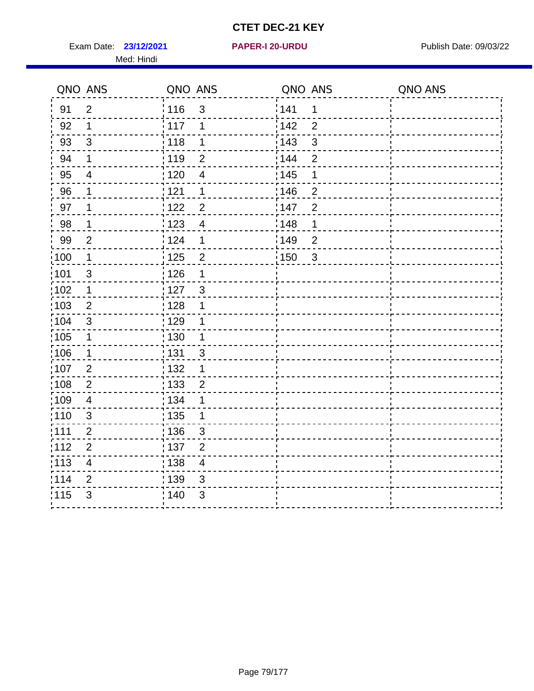Exam Date: 23/12/2021 **PAPER-I 20-URDU** PAPER 120-VIRDU Med: Hindi

**23/12/2021 PAPER-I 20-URDU**

|                   | QNO ANS                 | QNO ANS           |                          | QNO ANS           |                | QNO ANS |
|-------------------|-------------------------|-------------------|--------------------------|-------------------|----------------|---------|
| 91                | $\overline{2}$          | 116               | 3                        | 141               | $\mathbf 1$    |         |
| 92                | 1                       | 117               | 1                        | 142               | $\overline{2}$ |         |
| 93                | $\mathbf{3}$            | 118               | 1                        | 143               | $\mathsf 3$    |         |
| 94                | 1                       | : 119             | $\overline{2}$           | : 144             | $\overline{2}$ |         |
| 95                | $\overline{4}$          | : 120             | $\overline{\mathcal{A}}$ | : 145             | 1              |         |
| 96                | 1                       | 121               | 1                        | 146               | $\overline{2}$ |         |
| 97                | 1                       | 122               | $\overline{2}$           | 147               | $\overline{2}$ |         |
| 98                | $\mathbf{1}$            | $\frac{1}{2}$ 123 | $\overline{4}$           | $\frac{1}{2}$ 148 | $\mathbf 1$    |         |
| 99                | $\overline{2}$          | 124               | 1                        | 149               | $\overline{2}$ |         |
| $\frac{1}{1}$ 100 | $\mathbf 1$             | 125               | $\overline{c}$           | $\frac{1}{1}$ 150 | $\mathbf{3}$   |         |
| :101              | $\mathsf 3$             | 126               | 1                        |                   |                |         |
| 102               | $\mathbf 1$             | 127               | $\mathbf{3}$             |                   |                |         |
| 103               | $\overline{2}$          | : 128             | 1                        |                   |                |         |
| :104              | $\mathbf{3}$            | : 129             | 1                        |                   |                |         |
| $\frac{1}{1}$ 105 | $\mathbf 1$             | : 130             | $\mathbf{1}$             |                   |                |         |
| :106              | $\mathbf 1$             | : 131             | $\mathbf{3}$             |                   |                |         |
| 107               | 2                       | : 132             | $\mathbf 1$              |                   |                |         |
| 108               | $\overline{2}$          | : 133             | $\overline{2}$           |                   |                |         |
| :109              | $\overline{\mathbf{4}}$ | : 134             | $\mathbf 1$              |                   |                |         |
| :110              | 3                       | 135               | 1                        |                   |                |         |
| ;111              | $\mathbf{2}$            | : 136             | $\sqrt{3}$               |                   |                |         |
| 112               | $\overline{2}$          | : 137             | $\overline{2}$           |                   |                |         |
| 113               | $\overline{\mathbf{4}}$ | : 138             | $\overline{\mathbf{4}}$  |                   |                |         |
| 114               | $\overline{2}$          | : 139             | 3                        |                   |                |         |
| 115               | $\mathfrak{S}$          | 140               | $\mathfrak{S}$           |                   |                |         |
|                   |                         |                   |                          |                   |                |         |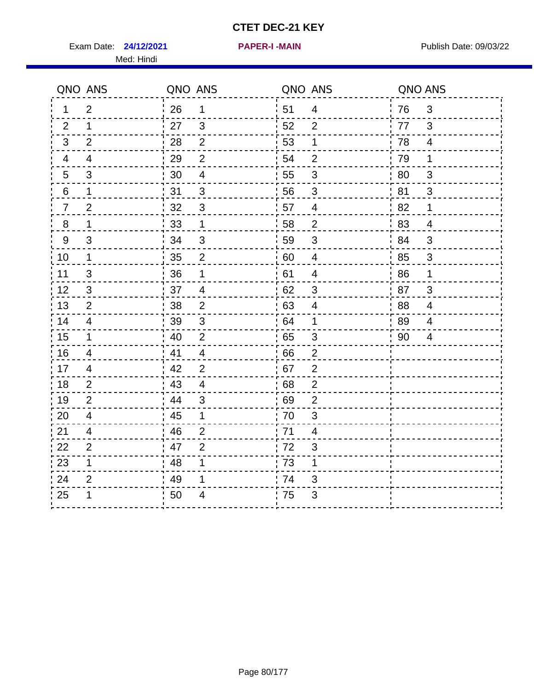Exam Date: 24/12/2021 **PAPER-I-MAIN Exam Date: 09/03/22** Med: Hindi

**24/12/2021 PAPER-I -MAIN**

|                | QNO ANS        | QNO ANS |                          | QNO ANS |                           | QNO ANS |                |
|----------------|----------------|---------|--------------------------|---------|---------------------------|---------|----------------|
| 1.             | 2              | 26      | $\mathbf 1$              | 51      | 4                         | 76      | 3              |
| 2              | 1              | 27      | 3                        | 52      | 2                         | 77      | 3              |
| 3              | 2              | 28      | $\overline{2}$           | 53      | 1                         | 78      | $\overline{4}$ |
| 4              | 4              | 29      | $\overline{2}$           | 54      | $\mathbf{2}$              | 79      | 1              |
| $\overline{5}$ | 3              | 30      | $\overline{\mathcal{A}}$ | 55      | 3                         | 80      | $\mathfrak{S}$ |
| 6              | $\mathbf 1$    | 31      | 3                        | 56      | 3                         | 81      | 3              |
| $\overline{7}$ | $\overline{2}$ | 32      | 3                        | 57      | 4                         | 82      | 1              |
| 8              | 1              | 33      | $\mathbf 1$              | 58      | $\overline{2}$            | 83      | $\overline{4}$ |
| $9\,$          | 3              | 34      | $\mathfrak{S}$           | 59      | 3                         | 84      | 3              |
| 10             | $\mathbf 1$    | 35      | $\overline{2}$           | 60      | $\overline{4}$            | 85      | $\mathfrak{S}$ |
| 11             | 3              | 36      | 1                        | 61      | $\overline{4}$            | 86      | 1              |
| 12             | $\mathfrak{S}$ | 37      | $\overline{\mathcal{A}}$ | 62      | $\sqrt{3}$                | 87      | $\mathfrak{S}$ |
| 13             | 2              | 38      | $\overline{2}$           | 63      | 4                         | 88      | $\overline{4}$ |
| 14             | 4              | 39      | 3                        | 64      | 1                         | 89      | 4              |
| 15             | $\mathbf 1$    | 40      | 2                        | 65      | 3                         | 90      | 4              |
| 16             | 4              | 41      | $\overline{4}$           | 66      | $\overline{2}$            |         |                |
| 17             | $\overline{4}$ | 42      | $\overline{2}$           | 67      | $\overline{2}$            |         |                |
| 18             | 2              | 43      | 4                        | 68      | 2                         |         |                |
| 19             | 2              | 44      | 3                        | 69      | $\overline{2}$            |         |                |
| 20             | $\overline{4}$ | 45      | $\mathbf 1$              | 70      | $\ensuremath{\mathsf{3}}$ |         |                |
| 21             | 4              | 46      | 2                        | : 71    | 4                         |         |                |
| 22             | 2              | 47      | 2                        | 72      | 3                         |         |                |
| 23             | $\mathbf{1}$   | 48      | 1                        | 73      | $\mathbf 1$               |         |                |
| 24             | $\overline{2}$ | 49      | 1                        | 74      | 3                         |         |                |
| 25             | 1              | 50      | 4                        | 75      | 3                         |         |                |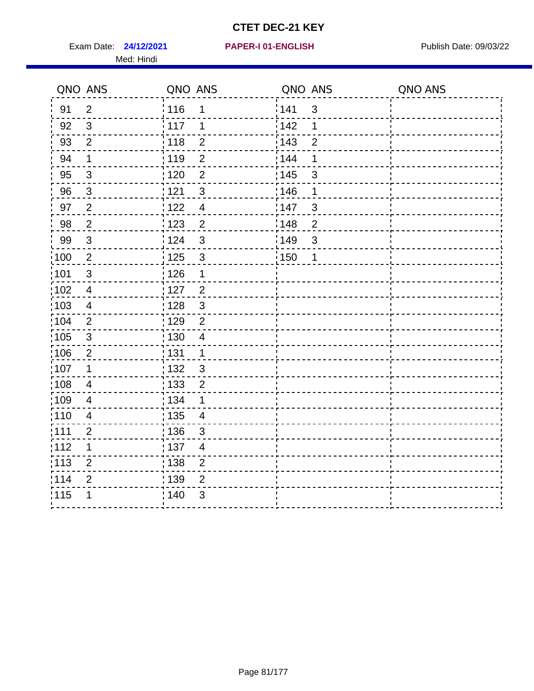Exam Date: 24/12/2021 PAPER-I 01-ENGLISH PREERENT Publish Date: 09/03/22 Med: Hindi

|                   | QNO ANS                  | QNO ANS           |                         | QNO ANS |                | QNO ANS |
|-------------------|--------------------------|-------------------|-------------------------|---------|----------------|---------|
| 91                | $\overline{2}$           | 116               | 1                       | 141     | $\sqrt{3}$     |         |
| 92                | $\mathfrak{B}$           | 117               | 1                       | 142     | 1              |         |
| 93                | $\overline{2}$           | 118               | $\overline{2}$          | 143     | $\overline{2}$ |         |
| 94                | 1                        | : 119             | $\overline{2}$          | 144     | 1              |         |
| 95                | 3                        | :120              | $\overline{2}$          | : 145   | 3              |         |
| 96                | $\mathfrak{S}$           | : 121             | $\sqrt{3}$              | 146     | 1              |         |
| 97                | $\overline{2}$           | : 122             | $\overline{4}$          | 147     | $\sqrt{3}$     |         |
| 98                | $\sqrt{2}$               | 123               | $\overline{c}$          | 148     | $\sqrt{2}$     |         |
| 99                | $\sqrt{3}$               | : 124             | $\mathfrak{S}$          | 149¦    | $\mathfrak{S}$ |         |
| $\frac{1}{1}$ 100 | $\sqrt{2}$               | : 125             | $\mathbf{3}$            | 150     | $\mathbf 1$    |         |
| :101              | $\mathsf 3$              | : 126             | 1                       |         |                |         |
| 102               | $\overline{4}$           | : 127             | $\overline{2}$          |         |                |         |
| 103               | $\overline{4}$           | : 128             | $\mathfrak{3}$          |         |                |         |
| 104               | $\overline{2}$           | : 129             | $\overline{2}$          |         |                |         |
| 105               | $\sqrt{3}$               | : 130             | $\overline{4}$          |         |                |         |
| 106               | $\overline{2}$           | : 131             | $\mathbf 1$             |         |                |         |
| 107               | 1                        | : 132             | 3                       |         |                |         |
| :108              | $\overline{\mathcal{A}}$ | $\frac{1}{1}$ 133 | $\mathbf 2$             |         |                |         |
| :109              | $\overline{4}$           | : 134             | 1                       |         |                |         |
| :110              | 4                        | : 135             | 4                       |         |                |         |
| 111               | $\overline{c}$           | : 136             | $\sqrt{3}$              |         |                |         |
| 112               | 1                        | $\frac{1}{1}$ 137 | $\overline{\mathbf{4}}$ |         |                |         |
| : 113             | $\overline{2}$           | : 138             | $\overline{c}$          |         |                |         |
| 114               | $\overline{2}$           | 139               | 2                       |         |                |         |
| 115               | 1                        | : 140             | 3                       |         |                |         |
|                   |                          |                   |                         |         |                |         |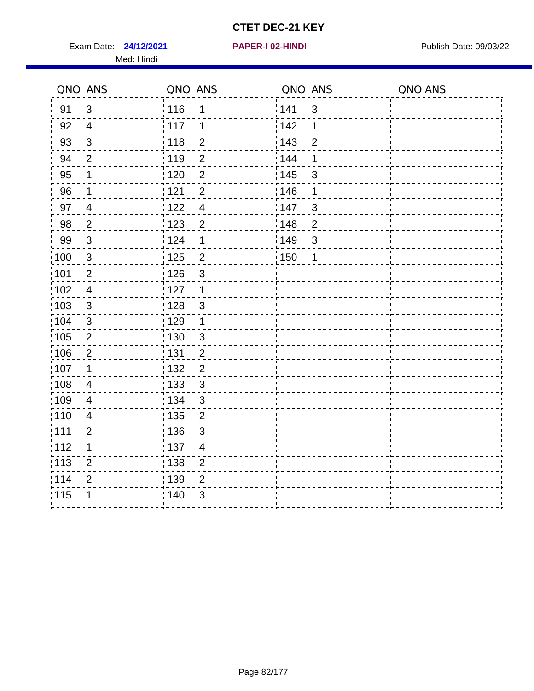Exam Date: **24/12/2021 PAPER-I 02-HINDI Exam Date: 09/03/22** Med: Hindi

**24/12/2021 PAPER-I 02-HINDI**

|                   | QNO ANS        | QNO ANS           |                         | QNO ANS           |                | QNO ANS |
|-------------------|----------------|-------------------|-------------------------|-------------------|----------------|---------|
| 91                | 3              | : 116             | 1                       | 141               | $\mathbf{3}$   |         |
| 92                | $\overline{4}$ | 117               | 1                       | 142               | 1              |         |
| 93                | $\sqrt{3}$     | 118               | $\overline{2}$          | 143               | $\overline{2}$ |         |
| 94                | $\overline{2}$ | : 119             | $\overline{2}$          | : 144             | 1              |         |
| 95                | 1              | 120               | $\overline{2}$          | : 145             | 3              |         |
| 96                | 1              | 121               | $\overline{2}$          | 146               | 1              |         |
| 97                | $\overline{4}$ | 122               | $\overline{4}$          | 147               | $\mathfrak{S}$ |         |
| 98                | $\overline{a}$ | ¦ 123             | $\overline{2}$          | 148               | $\overline{2}$ |         |
| 99                | $\sqrt{3}$     | ່ 124             | 1                       | :149              | $\mathfrak{S}$ |         |
| $\frac{1}{1}$ 100 | $\sqrt{3}$     | $\frac{1}{1}$ 125 | $\overline{2}$          | $\frac{1}{1}$ 150 | $\mathbf 1$    |         |
| 101               | $\mathbf 2$    | : 126             | 3                       |                   |                |         |
| 102               | $\overline{4}$ | 127               | $\mathbf{1}$            |                   |                |         |
| 103               | 3              | : 128             | $\mathbf{3}$            |                   |                |         |
| 104               | $\mathbf{3}$   | : 129             | $\mathbf 1$             |                   |                |         |
| 105               | $\overline{2}$ | : 130             | $\mathfrak{S}$          |                   |                |         |
| :106              | $\overline{2}$ | : 131             | $\overline{2}$          |                   |                |         |
| :107              | 1              | : 132             | $\overline{2}$          |                   |                |         |
| 108               | $\overline{4}$ | $\frac{1}{1}$ 133 | $\mathfrak{S}$          |                   |                |         |
| :109              | $\overline{4}$ | : 134             | $\mathfrak{3}$          |                   |                |         |
| :110              | $\overline{4}$ | 135               | $\overline{2}$          |                   |                |         |
| :111              | $\overline{2}$ | : 136             | $\mathfrak{S}$          |                   |                |         |
| 112               | 1              | : 137             | $\overline{\mathbf{4}}$ |                   |                |         |
| : 113             | $\overline{2}$ | : 138             | $\overline{2}$          |                   |                |         |
| 114               | $\overline{2}$ | :139              | $\overline{2}$          |                   |                |         |
| 115               | 1              | 140               | 3                       |                   |                |         |
|                   |                |                   |                         |                   |                |         |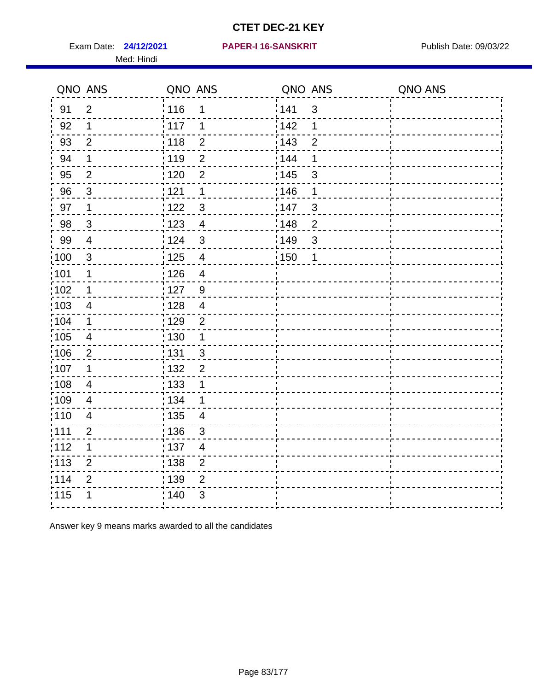Exam Date: 24/12/2021 PAPER-I 16-SANSKRIT Publish Date: 09/03/22 Med: Hindi

| QNO ANS           |                          | QNO ANS                             | QNO ANS                | QNO ANS |
|-------------------|--------------------------|-------------------------------------|------------------------|---------|
| 91                | $\overline{2}$           | 116<br>1                            | 141<br>$\mathfrak{S}$  |         |
| 92                | $\mathbf 1$              | 117<br>1                            | 142<br>1               |         |
| 93                | $\mathbf{2}$             | 118<br>$\overline{2}$               | 143<br>$\overline{2}$  |         |
| 94                | 1                        | : 119<br>$\overline{2}$             | 144<br>1               |         |
| 95                | $\overline{2}$           | : 120<br>$\overline{2}$             | : 145<br>3             |         |
| 96                | $\sqrt{3}$               | 121<br>1                            | 146<br>1               |         |
| 97                | $\mathbf 1$              | 122<br>3                            | 147<br>$\mathfrak{B}$  |         |
| 98                | $\mathbf{3}$             | $\frac{1}{2}$ 123<br>$\overline{4}$ | 148<br>$\overline{c}$  |         |
| 99                | $\overline{\mathcal{A}}$ | 124<br>$\mathfrak{S}$               | :149<br>$\mathfrak{S}$ |         |
| 100               | $\sqrt{3}$               | 125<br>$\overline{4}$               | 150<br>1               |         |
| 101               | $\mathbf 1$              | : 126<br>$\overline{\mathcal{A}}$   |                        |         |
| 102               | $\mathbf 1$              | 127<br>9                            |                        |         |
| 103               | 4                        | : 128<br>$\overline{4}$             |                        |         |
| 104               | $\mathbf 1$              | : 129<br>$\overline{2}$             |                        |         |
| $\frac{1}{1}$ 105 | $\overline{\mathbf{4}}$  | 130<br>$\mathbf{1}$                 |                        |         |
| 106               | 2                        | : 131<br>$\mathbf{3}$               |                        |         |
| :107              | $\mathbf 1$              | :132<br>$\overline{2}$              |                        |         |
| 108               | $\overline{\mathcal{A}}$ | : 133<br>$\mathbf 1$                |                        |         |
| :109              | $\overline{4}$           | : 134<br>$\mathbf 1$                |                        |         |
| :110              | $\overline{\mathbf{4}}$  | : 135<br>$\overline{\mathcal{A}}$   |                        |         |
| : 111             | $\overline{2}$           | : 136<br>3                          |                        |         |
| 112               | $\mathbf 1$              | $\frac{1}{1}$ 137<br>$\overline{4}$ |                        |         |
| $\frac{1}{1}$ 113 | $\overline{2}$           | : 138<br>$\overline{2}$             |                        |         |
| 114               | $\overline{2}$           | : 139<br>$\overline{2}$             |                        |         |
| 115               | 1                        | 140<br>3                            |                        |         |
|                   |                          |                                     |                        |         |

Answer key 9 means marks awarded to all the candidates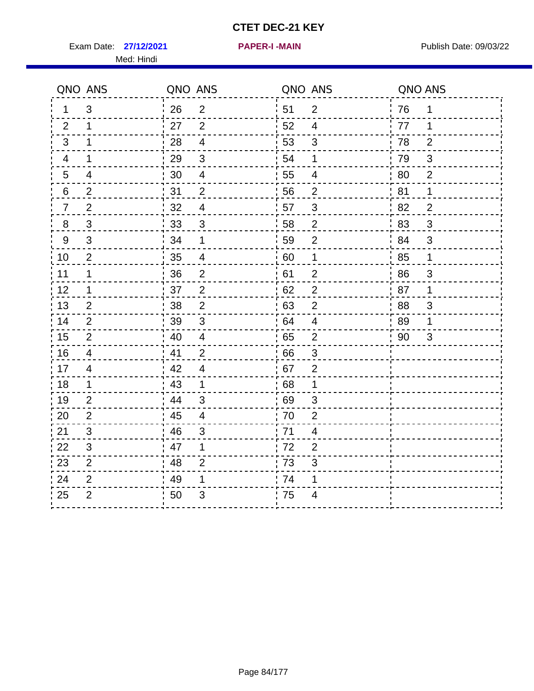Exam Date: 27/12/2021 **PAPER-I-MAIN Property Allows** Publish Date: 09/03/22 Med: Hindi

**27/12/2021 PAPER-I -MAIN**

|                | QNO ANS                 | QNO ANS |                           |                  | QNO ANS                  | QNO ANS |                |
|----------------|-------------------------|---------|---------------------------|------------------|--------------------------|---------|----------------|
| 1              | 3                       | 26      | $\overline{2}$            | ¦ 51             | $\overline{2}$           | 76      | 1              |
| 2              | $\mathbf{1}$            | 27      | 2                         | 52               | $\overline{4}$           | 77      | 1              |
| 3              | $\mathbf 1$             | 28      | $\overline{\mathbf{4}}$   | 53               | $\mathfrak{S}$           | 78      | $\overline{2}$ |
| 4              | $\mathbf 1$             | 29      | $\mathfrak{S}$            | 54               | 1                        | 79      | $\mathfrak{S}$ |
| 5              | $\overline{\mathbf{4}}$ | 30      | $\overline{4}$            | 55               | $\overline{\mathcal{A}}$ | 80      | $\overline{2}$ |
| 6              | $\overline{2}$          | 31      | $\overline{2}$            | 56               | $\overline{2}$           | 81      | 1              |
| $\overline{7}$ | $\overline{2}$          | 32      | $\overline{\mathcal{A}}$  | 57               | $\mathfrak{S}$           | 82      | $\overline{2}$ |
| $\bf 8$        | $\sqrt{3}$              | 33      | $\sqrt{3}$                | 58               | $\boldsymbol{2}$         | 83      | $\sqrt{3}$     |
| $9\,$          | $\mathfrak{B}$          | 34      | 1                         | 59               | $\overline{2}$           | 84      | $\sqrt{3}$     |
| 10             | $\mathbf{2}$            | 35      | $\overline{4}$            | 60               | $\mathbf 1$              | 85      | $\mathbf 1$    |
| 11             | $\mathbf 1$             | 36      | $\mathbf 2$               | 61               | $\overline{2}$           | 86      | $\sqrt{3}$     |
| 12             | $\mathbf{1}$            | 37      | $\overline{2}$            | 62               | $\overline{2}$           | 87      | $\mathbf 1$    |
| 13             | 2                       | 38      | $\overline{2}$            | 63               | $\overline{2}$           | 88      | 3              |
| 14             | 2                       | 39      | $\mathfrak{B}$            | 64               | 4                        | 89      | 1              |
| 15             | $\overline{2}$          | 40      | $\overline{\mathcal{A}}$  | 65               | $\overline{2}$           | 90      | 3              |
| 16             | $\overline{4}$          | 41      | 2                         | 66               | 3                        |         |                |
| 17             | $\overline{4}$          | 42      | $\overline{\mathcal{A}}$  | 67               | $\overline{2}$           |         |                |
| 18             | $\mathbf 1$             | 43      | $\mathbf{1}$              | 68               | $\mathbf 1$              |         |                |
| 19             | $\overline{2}$          | 44      | $\sqrt{3}$                | .69              | 3                        |         |                |
| 20             | 2                       | 45      | $\overline{4}$            | 70               | $\overline{2}$           |         |                |
| 21             | 3                       | 46      | 3                         | 71               | 4                        |         |                |
| 22             | 3                       | 47      | 1                         | 72               | $\overline{2}$           |         |                |
| 23             | $\overline{2}$          | 48      | $\overline{2}$            | $\frac{1}{2}$ 73 | 3                        |         |                |
| 24             | $\overline{2}$          | 49      | 1                         | 74               | 1                        |         |                |
| 25             | $\overline{2}$          | 50      | $\ensuremath{\mathsf{3}}$ | 75               | 4                        |         |                |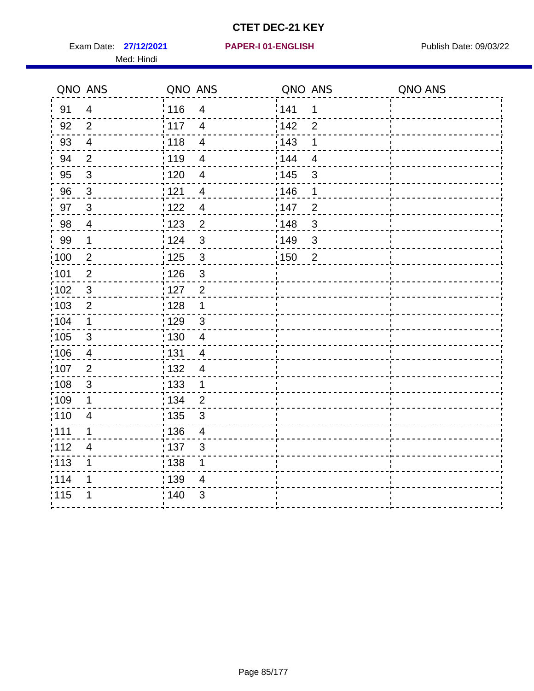Exam Date: 27/12/2021 PAPER-I 01-ENGLISH PREER Publish Date: 09/03/22 Med: Hindi

|                   | QNO ANS                 | QNO ANS           |                          | QNO ANS           |                | QNO ANS |
|-------------------|-------------------------|-------------------|--------------------------|-------------------|----------------|---------|
| 91                | $\overline{4}$          | 116               | $\overline{\mathbf{4}}$  | 141               | $\mathbf 1$    |         |
| 92                | $\overline{2}$          | 117               | $\overline{4}$           | 142               | $\overline{2}$ |         |
| 93                | $\overline{4}$          | 118               | $\overline{4}$           | 143               | 1              |         |
| 94                | $\overline{2}$          | : 119             | $\overline{\mathcal{A}}$ | 144               | $\overline{4}$ |         |
| 95                | $\mathbf{3}$            | : 120             | $\overline{4}$           | : 145             | 3              |         |
| 96                | $\mathbf{3}$            | 121               | $\overline{\mathcal{A}}$ | 146               | 1              |         |
| 97                | $\mathbf{3}$            | $122$             | $\overline{4}$           | 147               | $\overline{2}$ |         |
| 98                | $\overline{\mathbf{4}}$ | $\frac{1}{2}$ 123 | $\overline{c}$           | $\frac{1}{2}$ 148 | $\mathbf{3}$   |         |
| 99                | $\mathbf{1}$            | 124               | $\mathfrak{S}$           | ¦149              | 3              |         |
| $\frac{1}{1}$ 100 | $\overline{2}$          | 125               | $\mathbf{3}$             | : 150             | $\overline{2}$ |         |
| :101              | $\mathbf 2$             | 126               | $\mathfrak{S}$           |                   |                |         |
| 102               | $\mathbf{3}$            | : 127             | $\overline{2}$           |                   |                |         |
| 103               | $\overline{2}$          | : 128             | $\mathbf{1}$             |                   |                |         |
| 104               | $\mathbf 1$             | ;129              | $\mathfrak{3}$           |                   |                |         |
| 105               | $\sqrt{3}$              | : 130             | $\overline{4}$           |                   |                |         |
| :106              | 4                       | : 131             | $\overline{4}$           |                   |                |         |
| :107              | $\overline{2}$          | : 132             | $\overline{4}$           |                   |                |         |
| 108               | $\sqrt{3}$              | : 133             | $\mathbf{1}$             |                   |                |         |
| ;109              | 1                       | : 134             | $\overline{2}$           |                   |                |         |
| :110              | 4                       | : 135             | 3                        |                   |                |         |
| 111               | 1                       | : 136             | $\overline{4}$           |                   |                |         |
| 112               | $\overline{4}$          | 137               | $\mathfrak{S}$           |                   |                |         |
| : 113             | 1                       | 138               | 1                        |                   |                |         |
| 114               | 1                       | : 139             | 4                        |                   |                |         |
| 115               | 1                       | 140               | $\sqrt{3}$               |                   |                |         |
|                   |                         |                   |                          |                   |                |         |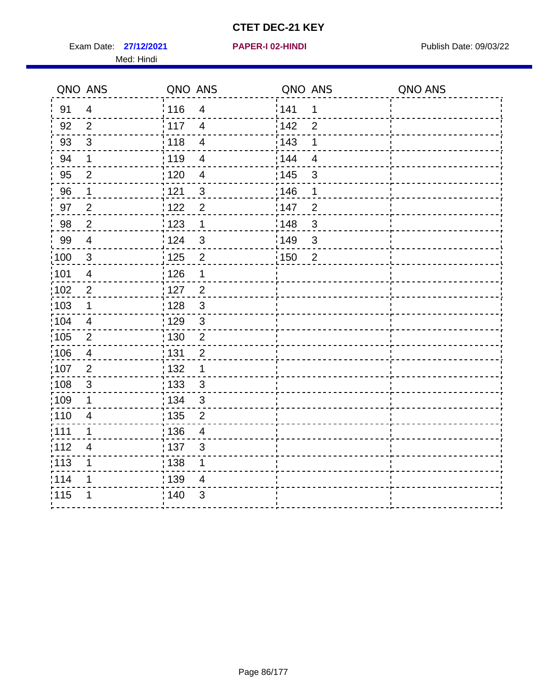Exam Date: 27/12/2021 **PAPER-I 02-HINDI Exam Date: 09/03/22** Med: Hindi

**27/12/2021 PAPER-I 02-HINDI**

|        | QNO ANS                 | QNO ANS           |                         | QNO ANS           |                | QNO ANS |
|--------|-------------------------|-------------------|-------------------------|-------------------|----------------|---------|
| 91     | $\overline{4}$          | 116               | $\overline{\mathbf{4}}$ | 141               | $\mathbf 1$    |         |
| 92     | $\overline{2}$          | 117               | $\overline{4}$          | 142               | $\overline{2}$ |         |
| 93     | $\mathbf{3}$            | 118               | $\overline{\mathbf{4}}$ | 143               | 1              |         |
| 94     | 1                       | : 119             | $\overline{4}$          | 144               | $\overline{4}$ |         |
| 95     | $\overline{2}$          | : 120             | $\overline{4}$          | : 145             | 3              |         |
| 96     | 1                       | 121               | $\sqrt{3}$              | 146               | 1              |         |
| 97     | $\overline{2}$          | :122              | $\overline{2}$          | 147               | $\overline{2}$ |         |
| $98\,$ | $\overline{c}$          | 123               | $\mathbf{1}$            | $\frac{1}{2}$ 148 | $\mathbf{3}$   |         |
| 99     | $\overline{4}$          | 124               | $\mathfrak{S}$          | ¦149              | $\mathbf{3}$   |         |
| 100    | $\mathbf{3}$            | 125               | $\overline{2}$          | 150               | $\overline{2}$ |         |
| :101   | $\overline{4}$          | 126               | 1                       |                   |                |         |
| 102    | $\overline{2}$          | : 127             | $\overline{2}$          |                   |                |         |
| 103    | $\mathbf 1$             | 128               | $\mathbf{3}$            |                   |                |         |
| :104   | $\overline{\mathbf{4}}$ | : 129             | $\mathfrak{3}$          |                   |                |         |
| 105    | $\overline{2}$          | : 130             | $\overline{2}$          |                   |                |         |
| :106   | $\overline{4}$          | : 131             | $\overline{2}$          |                   |                |         |
| :107   | $\overline{2}$          | : 132             | 1                       |                   |                |         |
| 108    | $\mathsf 3$             | 133               | $\mathfrak{S}$          |                   |                |         |
| :109   | $\mathbf 1$             | : 134             | $\mathfrak{3}$          |                   |                |         |
| :110   | $\overline{4}$          | : 135             | $\overline{2}$          |                   |                |         |
| 111    | 1                       | : 136             | $\overline{4}$          |                   |                |         |
| 112    | $\overline{4}$          | $\frac{1}{1}$ 137 | $\sqrt{3}$              |                   |                |         |
| 113    | 1                       | $\frac{1}{1}$ 138 | 1                       |                   |                |         |
| 1114   | 1                       | 139               | 4                       |                   |                |         |
| 115    | 1                       | 140               | 3                       |                   |                |         |
|        |                         |                   |                         |                   |                |         |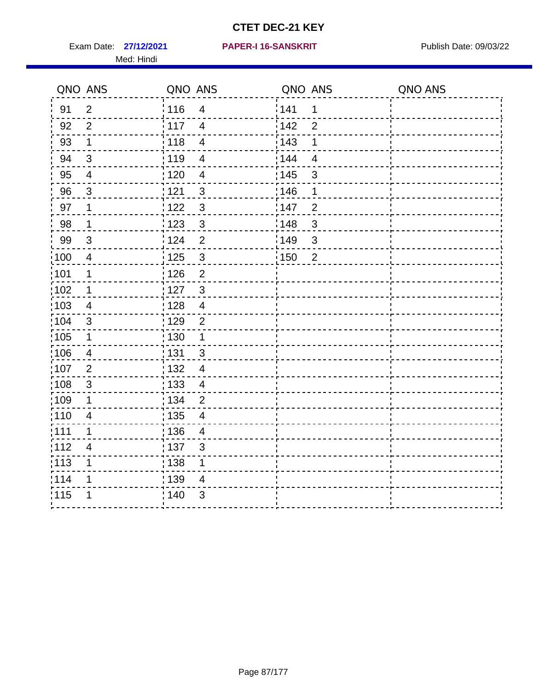Exam Date: 27/12/2021 PAPER-I 16-SANSKRIT Publish Date: 09/03/22 Med: Hindi

|       | QNO ANS                   | QNO ANS           |                         | QNO ANS           |                | QNO ANS |
|-------|---------------------------|-------------------|-------------------------|-------------------|----------------|---------|
| 91    | $\overline{2}$            | 116               | $\overline{\mathbf{4}}$ | 141               | $\mathbf 1$    |         |
| 92    | $\overline{2}$            | 117               | $\overline{4}$          | 142               | $\overline{2}$ |         |
| 93    | $\mathbf 1$               | 118               | $\overline{4}$          | 143               | 1              |         |
| 94    | 3                         | : 119             | $\overline{4}$          | 144               | $\overline{4}$ |         |
| 95    | 4                         | :120              | $\overline{4}$          | : 145             | 3              |         |
| 96    | $\mathfrak{S}$            | : 121             | $\sqrt{3}$              | 146               | 1              |         |
| 97    | 1                         | : 122             | $\mathbf{3}$            | 147               | $\overline{2}$ |         |
| 98    | $\mathbf 1$               | 123               | $\mathbf{3}$            | $\frac{1}{2}$ 148 | $\mathbf{3}$   |         |
| 99    | $\sqrt{3}$                | : 124             | $\overline{2}$          | 149¦              | $\sqrt{3}$     |         |
| :100  | $\overline{4}$            | 125               | $\mathbf{3}$            | 150               | $\overline{2}$ |         |
| :101  | 1                         | : 126             | $\overline{2}$          |                   |                |         |
| 102   | $\mathbf 1$               | : 127             | $\mathbf{3}$            |                   |                |         |
| 103   | 4                         | : 128             | $\overline{4}$          |                   |                |         |
| 104   | $\mathfrak{S}$            | : 129             | $\overline{2}$          |                   |                |         |
| :105  | $\mathbf 1$               | $\frac{1}{1}$ 130 | $\mathbf 1$             |                   |                |         |
| :106  | 4                         | : 131             | $\mathbf{3}$            |                   |                |         |
| ,107  | $\overline{2}$            | : 132             | $\overline{4}$          |                   |                |         |
| :108  | $\ensuremath{\mathsf{3}}$ | $\frac{1}{1}$ 133 | $\overline{4}$          |                   |                |         |
| :109  | 1                         | : 134             | $\overline{2}$          |                   |                |         |
| :110  | $\overline{4}$            | : 135             | 4                       |                   |                |         |
| 111   | 1                         | : 136             | $\overline{4}$          |                   |                |         |
| 112   | $\overline{4}$            | : 137             | $\mathfrak{S}$          |                   |                |         |
| : 113 | 1                         | : 138             | 1                       |                   |                |         |
| 114   | 1                         | 139               | 4                       |                   |                |         |
| 115   | 1                         | 140               | $\sqrt{3}$              |                   |                |         |
|       |                           |                   |                         |                   |                |         |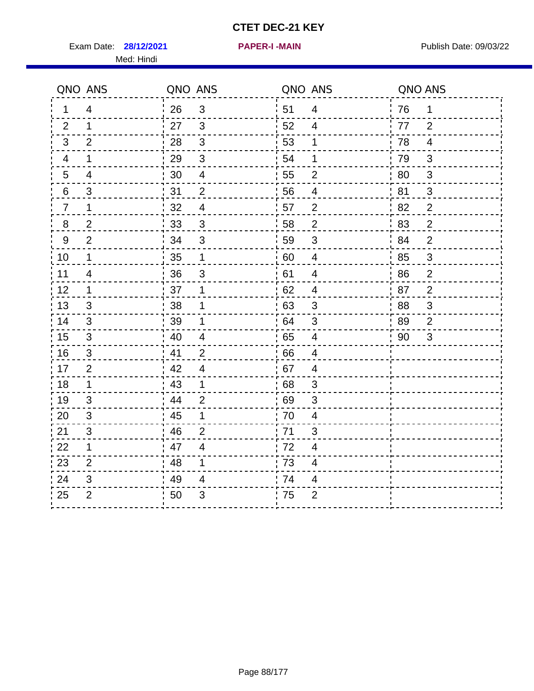Exam Date: 28/12/2021 **PAPER-I-MAIN Exam Date: 09/03/22** Med: Hindi

**28/12/2021 PAPER-I -MAIN**

|                  | QNO ANS                  | QNO ANS |                         | QNO ANS |                          | QNO ANS |                |
|------------------|--------------------------|---------|-------------------------|---------|--------------------------|---------|----------------|
| 1                | $\overline{4}$           | 26      | 3                       | 51      | $\overline{4}$           | 76      | $\mathbf 1$    |
| 2                | 1                        | 27      | 3                       | 52      | 4                        | 77      | 2              |
| 3                | 2                        | 28      | $\mathbf{3}$            | 53      | 1                        | 78      | $\overline{4}$ |
| 4                | 1                        | 29      | $\mathfrak{S}$          | 54      | 1                        | 79      | 3              |
| $5\phantom{.0}$  | $\overline{\mathcal{A}}$ | 30      | $\overline{\mathbf{4}}$ | 55      | $\overline{2}$           | 80      | $\sqrt{3}$     |
| 6                | 3                        | 31      | $\overline{2}$          | 56      | 4                        | 81      | 3              |
| $\overline{7}$   | 1                        | 32      | 4                       | 57      | $\overline{2}$           | 82      | $\overline{2}$ |
| 8                | $\overline{2}$           | 33      | 3                       | 58      | $\overline{2}$           | 83      | $\overline{2}$ |
| $\boldsymbol{9}$ | $\overline{2}$           | 34      | $\mathbf{3}$            | 59      | 3                        | 84      | $\overline{2}$ |
| 10               | $\mathbf 1$              | 35      | $\mathbf 1$             | 60      | $\overline{\mathbf{4}}$  | 85      | $\mathfrak{S}$ |
| 11               | $\overline{\mathcal{A}}$ | 36      | 3                       | 61      | $\overline{\mathcal{A}}$ | 86      | $\mathbf{2}$   |
| 12               | $\mathbf 1$              | 37      | 1                       | 62      | $\overline{4}$           | 87      | $\overline{2}$ |
| 13               | 3                        | 38      | 1                       | 63      | 3                        | 88      | 3              |
| 14               | 3                        | 39      | 1                       | 64      | 3                        | 89      | 2              |
| 15               | $\mathfrak{B}$           | 40      | $\overline{\mathbf{4}}$ | 65      | $\overline{\mathbf{4}}$  | 90      | 3              |
| 16               | 3                        | 41      | 2                       | 66      | $\overline{4}$           |         |                |
| 17               | $\overline{2}$           | 42      | $\overline{4}$          | 67      | $\overline{4}$           |         |                |
| 18               | $\mathbf 1$              | 43      | $\mathbf 1$             | 68      | 3                        |         |                |
| 19               | 3                        | 44      | $\overline{2}$          | 69      | 3                        |         |                |
| 20               | 3                        | 45      | $\mathbf 1$             | 70      | $\overline{\mathbf{4}}$  |         |                |
| 21               | 3                        | 46      | $\overline{2}$          | 71      | 3                        |         |                |
| 22               | $\mathbf 1$              | 47      | $\overline{4}$          | 72      | $\overline{4}$           |         |                |
| 23               | $\overline{2}$           | 48      | $\mathbf{1}$            | 73      | $\overline{\mathcal{A}}$ |         |                |
| 24               | 3                        | 49      | 4                       | 74      | 4                        |         |                |
| 25               | $\overline{2}$           | 50      | 3                       | 75      | $\overline{2}$           |         |                |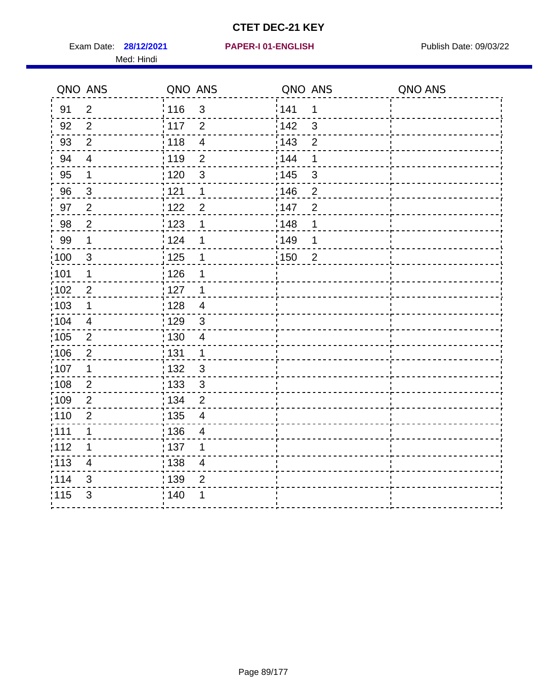Exam Date: 28/12/2021 PAPER-I 01-ENGLISH PREERENT Publish Date: 09/03/22 Med: Hindi

|                   | QNO ANS                  | QNO ANS                 | QNO ANS                             | QNO ANS |
|-------------------|--------------------------|-------------------------|-------------------------------------|---------|
| 91                | $\overline{2}$           | 116<br>3                | 141<br>$\mathbf 1$                  |         |
| 92                | $\overline{2}$           | 117<br>$\overline{2}$   | 142<br>3                            |         |
| 93                | $\overline{2}$           | 118<br>$\overline{4}$   | 143<br>$\overline{2}$               |         |
| 94                | $\overline{\mathcal{A}}$ | : 119<br>$\overline{2}$ | 144<br>1                            |         |
| 95                | 1                        | : 120<br>$\mathfrak{B}$ | : 145<br>3                          |         |
| 96                | $\mathfrak{S}$           | 121<br>1                | 146<br>$\overline{2}$               |         |
| 97                | $\overline{2}$           | 122<br>$\overline{2}$   | 147<br>$\overline{2}$               |         |
| 98                | $\overline{c}$           | $\frac{1}{2}$ 123<br>1  | 148<br>1                            |         |
| 99                | $\mathbf 1$              | 124<br>1                | ¦149<br>1                           |         |
| $\frac{1}{1}$ 100 | $\mathbf{3}$             | 125<br>$\mathbf 1$      | $\frac{1}{1}$ 150<br>$\overline{2}$ |         |
| :101              | 1                        | 126<br>1                |                                     |         |
| 102               | $\overline{2}$           | : 127<br>1              |                                     |         |
| 103               | $\mathbf 1$              | 128<br>$\overline{4}$   |                                     |         |
| 104               | $\overline{4}$           | 129<br>$\mathfrak{3}$   |                                     |         |
| 105               | $\overline{2}$           | : 130<br>$\overline{4}$ |                                     |         |
| ;106              | $\overline{2}$           | : 131<br>$\mathbf 1$    |                                     |         |
| :107              | 1                        | : 132<br>3              |                                     |         |
| 108               | $\overline{2}$           | : 133<br>$\sqrt{3}$     |                                     |         |
| :109              | $\overline{2}$           | : 134<br>$\overline{2}$ |                                     |         |
| :110              | $\overline{2}$           | : 135<br>4              |                                     |         |
| :111              | $\mathbf 1$              | : 136<br>$\overline{4}$ |                                     |         |
| 112               | 1                        | 137<br>1                |                                     |         |
| : 113             | $\overline{\mathbf{4}}$  | 138<br>$\overline{4}$   |                                     |         |
| 114               | 3                        | :139<br>$\overline{2}$  |                                     |         |
| 115               | 3                        | 140<br>1                |                                     |         |
|                   |                          |                         |                                     |         |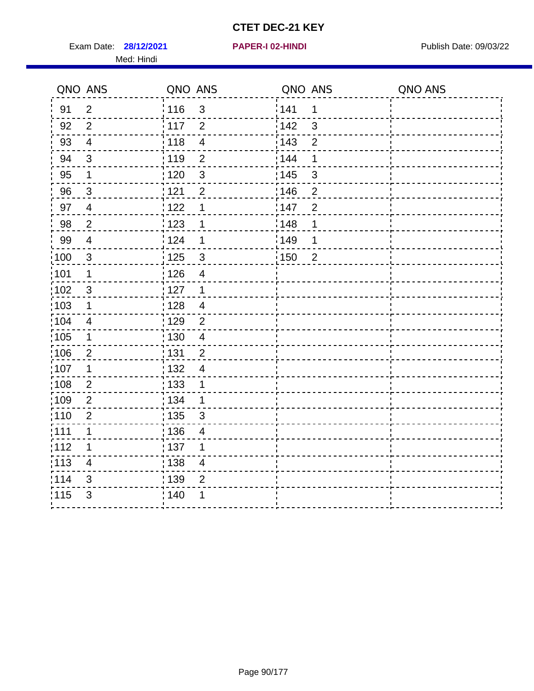Exam Date: 28/12/2021 **PAPER-I 02-HINDI Exam Date: 09/03/22** Med: Hindi

**28/12/2021 PAPER-I 02-HINDI**

|      | QNO ANS        | QNO ANS           |                         | QNO ANS           |                | QNO ANS |
|------|----------------|-------------------|-------------------------|-------------------|----------------|---------|
| 91   | $\overline{2}$ | 116               | $\mathfrak{3}$          | 141               | $\mathbf 1$    |         |
| 92   | $\overline{2}$ | $\frac{1}{2}$ 117 | $\overline{2}$          | 142               | 3              |         |
| 93   | $\overline{4}$ | 118               | $\overline{4}$          | 143               | $\overline{2}$ |         |
| 94   | 3              | : 119             | $\overline{2}$          | 144               | 1              |         |
| 95   | 1              | : 120             | $\mathbf{3}$            | : 145             | 3              |         |
| 96   | $\mathbf{3}$   | : 121             | $\overline{2}$          | 146               | 2              |         |
| 97   | $\overline{4}$ | 122               | 1                       | 147               | $\overline{2}$ |         |
| 98   | $\overline{2}$ | 123               | 1                       | 148               | 1              |         |
| 99   | $\overline{4}$ | 124               | 1                       | $\frac{1}{2}$ 149 | 1              |         |
| 100  | $\mathbf{3}$   | 125               | $\mathfrak{S}$          | 150               | $\overline{2}$ |         |
| :101 | 1              | 126               | $\overline{\mathbf{4}}$ |                   |                |         |
| 102  | 3              | : 127             | $\mathbf{1}$            |                   |                |         |
| 103  | 1              | :128              | $\overline{4}$          |                   |                |         |
| :104 | $\overline{4}$ | : 129             | $\overline{2}$          |                   |                |         |
| 105  | $\mathbf 1$    | : 130             | $\overline{4}$          |                   |                |         |
| :106 | $\overline{2}$ | : 131             | $\overline{2}$          |                   |                |         |
| 107  | 1              | : 132             | $\overline{4}$          |                   |                |         |
| 108  | $\overline{2}$ | 133               | $\mathbf 1$             |                   |                |         |
| :109 | $\overline{2}$ | : 134             | $\mathbf 1$             |                   |                |         |
| :110 | $\overline{2}$ | : 135             | 3                       |                   |                |         |
| :111 | $\mathbf 1$    | : 136             | $\overline{4}$          |                   |                |         |
| 112  | 1              | $\frac{1}{1}$ 137 | 1                       |                   |                |         |
| 113  | $\overline{4}$ | : 138             | $\overline{\mathbf{4}}$ |                   |                |         |
| 114  | 3              | : 139             | $\overline{2}$          |                   |                |         |
| 115  | 3              | : 140             | 1                       |                   |                |         |
|      |                |                   |                         |                   |                |         |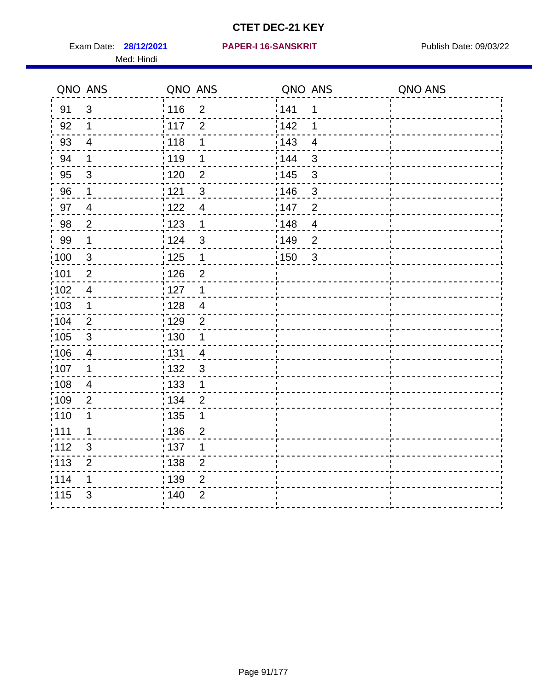Exam Date: 28/12/2021 PAPER-I 16-SANSKRIT Publish Date: 09/03/22 Med: Hindi

#### **28/12/2021 PAPER-I 16-SANSKRIT**

|      | QNO ANS        | QNO ANS           |                | QNO ANS |                         | QNO ANS |
|------|----------------|-------------------|----------------|---------|-------------------------|---------|
| 91   | $\mathbf{3}$   | : 116             | $\overline{2}$ | 141     | 1                       |         |
| 92   | $\mathbf 1$    | 117               | $\overline{2}$ | 142     | 1                       |         |
| 93   | $\overline{4}$ | 118               | 1              | 143     | $\overline{4}$          |         |
| 94   | 1              | : 119             | 1              | : 144   | 3                       |         |
| 95   | 3              | :120              | $\overline{2}$ | : 145   | 3                       |         |
| 96   | 1              | 121               | 3              | :146    | $\mathfrak{B}$          |         |
| 97   | $\overline{4}$ | 122               | $\overline{4}$ | 147     | $\overline{2}$          |         |
| 98   | $\overline{c}$ | 123               | $\mathbf{1}$   | 148     | $\overline{\mathbf{4}}$ |         |
| 99   | $\mathbf 1$    | 124               | $\mathfrak{S}$ | 149     | $\overline{2}$          |         |
| 100  | $\sqrt{3}$     | $\frac{1}{1}$ 125 | $\mathbf 1$    | 150     | $\mathbf{3}$            |         |
| :101 | $\overline{2}$ | : 126             | $\overline{2}$ |         |                         |         |
| 102  | $\overline{4}$ | : 127             | $\mathbf 1$    |         |                         |         |
| 103  | $\mathbf 1$    | :128              | $\overline{4}$ |         |                         |         |
| 104  | 2              | : 129             | $\overline{2}$ |         |                         |         |
| 105  | $\sqrt{3}$     | 130               | 1              |         |                         |         |
| ;106 | 4              | : 131             | $\overline{4}$ |         |                         |         |
| :107 | 1              | 132               | $\mathbf{3}$   |         |                         |         |
| 108  | $\overline{4}$ | : 133             | $\mathbf{1}$   |         |                         |         |
| :109 | $\mathbf 2$    | : 134             | $\overline{2}$ |         |                         |         |
| :110 | 1              | 135               | 1              |         |                         |         |
| :111 | $\mathbf 1$    | : 136             | $\overline{2}$ |         |                         |         |
| 112  | $\sqrt{3}$     | 137               | 1              |         |                         |         |
| 113  | $\overline{2}$ | 138               | $\overline{2}$ |         |                         |         |
| 1114 | 1              | : 139             | 2              |         |                         |         |
| 115  | 3              | 140               | $\overline{2}$ |         |                         |         |
|      |                |                   |                |         |                         |         |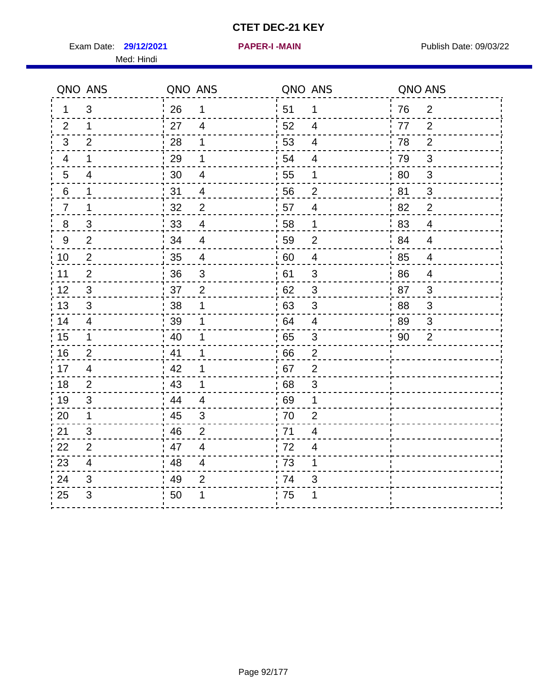Exam Date: 29/12/2021 **PAPER-I-MAIN Property Allows** Publish Date: 09/03/22 Med: Hindi

**29/12/2021 PAPER-I -MAIN**

| QNO ANS                   | QNO ANS                 | QNO ANS                 | QNO ANS        |
|---------------------------|-------------------------|-------------------------|----------------|
| 3                         | 26                      | 51                      | 2              |
| 1                         | 1                       | $\mathbf 1$             | 76             |
| 2                         | 27                      | 52                      | $\overline{2}$ |
| $\mathbf 1$               | $\overline{4}$          | 4                       | 77             |
| 3                         | 28                      | 53                      | 78             |
| $\overline{2}$            | 1                       | $\overline{4}$          | $\overline{2}$ |
| 1                         | 29                      | 54                      | 79             |
| $\overline{4}$            | 1                       | 4                       | 3              |
| $5\phantom{.0}$           | 30                      | 55                      | 3              |
| $\overline{4}$            | $\overline{\mathbf{4}}$ | 1                       | 80             |
| 6                         | 31                      | 56                      | 81             |
| $\mathbf{1}$              | 4                       | $\overline{2}$          | 3              |
| 1                         | $\overline{2}$          | 57                      | 82             |
| $\overline{7}$            | 32                      | $\overline{4}$          | $\overline{2}$ |
| $\,8\,$                   | 33                      | 58                      | 83             |
| $\ensuremath{\mathsf{3}}$ | $\overline{4}$          | $\mathbf 1$             | $\overline{4}$ |
| $\overline{2}$            | 34                      | 59                      | 84             |
| $\boldsymbol{9}$          | $\overline{4}$          | $\overline{2}$          | $\overline{4}$ |
| $\overline{\mathbf{c}}$   | 35                      | 60                      | 85             |
| 10                        | $\overline{4}$          | $\overline{\mathbf{4}}$ | $\overline{4}$ |
| $\overline{2}$            | 36                      | 61                      | 86             |
| 11                        | $\sqrt{3}$              | $\mathsf 3$             | $\overline{4}$ |
| 12                        | $\overline{2}$          | 62                      | 87             |
| 3                         | 37                      | $\mathfrak{S}$          | 3              |
| 13                        | 38                      | 63                      | 88             |
| 3                         | 1                       | 3                       | 3              |
| 14                        | 39                      | 64                      | 89             |
| 4                         | 1                       | $\overline{4}$          | 3              |
| $\mathbf 1$               | 40                      | $\mathbf{3}$            | $\overline{2}$ |
| 15                        |                         | 65                      | 90             |
| 16                        | 41                      | 66                      |                |
| $\overline{2}$            | 1                       | $\overline{2}$          |                |
| 17<br>$\overline{4}$      | .42                     | 67<br>$\overline{2}$    |                |
| 18                        | 43                      | $\mathfrak{S}$          |                |
| $\overline{2}$            | 1                       | 68                      |                |
| 3                         | .44                     | 69                      |                |
| 19                        | $\overline{4}$          | 1                       |                |
| 20                        | 45                      | 70                      |                |
| $\mathbf{1}$              | $\mathfrak{S}$          | $\overline{2}$          |                |
| 3                         | 46                      | 71                      |                |
| 21                        | $\overline{2}$          | $\overline{4}$          |                |
| $\overline{2}$            | 47                      | 72                      |                |
| 22                        | $\overline{4}$          | 4                       |                |
| 23                        | 48                      | 73                      |                |
| $\overline{4}$            | $\overline{\mathbf{4}}$ | 1                       |                |
| 24                        | 49                      | 74                      |                |
| 3                         | $\overline{2}$          | 3                       |                |
| $\mathfrak{S}$<br>25      | 50                      | 75<br>1                 |                |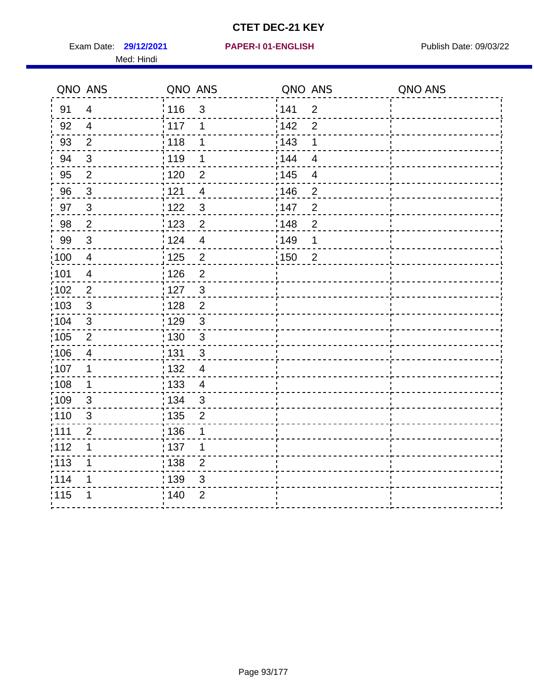Exam Date: 29/12/2021 **PAPER-I 01-ENGLISH Exam Date: 09/03/22** Med: Hindi

|                   | QNO ANS        | QNO ANS           |                | QNO ANS           |                | QNO ANS |
|-------------------|----------------|-------------------|----------------|-------------------|----------------|---------|
| 91                | $\overline{4}$ | 116               | 3              | 141               | $\overline{2}$ |         |
| 92                | $\overline{4}$ | 117               | 1              | 142               | $\overline{2}$ |         |
| 93                | $\overline{2}$ | 118               | 1              | 143               | 1              |         |
| 94                | 3              | : 119             | 1              | : 144             | $\overline{4}$ |         |
| 95                | $\overline{2}$ | : 120             | 2              | : 145             | $\overline{4}$ |         |
| 96                | $\mathfrak{S}$ | 121               | $\overline{4}$ | 146               | $\overline{2}$ |         |
| 97                | $\mathfrak{S}$ | 122               | $\mathbf{3}$   | 147               | $\overline{2}$ |         |
| 98                | $\sqrt{2}$     | $\frac{1}{2}$ 123 | $\overline{c}$ | $\frac{1}{2}$ 148 | $\overline{c}$ |         |
| 99                | $\sqrt{3}$     | 124               | $\overline{4}$ | <sup>'</sup> 149  | 1              |         |
| $\frac{1}{1}$ 100 | $\overline{4}$ | 125               | $\overline{2}$ | 150               | $\overline{2}$ |         |
| 101               | $\overline{4}$ | 126               | $\overline{2}$ |                   |                |         |
| 102               | $\overline{2}$ | : 127             | 3              |                   |                |         |
| 103               | $\mathbf{3}$   | : 128             | $\overline{2}$ |                   |                |         |
| 104               | $\sqrt{3}$     | : 129             | $\mathfrak{3}$ |                   |                |         |
| 105               | $\sqrt{2}$     | : 130             | $\mathfrak{S}$ |                   |                |         |
| :106              | 4              | : 131             | $\mathfrak{B}$ |                   |                |         |
| :107              | 1              | : 132             | $\overline{4}$ |                   |                |         |
| :108              | $\mathbf 1$    | : 133             | $\overline{4}$ |                   |                |         |
| :109              | $\mathfrak{S}$ | : 134             | $\mathbf{3}$   |                   |                |         |
| :110              | 3              | : 135             | $\overline{2}$ |                   |                |         |
| :111              | $\overline{c}$ | : 136             | 1              |                   |                |         |
| 112               | 1              | : 137             | 1              |                   |                |         |
| 113               | 1              | 138               | $\overline{2}$ |                   |                |         |
| 114               | 1              | 139               | 3              |                   |                |         |
| 115               | 1              | 140               | $\mathbf{2}$   |                   |                |         |
|                   |                |                   |                |                   |                |         |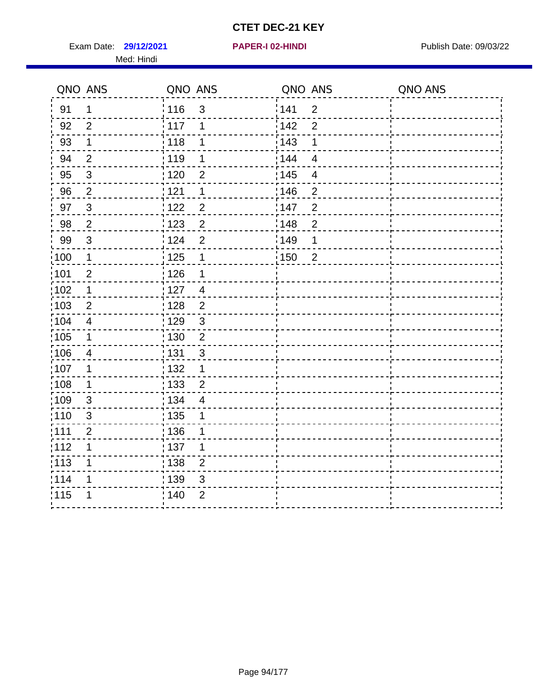Exam Date: 29/12/2021 **PAPER-I 02-HINDI Exam Date: 09/03/22** Med: Hindi

**29/12/2021 PAPER-I 02-HINDI**

|       | QNO ANS        | QNO ANS           |                  | QNO ANS |                          | QNO ANS |
|-------|----------------|-------------------|------------------|---------|--------------------------|---------|
| 91    | $\mathbf 1$    | 116               | $\mathfrak{S}$   | 1141    | $\overline{2}$           |         |
| 92    | $\overline{2}$ | 117               | 1                | 142     | $\overline{2}$           |         |
| 93    | $\mathbf 1$    | 118               | 1                | 143     | 1                        |         |
| 94    | $\overline{2}$ | 119               | 1                | : 144   | $\overline{4}$           |         |
| 95    | $\sqrt{3}$     | : 120             | 2                | : 145   | $\overline{\mathcal{A}}$ |         |
| 96    | $\overline{2}$ | 121               | 1                | 146     | $\overline{2}$           |         |
| 97    | $\sqrt{3}$     | 122               | $\overline{c}$   | 147     | $\overline{2}$           |         |
| 98    | $\overline{2}$ | 123               | $\overline{2}$   | 148     | $\overline{2}$           |         |
| 99    | $\sqrt{3}$     | 124               | $\overline{2}$   | :149    | 1                        |         |
| :100  | $\mathbf 1$    | $\frac{1}{2}$ 125 | $\mathbf 1$      | 150     | $\overline{2}$           |         |
| :101  | $\mathbf{2}$   | $\frac{1}{1}$ 126 | 1                |         |                          |         |
| 102   | $\mathbf 1$    | : 127             | $\overline{4}$   |         |                          |         |
| 103   | 2              | :128              | 2                |         |                          |         |
| 104   | $\overline{4}$ | : 129             | $\mathfrak{S}$   |         |                          |         |
| 105   | $\mathbf 1$    | 130               | $\boldsymbol{2}$ |         |                          |         |
| :106  | 4              | : 131             | 3                |         |                          |         |
| 107   | 1              | :132              | $\mathbf 1$      |         |                          |         |
| 108   | $\mathbf 1$    | : 133             | $\overline{2}$   |         |                          |         |
| :109  | $\mathfrak{S}$ | : 134             | $\overline{4}$   |         |                          |         |
| : 110 | 3              | : 135             | 1                |         |                          |         |
| : 111 | $\overline{2}$ | : 136             | 1                |         |                          |         |
| 112   | 1              | $\frac{1}{1}$ 137 | 1                |         |                          |         |
| 113   | 1              | : 138             | $\overline{c}$   |         |                          |         |
| 1114  | 1              | 139               | 3                |         |                          |         |
| 115   | 1              | 140               | $\overline{2}$   |         |                          |         |
|       |                |                   |                  |         |                          |         |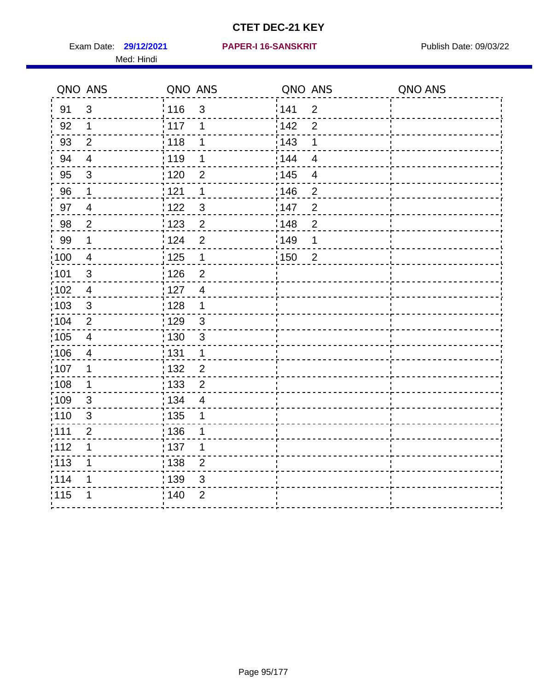Exam Date: 29/12/2021 PAPER-I 16-SANSKRIT Publish Date: 09/03/22 Med: Hindi

#### **29/12/2021 PAPER-I 16-SANSKRIT**

|                   | QNO ANS                 | QNO ANS           |                | QNO ANS           |                | QNO ANS |
|-------------------|-------------------------|-------------------|----------------|-------------------|----------------|---------|
| 91                | $\mathbf{3}$            | 116               | 3              | 141               | $\overline{2}$ |         |
| 92                | $\mathbf 1$             | 117               | 1              | 142               | $\overline{2}$ |         |
| 93                | $\overline{2}$          | 118               | 1              | 143               | 1              |         |
| 94                | $\overline{\mathbf{4}}$ | : 119             | 1              | 144               | $\overline{4}$ |         |
| 95                | $\mathfrak{S}$          | : 120             | $\overline{2}$ | : 145             | 4              |         |
| 96                | 1                       | 121               | 1              | 146               | $\overline{2}$ |         |
| 97                | $\overline{4}$          | : 122             | $\mathbf{3}$   | 147               | $\overline{2}$ |         |
| 98                | $\overline{2}$          | 123               | $\overline{2}$ | 148               | $\overline{c}$ |         |
| 99                | $\mathbf 1$             | 124               | $\overline{2}$ | $\frac{1}{2}$ 149 | 1              |         |
| $\frac{1}{1}$ 100 | $\overline{4}$          | $\frac{1}{1}$ 125 | $\mathbf 1$    | $\frac{1}{1}$ 150 | $\overline{2}$ |         |
| :101              | $\sqrt{3}$              | : 126             | $\overline{2}$ |                   |                |         |
| 102               | $\overline{4}$          | : 127             | $\overline{4}$ |                   |                |         |
| ;103              | 3                       | : 128             | $\mathbf 1$    |                   |                |         |
| 104               | $\overline{2}$          | : 129             | $\mathfrak{S}$ |                   |                |         |
| ;105              | $\overline{\mathbf{4}}$ | 130               | $\mathbf{3}$   |                   |                |         |
| :106              | 4                       | : 131             | 1              |                   |                |         |
| 107               | 1                       | :132              | $\overline{2}$ |                   |                |         |
| 108               | $\mathbf 1$             | 133               | $\overline{2}$ |                   |                |         |
| :109              | $\mathbf{3}$            | : 134             | $\overline{4}$ |                   |                |         |
| :110              | 3                       | : 135             | 1              |                   |                |         |
| :111              | $\overline{2}$          | : 136             | 1              |                   |                |         |
| 112               | 1                       | 137               | 1              |                   |                |         |
| 113               | 1                       | 138               | $\overline{2}$ |                   |                |         |
| 114               | 1                       | 139               | 3              |                   |                |         |
| 115               | 1                       | 140               | $\overline{2}$ |                   |                |         |
|                   |                         |                   |                |                   |                |         |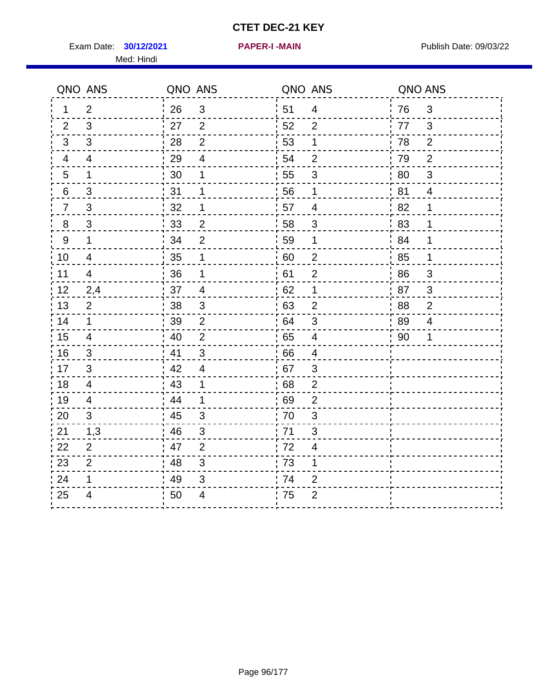**30/12/2021 PAPER-I -MAIN** Exam Date: Publish Date: 09/03/22

Med: Hindi

|  |  |  |  | PAPER-I -MAIN |  |
|--|--|--|--|---------------|--|
|  |  |  |  |               |  |

|                | QNO ANS        | QNO ANS          |                          | QNO ANS          |                          | QNO ANS |                          |
|----------------|----------------|------------------|--------------------------|------------------|--------------------------|---------|--------------------------|
| 1              | $\overline{2}$ | 26               | $\mathbf{3}$             | 51               | $\overline{4}$           | 76      | 3                        |
| 2              | 3              | 27               | $\overline{2}$           | 52               | 2                        | 77      | 3                        |
| 3              | 3              | 28               | $\overline{2}$           | 53               | 1                        | 78      | $\overline{2}$           |
| 4              | $\overline{4}$ | 29               | $\overline{\mathcal{A}}$ | 54               | $\overline{2}$           | 79      | $\overline{2}$           |
| 5              | $\mathbf{1}$   | 30               | 1                        | 55               | 3                        | 80      | $\mathfrak{S}$           |
| 6              | $\mathfrak{S}$ | 31               | 1                        | 56               | 1                        | 81      | $\overline{4}$           |
| $\overline{7}$ | $\mathfrak{S}$ | 32               | 1                        | 57               | $\overline{4}$           | 82      | 1                        |
| 8              | 3              | 33               | $\overline{2}$           | 58               | 3                        | 83      | 1                        |
| 9              | $\mathbf 1$    | 34               | $\overline{2}$           | 59               | 1                        | 84      | 1                        |
| 10             | 4              | $\frac{1}{2}$ 35 | $\mathbf 1$              | $\frac{1}{2}$ 60 | $\overline{2}$           | .85     | 1                        |
| 11             | $\overline{4}$ | 36               | 1                        | 61               | $\overline{2}$           | 86      | 3                        |
| 12             | 2,4            | 37               | $\overline{4}$           | 62               | 1                        | 87      | 3                        |
| 13             | $\overline{2}$ | 38               | $\mathfrak{S}$           | 63               | $\overline{2}$           | 88      | $\mathbf{2}$             |
| 14             | $\mathbf 1$    | 39               | $\overline{2}$           | 64               | $\sqrt{3}$               | 89      | $\overline{\mathcal{A}}$ |
| 15             | 4              | 40               | $\overline{2}$           | 65               | $\overline{4}$           | 90      | 1                        |
| 16             | $\mathfrak{S}$ | 41               | 3                        | 66               | $\overline{4}$           |         |                          |
| 17             | 3              | 42               | $\overline{4}$           | 67               | 3                        |         |                          |
| 18             | $\overline{4}$ | 43               | 1                        | 68               | $\overline{2}$           |         |                          |
| 19             | 4              | 44               | $\mathbf 1$              | 69               | $\overline{2}$           |         |                          |
| 20             | 3              | : 45             | 3                        | 70               | 3                        |         |                          |
| 21             | 1,3            | 46               | 3                        | 71               | $\mathfrak{S}$           |         |                          |
| 22             | $\overline{2}$ | 47               | $\overline{2}$           | 72               | $\overline{\mathcal{A}}$ |         |                          |
| 23             | $\overline{2}$ | 48               | 3                        | 73               | 1                        |         |                          |
| 24             | 1              | 49               | 3                        | 74               | $\overline{2}$           |         |                          |
| 25             | 4              | 50               | 4                        | 75               | 2                        |         |                          |
|                |                |                  |                          |                  |                          |         |                          |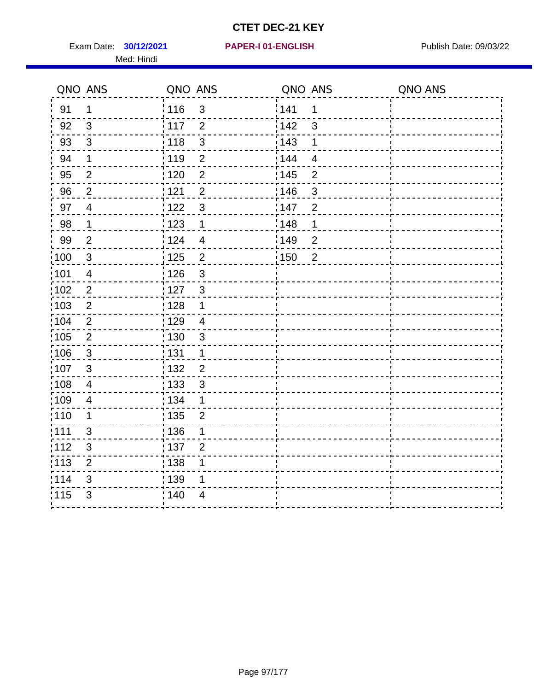Exam Date: **30/12/2021 PAPER-I 01-ENGLISH Propriet All Publish Date: 09/03/22** Med: Hindi

|                   | QNO ANS                  | QNO ANS                             | QNO ANS                  | QNO ANS |
|-------------------|--------------------------|-------------------------------------|--------------------------|---------|
| 91                | 1                        | 116<br>$\mathsf 3$                  | 141<br>$\mathbf 1$       |         |
| 92                | 3                        | 117<br>$\overline{2}$               | 142<br>3                 |         |
| 93                | $\sqrt{3}$               | $\mathbf{3}$<br>118                 | 143<br>1                 |         |
| 94                | 1                        | : 119<br>$\overline{2}$             | 144<br>4                 |         |
| 95                | $\overline{2}$           | :120<br>2                           | : 145<br>$\overline{2}$  |         |
| 96                | $\overline{2}$           | 121<br>$\mathbf{2}$                 | 146<br>$\sqrt{3}$        |         |
| 97                | $\overline{\mathcal{A}}$ | $\mathbf{3}$<br>: 122               | 147<br>$\overline{2}$    |         |
| 98                | $\mathbf{1}$             | 123<br>$\mathbf{1}$                 | 148<br>$\mathbf 1$       |         |
| 99                | $\overline{2}$           | : 124<br>$\overline{4}$             | :149<br>$\boldsymbol{2}$ |         |
| $\frac{1}{1}$ 100 | $\mathbf{3}$             | $\overline{2}$<br>$\frac{1}{1}$ 125 | 150<br>$\overline{2}$    |         |
| :101              | $\overline{4}$           | : 126<br>$\mathfrak{S}$             |                          |         |
| 102               | $\overline{2}$           | : 127<br>$\mathbf{3}$               |                          |         |
| 103               | $\overline{2}$           | : 128<br>$\mathbf 1$                |                          |         |
| 104               | $\mathbf{2}$             | : 129<br>$\overline{4}$             |                          |         |
| 105               | $\sqrt{2}$               | : 130<br>$\mathbf{3}$               |                          |         |
| 106               | 3                        | : 131<br>$\mathbf 1$                |                          |         |
| ,107              | 3                        | : 132<br>$\overline{2}$             |                          |         |
| $\frac{1}{1}$ 108 | $\overline{\mathbf{4}}$  | $\frac{1}{1}$ 133<br>$\sqrt{3}$     |                          |         |
| :109              | $\overline{\mathcal{A}}$ | : 134<br>1                          |                          |         |
| :110              | 1                        | : 135<br>$\overline{2}$             |                          |         |
| 111               | 3                        | : 136<br>1                          |                          |         |
| 112               | $\sqrt{3}$               | : 137<br>$\overline{2}$             |                          |         |
| : 113             | $\mathbf 2$              | : 138<br>1                          |                          |         |
| 114               | 3                        | 139<br>1                            |                          |         |
| 115               | 3                        | : 140<br>$\overline{4}$             |                          |         |
|                   |                          |                                     |                          |         |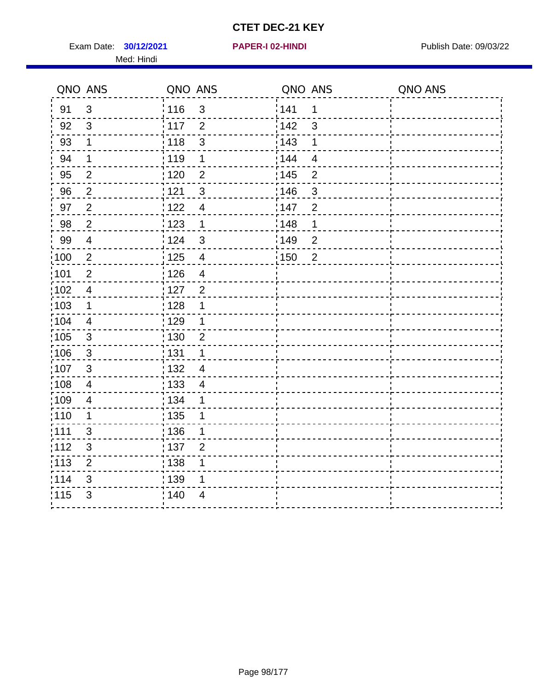Exam Date: **30/12/2021 PAPER-I 02-HINDI Exam Date: 09/03/22** Med: Hindi

**30/12/2021 PAPER-I 02-HINDI**

|       | QNO ANS        | QNO ANS                          | QNO ANS                             | QNO ANS |
|-------|----------------|----------------------------------|-------------------------------------|---------|
| 91    | $\mathbf{3}$   | 116<br>$\mathbf{3}$              | 141<br>1                            |         |
| 92    | $\mathbf{3}$   | $\overline{2}$<br>: 117          | 142<br>3                            |         |
| 93    | $\mathbf 1$    | 118<br>$\mathsf 3$               | 143<br>1                            |         |
| 94    | 1              | : 119<br>1                       | : 144<br>$\overline{4}$             |         |
| 95    | $\overline{2}$ | : 120<br>$\overline{2}$          | : 145<br>$\overline{2}$             |         |
| 96    | $\overline{2}$ | 121<br>$\mathfrak{S}$            | 146<br>3                            |         |
| 97    | $\overline{2}$ | 122<br>$\overline{\mathbf{4}}$   | 147<br>$\overline{2}$               |         |
| 98    | $\overline{2}$ | $\frac{1}{2}$ 123<br>$\mathbf 1$ | 148<br>1                            |         |
| 99    | $\overline{4}$ | 124<br>$\mathfrak{S}$            | :149<br>$\overline{c}$              |         |
| 100   | $\overline{c}$ | 125<br>$\overline{\mathbf{4}}$   | $\overline{2}$<br>$\frac{1}{1}$ 150 |         |
| :101  | $\overline{2}$ | : 126<br>$\overline{4}$          |                                     |         |
| 102   | $\overline{4}$ | : 127<br>$\overline{2}$          |                                     |         |
| :103  | 1              | : 128<br>1                       |                                     |         |
| :104  | $\overline{4}$ | : 129<br>1                       |                                     |         |
| :105  | $\mathbf{3}$   | 130<br>$\overline{2}$            |                                     |         |
| 106   | $\mathbf{3}$   | : 131<br>1                       |                                     |         |
| 107   | $\mathbf{3}$   | : 132<br>$\overline{4}$          |                                     |         |
| :108  | $\overline{4}$ | 133<br>$\overline{\mathcal{A}}$  |                                     |         |
| :109  | $\overline{4}$ | : 134<br>1                       |                                     |         |
| :110  | 1              | : 135<br>1                       |                                     |         |
| : 111 | 3              | : 136<br>1                       |                                     |         |
| 112   | $\mathfrak{B}$ | 137<br>$\overline{2}$            |                                     |         |
| 113   | $\overline{2}$ | 138<br>1                         |                                     |         |
| 114   | 3              | 139<br>1                         |                                     |         |
| 115   | 3              | 140<br>$\overline{4}$            |                                     |         |
|       |                |                                  |                                     |         |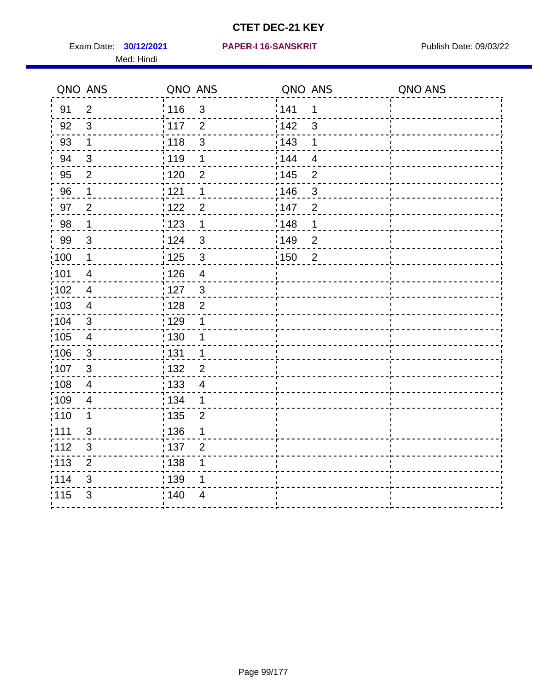Exam Date: **30/12/2021 PAPER-I 16-SANSKRIT** Publish Date: 09/03/22 Med: Hindi

|                   | QNO ANS                  | QNO ANS                           | QNO ANS                 | QNO ANS |
|-------------------|--------------------------|-----------------------------------|-------------------------|---------|
| 91                | $\overline{2}$           | 116<br>$\mathfrak{S}$             | 141<br>$\mathbf 1$      |         |
| 92                | $\mathfrak{B}$           | 117<br>$\overline{2}$             | 142<br>3                |         |
| 93                | $\mathbf 1$              | 3<br>118                          | 143<br>1                |         |
| 94                | 3                        | : 119<br>1                        | 144<br>$\overline{4}$   |         |
| 95                | $\overline{2}$           | : 120<br>2                        | : 145<br>$\overline{2}$ |         |
| 96                | 1                        | 121<br>1                          | 146<br>$\mathfrak{B}$   |         |
| 97                | $\overline{2}$           | $122$<br>$\overline{2}$           | 147<br>$\overline{2}$   |         |
| $98\,$            | $\mathbf{1}$             | $\frac{1}{2}$ 123<br>$\mathbf{1}$ | 148<br>1                |         |
| 99                | $\sqrt{3}$               | 124<br>$\mathbf{3}$               | :149<br>$\overline{c}$  |         |
| $\frac{1}{1}$ 100 | $\mathbf{1}$             | $\mathbf{3}$<br>125               | 150<br>$\overline{2}$   |         |
| 101               | $\overline{\mathcal{A}}$ | 126<br>$\overline{\mathbf{4}}$    |                         |         |
| 102               | $\overline{4}$           | : 127<br>3                        |                         |         |
| 103               | $\overline{4}$           | $\overline{2}$<br>: 128           |                         |         |
| 104               | $\sqrt{3}$               | : 129<br>1                        |                         |         |
| $\frac{1}{1}$ 105 | $\overline{\mathbf{4}}$  | : 130<br>1                        |                         |         |
| :106              | $\mathfrak{S}$           | : 131<br>1                        |                         |         |
| :107              | 3                        | : 132<br>$\overline{2}$           |                         |         |
| 108               | $\overline{4}$           | : 133<br>$\overline{\mathbf{4}}$  |                         |         |
| :109              | $\overline{\mathbf{4}}$  | : 134<br>$\mathbf{1}$             |                         |         |
| :110              | 1                        | : 135<br>$\overline{2}$           |                         |         |
| :111              | 3                        | : 136<br>1                        |                         |         |
| 112               | $\sqrt{3}$               | 137<br>$\overline{2}$             |                         |         |
| 113               | $\mathbf 2$              | 138<br>1                          |                         |         |
| 114               | 3                        | : 139<br>1                        |                         |         |
| 115               | 3                        | 140<br>4                          |                         |         |
|                   |                          |                                   |                         |         |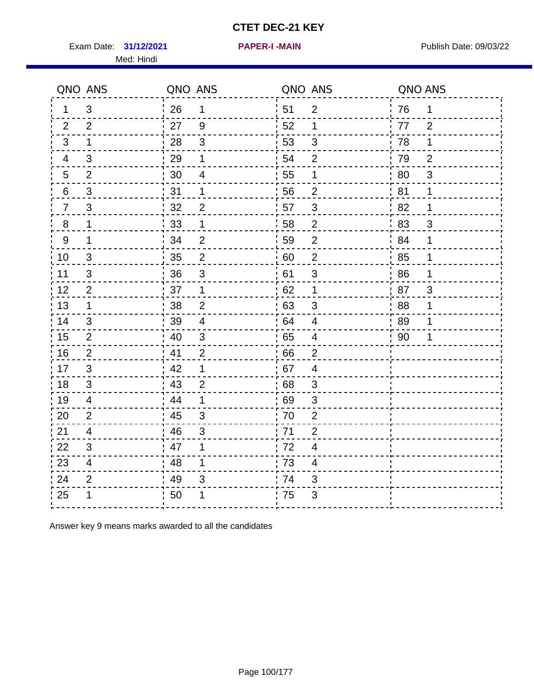Exam Date: 31/12/2021 **PAPER-I-MAIN Exam Date: 09/03/22** Med: Hindi

**31/12/2021 PAPER-I -MAIN**

|                 | QNO ANS                 | QNO ANS |                | QNO ANS |                          | QNO ANS |                |
|-----------------|-------------------------|---------|----------------|---------|--------------------------|---------|----------------|
| 1               | 3                       | 26      | $\mathbf{1}$   | 51      | 2                        | 76      | 1              |
| 2               | 2                       | 27      | $9\,$          | 52      | 1                        | 77      | $\overline{2}$ |
| 3               | $\mathbf 1$             | 28      | $\mathfrak{B}$ | 53      | $\mathfrak{S}$           | 78      | $\mathbf 1$    |
| 4               | 3                       | 29      | 1              | 54      | $\overline{2}$           | 79      | $\overline{2}$ |
| $5\phantom{.0}$ | $\overline{2}$          | 30      | $\overline{4}$ | 55      | 1                        | 80      | 3              |
| 6               | 3                       | 31      | 1              | 56      | 2                        | 81      | 1              |
| $\overline{7}$  | 3                       | 32      | $\overline{2}$ | 57      | $\mathfrak{B}$           | 82      | 1              |
| $8\phantom{1}$  | 1                       | 33      | $\mathbf 1$    | 58      | $\overline{2}$           | 83      | 3              |
| $9\,$           | 1                       | 34      | $\overline{2}$ | 59      | $\overline{2}$           | 84      | 1              |
| 10              | $\mathfrak{S}$          | 35      | $\overline{2}$ | 60      | $\overline{c}$           | 85      | 1              |
| 11              | $\mathfrak{S}$          | 36      | $\mathsf 3$    | 61      | $\sqrt{3}$               | 86      | $\mathbf 1$    |
| 12              | $\overline{2}$          | 37      | $\mathbf 1$    | 62      | 1                        | 87      | 3              |
| 13              | 1                       | 38      | $\overline{2}$ | 63      | 3                        | 88      | 1              |
| 14              | 3                       | 39      | $\overline{4}$ | 64      | 4                        | 89      | 1              |
| 15              | 2                       | 40      | $\mathfrak{S}$ | 65      | $\overline{\mathcal{A}}$ | 90      | 1              |
| 16              | 2                       | 41      | 2              | 66      | $\overline{2}$           |         |                |
| 17              | 3                       | 42      | 1              | 67      | 4                        |         |                |
| 18              | 3                       | 43      | $\overline{2}$ | 68      | $\mathfrak{S}$           |         |                |
| 19              | $\overline{4}$          | 44      | 1              | 69      | $\sqrt{3}$               |         |                |
| 20              | $\overline{2}$          | 45      | 3              | 70      | $\overline{2}$           |         |                |
| 21              | 4                       | 46      | 3              | 71      | $\overline{2}$           |         |                |
| 22              | 3                       | 47      | 1              | 72      | $\overline{4}$           |         |                |
| 23              | $\overline{\mathbf{4}}$ | 48      | 1              | 73      | $\overline{\mathbf{4}}$  |         |                |
| 24              | $\overline{2}$          | 49      | 3              | 74      | 3                        |         |                |
| 25              | 1                       | 50      |                | 75      | 3                        |         |                |

Answer key 9 means marks awarded to all the candidates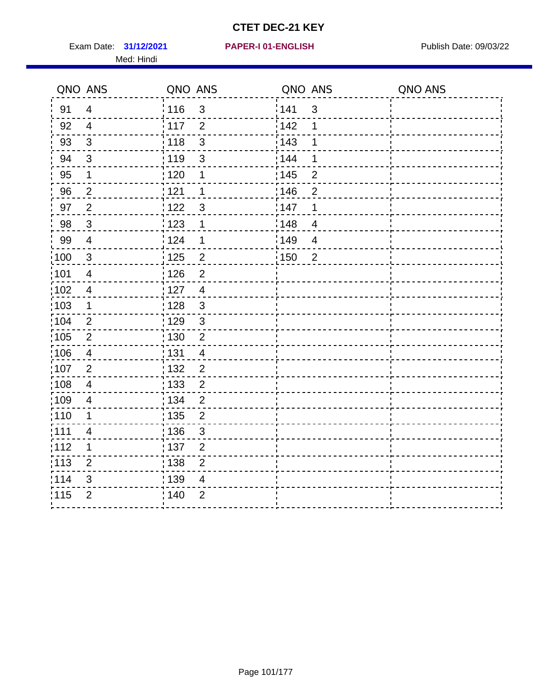Exam Date: 31/12/2021 PAPER-I 01-ENGLISH PREERENT Publish Date: 09/03/22 Med: Hindi

|                   | QNO ANS                  | QNO ANS           |                | QNO ANS |                | QNO ANS |
|-------------------|--------------------------|-------------------|----------------|---------|----------------|---------|
| 91                | $\overline{4}$           | 116               | $\mathfrak{S}$ | 141     | $\mathfrak{S}$ |         |
| 92                | $\overline{4}$           | 117               | $\overline{2}$ | 142     | 1              |         |
| 93                | $\sqrt{3}$               | 118               | $\mathbf{3}$   | 143     | 1              |         |
| 94                | 3                        | : 119             | $\mathbf{3}$   | 144     | 1              |         |
| 95                | 1                        | : 120             | 1              | : 145   | $\overline{2}$ |         |
| 96                | $\overline{2}$           | 121               | 1              | 146     | $\overline{2}$ |         |
| 97                | $\overline{2}$           | $122$             | 3              | 147     | 1              |         |
| 98                | $\mathbf{3}$             | $\frac{1}{2}$ 123 | 1              | 148     | $\overline{4}$ |         |
| 99                | $\overline{4}$           | 124               | 1              | 149     | $\overline{4}$ |         |
| $\frac{1}{1}$ 100 | $\sqrt{3}$               | 125               | $\overline{2}$ | 150     | $\overline{2}$ |         |
| 101               | $\overline{\mathcal{A}}$ | 126               | $\overline{2}$ |         |                |         |
| 102               | $\overline{4}$           | : 127             | $\overline{4}$ |         |                |         |
| 103               | $\mathbf 1$              | 128               | $\mathfrak{3}$ |         |                |         |
| 104               | $\overline{2}$           | : 129             | $\mathfrak{3}$ |         |                |         |
| 105               | $\sqrt{2}$               | : 130             | $\overline{2}$ |         |                |         |
| ;106              | 4                        | : 131             | $\overline{4}$ |         |                |         |
| :107              | $\overline{2}$           | : 132             | $\overline{2}$ |         |                |         |
| $\frac{1}{1}$ 108 | $\overline{\mathbf{4}}$  | : 133             | $\overline{2}$ |         |                |         |
| :109              | $\overline{\mathbf{4}}$  | : 134             | $\overline{2}$ |         |                |         |
| :110              | 1                        | : 135             | $\overline{2}$ |         |                |         |
| :111              | $\overline{\mathcal{A}}$ | : 136             | $\mathfrak{S}$ |         |                |         |
| 112               | 1                        | 137               | $\overline{c}$ |         |                |         |
| : 113             | $\overline{2}$           | 138               | $\overline{c}$ |         |                |         |
| 114               | 3                        | : 139             | 4              |         |                |         |
| 115               | $\overline{2}$           | 140               | $\mathbf{2}$   |         |                |         |
|                   |                          |                   |                |         |                |         |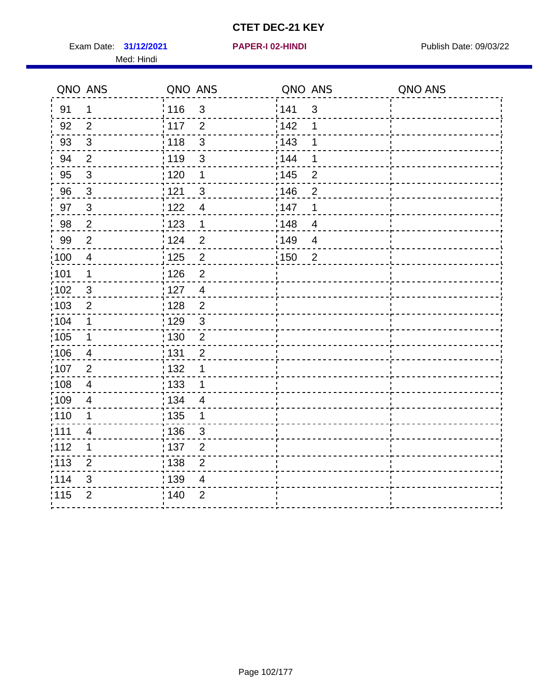Exam Date: 31/12/2021 **PAPER-I 02-HINDI Exam Date: 09/03/22** Med: Hindi

**31/12/2021 PAPER-I 02-HINDI**

|       | QNO ANS        | QNO ANS |                          | QNO ANS           |                | QNO ANS |
|-------|----------------|---------|--------------------------|-------------------|----------------|---------|
| 91    | 1              | 116     | $\mathfrak{3}$           | 141               | $\sqrt{3}$     |         |
| 92    | $\overline{2}$ | 117     | $\overline{2}$           | 142               | 1              |         |
| 93    | $\sqrt{3}$     | 118     | $\mathbf{3}$             | 143               | 1              |         |
| 94    | $\overline{2}$ | : 119   | $\mathfrak{S}$           | : 144             | 1              |         |
| 95    | $\mathfrak{B}$ | : 120   | 1                        | : 145             | $\overline{2}$ |         |
| 96    | $\mathbf{3}$   | : 121   | $\mathbf{3}$             | 146               | 2              |         |
| 97    | $\mathbf{3}$   | 122     | $\overline{\mathcal{A}}$ | 147               | 1              |         |
| 98    | $\sqrt{2}$     | 123     | $\overline{1}$           | 148               | $\overline{4}$ |         |
| 99    | $\overline{2}$ | 124     | $\overline{2}$           | $\frac{1}{2}$ 149 | $\overline{4}$ |         |
| 100   | $\overline{4}$ | 125     | $\overline{2}$           | 150               | $\overline{2}$ |         |
| :101  | 1              | : 126   | $\overline{2}$           |                   |                |         |
| 102   | $\mathfrak{3}$ | : 127   | $\overline{4}$           |                   |                |         |
| 103   | $\overline{2}$ | :128    | $\overline{2}$           |                   |                |         |
| :104  | $\mathbf 1$    | : 129   | $\mathfrak{S}$           |                   |                |         |
| 105   | $\mathbf 1$    | : 130   | $\overline{2}$           |                   |                |         |
| :106  | $\overline{4}$ | : 131   | $\overline{2}$           |                   |                |         |
| 107   | $\overline{2}$ | : 132   | 1                        |                   |                |         |
| 108   | $\overline{4}$ | 133     | $\mathbf 1$              |                   |                |         |
| :109  | $\overline{4}$ | : 134   | $\overline{4}$           |                   |                |         |
| :110  | 1              | : 135   | 1                        |                   |                |         |
| : 111 | $\overline{4}$ | : 136   | 3                        |                   |                |         |
| 112   | 1              | 137     | $\mathbf 2$              |                   |                |         |
| 113   | $\overline{2}$ | : 138   | $\overline{2}$           |                   |                |         |
| 114   | 3              | 139     | 4                        |                   |                |         |
| 115   | $\overline{2}$ | 140     | $\overline{2}$           |                   |                |         |
|       |                |         |                          |                   |                |         |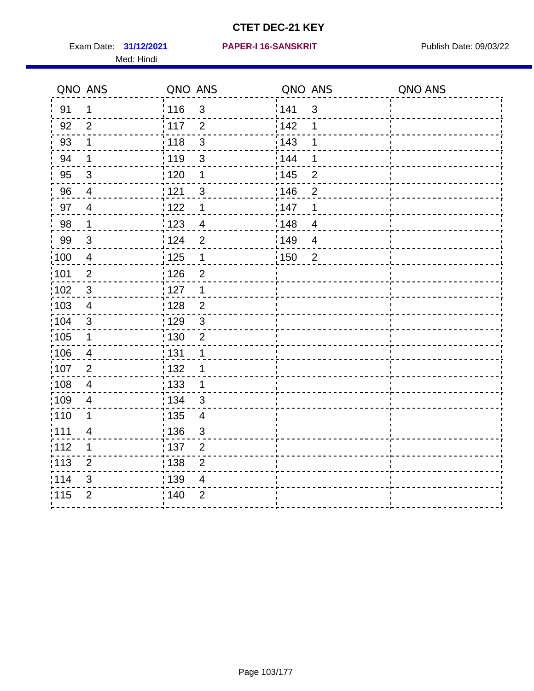Exam Date: 31/12/2021 PAPER-I 16-SANSKRIT Publish Date: 09/03/22 Med: Hindi

|                   | QNO ANS                  | QNO ANS |                | QNO ANS |                | QNO ANS |
|-------------------|--------------------------|---------|----------------|---------|----------------|---------|
| 91                | $\mathbf 1$              | 116     | $\mathsf 3$    | 141     | $\mathfrak{S}$ |         |
| 92                | $\overline{2}$           | 117     | $\overline{2}$ | 142     | 1              |         |
| 93                | 1                        | 118     | $\mathbf{3}$   | 143     | 1              |         |
| 94                | 1                        | :119    | $\mathbf{3}$   | 144     | 1              |         |
| 95                | 3                        | :120    | 1              | : 145   | $\overline{2}$ |         |
| 96                | 4                        | : 121   | $\sqrt{3}$     | 146     | $\overline{2}$ |         |
| 97                | $\overline{\mathcal{A}}$ | : 122   | 1              | 147     | 1              |         |
| 98                | $\mathbf{1}$             | 123     | $\overline{4}$ | 148     | $\overline{4}$ |         |
| 99                | $\sqrt{3}$               | : 124   | $\overline{2}$ | ¦149    | $\overline{4}$ |         |
| $\frac{1}{1}$ 100 | $\overline{4}$           | : 125   | $\mathbf 1$    | 150     | $\overline{2}$ |         |
| :101              | $\overline{2}$           | : 126   | $\overline{2}$ |         |                |         |
| 102               | 3                        | : 127   | 1              |         |                |         |
| 103               | $\overline{4}$           | :128    | $\overline{2}$ |         |                |         |
| 104               | $\sqrt{3}$               | : 129   | $\sqrt{3}$     |         |                |         |
| :105              | $\mathbf 1$              | : 130   | $\overline{2}$ |         |                |         |
| 106               | 4                        | : 131   | 1              |         |                |         |
| :107              | $\overline{2}$           | : 132   | 1              |         |                |         |
| $\frac{1}{1}$ 108 | $\overline{\mathbf{4}}$  | 133     | $\mathbf{1}$   |         |                |         |
| :109              | $\overline{4}$           | : 134   | $\mathbf{3}$   |         |                |         |
| :110              | 1                        | : 135   | $\overline{4}$ |         |                |         |
| 111               | $\overline{\mathbf{4}}$  | : 136   | $\mathfrak{S}$ |         |                |         |
| 112               | 1                        | : 137   | $\mathbf 2$    |         |                |         |
| : 113             | $\overline{2}$           | : 138   | $\overline{2}$ |         |                |         |
| 114               | 3                        | 139     | 4              |         |                |         |
| 115               | $\overline{2}$           | : 140   | $\mathbf{2}$   |         |                |         |
|                   |                          |         |                |         |                |         |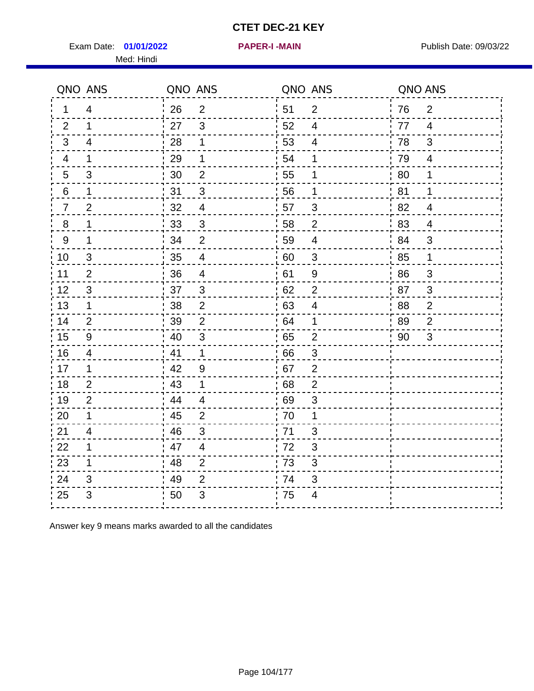Exam Date: 01/01/2022 PAPER-I-MAIN PUblish Date: 09/03/22 Med: Hindi

**01/01/2022 PAPER-I -MAIN**

|                  | QNO ANS        | QNO ANS |                          |      | QNO ANS                 | QNO ANS      |                           |
|------------------|----------------|---------|--------------------------|------|-------------------------|--------------|---------------------------|
| 1                | $\overline{4}$ | 26      | $\overline{2}$           | ¦ 51 | $\overline{2}$          | 76           | $\overline{2}$            |
| 2                | $\mathbf 1$    | 27      | $\mathbf{3}$             | 52   | $\overline{4}$          | 77           | $\overline{4}$            |
| 3                | 4              | 28      | 1                        | 53   | 4                       | 78           | 3                         |
| 4                | $\mathbf 1$    | 29      | 1                        | 54   | 1                       | 79           | $\overline{4}$            |
| 5                | 3              | 30      | $\mathbf 2$              | 55   | 1                       | 80           | 1                         |
| 6                | 1              | 31      | 3                        | 56   | 1                       | 81           | 1                         |
| 7                | $\overline{2}$ | 32      | $\overline{4}$           | 57   | 3                       | 82           | $\overline{4}$            |
| 8                | 1              | 33      | $\sqrt{3}$               | 58   | $\overline{2}$          | 83           | $\overline{4}$            |
| $\boldsymbol{9}$ | 1              | 34      | $\overline{2}$           | 59   | $\overline{\mathbf{4}}$ | 84           | $\mathfrak{S}$            |
| 10               | 3              | 35      | $\overline{\mathcal{A}}$ | 60   | $\sqrt{3}$              | 85           | $\mathbf{1}$              |
| 11               | $\overline{2}$ | 36      | $\overline{\mathbf{4}}$  | 61   | 9                       | 86           | $\ensuremath{\mathsf{3}}$ |
| 12               | $\sqrt{3}$     | 37      | $\mathfrak{S}$           | 62   | $\mathbf{2}$            | 87           | $\mathfrak{S}$            |
| 13               | $\mathbf 1$    | 38      | $\overline{2}$           | 63   | 4                       | 88           | $\overline{2}$            |
| 14               | 2              | 39      | 2                        | 64   | 1                       | 89           | $\overline{2}$            |
| 15               | 9              | 40      | $\mathfrak{S}$           | 65   | $\overline{2}$          | $90^{\circ}$ | 3                         |
| 16               | $\overline{4}$ | 41      | $\mathbf 1$              | 66   | $\mathfrak{B}$          |              |                           |
| 17               | 1              | 42      | 9                        | .67  | 2                       |              |                           |
| 18               | 2              | 43      | 1                        | 68   | $\overline{2}$          |              |                           |
| 19               | 2              | 44      | $\overline{4}$           | 69   | 3                       |              |                           |
| 20               | 1              | 45      | $\overline{2}$           | 70   | 1                       |              |                           |
| 21               | 4              | 46      | 3                        | : 71 | 3                       |              |                           |
| 22               | 1              | 47      | 4                        | 72   | $\mathfrak{B}$          |              |                           |
| 23               | $\mathbf 1$    | 48      | $\overline{2}$           | 73   | 3                       |              |                           |
| 24               | 3              | 49      | $\overline{2}$           | 74   | 3                       |              |                           |
| 25               | 3              | 50      | $\mathfrak{B}$           | .75  | $\overline{\mathbf{4}}$ |              |                           |

Answer key 9 means marks awarded to all the candidates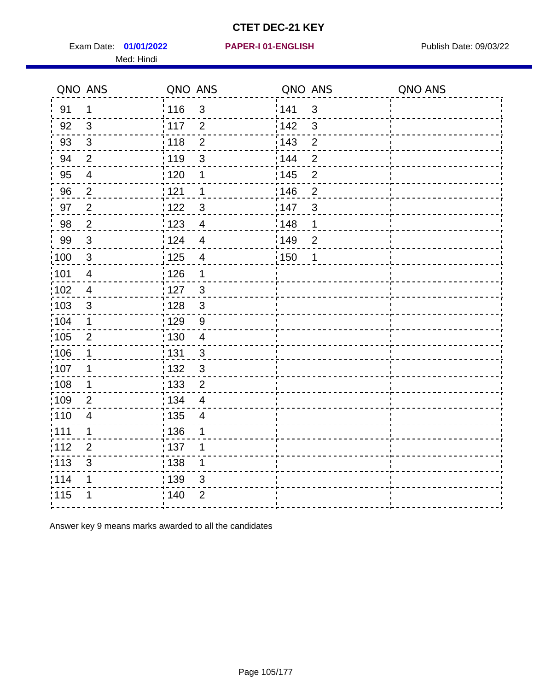Exam Date: 01/01/2022 PAPER-I 01-ENGLISH PREER FOR Publish Date: 09/03/22 Med: Hindi

**01/01/2022 PAPER-I 01-ENGLISH**

|                   | QNO ANS                  | QNO ANS           |                          | QNO ANS |                | QNO ANS |
|-------------------|--------------------------|-------------------|--------------------------|---------|----------------|---------|
| 91                | $\mathbf 1$              | : 116             | 3                        | 141     | $\mathbf{3}$   |         |
| 92                | $\mathbf{3}$             | 117               | $\overline{2}$           | 142     | $\mathbf{3}$   |         |
| 93                | $\sqrt{3}$               | 118               | $\overline{2}$           | 143     | $\overline{2}$ |         |
| 94                | $\overline{2}$           | : 119             | 3                        | 144     | $\overline{2}$ |         |
| 95                | $\overline{\mathcal{A}}$ | :120              | 1                        | : 145   | $\overline{2}$ |         |
| 96                | $\overline{2}$           | 121               | 1                        | 146     | $\overline{2}$ |         |
| 97                | $\overline{2}$           | 1122              | $\mathfrak{S}$           | 147     | $\mathfrak{S}$ |         |
| 98                | $\overline{2}$           | 1123              | $\overline{4}$           | 148     | 1              |         |
| 99                | $\sqrt{3}$               | 124               | $\overline{4}$           | 149     | $\overline{2}$ |         |
| 100               | $\sqrt{3}$               | $\frac{1}{1}$ 125 | $\overline{\mathbf{4}}$  | 150     | 1              |         |
| 101               | $\overline{\mathbf{4}}$  | : 126             | 1                        |         |                |         |
| :102              | $\overline{\mathbf{4}}$  | : 127             | $\mathbf{3}$             |         |                |         |
| $\frac{1}{1}$ 103 | $\mathfrak{B}$           | 128               | $\mathbf{3}$             |         |                |         |
| 104               | $\mathbf 1$              | : 129             | 9                        |         |                |         |
| :105              | $\mathbf{2}$             | : 130             | $\overline{4}$           |         |                |         |
| 106               | $\mathbf 1$              | : 131             | 3                        |         |                |         |
| 107               | 1                        | :132              | $\mathbf{3}$             |         |                |         |
| :108              | $\mathbf 1$              | : 133             | $\overline{2}$           |         |                |         |
| :109              | $\overline{2}$           | : 134             | $\overline{\mathcal{A}}$ |         |                |         |
| :110              | $\overline{\mathbf{4}}$  | $\frac{1}{1}$ 135 | $\overline{4}$           |         |                |         |
| :111              | 1                        | : 136             | 1                        |         |                |         |
| 112               | $\overline{2}$           | : 137             | 1                        |         |                |         |
| $\frac{1}{1}$ 113 | 3                        | : 138             | $\mathbf 1$              |         |                |         |
| 114               | 1                        | 139               | 3                        |         |                |         |
| 115               | 1                        | : 140             | $\overline{2}$           |         |                |         |
|                   |                          |                   |                          |         |                |         |

Answer key 9 means marks awarded to all the candidates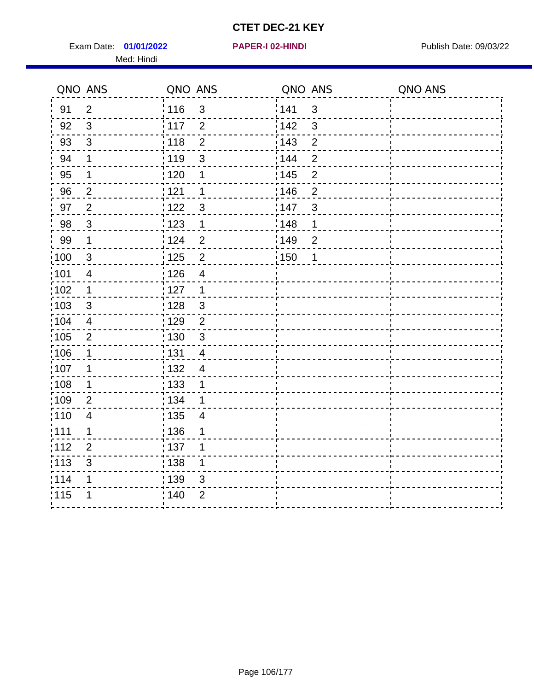Exam Date: 01/01/2022 **PAPER-I 02-HINDI Exam Date: 09/03/22** Med: Hindi

**01/01/2022 PAPER-I 02-HINDI**

|                   | QNO ANS                 | QNO ANS           |                         | QNO ANS           |                | QNO ANS |
|-------------------|-------------------------|-------------------|-------------------------|-------------------|----------------|---------|
| 91                | $\overline{2}$          | 116               | $\mathsf 3$             | 141               | $\sqrt{3}$     |         |
| 92                | $\mathfrak{S}$          | 117               | $\overline{2}$          | 142               | 3              |         |
| 93                | $\mathbf{3}$            | 118               | $\overline{2}$          | 143               | $\overline{2}$ |         |
| 94                | 1                       | : 119             | $\mathbf{3}$            | 144               | $\overline{2}$ |         |
| 95                | 1                       | : 120             | 1                       | : 145             | $\overline{2}$ |         |
| 96                | $\overline{2}$          | 121               | 1                       | 146               | $\overline{2}$ |         |
| 97                | $\overline{2}$          | : 122             | 3                       | 147               | 3              |         |
| $98\,$            | $\mathbf{3}$            | 123               | $\mathbf{1}$            | $\frac{1}{2}$ 148 | 1              |         |
| 99                | $\mathbf 1$             | 124               | $\overline{2}$          | $\frac{1}{2}$ 149 | $\overline{2}$ |         |
| 100               | $\mathfrak{S}$          | 125               | $\overline{2}$          | 150               | $\mathbf 1$    |         |
| :101              | $\overline{4}$          | 126               | $\overline{\mathbf{4}}$ |                   |                |         |
| 102               | 1                       | : 127             | 1                       |                   |                |         |
| 103               | $\mathbf{3}$            | 128               | $\mathfrak{3}$          |                   |                |         |
| 104               | $\overline{\mathbf{4}}$ | : 129             | $\overline{2}$          |                   |                |         |
| $\frac{1}{1}$ 105 | $\overline{2}$          | : 130             | $\mathfrak{S}$          |                   |                |         |
| :106              | 1                       | : 131             | $\overline{4}$          |                   |                |         |
| :107              | 1                       | : 132             | $\overline{4}$          |                   |                |         |
| $\frac{1}{1}$ 108 | $\mathbf 1$             | : 133             | 1                       |                   |                |         |
| :109              | $\overline{2}$          | : 134             | 1                       |                   |                |         |
| :110              | 4                       | : 135             | 4                       |                   |                |         |
| 111               | 1                       | : 136             | 1                       |                   |                |         |
| 112               | $\overline{2}$          | $\frac{1}{1}$ 137 | 1                       |                   |                |         |
| 113               | 3                       | 138               | 1                       |                   |                |         |
| 1114              | 1                       | 139               | 3                       |                   |                |         |
| 115               | 1                       | 140               | $\overline{2}$          |                   |                |         |
|                   |                         |                   |                         |                   |                |         |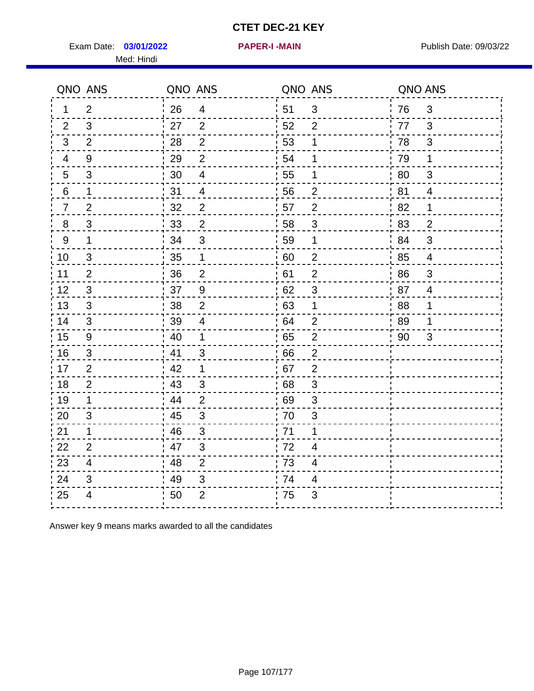Exam Date: 03/01/2022 **PAPER-I-MAIN Provided by Publish Date: 09/03/22** Med: Hindi

**03/01/2022 PAPER-I -MAIN**

|                | QNO ANS          | QNO ANS |                           | QNO ANS |                          | QNO ANS |                          |
|----------------|------------------|---------|---------------------------|---------|--------------------------|---------|--------------------------|
| 1              | $\overline{2}$   | 26      | $\overline{4}$            | ¦ 51    | $\sqrt{3}$               | 76      | $\mathfrak{3}$           |
| 2              | 3                | 27      | 2                         | 52      | $\overline{2}$           | 77      | 3                        |
| 3              | $\overline{2}$   | 28      | $\overline{2}$            | 53      | 1                        | 78      | $\mathfrak{B}$           |
| $\overline{4}$ | $\boldsymbol{9}$ | 29      | $\overline{2}$            | 54      | $\mathbf 1$              | 79      | 1                        |
| 5              | 3                | 30      | $\overline{4}$            | 55      | 1                        | 80      | 3                        |
| 6              | $\mathbf 1$      | 31      | $\overline{4}$            | 56      | $\overline{2}$           | 81      | 4                        |
| 7              | $\overline{2}$   | 32      | $\overline{2}$            | 57      | $\mathbf{2}$             | 82      | 1                        |
| 8              | $\mathfrak{S}$   | 33      | $\mathbf 2$               | 58      | $\mathfrak{S}$           | 83      | $\overline{2}$           |
| $9\,$          | $\mathbf 1$      | 34      | $\mathfrak{B}$            | 59      | 1                        | 84      | 3                        |
| 10             | $\mathfrak{S}$   | 35      | $\mathbf 1$               | 60      | $\overline{2}$           | 85      | $\overline{\mathcal{A}}$ |
| 11             | $\overline{2}$   | 36      | $\overline{2}$            | 61      | $\mathbf{2}$             | 86      | $\sqrt{3}$               |
| 12             | $\mathfrak{S}$   | 37      | $\boldsymbol{9}$          | 62      | $\sqrt{3}$               | 87      | $\overline{4}$           |
| 13             | 3                | 38      | $\overline{2}$            | .63     | 1                        | 88      | 1                        |
| 14             | 3                | 39      | 4                         | 64      | $\overline{2}$           | 89      | 1                        |
| 15             | $\boldsymbol{9}$ | 40      | $\mathbf 1$               | 65      | $\mathbf{2}$             | 90      | 3                        |
| 16             | $\mathfrak{S}$   | 41      | $\mathfrak{S}$            | 66      | $\overline{2}$           |         |                          |
| 17             | 2                | 42      | 1                         | .67     | $\overline{2}$           |         |                          |
| 18             | $\overline{2}$   | 43      | 3                         | 68      | 3                        |         |                          |
| 19             | 1                | 44      | $\overline{2}$            | 69      | 3                        |         |                          |
| 20             | 3                | 45      | $\sqrt{3}$                | 70      | 3                        |         |                          |
| 21             | 1                | 46      | 3                         | .71     | 1                        |         |                          |
| 22             | 2                | 47      | 3                         | 72      | $\overline{4}$           |         |                          |
| 23             | $\overline{4}$   | 48      | $\overline{2}$            | 73      | $\overline{\mathcal{A}}$ |         |                          |
| 24             | 3                | 49      | $\ensuremath{\mathsf{3}}$ | 74      | 4                        |         |                          |
| 25             | 4                | 50      | $\overline{2}$            | 75      | 3                        |         |                          |

Answer key 9 means marks awarded to all the candidates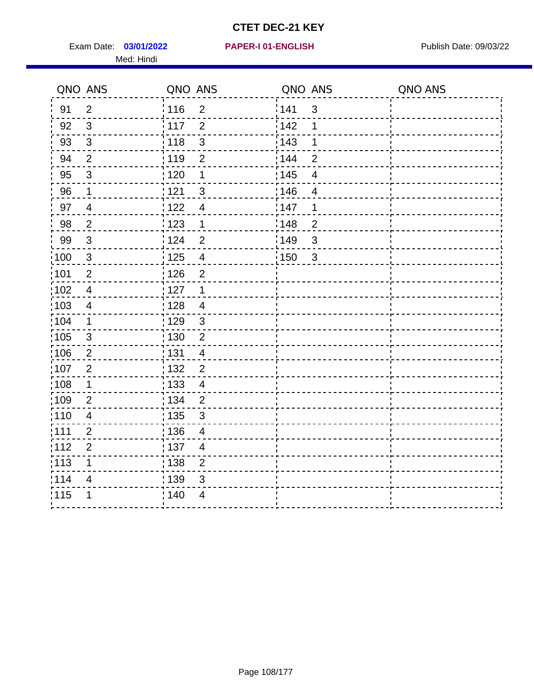Exam Date: 03/01/2022 PAPER-I 01-ENGLISH PREERENT Publish Date: 09/03/22 Med: Hindi

#### **03/01/2022 PAPER-I 01-ENGLISH**

|                   | QNO ANS                  | QNO ANS           |                          | QNO ANS           |                          | QNO ANS |
|-------------------|--------------------------|-------------------|--------------------------|-------------------|--------------------------|---------|
| 91                | $\overline{2}$           | ¦ 116             | $\overline{2}$           | 141               | $\mathfrak{S}$           |         |
| 92                | $\mathbf{3}$             | 117               | $\overline{2}$           | 142               | 1                        |         |
| 93                | $\sqrt{3}$               | 118               | $\mathfrak{S}$           | 143               | 1                        |         |
| 94                | $\overline{2}$           | : 119             | $\overline{2}$           | : 144             | $\overline{2}$           |         |
| 95                | $\mathfrak{B}$           | : 120             | 1                        | : 145             | $\overline{\mathcal{A}}$ |         |
| 96                | $\mathbf{1}$             | 121               | $\sqrt{3}$               | 146               | $\overline{\mathcal{A}}$ |         |
| 97                | $\overline{4}$           | 122               | $\overline{4}$           | 147               | 1                        |         |
| 98                | $\overline{2}$           | 123               | $\mathbf 1$              | 148               | $\overline{2}$           |         |
| 99                | $\sqrt{3}$               | 124               | $\overline{2}$           | 149               | $\mathfrak{S}$           |         |
| $\frac{1}{1}$ 100 | $\sqrt{3}$               | $\frac{1}{1}$ 125 | $\overline{\mathbf{4}}$  | $\frac{1}{1}$ 150 | $\mathbf{3}$             |         |
| :101              | $\mathbf 2$              | : 126             | $\overline{2}$           |                   |                          |         |
| $\frac{1}{1}$ 102 | $\overline{4}$           | :127              | $\mathbf{1}$             |                   |                          |         |
| 103               | 4                        | : 128             | $\overline{4}$           |                   |                          |         |
| 104               | $\mathbf 1$              | : 129             | $\mathbf{3}$             |                   |                          |         |
| 105               | $\sqrt{3}$               | : 130             | $\overline{2}$           |                   |                          |         |
| 106               | 2                        | : 131             | $\overline{4}$           |                   |                          |         |
| 107               | $\overline{2}$           | 132               | $\overline{2}$           |                   |                          |         |
| 108               | $\mathbf 1$              | 133               | $\overline{\mathbf{4}}$  |                   |                          |         |
| :109              | $\overline{2}$           | : 134             | $\overline{2}$           |                   |                          |         |
| :110              | $\overline{\mathcal{A}}$ | 135               | 3                        |                   |                          |         |
| :111              | $\overline{2}$           | : 136             | $\overline{\mathcal{A}}$ |                   |                          |         |
| 112               | $\overline{2}$           | 137               | $\overline{4}$           |                   |                          |         |
| 113               | 1                        | 138               | $\overline{2}$           |                   |                          |         |
| 114               | 4                        | 139               | 3                        |                   |                          |         |
| 115               | 1                        | 140               | $\overline{4}$           |                   |                          |         |
|                   |                          |                   |                          |                   |                          |         |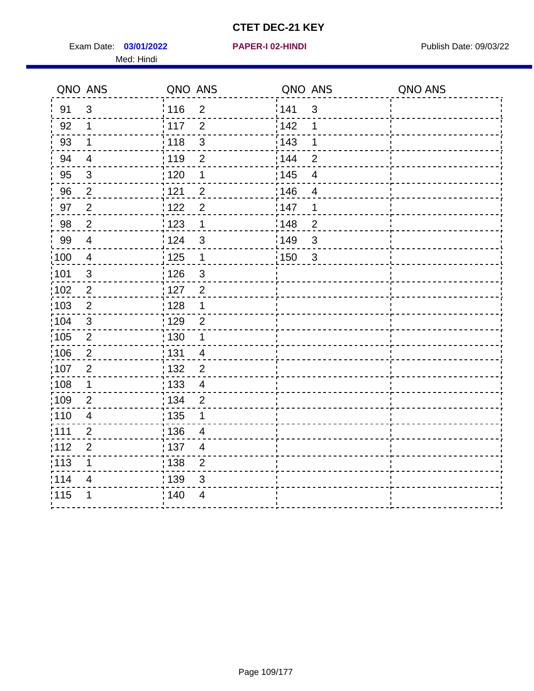Exam Date: 03/01/2022 **PAPER-I 02-HINDI** PUBLISH Date: 09/03/22 Med: Hindi

|      | QNO ANS                  | QNO ANS |                           | QNO ANS |                          | QNO ANS |
|------|--------------------------|---------|---------------------------|---------|--------------------------|---------|
| 91   | $\mathbf{3}$             | 116     | $\overline{2}$            | 1141    | $\sqrt{3}$               |         |
| 92   | $\mathbf 1$              | 117     | $\overline{2}$            | 142     | 1                        |         |
| 93   | $\mathbf 1$              | 118     | $\mathbf{3}$              | 143     | 1                        |         |
| 94   | $\overline{\mathcal{A}}$ | : 119   | $\overline{2}$            | : 144   | $\overline{2}$           |         |
| 95   | $\mathfrak{B}$           | : 120   | 1                         | : 145   | $\overline{\mathcal{A}}$ |         |
| 96   | $\overline{2}$           | 121     | $\overline{2}$            | 146     | $\overline{4}$           |         |
| 97   | $\boldsymbol{2}$         | 122     | $\overline{2}$            | 147     | 1                        |         |
| 98   | $\overline{2}$           | 123     | $\overline{1}$            | 148     | $\overline{2}$           |         |
| 99   | $\overline{4}$           | 124     | $\sqrt{3}$                | :149    | $\mathsf 3$              |         |
| :100 | $\overline{4}$           | 125     | $\mathbf{1}$              | 150     | $\mathbf{3}$             |         |
| :101 | $\sqrt{3}$               | : 126   | $\ensuremath{\mathsf{3}}$ |         |                          |         |
| 102  | $\overline{2}$           | : 127   | 2                         |         |                          |         |
| 103  | $\overline{2}$           | :128    | $\mathbf 1$               |         |                          |         |
| 104  | $\mathbf{3}$             | : 129   | $\overline{2}$            |         |                          |         |
| 105  | $\sqrt{2}$               | 130     | $\mathbf 1$               |         |                          |         |
| :106 | $\overline{2}$           | : 131   | $\overline{4}$            |         |                          |         |
| 107  | $\overline{2}$           | :132    | $\overline{2}$            |         |                          |         |
| 108  | $\mathbf 1$              | : 133   | $\overline{4}$            |         |                          |         |
| ;109 | $\mathbf 2$              | : 134   | $\overline{2}$            |         |                          |         |
| :110 | $\overline{4}$           | : 135   | 1                         |         |                          |         |
| 111  | $\overline{2}$           | : 136   | $\overline{4}$            |         |                          |         |
| 112  | $\mathbf 2$              | 137     | $\overline{4}$            |         |                          |         |
| 113  | 1                        | : 138   | $\overline{c}$            |         |                          |         |
| 1114 | 4                        | 139     | 3                         |         |                          |         |
| 115  | 1                        | 140     | $\overline{4}$            |         |                          |         |
|      |                          |         |                           |         |                          |         |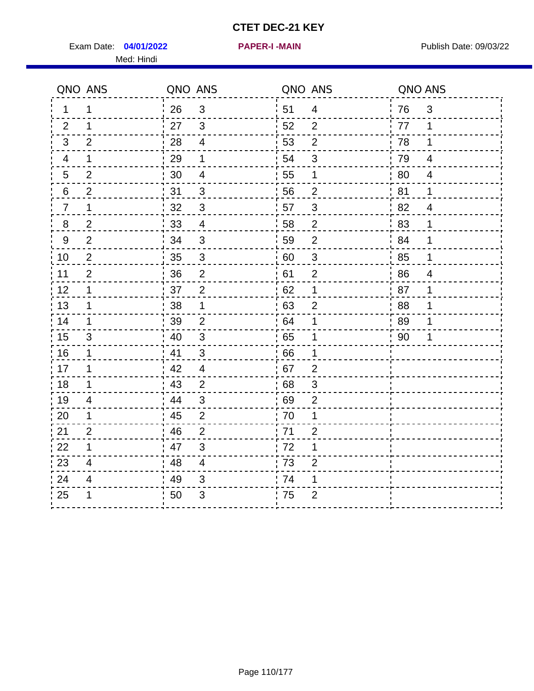Exam Date: 04/01/2022 **PAPER-I-MAIN Exam Date: 09/03/22** Med: Hindi

**04/01/2022 PAPER-I -MAIN**

|         | QNO ANS                  | QNO ANS |                          | QNO ANS          |                           | QNO ANS |                |
|---------|--------------------------|---------|--------------------------|------------------|---------------------------|---------|----------------|
| 1       | 1                        | 26      | 3                        | 51               | $\overline{4}$            | 76      | $\mathfrak{S}$ |
| 2       | 1                        | 27      | $\mathbf{3}$             | 52               | $\overline{2}$            | 77      | 1              |
| 3       | $\overline{2}$           | 28      | $\overline{4}$           | 53               | $\overline{2}$            | 78      | 1              |
| 4       | 1                        | 29      | 1                        | 54               | $\sqrt{3}$                | 79      | $\overline{4}$ |
| 5       | $\overline{2}$           | 30      | $\overline{\mathcal{A}}$ | 55               | 1                         | 80      | $\overline{4}$ |
| 6       | $\overline{2}$           | 31      | 3                        | 56               | $\overline{2}$            | 81      | 1              |
| 7       | 1                        | 32      | $\sqrt{3}$               | 57               | $\sqrt{3}$                | 82      | $\overline{4}$ |
| $\bf 8$ | $\overline{2}$           | $33\,$  | $\overline{4}$           | 58               | $\overline{c}$            | 83      | 1              |
| 9       | $\overline{2}$           | 34      | 3                        | 59               | $\mathbf 2$               | 84      | 1              |
| 10      | $\mathbf{2}$             | 35      | $\mathsf 3$              | 60               | $\ensuremath{\mathsf{3}}$ | 85      | 1              |
| 11      | $\overline{2}$           | 36      | $\overline{2}$           | 61               | $\overline{2}$            | 86      | $\overline{4}$ |
| 12      | 1                        | 37      | $\overline{2}$           | 62               | $\mathbf 1$               | 87      | 1              |
| 13      | 1                        | 38      | 1                        | 63               | $\overline{2}$            | 88      | 1              |
| 14      | 1                        | 39      | $\overline{2}$           | 64               | 1                         | 89      | 1              |
| 15      | $\mathfrak{S}$           | 40      | $\mathfrak{S}$           | 65               | 1                         | 90      |                |
| 16      | 1                        | 41      | 3                        | 66               | 1                         |         |                |
| 17      | 1                        | 42      | $\overline{4}$           | 67               | $\overline{2}$            |         |                |
| 18      | $\mathbf 1$              | 43      | $\overline{2}$           | 68               | $\sqrt{3}$                |         |                |
| 19      | $\overline{\mathcal{A}}$ | 44      | $\mathfrak{S}$           | .69              | $\mathbf{2}$              |         |                |
| 20      | 1                        | 45      | $\overline{2}$           | 70               | 1                         |         |                |
| 21      | $\overline{2}$           | 46      | $\overline{2}$           | 71               | $\overline{2}$            |         |                |
| 22      | 1                        | 47      | $\mathfrak{B}$           | 72               | 1                         |         |                |
| 23      | $\overline{\mathbf{4}}$  | 48      | $\overline{\mathbf{4}}$  | $\frac{1}{2}$ 73 | $\overline{2}$            |         |                |
| 24      | 4                        | 49      | 3                        | .74              | 1                         |         |                |
| 25      | 1                        | 50      | 3                        | 75               | $\overline{2}$            |         |                |
|         |                          |         |                          |                  |                           |         |                |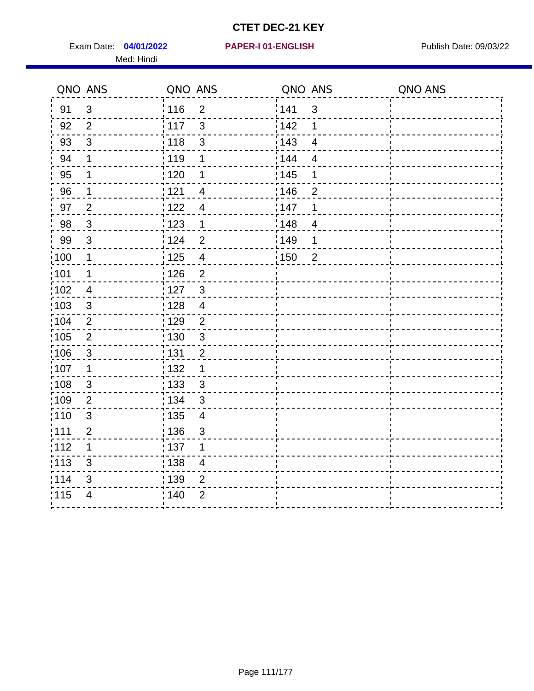Exam Date: 04/01/2022 PAPER-I 01-ENGLISH PUBLISH Publish Date: 09/03/22 Med: Hindi

**04/01/2022 PAPER-I 01-ENGLISH**

|       | QNO ANS                   | QNO ANS           |                | QNO ANS           |                          | QNO ANS |
|-------|---------------------------|-------------------|----------------|-------------------|--------------------------|---------|
| 91    | $\mathfrak{S}$            | 116               | $\overline{2}$ | 1141              | $\mathfrak{S}$           |         |
| 92    | $\overline{2}$            | $\frac{1}{117}$   | 3              | 142               | 1                        |         |
| 93    | $\sqrt{3}$                | : 118             | $\mathfrak{S}$ | 143               | $\overline{\mathbf{4}}$  |         |
| 94    | 1                         | : 119             | 1              | 144               | $\overline{\mathcal{A}}$ |         |
| 95    | 1                         | : 120             | 1              | : 145             | 1                        |         |
| 96    | 1                         | : 121             | 4              | 146               | $\overline{2}$           |         |
| 97    | $\overline{2}$            | 1122              | $\overline{4}$ | 147               | 1                        |         |
| 98    | $\mathbf{3}$              | 1123              | $\mathbf{1}$   | 148               | $\overline{\mathcal{A}}$ |         |
| 99    | $\sqrt{3}$                | 124               | $\overline{2}$ | ¦ 149             | 1                        |         |
| :100  | $\mathbf 1$               | 125               | $\overline{4}$ | $\frac{1}{2}$ 150 | $\overline{2}$           |         |
| :101  | 1                         | : 126             | $\overline{2}$ |                   |                          |         |
| 102   | $\overline{4}$            | : 127             | $\mathbf{3}$   |                   |                          |         |
| 103   | 3                         | :128              | $\overline{4}$ |                   |                          |         |
| 104   | $\overline{2}$            | : 129             | $\overline{2}$ |                   |                          |         |
| 105   | $\mathbf 2$               | $\frac{1}{1}$ 130 | $\mathbf{3}$   |                   |                          |         |
| 106   | $\mathfrak{S}$            | : 131             | $\overline{2}$ |                   |                          |         |
| 107   | 1                         | :132              | 1              |                   |                          |         |
| :108  | $\ensuremath{\mathsf{3}}$ | 133               | $\mathbf{3}$   |                   |                          |         |
| :109  | $\overline{2}$            | : 134             | $\mathfrak{S}$ |                   |                          |         |
| :110  | 3                         | : 135             | 4              |                   |                          |         |
| 111   | $\overline{c}$            | 136               | $\mathfrak{S}$ |                   |                          |         |
| 112   | 1                         | $\frac{1}{1}$ 137 | 1              |                   |                          |         |
| : 113 | 3                         | : 138             | $\overline{4}$ |                   |                          |         |
| 114   | 3                         | 139               | $\overline{2}$ |                   |                          |         |
| 115   | $\overline{4}$            | 140               | $\overline{2}$ |                   |                          |         |
|       |                           |                   |                |                   |                          |         |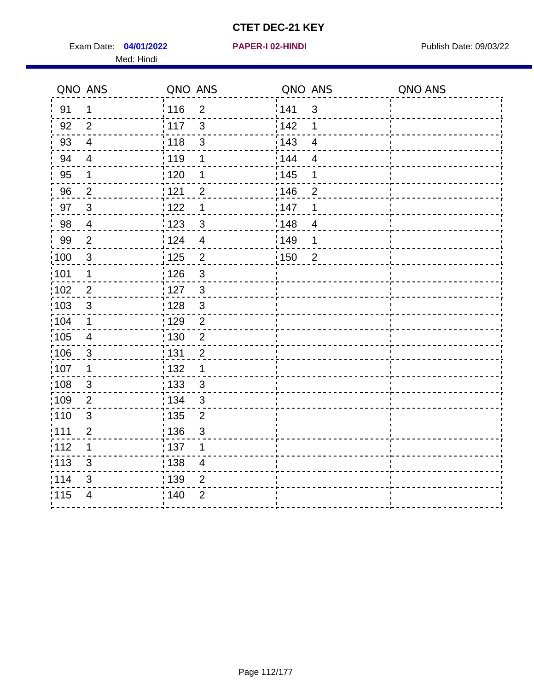Exam Date: 04/01/2022 **PAPER-I 02-HINDI** PAPER FOR Publish Date: 09/03/22 Med: Hindi

|        | QNO ANS        | QNO ANS           |                         | QNO ANS           |                          | QNO ANS |
|--------|----------------|-------------------|-------------------------|-------------------|--------------------------|---------|
| 91     | 1              | 116               | $\overline{2}$          | 141               | $\sqrt{3}$               |         |
| 92     | $\overline{2}$ | $\frac{1}{117}$   | 3                       | 142               | 1                        |         |
| 93     | $\overline{4}$ | 118               | $\mathbf{3}$            | 143               | $\overline{\mathbf{4}}$  |         |
| 94     | $\overline{4}$ | : 119             | 1                       | 144               | $\overline{4}$           |         |
| 95     | 1              | : 120             | 1                       | : 145             | 1                        |         |
| 96     | $\overline{2}$ | : 121             | $\overline{2}$          | 146               | 2                        |         |
| 97     | $\mathbf{3}$   | 122               | 1                       | 147               | 1                        |         |
| $98\,$ | $\overline{4}$ | 123               | $\mathfrak{3}$          | 148               | $\overline{\mathcal{A}}$ |         |
| 99     | $\overline{2}$ | :124              | $\overline{\mathbf{4}}$ | $\frac{1}{2}$ 149 | 1                        |         |
| 100    | $\mathbf{3}$   | 125               | $\overline{2}$          | 150               | $\overline{2}$           |         |
| :101   | 1              | : 126             | $\mathfrak{S}$          |                   |                          |         |
| 102    | $\overline{2}$ | : 127             | $\mathbf{3}$            |                   |                          |         |
| 103    | $\mathfrak{B}$ | :128              | $\mathbf{3}$            |                   |                          |         |
| :104   | $\mathbf 1$    | : 129             | $\overline{2}$          |                   |                          |         |
| 105    | $\overline{4}$ | : 130             | $\overline{2}$          |                   |                          |         |
| :106   | $\mathfrak{S}$ | : 131             | $\overline{2}$          |                   |                          |         |
| 107    | 1              | : 132             | 1                       |                   |                          |         |
| 108    | $\mathbf{3}$   | 133               | $\mathfrak{3}$          |                   |                          |         |
| :109   | $\overline{2}$ | : 134             | $\mathfrak{3}$          |                   |                          |         |
| :110   | $\mathbf{3}$   | : 135             | $\overline{2}$          |                   |                          |         |
| :111   | $\overline{2}$ | : 136             | $\mathfrak{S}$          |                   |                          |         |
| 112    | 1              | $\frac{1}{1}$ 137 | 1                       |                   |                          |         |
| : 113  | 3              | : 138             | $\overline{\mathbf{4}}$ |                   |                          |         |
| 1114   | 3              | : 139             | $\overline{2}$          |                   |                          |         |
| 115    | $\overline{4}$ | 140               | $\overline{2}$          |                   |                          |         |
|        |                |                   |                         |                   |                          |         |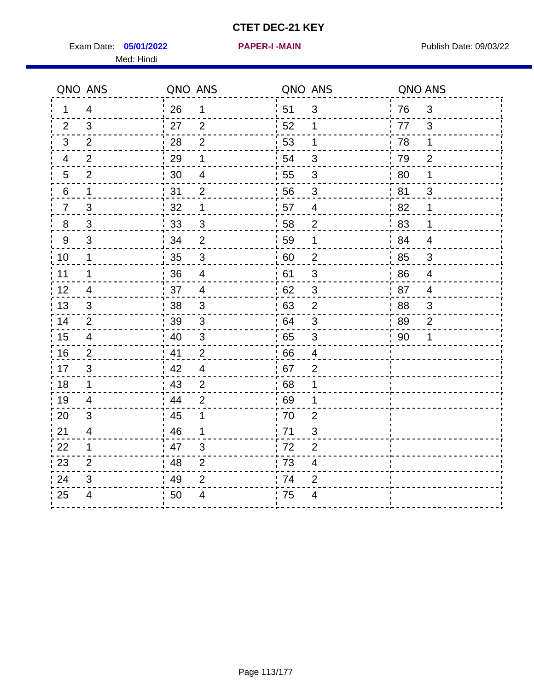Exam Date: 05/01/2022 **PAPER-I-MAIN Exam Date: 09/03/22** Med: Hindi

**05/01/2022 PAPER-I -MAIN**

|                  | QNO ANS                 | QNO ANS |                           |    | QNO ANS                  | QNO ANS |                |
|------------------|-------------------------|---------|---------------------------|----|--------------------------|---------|----------------|
| 1                | $\overline{4}$          | 26      | $\mathbf 1$               | 51 | $\mathfrak{B}$           | 76      | 3              |
| 2                | 3                       | 27      | $\overline{2}$            | 52 | 1                        | 77      | 3              |
| 3                | 2                       | 28      | $\overline{2}$            | 53 | 1                        | 78      | $\mathbf 1$    |
| 4                | $\overline{2}$          | 29      | 1                         | 54 | $\mathfrak{S}$           | 79      | $\overline{2}$ |
| 5                | $\overline{2}$          | 30      | 4                         | 55 | 3                        | 80      | 1              |
| 6                | 1                       | 31      | $\overline{2}$            | 56 | 3                        | 81      | 3              |
| $\overline{7}$   | 3                       | 32      | 1                         | 57 | $\overline{\mathcal{A}}$ | 82      | $\mathbf 1$    |
| $\bf 8$          | $\mathfrak{S}$          | 33      | $\ensuremath{\mathsf{3}}$ | 58 | $\boldsymbol{2}$         | 83      | 1              |
| $\boldsymbol{9}$ | 3                       | 34      | $\overline{2}$            | 59 | 1                        | 84      | $\overline{4}$ |
| 10               | 1                       | 35      | $\mathsf 3$               | 60 | $\mathbf 2$              | 85      | $\mathfrak{S}$ |
| 11               | 1                       | 36      | $\overline{\mathbf{4}}$   | 61 | $\sqrt{3}$               | 86      | $\overline{4}$ |
| 12               | $\overline{4}$          | 37      | $\overline{4}$            | 62 | $\sqrt{3}$               | 87      | $\overline{4}$ |
| 13               | 3                       | 38      | 3                         | 63 | $\overline{2}$           | 88      | 3              |
| 14               | $\overline{2}$          | 39      | $\mathbf{3}$              | 64 | 3                        | 89      | $\overline{2}$ |
| 15               | $\overline{\mathbf{4}}$ | 40      | $\sqrt{3}$                | 65 | $\sqrt{3}$               | 90      | 1              |
| 16               | 2                       | 41      | $\overline{2}$            | 66 | $\overline{4}$           |         |                |
| 17               | 3                       | 42      | $\overline{4}$            | 67 | $\overline{2}$           |         |                |
| 18               | $\mathbf 1$             | 43      | $\overline{2}$            | 68 | 1                        |         |                |
| 19               | $\overline{4}$          | 44      | $\overline{2}$            | 69 | 1                        |         |                |
| 20               | 3                       | 45      | 1                         | 70 | $\overline{2}$           |         |                |
| 21               | 4                       | 46      | 1                         | 71 | 3                        |         |                |
| 22               | 1                       | 47      | $\ensuremath{\mathsf{3}}$ | 72 | $\mathbf{2}$             |         |                |
| 23               | $\overline{2}$          | 48      | $\overline{2}$            | 73 | $\overline{\mathbf{4}}$  |         |                |
| 24               | 3                       | 49      | $\overline{2}$            | 74 | $\overline{2}$           |         |                |
| 25               | 4                       | 50      | 4                         | 75 | 4                        |         |                |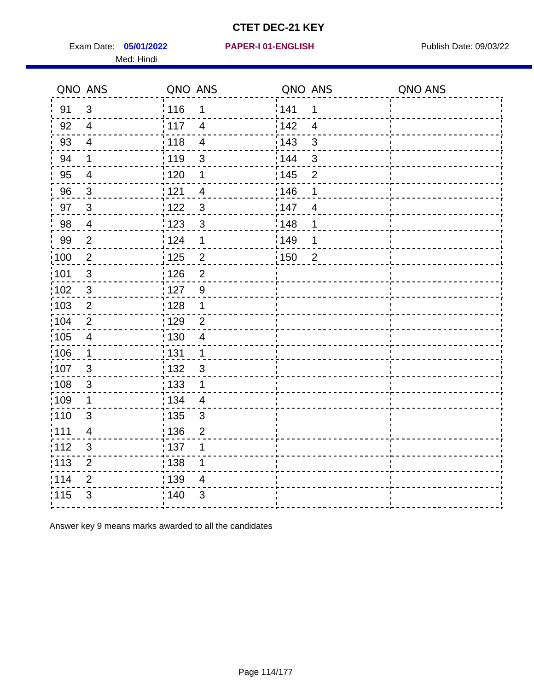Exam Date: 05/01/2022 PAPER-I 01-ENGLISH PARER FOR Publish Date: 09/03/22 Med: Hindi

#### **05/01/2022 PAPER-I 01-ENGLISH**

|                   | QNO ANS                  | QNO ANS           |                          | QNO ANS |                | QNO ANS |
|-------------------|--------------------------|-------------------|--------------------------|---------|----------------|---------|
| 91                | 3                        | : 116             | 1                        | 141     | 1              |         |
| 92                | $\overline{4}$           | 117               | $\overline{4}$           | 142     | $\overline{4}$ |         |
| 93                | $\overline{\mathbf{4}}$  | 118               | $\overline{\mathbf{4}}$  | 143     | 3              |         |
| 94                | $\mathbf 1$              | : 119             | 3                        | 144     | 3              |         |
| 95                | $\overline{\mathcal{A}}$ | :120              | 1                        | : 145   | $\overline{2}$ |         |
| 96                | $\mathbf{3}$             | 121               | $\overline{\mathcal{A}}$ | 146     | 1              |         |
| 97                | $\mathbf{3}$             | 122               | 3                        | 147     | $\overline{4}$ |         |
| 98                | $\overline{4}$           | 123               | $\mathbf{3}$             | 148     | 1              |         |
| 99                | $\overline{2}$           | 124               | 1                        | 149     | 1              |         |
| 100               | $\sqrt{2}$               | $\frac{1}{1}$ 125 | $\overline{2}$           | 150     | $\overline{2}$ |         |
| 101               | $\sqrt{3}$               | : 126             | $\overline{2}$           |         |                |         |
| :102              | $\sqrt{3}$               | : 127             | $\overline{9}$           |         |                |         |
| 103               | $\overline{2}$           | 128               | $\mathbf 1$              |         |                |         |
| 104               | $\overline{2}$           | : 129             | $\overline{2}$           |         |                |         |
| :105              | $\overline{\mathbf{4}}$  | : 130             | $\overline{4}$           |         |                |         |
| $\frac{1}{1}$ 106 | $\mathbf{1}$             | : 131             | $\mathbf{1}$             |         |                |         |
| 107               | 3                        | : 132             | $\mathbf{3}$             |         |                |         |
| 108               | $\mathbf{3}$             | : 133             | $\mathbf 1$              |         |                |         |
| :109              | $\mathbf 1$              | : 134             | $\overline{4}$           |         |                |         |
| 110               | $\mathbf{3}$             | $\frac{1}{1}$ 135 | $\mathbf{3}$             |         |                |         |
| : 111             | 4                        | : 136             | $\overline{2}$           |         |                |         |
| 112               | 3                        | : 137             | 1                        |         |                |         |
| $\frac{1}{1}$ 113 | $\overline{2}$           | : 138             | 1                        |         |                |         |
| 114               | $\mathbf{2}$             | 139               | $\overline{4}$           |         |                |         |
| 115               | $\mathfrak{S}$           | : 140             | 3                        |         |                |         |
|                   |                          |                   |                          |         |                |         |

Answer key 9 means marks awarded to all the candidates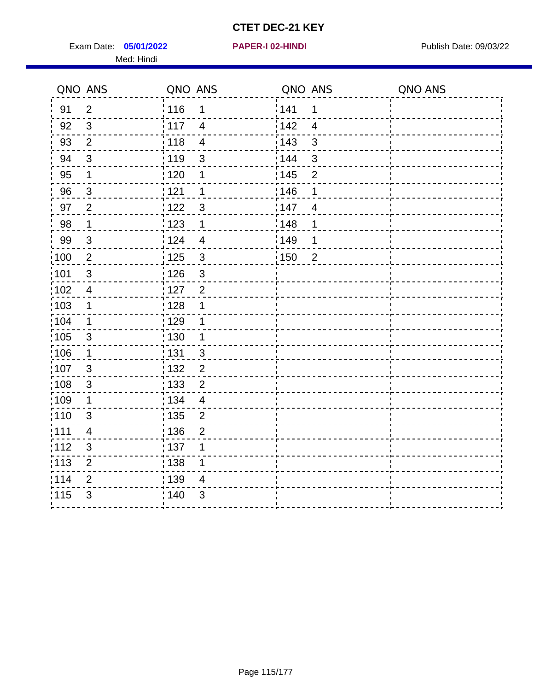Exam Date: 05/01/2022 **PAPER-I 02-HINDI Exam Date: 09/03/22** Med: Hindi

|                   | QNO ANS                   | QNO ANS                 | QNO ANS |                | QNO ANS |
|-------------------|---------------------------|-------------------------|---------|----------------|---------|
| 91                | $\overline{2}$            | 116<br>$\mathbf 1$      | 141     | $\mathbf 1$    |         |
| 92                | $\mathfrak{S}$            | 117<br>$\overline{4}$   | 142     | $\overline{4}$ |         |
| 93                | $\overline{2}$            | 118<br>$\overline{4}$   | 143     | $\mathbf{3}$   |         |
| 94                | 3                         | : 119<br>$\mathbf{3}$   | 144     | $\mathbf{3}$   |         |
| 95                | 1                         | :120<br>1               | : 145   | $\overline{2}$ |         |
| 96                | $\mathbf{3}$              | 121<br>1                | 146     | 1              |         |
| 97                | $\overline{2}$            | 122<br>$\mathbf{3}$     | 147     | $\overline{4}$ |         |
| 98                | $\mathbf 1$               | 123<br>$\mathbf 1$      | 148     | 1              |         |
| 99                | $\sqrt{3}$                | 124<br>$\overline{4}$   | :149    | 1              |         |
| $\frac{1}{1}$ 100 | $\sqrt{2}$                | 125<br>$\mathbf{3}$     | 150     | $\overline{2}$ |         |
| 101               | $\mathfrak{S}$            | : 126<br>3              |         |                |         |
| 102               | $\overline{4}$            | : 127<br>$\overline{2}$ |         |                |         |
| ;103              | $\mathbf 1$               | 128<br>1                |         |                |         |
| 104               | $\mathbf 1$               | : 129<br>1              |         |                |         |
| $\frac{1}{1}$ 105 | $\sqrt{3}$                | 130<br>$\mathbf 1$      |         |                |         |
| ;106              | $\mathbf{1}$              | : 131<br>$\mathbf{3}$   |         |                |         |
| :107              | 3                         | : 132<br>$\overline{2}$ |         |                |         |
| 108               | $\ensuremath{\mathsf{3}}$ | $\overline{2}$<br>: 133 |         |                |         |
| :109              | 1                         | : 134<br>$\overline{4}$ |         |                |         |
| :110              | 3                         | : 135<br>2              |         |                |         |
| :111              | $\overline{\mathbf{4}}$   | : 136<br>$\overline{c}$ |         |                |         |
| 112               | $\ensuremath{\mathsf{3}}$ | : 137<br>1              |         |                |         |
| 113               | $\mathbf 2$               | : 138<br>1              |         |                |         |
| 114               | 2                         | 139<br>4                |         |                |         |
| 115               | 3                         | 140<br>$\sqrt{3}$       |         |                |         |
|                   |                           |                         |         |                |         |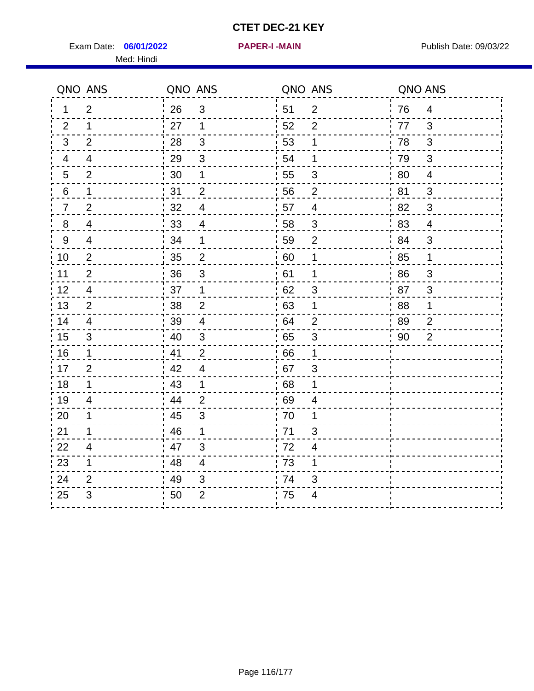Exam Date: 06/01/2022 **PAPER-I-MAIN Exam Date: 09/03/22** Med: Hindi

**06/01/2022 PAPER-I -MAIN**

|    | QNO ANS                  | QNO ANS |                          | QNO ANS |                           | QNO ANS |                |
|----|--------------------------|---------|--------------------------|---------|---------------------------|---------|----------------|
| 1  | $\overline{2}$           | 26      | $\mathfrak{B}$           | 51      | $\overline{2}$            | 76      | $\overline{4}$ |
| 2  | 1                        | 27      | $\mathbf{1}$             | 52      | $\overline{2}$            | 77      | 3              |
| 3  | $\overline{2}$           | 28      | $\sqrt{3}$               | 53      | $\mathbf 1$               | 78      | $\mathfrak{B}$ |
| 4  | $\overline{4}$           | 29      | $\mathfrak{S}$           | 54      | 1                         | 79      | $\mathfrak{S}$ |
| 5  | $\overline{2}$           | 30      | 1                        | 55      | $\sqrt{3}$                | 80      | $\overline{4}$ |
| 6  | 1                        | 31      | $\overline{2}$           | 56      | $\overline{2}$            | 81      | 3              |
| 7  | $\overline{2}$           | 32      | $\overline{\mathcal{A}}$ | 57      | $\overline{4}$            | 82      | $\mathfrak{S}$ |
| 8  | $\overline{\mathcal{A}}$ | 33      | $\overline{4}$           | 58      | $\sqrt{3}$                | 83      | $\overline{4}$ |
| 9  | $\overline{4}$           | 34      | 1                        | 59      | $\overline{2}$            | 84      | 3              |
| 10 | $\overline{2}$           | 35      | $\sqrt{2}$               | 60      | 1                         | 85      | $\mathbf{1}$   |
| 11 | $\overline{2}$           | 36      | $\sqrt{3}$               | 61      | 1                         | 86      | $\sqrt{3}$     |
| 12 | $\overline{4}$           | 37      | $\mathbf 1$              | 62      | 3                         | 87      | 3              |
| 13 | 2                        | 38      | $\overline{2}$           | 63      | 1                         | 88      | 1              |
| 14 | 4                        | 39      | $\overline{\mathcal{A}}$ | 64      | $\overline{2}$            | 89      | $\overline{2}$ |
| 15 | $\sqrt{3}$               | 40      | $\sqrt{3}$               | 65      | $\ensuremath{\mathsf{3}}$ | 90      | $\overline{2}$ |
| 16 | $\mathbf 1$              | 41      | $\overline{2}$           | 66      | 1                         |         |                |
| 17 | 2                        | 42      | 4                        | 67      | 3                         |         |                |
| 18 | $\mathbf 1$              | 43      | $\mathbf 1$              | 68      | 1                         |         |                |
| 19 | $\overline{4}$           | 44      | $\overline{2}$           | 69      | $\overline{4}$            |         |                |
| 20 | 1                        | 45      | 3                        | 70      | 1                         |         |                |
| 21 | 1                        | 46      | 1                        | 71      | 3                         |         |                |
| 22 | $\overline{4}$           | 47      | $\sqrt{3}$               | 72      | $\overline{4}$            |         |                |
| 23 | 1                        | 48      | $\overline{\mathbf{4}}$  | 73      | 1                         |         |                |
| 24 | 2                        | 49      | 3                        | .74     | 3                         |         |                |
| 25 | 3                        | 50      | $\overline{2}$           | 75      | 4                         |         |                |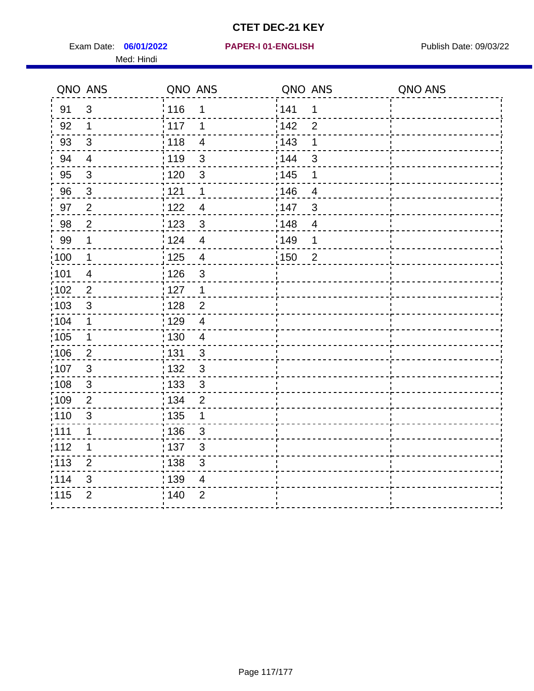Exam Date: 06/01/2022 PAPER-I 01-ENGLISH PUBLISH Publish Date: 09/03/22 Med: Hindi

**06/01/2022 PAPER-I 01-ENGLISH**

|      | QNO ANS        | QNO ANS           |                          | QNO ANS |                | QNO ANS |
|------|----------------|-------------------|--------------------------|---------|----------------|---------|
| 91   | $\mathbf{3}$   | 116               | 1                        | 141     | 1              |         |
| 92   | $\mathbf{1}$   | 117               | 1                        | 142     | $\overline{2}$ |         |
| 93   | $\sqrt{3}$     | 118               | $\overline{\mathcal{A}}$ | 143     | 1              |         |
| 94   | $\overline{4}$ | : 119             | $\mathbf{3}$             | : 144   | 3              |         |
| 95   | $\mathbf{3}$   | : 120             | 3                        | : 145   | 1              |         |
| 96   | $\mathfrak{S}$ | 121               | 1                        | 146     | 4              |         |
| 97   | $\overline{2}$ | 122               | 4                        | 147     | $\sqrt{3}$     |         |
| 98   | $\overline{2}$ | $\frac{1}{2}$ 123 | $\mathbf{3}$             | 148     | $\overline{4}$ |         |
| 99   | $\mathbf 1$    | 124               | $\overline{\mathbf{4}}$  | :149    | 1              |         |
| 100  | $\mathbf 1$    | $\frac{1}{1}$ 125 | $\overline{4}$           | 150     | $\overline{2}$ |         |
| :101 | $\overline{4}$ | : 126             | $\mathfrak{S}$           |         |                |         |
| 102  | 2              | : 127             | $\mathbf{1}$             |         |                |         |
| 103  | 3              | : 128             | $\overline{2}$           |         |                |         |
| :104 | $\mathbf{1}$   | : 129             | $\overline{4}$           |         |                |         |
| 105  | $\mathbf 1$    | 130               | $\overline{4}$           |         |                |         |
| :106 | $\overline{2}$ | : 131             | 3                        |         |                |         |
| 107  | $\mathbf{3}$   | 132               | $\mathbf{3}$             |         |                |         |
| 108  | $\mathsf 3$    | : 133             | $\sqrt{3}$               |         |                |         |
| :109 | $\overline{2}$ | : 134             | $\overline{2}$           |         |                |         |
| :110 | $\mathfrak{S}$ | : 135             | 1                        |         |                |         |
| :111 | 1              | : 136             | $\mathfrak{S}$           |         |                |         |
| 112  | 1              | 137               | $\mathfrak{S}$           |         |                |         |
| 113  | $\overline{2}$ | : 138             | 3                        |         |                |         |
| 114  | 3              | 139               | 4                        |         |                |         |
| 115  | $\overline{2}$ | 140               | $\overline{2}$           |         |                |         |
|      |                |                   |                          |         |                |         |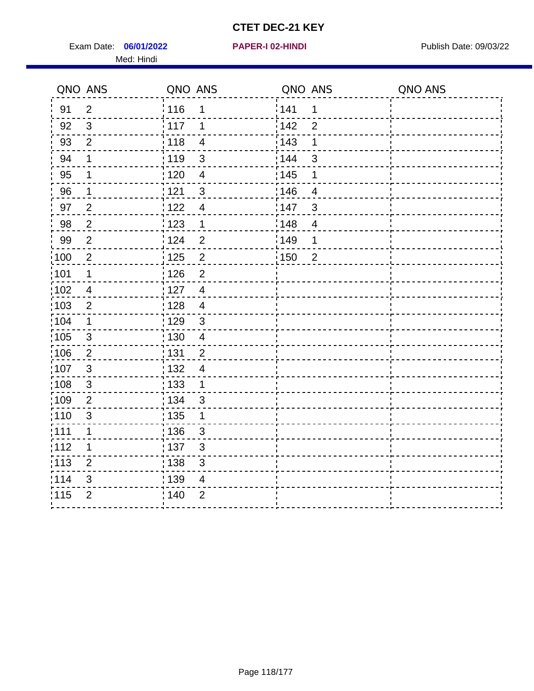Exam Date: 06/01/2022 **PAPER-I 02-HINDI Exam Date: 09/03/22** Med: Hindi

|      | QNO ANS        | QNO ANS           |                          | QNO ANS           |                         | QNO ANS |
|------|----------------|-------------------|--------------------------|-------------------|-------------------------|---------|
| 91   | $\overline{2}$ | 116               | 1                        | 141               | $\mathbf 1$             |         |
| 92   | $\mathfrak{S}$ | 117               | 1                        | 142               | $\overline{2}$          |         |
| 93   | $\overline{2}$ | $\frac{1}{2}$ 118 | $\overline{4}$           | 143               | 1                       |         |
| 94   | 1              | : 119             | 3                        | 144               | 3                       |         |
| 95   | 1              | : 120             | $\overline{\mathcal{A}}$ | : 145             | 1                       |         |
| 96   | 1              | : 121             | $\mathfrak{S}$           | 146               | $\overline{4}$          |         |
| 97   | $\overline{2}$ | 122               | $\overline{\mathbf{4}}$  | 147               | 3                       |         |
| 98   | $\sqrt{2}$     | 123               | $\overline{1}$           | 148               | $\overline{\mathbf{4}}$ |         |
| 99   | $\overline{2}$ | 124               | $\overline{2}$           | $\frac{1}{2}$ 149 | 1                       |         |
| 100  | $\overline{2}$ | 125               | $\overline{2}$           | 150               | $\overline{2}$          |         |
| :101 | 1              | : 126             | $\overline{2}$           |                   |                         |         |
| 102  | $\overline{4}$ | : 127             | $\overline{4}$           |                   |                         |         |
| 103  | $\overline{2}$ | : 128             | $\overline{4}$           |                   |                         |         |
| :104 | $\mathbf 1$    | : 129             | $\mathbf{3}$             |                   |                         |         |
| 105  | $\mathfrak{S}$ | : 130             | $\overline{4}$           |                   |                         |         |
| :106 | $\overline{2}$ | : 131             | $\overline{2}$           |                   |                         |         |
| 107  | 3              | : 132             | $\overline{4}$           |                   |                         |         |
| 108  | $\mathbf{3}$   | 133               | $\mathbf{1}$             |                   |                         |         |
| :109 | $\overline{2}$ | : 134             | $\mathfrak{S}$           |                   |                         |         |
| :110 | 3              | : 135             | 1                        |                   |                         |         |
| :111 | $\mathbf 1$    | : 136             | $\sqrt{3}$               |                   |                         |         |
| 112  | 1              | $\frac{1}{1}$ 137 | $\sqrt{3}$               |                   |                         |         |
| 113  | $\overline{2}$ | 138               | $\mathfrak{S}$           |                   |                         |         |
| 114  | 3              | : 139             | 4                        |                   |                         |         |
| 115  | $\overline{2}$ | 140               | $\overline{2}$           |                   |                         |         |
|      |                |                   |                          |                   |                         |         |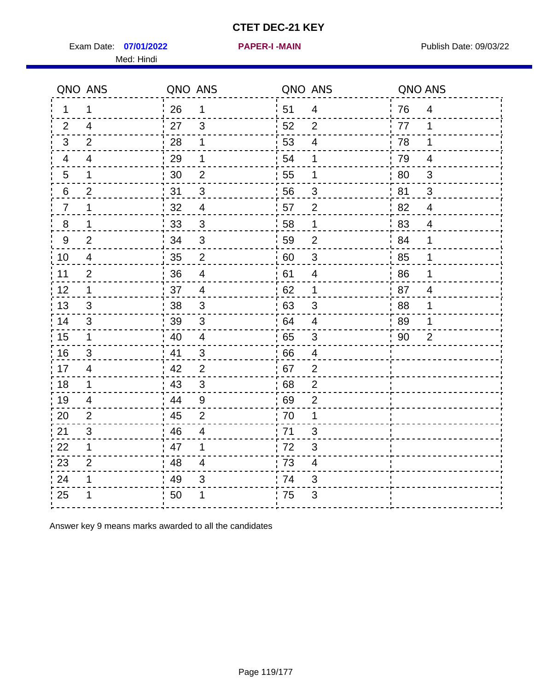Exam Date: 07/01/2022 PAPER-I-MAIN PUblish Date: 09/03/22 Med: Hindi

**07/01/2022 PAPER-I -MAIN**

|                | QNO ANS                 | QNO ANS |                           |      | QNO ANS                   | QNO ANS |                |
|----------------|-------------------------|---------|---------------------------|------|---------------------------|---------|----------------|
| 1.             | $\mathbf 1$             | 26      | $\mathbf 1$               | ¦ 51 | $\overline{4}$            | 76      | $\overline{4}$ |
| 2              | $\overline{4}$          | 27      | 3                         | 52   | $\overline{2}$            | 77      | $\mathbf 1$    |
| 3              | $\overline{2}$          | 28      | 1                         | 53   | $\overline{\mathcal{A}}$  | 78      | 1              |
| $\overline{4}$ | $\overline{\mathbf{4}}$ | 29      | 1                         | 54   | 1                         | 79      | $\overline{4}$ |
| 5              | 1                       | 30      | $\overline{2}$            | 55   | 1                         | 80      | $\mathfrak{S}$ |
| 6              | 2                       | 31      | 3                         | 56   | 3                         | 81      | 3              |
| $\overline{7}$ | 1                       | 32      | $\overline{4}$            | 57   | $\overline{2}$            | 82      | $\overline{4}$ |
| 8              | 1                       | 33      | $\mathfrak{S}$            | 58   | 1                         | 83      | $\overline{4}$ |
| 9              | $\overline{2}$          | 34      | $\mathbf{3}$              | 59   | $\overline{2}$            | 84      | 1              |
| 10             | $\overline{4}$          | 35      | $\mathbf 2$               | 60   | $\ensuremath{\mathsf{3}}$ | 85      | 1              |
| 11             | $\overline{2}$          | 36      | $\overline{\mathbf{4}}$   | 61   | 4                         | 86      | 1              |
| 12             | $\mathbf{1}$            | 37      | $\overline{4}$            | 62   | $\mathbf 1$               | 87      | $\overline{4}$ |
| 13             | 3                       | 38      | 3                         | 63   | 3                         | 88      | 1              |
| 14             | 3                       | 39      | 3                         | 64   | 4                         | 89      | 1              |
| 15             | $\mathbf{1}$            | 40      | $\overline{\mathbf{4}}$   | 65   | $\sqrt{3}$                | 90      | $\overline{2}$ |
| 16             | $\sqrt{3}$              | 41      | $\mathfrak{3}$            | 66   | 4                         |         |                |
| 17             | 4                       | 42      | 2                         | .67  | $\overline{2}$            |         |                |
| 18             | $\mathbf 1$             | 43      | 3                         | 68   | $\overline{2}$            |         |                |
| 19             | 4                       | 44      | $\boldsymbol{9}$          | 69   | $\overline{2}$            |         |                |
| 20             | $\overline{2}$          | 45      | $\overline{2}$            | 70   | 1                         |         |                |
| 21             | 3                       | 46      | 4                         | 71   | 3                         |         |                |
| 22             | $\mathbf{1}$            | 47      | 1                         | 72   | 3                         |         |                |
| 23             | $\overline{2}$          | 48      | 4                         | 73   | $\overline{\mathcal{A}}$  |         |                |
| 24             | 1                       | 49      | $\ensuremath{\mathsf{3}}$ | 74   | 3                         |         |                |
| 25             |                         | 50      | 1                         | 75   | 3                         |         |                |

Answer key 9 means marks awarded to all the candidates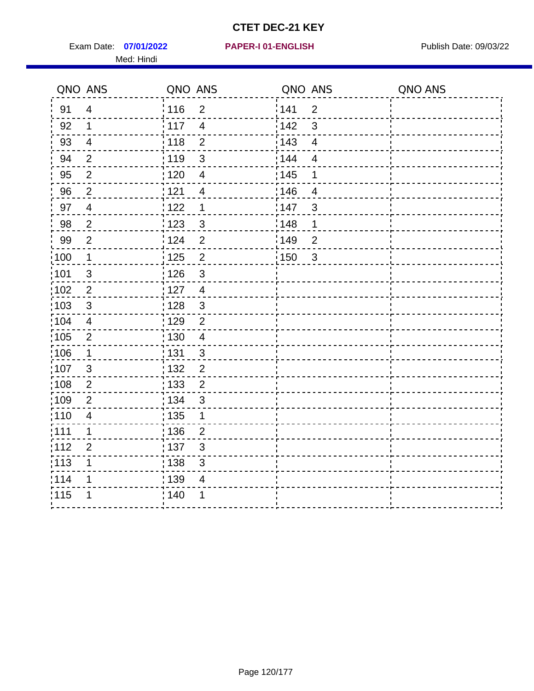Exam Date: 07/01/2022 PAPER-I 01-ENGLISH PUBLISH Publish Date: 09/03/22 Med: Hindi

**07/01/2022 PAPER-I 01-ENGLISH**

|       | QNO ANS                   | QNO ANS           |                           | QNO ANS |                         | QNO ANS |
|-------|---------------------------|-------------------|---------------------------|---------|-------------------------|---------|
| 91    | $\overline{4}$            | 116               | $\overline{2}$            | 1141    | $\overline{2}$          |         |
| 92    | $\mathbf 1$               | $\frac{1}{2}$ 117 | $\overline{4}$            | 142     | 3                       |         |
| 93    | $\overline{4}$            | 118               | $\overline{2}$            | 143     | $\overline{\mathbf{4}}$ |         |
| 94    | $\overline{2}$            | : 119             | 3                         | : 144   | $\overline{4}$          |         |
| 95    | $\overline{2}$            | : 120             | $\overline{\mathcal{A}}$  | : 145   | 1                       |         |
| 96    | $\overline{2}$            | 121               | 4                         | :146    | $\overline{4}$          |         |
| 97    | $\overline{\mathbf{4}}$   | 122               | 1                         | 147     | $\mathfrak{B}$          |         |
| 98    | $\sqrt{2}$                | 123               | $\mathfrak{3}$            | 148     | 1                       |         |
| 99    | $\overline{2}$            | 124               | $\overline{2}$            | :149    | $\overline{2}$          |         |
| :100  | $\mathbf 1$               | 125               | $\overline{2}$            | 150     | $\mathbf{3}$            |         |
| :101  | $\ensuremath{\mathsf{3}}$ | : 126             | $\mathsf 3$               |         |                         |         |
| 102   | $\overline{2}$            | : 127             | $\overline{4}$            |         |                         |         |
| 103   | 3                         | :128              | $\mathbf{3}$              |         |                         |         |
| 104   | $\overline{4}$            | : 129             | $\overline{2}$            |         |                         |         |
| 105   | $\sqrt{2}$                | $\frac{1}{1}$ 130 | $\overline{4}$            |         |                         |         |
| :106  | $\mathbf 1$               | : 131             | 3                         |         |                         |         |
| 107   | 3                         | :132              | $\overline{2}$            |         |                         |         |
| 108   | $\sqrt{2}$                | : 133             | $\overline{2}$            |         |                         |         |
| ;109  | $\overline{2}$            | : 134             | 3                         |         |                         |         |
| : 110 | 4                         | : 135             | 1                         |         |                         |         |
| 111   | 1                         | : 136             | $\overline{2}$            |         |                         |         |
| 112   | $\mathbf{2}$              | : 137             | $\ensuremath{\mathsf{3}}$ |         |                         |         |
| 113   | 1                         | 138               | 3                         |         |                         |         |
| 1114  | 1                         | : 139             | 4                         |         |                         |         |
| 115   | 1                         | 140               | 1                         |         |                         |         |
|       |                           |                   |                           |         |                         |         |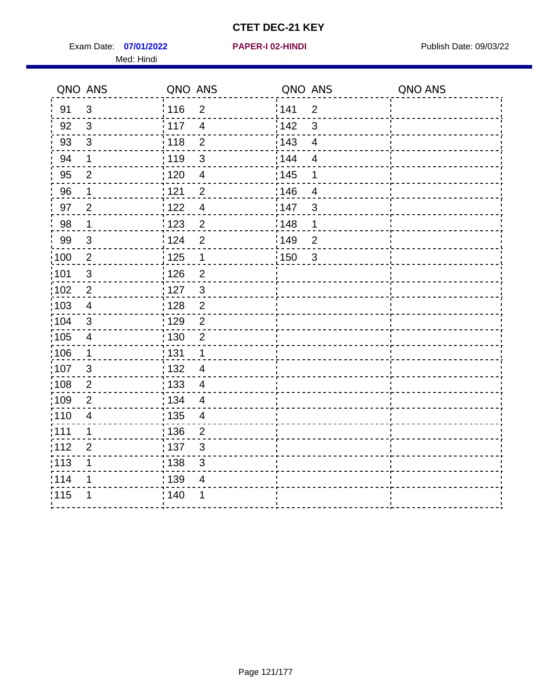Exam Date: 07/01/2022 **PAPER-I 02-HINDI Exam Date: 09/03/22** Med: Hindi

|        | QNO ANS        | QNO ANS                             | QNO ANS                | QNO ANS |
|--------|----------------|-------------------------------------|------------------------|---------|
| 91     | $\mathbf{3}$   | 116<br>$\overline{2}$               | 141<br>$\overline{2}$  |         |
| 92     | 3              | 117<br>$\overline{4}$               | 142<br>3               |         |
| 93     | $\sqrt{3}$     | $\overline{2}$<br>118               | 143<br>$\overline{4}$  |         |
| 94     | 1              | : 119<br>$\mathfrak{3}$             | 144<br>4               |         |
| 95     | $\overline{2}$ | :120<br>4                           | : 145<br>1             |         |
| 96     | $\mathbf 1$    | 121<br>$\overline{2}$               | :146<br>$\overline{4}$ |         |
| 97     | $\overline{2}$ | 122<br>$\overline{4}$               | 147<br>$\mathfrak{S}$  |         |
| $98\,$ | $\mathbf 1$    | 123<br>$\overline{c}$               | 148<br>1               |         |
| 99     | $\sqrt{3}$     | : 124<br>$\overline{2}$             | :149<br>$\mathbf 2$    |         |
| 100    | $\sqrt{2}$     | 125<br>$\mathbf{1}$                 | 150<br>$\sqrt{3}$      |         |
| 101    | $\mathfrak{S}$ | : 126<br>$\overline{2}$             |                        |         |
| 102    | $\overline{2}$ | : 127<br>$\mathbf{3}$               |                        |         |
| ;103   | $\overline{4}$ | $\overline{2}$<br>128               |                        |         |
| 104    | $\mathfrak{S}$ | : 129<br>$\overline{2}$             |                        |         |
| 105    | $\overline{4}$ | : 130<br>$\overline{2}$             |                        |         |
| ;106   | $\mathbf{1}$   | : 131<br>$\mathbf 1$                |                        |         |
| :107   | $\mathbf{3}$   | : 132<br>$\overline{\mathcal{A}}$   |                        |         |
| 108    | $\sqrt{2}$     | $\frac{1}{1}$ 133<br>$\overline{4}$ |                        |         |
| :109   | $\overline{2}$ | : 134<br>$\overline{4}$             |                        |         |
| :110   | $\overline{4}$ | : 135<br>4                          |                        |         |
| 111    | 1              | : 136<br>$\overline{2}$             |                        |         |
| 112    | $\mathbf{2}$   | 137<br>$\ensuremath{\mathsf{3}}$    |                        |         |
| 113    | 1              | : 138<br>3                          |                        |         |
| 114    | 1              | : 139<br>4                          |                        |         |
| 115    | 1              | 140<br>1                            |                        |         |
|        |                |                                     |                        |         |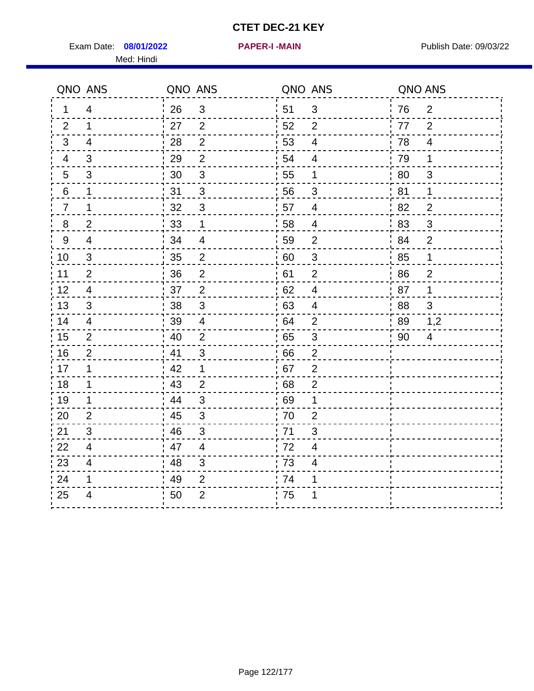Exam Date: 08/01/2022 **PAPER-I-MAIN Proposed Bublish Date: 09/03/22** Med: Hindi

**08/01/2022 PAPER-I -MAIN**

|        | QNO ANS                  | QNO ANS |                |                  | QNO ANS                   | QNO ANS |                |
|--------|--------------------------|---------|----------------|------------------|---------------------------|---------|----------------|
| 1      | $\overline{4}$           | 26      | 3              | ¦ 51             | $\mathfrak{B}$            | 76      | $\overline{2}$ |
| 2      | $\mathbf 1$              | 27      | 2              | 52               | $\overline{2}$            | 77      | 2              |
| 3      | $\overline{4}$           | 28      | $\overline{2}$ | 53               | $\overline{\mathcal{A}}$  | 78      | $\overline{4}$ |
| 4      | 3                        | 29      | $\overline{2}$ | 54               | $\overline{\mathcal{A}}$  | 79      | 1              |
| 5      | 3                        | 30      | 3              | 55               | 1                         | 80      | 3              |
| 6      | 1                        | 31      | 3              | 56               | 3                         | 81      | 1              |
| 7      | 1                        | 32      | $\sqrt{3}$     | 57               | 4                         | 82      | $\overline{2}$ |
| 8      | $\overline{c}$           | 33      | 1              | 58               | $\overline{4}$            | 83      | 3              |
| 9      | $\overline{\mathcal{A}}$ | 34      | $\overline{4}$ | 59               | $\overline{2}$            | 84      | $\overline{2}$ |
| 10     | $\mathfrak{S}$           | 35      | $\overline{c}$ | 60               | $\ensuremath{\mathsf{3}}$ | 85      | 1              |
| 11     | $\overline{2}$           | 36      | $\overline{2}$ | 61               | $\mathbf{2}$              | 86      | $\overline{2}$ |
| 12     | $\overline{4}$           | 37      | $\overline{2}$ | 62               | $\overline{\mathbf{4}}$   | 87      | 1              |
| 13     | 3                        | 38      | 3              | 63               | $\overline{4}$            | 88      | 3              |
| 14     | 4                        | 39      | $\overline{4}$ | 64               | $\overline{2}$            | 89      | 1,2            |
| $15\,$ | $\overline{2}$           | 40      | $\overline{2}$ | 65               | $\sqrt{3}$                | 90      | $\overline{4}$ |
| 16     | 2                        | 41      | 3              | 66               | $\overline{2}$            |         |                |
| 17     | 1                        | 42      | 1              | 67               | $\overline{2}$            |         |                |
| 18     | $\mathbf 1$              | 43      | $\overline{2}$ | 68               | $\boldsymbol{2}$          |         |                |
| 19     | 1                        | 44      | $\mathfrak{S}$ | .69              | 1                         |         |                |
| 20     | $\overline{2}$           | 45      | 3              | 70               | $\overline{2}$            |         |                |
| 21     | 3                        | 46      | 3              | 71               | 3                         |         |                |
| 22     | $\overline{4}$           | 47      | $\overline{4}$ | 72               | $\overline{\mathbf{4}}$   |         |                |
| 23     | 4                        | 48      | 3              | $\frac{1}{2}$ 73 | $\overline{\mathbf{4}}$   |         |                |
| 24     | 1                        | 49      | $\overline{2}$ | .74              | 1                         |         |                |
| 25     | 4                        | 50      | $\overline{2}$ | 75               | 1                         |         |                |
|        |                          |         |                |                  |                           |         |                |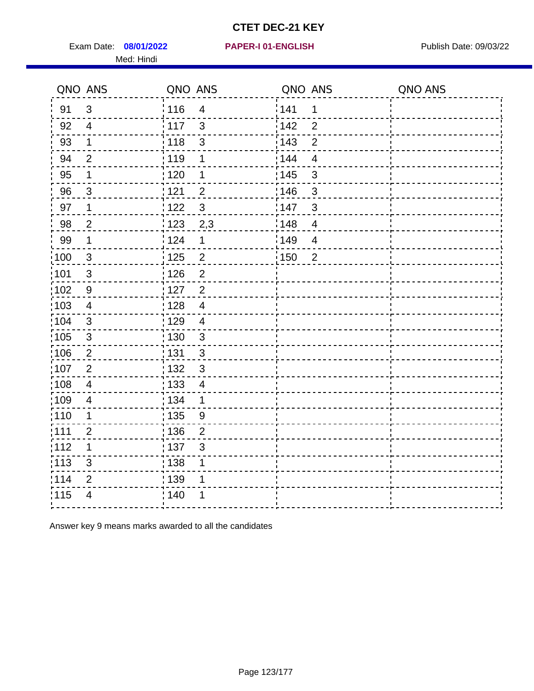Exam Date: 08/01/2022 PAPER-I 01-ENGLISH PREER FOR Publish Date: 09/03/22 Med: Hindi

#### **08/01/2022 PAPER-I 01-ENGLISH**

|                   | QNO ANS                 | QNO ANS           |                         | QNO ANS |                | QNO ANS |
|-------------------|-------------------------|-------------------|-------------------------|---------|----------------|---------|
| 91                | 3                       | : 116             | $\overline{4}$          | 141     | 1              |         |
| 92                | $\overline{4}$          | 117               | $\mathfrak{S}$          | 142     | $\overline{2}$ |         |
| 93                | $\mathbf 1$             | 118               | 3                       | 143     | $\overline{2}$ |         |
| 94                | $\overline{2}$          | : 119             | 1                       | 144     | $\overline{4}$ |         |
| 95                | 1                       | :120              | 1                       | : 145   | 3              |         |
| 96                | 3                       | 121               | $\overline{2}$          | 146     | 3              |         |
| 97                | $\mathbf 1$             | 122               | 3                       | 147     | $\mathfrak{3}$ |         |
| 98                | $\overline{2}$          | $\frac{1}{2}$ 123 | 2,3                     | 148     | $\overline{4}$ |         |
| 99                | $\mathbf 1$             | 124               | $\mathbf 1$             | 149     | $\overline{4}$ |         |
| 100               | $\mathbf{3}$            | $\frac{1}{1}$ 125 | $\overline{\mathbf{c}}$ | 150     | $\overline{2}$ |         |
| 101               | $\sqrt{3}$              | : 126             | $\overline{2}$          |         |                |         |
| :102              | 9                       | $\frac{1}{1}$ 127 | $\overline{2}$          |         |                |         |
| $\frac{1}{1}$ 103 | $\overline{4}$          | 128               | $\overline{4}$          |         |                |         |
| 104               | $\mathbf{3}$            | : 129             | $\overline{4}$          |         |                |         |
| :105              | $\sqrt{3}$              | : 130             | $\mathbf{3}$            |         |                |         |
| 106               | $\overline{2}$          | : 131             | $\mathbf{3}$            |         |                |         |
| 107               | $\overline{2}$          | : 132             | $\mathbf{3}$            |         |                |         |
| :108              | $\overline{\mathbf{4}}$ | : 133             | $\overline{4}$          |         |                |         |
| :109              | $\overline{\mathbf{4}}$ | : 134             | $\mathbf 1$             |         |                |         |
| 110               | 1                       | $\frac{1}{1}$ 135 | 9                       |         |                |         |
| :111              | $\overline{2}$          | : 136             | $\overline{2}$          |         |                |         |
| 112               | 1                       | :137              | 3                       |         |                |         |
| $\frac{1}{1}$ 113 | $\mathsf 3$             | : 138             | 1                       |         |                |         |
| 114               | $\overline{2}$          | 139               | 1                       |         |                |         |
| 115               | 4                       | : 140             |                         |         |                |         |
|                   |                         |                   |                         |         |                |         |

Answer key 9 means marks awarded to all the candidates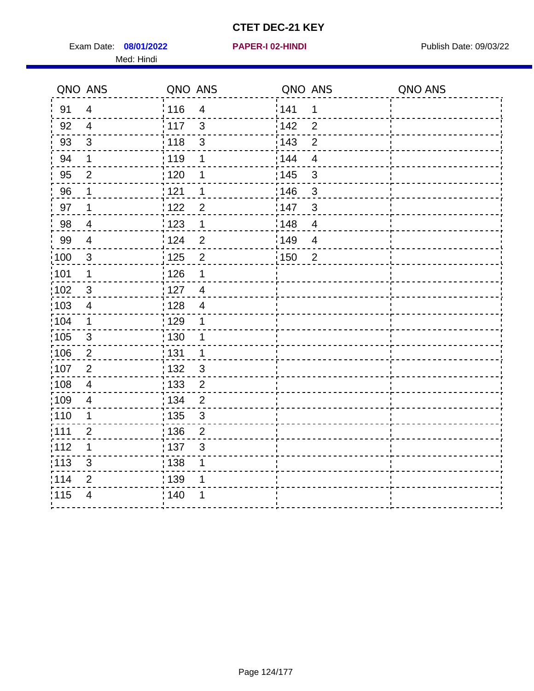Exam Date: 08/01/2022 **PAPER-I 02-HINDI** PAPER 102-HINDI Publish Date: 09/03/22 Med: Hindi

|                   | QNO ANS        | QNO ANS                             | QNO ANS                             | QNO ANS |
|-------------------|----------------|-------------------------------------|-------------------------------------|---------|
| 91                | $\overline{4}$ | : 116<br>$\overline{4}$             | 141<br>$\mathbf 1$                  |         |
| 92                | $\overline{4}$ | $\frac{1}{2}$ 117<br>$\mathfrak{S}$ | 142<br>$\overline{2}$               |         |
| 93                | $\mathfrak{3}$ | 118<br>$\mathfrak{S}$               | 143<br>$\overline{2}$               |         |
| 94                | 1              | : 119<br>1                          | 144<br>$\overline{4}$               |         |
| 95                | $\overline{2}$ | : 120<br>1                          | : 145<br>3                          |         |
| 96                | 1              | : 121<br>1                          | 146<br>3                            |         |
| 97                | $\mathbf 1$    | 122<br>$\overline{2}$               | 147<br>3                            |         |
| 98                | $\overline{4}$ | 123<br>$\mathbf{1}$                 | 148<br>$\overline{\mathbf{4}}$      |         |
| 99                | $\overline{4}$ | 124<br>$\overline{2}$               | $\frac{1}{2}$ 149<br>$\overline{4}$ |         |
| 100               | $\mathbf{3}$   | 125<br>$\overline{2}$               | 150<br>$\overline{2}$               |         |
| $\frac{1}{1}$ 101 | 1              | 126<br>1                            |                                     |         |
| 102               | 3              | : 127<br>$\overline{4}$             |                                     |         |
| 103               | $\overline{4}$ | :128<br>$\overline{4}$              |                                     |         |
| :104              | $\mathbf 1$    | : 129<br>1                          |                                     |         |
| 105               | $\mathfrak{3}$ | 130<br>1                            |                                     |         |
| :106              | $\overline{2}$ | : 131<br>$\mathbf 1$                |                                     |         |
| 107               | $\overline{2}$ | : 132<br>$\mathbf{3}$               |                                     |         |
| 108               | $\overline{4}$ | 133<br>$\mathbf{2}$                 |                                     |         |
| :109              | $\overline{4}$ | : 134<br>$\overline{2}$             |                                     |         |
| :110              | 1              | : 135<br>3                          |                                     |         |
| :111              | $\overline{2}$ | : 136<br>$\overline{2}$             |                                     |         |
| 112               | 1              | $\frac{1}{1}$ 137<br>$\mathfrak{S}$ |                                     |         |
| : 113             | 3              | 138<br>1                            |                                     |         |
| 1114              | 2              | : 139<br>1                          |                                     |         |
| 115               | $\overline{4}$ | 140<br>1                            |                                     |         |
|                   |                |                                     |                                     |         |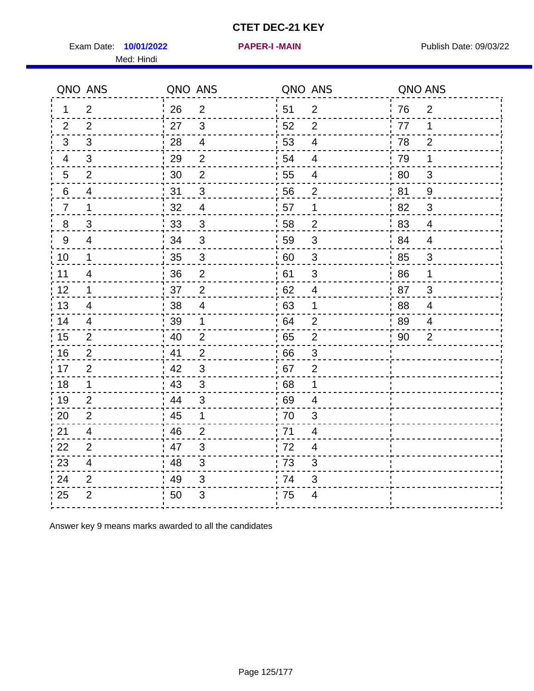Exam Date: 10/01/2022 **PAPER-I-MAIN Exam Date: 09/03/22** Med: Hindi

**10/01/2022 PAPER-I -MAIN**

|                | QNO ANS                 | QNO ANS |                           |      | QNO ANS                  | QNO ANS |                |
|----------------|-------------------------|---------|---------------------------|------|--------------------------|---------|----------------|
| 1              | $\overline{2}$          | 26      | $\overline{2}$            | ¦ 51 | $\overline{2}$           | 76      | $\overline{2}$ |
| 2              | 2                       | 27      | $\mathbf{3}$              | 52   | 2                        | 77      | 1              |
| 3              | 3                       | 28      | $\overline{\mathbf{4}}$   | 53   | 4                        | 78      | 2              |
| 4              | $\mathfrak{B}$          | 29      | $\overline{2}$            | 54   | $\overline{\mathbf{4}}$  | 79      | 1              |
| 5              | $\overline{2}$          | 30      | $\overline{2}$            | 55   | 4                        | 80      | 3              |
| 6              | 4                       | 31      | 3                         | 56   | $\overline{2}$           | 81      | 9              |
| $\overline{7}$ | $\mathbf 1$             | 32      | $\overline{4}$            | 57   | 1                        | 82      | 3              |
| 8              | 3                       | 33      | $\mathfrak{S}$            | 58   | $\overline{2}$           | 83      | $\overline{4}$ |
| 9              | $\overline{4}$          | 34      | $\mathbf{3}$              | 59   | $\mathfrak{S}$           | 84      | $\overline{4}$ |
| 10             | $\mathbf 1$             | 35      | $\ensuremath{\mathsf{3}}$ | 60   | $\sqrt{3}$               | 85      | $\sqrt{3}$     |
| 11             | 4                       | 36      | $\overline{2}$            | 61   | 3                        | 86      | 1              |
| 12             | $\mathbf 1$             | 37      | $\overline{2}$            | 62   | $\overline{\mathbf{4}}$  | 87      | $\mathfrak{S}$ |
| 13             | 4                       | 38      | $\overline{4}$            | 63   | 1                        | 88      | 4              |
| 14             | 4                       | 39      | 1                         | 64   | $\overline{2}$           | 89      | 4              |
| 15             | $\overline{2}$          | 40      | $\overline{2}$            | 65   | $\mathbf 2$              | 90      | $\overline{2}$ |
| 16             | $\overline{2}$          | 41      | $\overline{2}$            | 66   | $\mathfrak{S}$           |         |                |
| 17             | $\overline{2}$          | 42      | 3                         | .67  | 2                        |         |                |
| 18             | $\mathbf 1$             | 43      | 3                         | 68   | 1                        |         |                |
| 19             | $\overline{2}$          | 44      | $\mathfrak{B}$            | 69   | 4                        |         |                |
| 20             | $\overline{2}$          | 45      | 1                         | 70   | 3                        |         |                |
| 21             | 4                       | 46      | 2                         | 71   | 4                        |         |                |
| 22             | 2                       | 47      | 3                         | 72   | $\overline{4}$           |         |                |
| 23             | $\overline{\mathbf{4}}$ | 48      | $\mathfrak{S}$            | 73   | 3                        |         |                |
| 24             | $\overline{2}$          | 49      | $\sqrt{3}$                | 74   | 3                        |         |                |
| 25             | $\overline{2}$          | 50      | $\ensuremath{\mathsf{3}}$ | 75   | $\overline{\mathcal{A}}$ |         |                |

Answer key 9 means marks awarded to all the candidates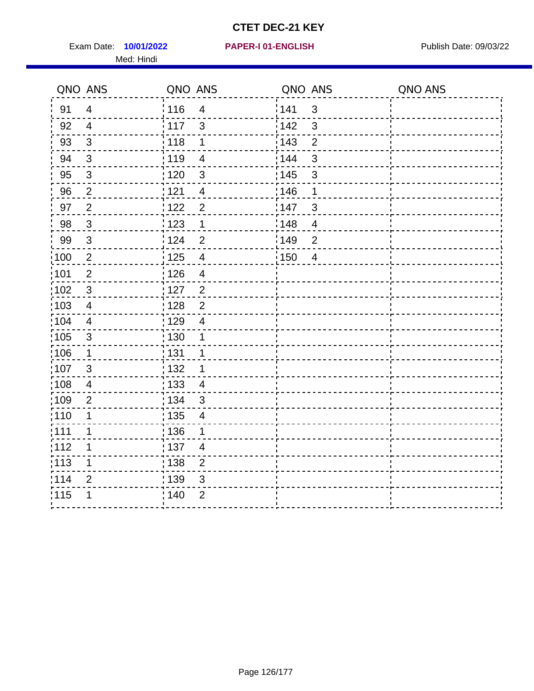Exam Date: **10/01/2022 PAPER-I 01-ENGLISH Product by Publish Date: 09/03/22** Med: Hindi

**10/01/2022 PAPER-I 01-ENGLISH**

|                   | QNO ANS                   | QNO ANS           |                          | QNO ANS |                | QNO ANS |
|-------------------|---------------------------|-------------------|--------------------------|---------|----------------|---------|
| 91                | $\overline{4}$            | 116               | $\overline{\mathbf{4}}$  | 141     | $\sqrt{3}$     |         |
| 92                | $\overline{4}$            | 117               | 3                        | 142     | 3              |         |
| 93                | $\mathbf{3}$              | 118               | 1                        | 143     | $\overline{2}$ |         |
| 94                | 3                         | : 119             | $\overline{\mathcal{A}}$ | 144     | $\mathfrak{S}$ |         |
| 95                | $\mathfrak{B}$            | :120              | 3                        | : 145   | 3              |         |
| 96                | $\overline{2}$            | 121               | $\overline{4}$           | 146     | 1              |         |
| 97                | $\mathbf{2}$              | 122               | $\overline{2}$           | 147     | $\mathfrak{S}$ |         |
| 98                | $\mathbf{3}$              | $\frac{1}{2}$ 123 | $\mathbf 1$              | 148     | $\overline{4}$ |         |
| 99                | $\ensuremath{\mathsf{3}}$ | 124               | $\overline{2}$           | :149    | $\overline{2}$ |         |
| 100               | $\sqrt{2}$                | 125               | $\overline{\mathbf{4}}$  | 150     | $\overline{4}$ |         |
| 101               | $\overline{2}$            | : 126             | $\overline{\mathbf{4}}$  |         |                |         |
| 102               | $\mathbf{3}$              | : 127             | $\overline{2}$           |         |                |         |
| ;103              | $\overline{4}$            | 128               | $\overline{2}$           |         |                |         |
| 104               | $\overline{4}$            | : 129             | $\overline{\mathcal{A}}$ |         |                |         |
| $\frac{1}{1}$ 105 | $\sqrt{3}$                | : 130             | 1                        |         |                |         |
| ;106              | $\mathbf{1}$              | : 131             | 1                        |         |                |         |
| :107              | 3                         | : 132             | 1                        |         |                |         |
| 108               | $\overline{\mathbf{4}}$   | 133               | $\overline{4}$           |         |                |         |
| :109              | $\overline{2}$            | : 134             | $\mathbf{3}$             |         |                |         |
| :110              | 1                         | : 135             | 4                        |         |                |         |
| 111               | 1                         | 136               | 1                        |         |                |         |
| 112               | 1                         | $\frac{1}{1}$ 137 | $\overline{4}$           |         |                |         |
| 113               | 1                         | : 138             | $\overline{2}$           |         |                |         |
| 114               | 2                         | 139               | 3                        |         |                |         |
| 115               | 1                         | 140               | $\overline{2}$           |         |                |         |
|                   |                           |                   |                          |         |                |         |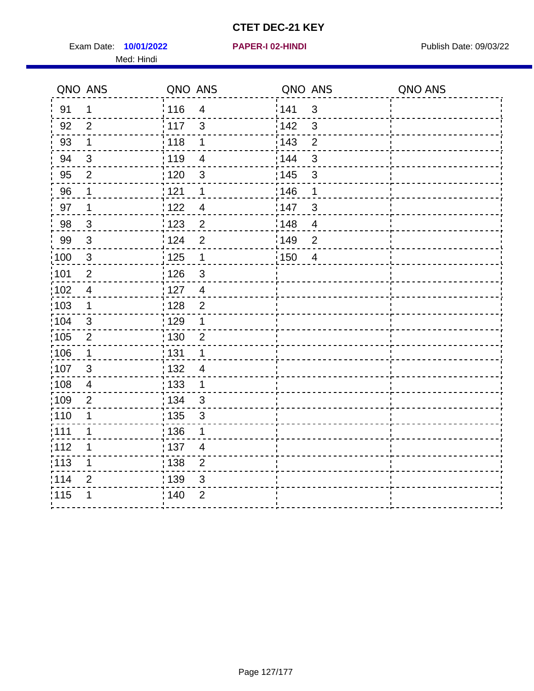Exam Date: 10/01/2022 **PAPER-I 02-HINDI** PAPER 102-HINDI Publish Date: 09/03/22 Med: Hindi

|                   | QNO ANS                 | QNO ANS           |                          | QNO ANS           |                         | QNO ANS |
|-------------------|-------------------------|-------------------|--------------------------|-------------------|-------------------------|---------|
| 91                | 1                       | 116               | $\overline{4}$           | 141               | $\mathbf{3}$            |         |
| 92                | $\overline{2}$          | $\frac{1}{2}$ 117 | $\mathfrak{S}$           | 142               | 3                       |         |
| 93                | $\mathbf 1$             | 118               | $\mathbf 1$              | 143               | $\overline{2}$          |         |
| 94                | 3                       | : 119             | $\overline{\mathcal{A}}$ | 144               | 3                       |         |
| 95                | $\overline{2}$          | : 120             | $\mathbf{3}$             | : 145             | 3                       |         |
| 96                | 1                       | 121               | 1                        | 146               | 1                       |         |
| 97                | 1                       | 122               | $\overline{\mathcal{A}}$ | 147               | 3                       |         |
| 98                | $\mathbf{3}$            | 123               | $\overline{c}$           | 148               | $\overline{\mathbf{4}}$ |         |
| 99                | $\mathsf 3$             | 124               | $\overline{2}$           | $\frac{1}{2}$ 149 | $\overline{2}$          |         |
| 100               | $\mathbf{3}$            | 125               | $\overline{\mathbf{1}}$  | 150               | $\overline{4}$          |         |
| $\frac{1}{1}$ 101 | $\overline{c}$          | : 126             | $\mathbf{3}$             |                   |                         |         |
| :102              | $\overline{4}$          | : 127             | $\overline{4}$           |                   |                         |         |
| 103               | $\mathbf 1$             | :128              | $\overline{2}$           |                   |                         |         |
| :104              | $\mathfrak{3}$          | : 129             | 1                        |                   |                         |         |
| 105               | $\overline{2}$          | : 130             | $\overline{2}$           |                   |                         |         |
| :106              | 1                       | : 131             | 1                        |                   |                         |         |
| 107               | 3                       | : 132             | $\overline{4}$           |                   |                         |         |
| 108               | $\overline{\mathbf{4}}$ | 133               | $\mathbf{1}$             |                   |                         |         |
| :109              | $\overline{2}$          | : 134             | $\mathbf{3}$             |                   |                         |         |
| :110              | 1                       | : 135             | 3                        |                   |                         |         |
| :111              | 1                       | : 136             | 1                        |                   |                         |         |
| 112               | 1                       | $\frac{1}{1}$ 137 | $\overline{\mathcal{A}}$ |                   |                         |         |
| 113               | 1                       | 138               | $\overline{c}$           |                   |                         |         |
| 1114              | $\overline{2}$          | 139               | 3                        |                   |                         |         |
| 115               | 1                       | 140               | $\overline{2}$           |                   |                         |         |
|                   |                         |                   |                          |                   |                         |         |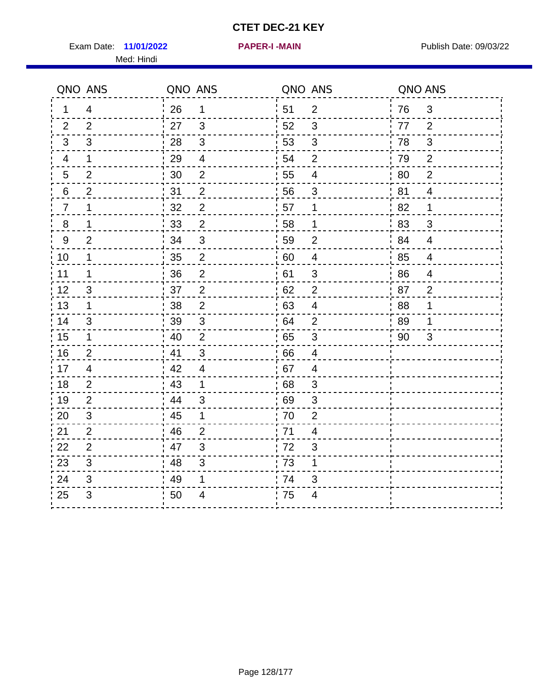Exam Date: 11/01/2022 **PAPER-I-MAIN Exam Date: 09/03/22** Med: Hindi

**11/01/2022 PAPER-I -MAIN**

|                  | QNO ANS        | QNO ANS |                         |                  | QNO ANS                  | QNO ANS |                |
|------------------|----------------|---------|-------------------------|------------------|--------------------------|---------|----------------|
| 1.               | $\overline{4}$ | 26      | 1                       | ¦ 51             | $\overline{2}$           | 76      | $\mathfrak{3}$ |
| 2                | 2              | 27      | $\mathfrak{S}$          | 52               | $\mathfrak{S}$           | 77      | 2              |
| 3                | 3              | 28      | $\sqrt{3}$              | 53               | 3                        | 78      | $\sqrt{3}$     |
| 4                | $\mathbf{1}$   | 29      | $\overline{\mathbf{4}}$ | 54               | $\overline{2}$           | 79      | $\overline{2}$ |
| 5                | 2              | 30      | $\overline{2}$          | 55               | $\overline{\mathcal{A}}$ | 80      | $\overline{2}$ |
| 6                | $\overline{2}$ | 31      | $\overline{2}$          | 56               | 3                        | 81      | $\overline{4}$ |
| $\overline{7}$   | $\mathbf{1}$   | 32      | $\mathbf{2}$            | 57               | $\mathbf 1$              | 82      | 1              |
| $\bf 8$          | $\mathbf 1$    | 33      | $\sqrt{2}$              | 58               | $\mathbf 1$              | ¦ 83    | $\mathfrak{S}$ |
| $\boldsymbol{9}$ | $\overline{2}$ | 34      | $\sqrt{3}$              | 59               | $\overline{2}$           | 84      | $\overline{4}$ |
| 10               | 1              | 35      | $\mathbf 2$             | 60               | $\overline{\mathcal{A}}$ | 85      | $\overline{4}$ |
| 11               | 1              | 36      | $\mathbf 2$             | 61               | 3                        | 86      | $\overline{4}$ |
| 12               | 3              | 37      | $\overline{2}$          | 62               | $\overline{2}$           | 87      | $\overline{2}$ |
| 13               | 1              | 38      | 2                       | .63              | $\overline{4}$           | .88     | 1              |
| 14               | 3              | 39      | $\mathfrak{S}$          | 64               | $\overline{2}$           | 89      | 1              |
| 15               | $\mathbf{1}$   | 40      | $\overline{2}$          | 65               | $\sqrt{3}$               | 90      | 3              |
| 16               | 2              | 41      | 3                       | 66               | $\overline{4}$           |         |                |
| 17               | 4              | 42      | 4                       | .67              | 4                        |         |                |
| 18               | 2              | 43      | $\mathbf 1$             | 68               | $\mathfrak{S}$           |         |                |
| 19               | $\overline{2}$ | 44      | $\mathsf 3$             | .69              | 3                        |         |                |
| 20               | 3              | 45      | 1                       | 70               | $\overline{2}$           |         |                |
| 21               | $\overline{2}$ | 46      | 2                       | 71               | 4                        |         |                |
| 22               | $\overline{2}$ | 47      | 3                       | .72              | 3                        |         |                |
| 23               | $\mathfrak{S}$ | 48      | $\mathfrak{S}$          | $\frac{1}{2}$ 73 | $\mathbf 1$              |         |                |
| 24               | 3              | 49      | 1                       | 74               | 3                        |         |                |
| 25               | 3              | 50      | 4                       | 75               | 4                        |         |                |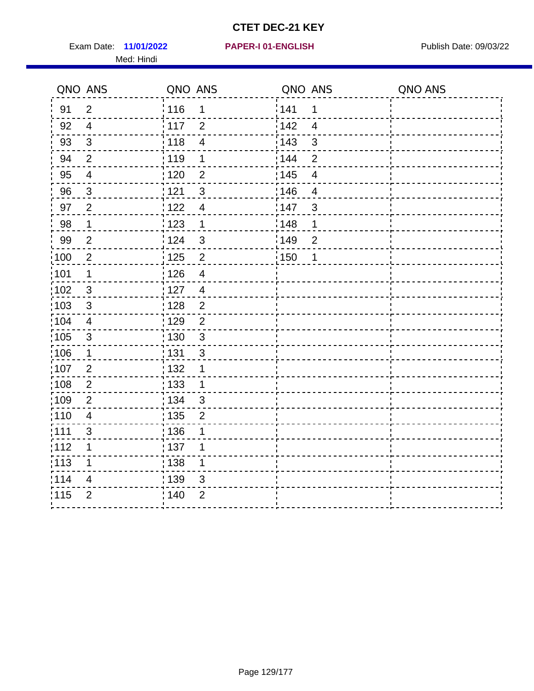Exam Date: 11/01/2022 **PAPER-I 01-ENGLISH Exam Date: 09/03/22** Med: Hindi

|       | QNO ANS        | QNO ANS                          | QNO ANS           |                          | QNO ANS |
|-------|----------------|----------------------------------|-------------------|--------------------------|---------|
| 91    | $\overline{2}$ | 116<br>1                         | 141               | $\mathbf 1$              |         |
| 92    | $\overline{4}$ | 117<br>$\overline{2}$            | 142               | $\overline{\mathbf{4}}$  |         |
| 93    | $\sqrt{3}$     | 118<br>$\overline{4}$            | 143               | 3                        |         |
| 94    | $\overline{2}$ | : 119<br>1                       | 144               | $\overline{2}$           |         |
| 95    | $\overline{4}$ | : 120<br>$\overline{2}$          | : 145             | $\overline{\mathcal{A}}$ |         |
| 96    | $\mathfrak{S}$ | 121<br>3                         | 146               | $\overline{4}$           |         |
| 97    | $\overline{2}$ | 122<br>$\overline{4}$            | 147               | 3                        |         |
| 98    | $\mathbf{1}$   | 123<br>$\mathbf{1}$              | ¦148              | 1                        |         |
| 99    | $\overline{2}$ | 124<br>$\mathbf{3}$              | $\frac{1}{2}$ 149 | $\overline{2}$           |         |
| 100   | $\overline{2}$ | $\overline{2}$<br>125            | 150               | 1                        |         |
| :101  | 1              | : 126<br>$\overline{\mathbf{4}}$ |                   |                          |         |
| 102   | $\mathfrak{3}$ | : 127<br>$\overline{4}$          |                   |                          |         |
| 103   | 3              | $\overline{2}$<br>:128           |                   |                          |         |
| 104   | $\overline{4}$ | : 129<br>$\overline{2}$          |                   |                          |         |
| 105   | $\sqrt{3}$     | 130<br>$\mathbf{3}$              |                   |                          |         |
| :106  | $\mathbf 1$    | : 131<br>$\mathfrak{B}$          |                   |                          |         |
| ;107  | $\overline{2}$ | 132<br>1                         |                   |                          |         |
| 108   | $\sqrt{2}$     | : 133<br>$\mathbf{1}$            |                   |                          |         |
| :109  | $\overline{2}$ | : 134<br>3                       |                   |                          |         |
| 110   | $\overline{4}$ | : 135<br>$\overline{2}$          |                   |                          |         |
| : 111 | $\mathfrak{S}$ | : 136<br>1                       |                   |                          |         |
| 112   | 1              | $\frac{1}{1}$ 137<br>1           |                   |                          |         |
| 113   | 1              | : 138<br>1                       |                   |                          |         |
| 114   | $\overline{4}$ | : 139<br>3                       |                   |                          |         |
| 115   | $\overline{2}$ | 140<br>$\overline{2}$            |                   |                          |         |
|       |                |                                  |                   |                          |         |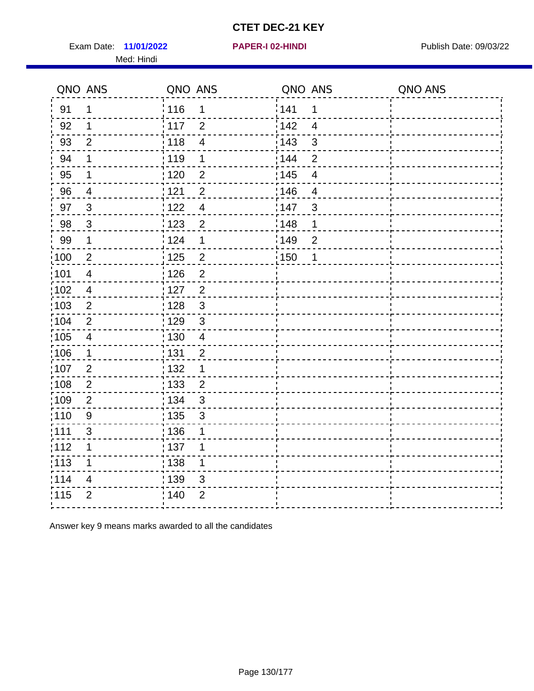Exam Date: 11/01/2022 **PAPER-I 02-HINDI** PAPER 102-HINDI Publish Date: 09/03/22 Med: Hindi

**11/01/2022 PAPER-I 02-HINDI**

|                   | QNO ANS                  | QNO ANS           |                | QNO ANS |                          | QNO ANS |
|-------------------|--------------------------|-------------------|----------------|---------|--------------------------|---------|
| 91                | $\mathbf 1$              | 116               | $\mathbf 1$    | 1141    | 1                        |         |
| 92                | 1                        | $\frac{1}{2}$ 117 | $\overline{2}$ | 142     | $\overline{4}$           |         |
| 93                | $\overline{2}$           | $\frac{1}{2}$ 118 | $\overline{4}$ | 143     | $\sqrt{3}$               |         |
| 94                | 1                        | : 119             | 1              | : 144   | $\overline{2}$           |         |
| 95                | 1                        | :120              | $\overline{2}$ | : 145   | $\overline{\mathcal{A}}$ |         |
| 96                | 4                        | 121               | $\overline{2}$ | :146    | $\overline{4}$           |         |
| 97                | $\mathbf{3}$             | 122               | $\overline{4}$ | 147     | $\mathfrak{B}$           |         |
| 98                | $\mathbf{3}$             | : 123             | $\overline{2}$ | 148     | 1                        |         |
| 99                | $\mathbf 1$              | 124               | 1              | 149     | $\overline{2}$           |         |
| 100               | $\mathbf 2$              | $\frac{1}{1}$ 125 | $\overline{c}$ | 150     | 1                        |         |
| 101               | $\overline{\mathcal{A}}$ | : 126             | $\overline{2}$ |         |                          |         |
| 102               | $\overline{4}$           | : 127             | $\overline{2}$ |         |                          |         |
| 103               | $\overline{2}$           | 128               | $\mathfrak{3}$ |         |                          |         |
| $\frac{1}{1}$ 104 | $\overline{2}$           | : 129             | $\mathfrak{3}$ |         |                          |         |
| $\frac{1}{1}$ 105 | $\overline{4}$           | $\frac{1}{1}$ 130 | $\overline{4}$ |         |                          |         |
| 106               | $\mathbf{1}$             | : 131             | $\overline{2}$ |         |                          |         |
| :107              | $\overline{2}$           | : 132             | 1              |         |                          |         |
| 108               | $\overline{2}$           | $\frac{1}{1}$ 133 | $\overline{c}$ |         |                          |         |
| :109              | $\overline{2}$           | : 134             | $\mathfrak{S}$ |         |                          |         |
| 110               | $9\,$                    | : 135             | 3              |         |                          |         |
| : 111             | 3                        | :136              | 1              |         |                          |         |
| 112               | 1                        | : 137             | 1              |         |                          |         |
| : 113             | 1                        | : 138             | 1              |         |                          |         |
| 114               | $\overline{\mathcal{A}}$ | : 139             | 3              |         |                          |         |
| 115               | $\overline{2}$           | : 140             | $\overline{2}$ |         |                          |         |
|                   |                          |                   |                |         |                          |         |

Answer key 9 means marks awarded to all the candidates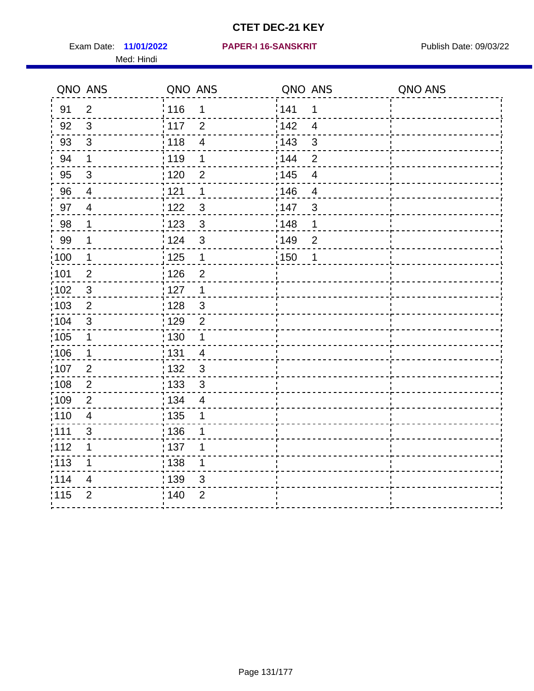Exam Date: 11/01/2022 **PAPER-I 16-SANSKRIT** Publish Date: 09/03/22 Med: Hindi

|                   | QNO ANS        | QNO ANS           |                         | QNO ANS           |                | QNO ANS |
|-------------------|----------------|-------------------|-------------------------|-------------------|----------------|---------|
| 91                | $\overline{2}$ | : 116             | 1                       | 141               | 1              |         |
| 92                | $\mathfrak{S}$ | $\frac{1}{2}$ 117 | $\overline{2}$          | 142               | $\overline{4}$ |         |
| 93                | $\mathfrak{Z}$ | 118               | $\overline{\mathbf{4}}$ | 143               | 3              |         |
| 94                | $\mathbf 1$    | : 119             | $\mathbf 1$             | : 144             | $\overline{2}$ |         |
| 95                | $\mathfrak{S}$ | : 120             | $\overline{2}$          | : 145             | 4              |         |
| 96                | $\overline{4}$ | 121               | 1                       | 146               | 4              |         |
| 97                | $\overline{4}$ | 122               | $\mathbf{3}$            | 147               | $\mathfrak{B}$ |         |
| 98                | $\mathbf{1}$   | $\frac{1}{2}$ 123 | $\mathfrak{S}$          | 148               | 1              |         |
| 99                | $\mathbf 1$    | 124               | 3                       | 149               | $\overline{2}$ |         |
| $\frac{1}{1}$ 100 | $\mathbf 1$    | $\frac{1}{1}$ 125 | $\mathbf{1}$            | $\frac{1}{1}$ 150 | $\mathbf 1$    |         |
| :101              | $\mathbf 2$    | 126               | $\overline{2}$          |                   |                |         |
| 102               | $\mathbf{3}$   | : 127             | $\mathbf{1}$            |                   |                |         |
| 103               | $\overline{2}$ | : 128             | $\mathbf{3}$            |                   |                |         |
| :104              | $\mathbf{3}$   | $\frac{1}{1}$ 129 | $\overline{2}$          |                   |                |         |
| 105               | $\mathbf{1}$   | 130               | $\mathbf{1}$            |                   |                |         |
| :106              | $\mathbf{1}$   | : 131             | $\overline{4}$          |                   |                |         |
| 107               | $\overline{2}$ | 132               | $\mathbf{3}$            |                   |                |         |
| 108               | $\overline{c}$ | : 133             | $\sqrt{3}$              |                   |                |         |
| :109              | $\mathbf{2}$   | : 134             | $\overline{4}$          |                   |                |         |
| :110              | $\overline{4}$ | 135               | 1                       |                   |                |         |
| : 111             | $\mathfrak{S}$ | 136               | 1                       |                   |                |         |
| 112               | 1              | 137               | 1                       |                   |                |         |
| 113               | 1              | 138               | 1                       |                   |                |         |
| 114               | 4              | 139               | 3                       |                   |                |         |
| 115               | $\overline{2}$ | 140               | $\overline{2}$          |                   |                |         |
|                   |                |                   |                         |                   |                |         |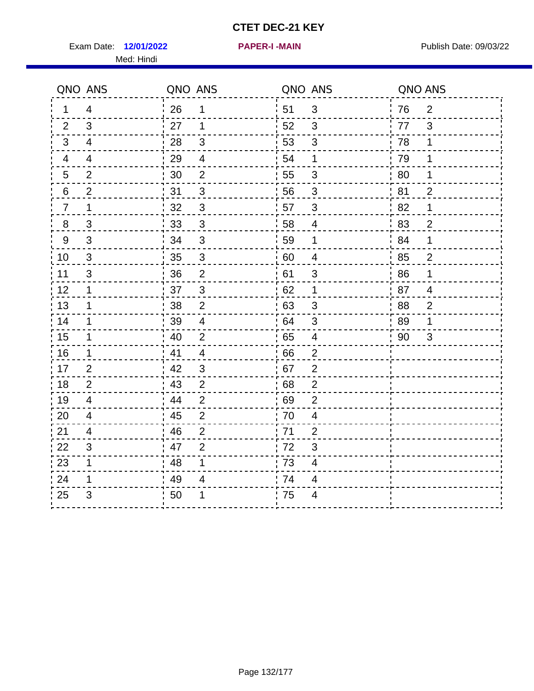Exam Date: 12/01/2022 **PAPER-I-MAIN Exam Date: 09/03/22** Med: Hindi

**12/01/2022 PAPER-I -MAIN**

|                | QNO ANS        | QNO ANS |                |                  | QNO ANS                  | QNO ANS |                |
|----------------|----------------|---------|----------------|------------------|--------------------------|---------|----------------|
| 1              | 4              | 26      | 1              | ¦ 51             | $\sqrt{3}$               | 76      | $\overline{2}$ |
| 2              | 3              | 27      | $\mathbf 1$    | 52               | 3                        | 77      | 3              |
| 3              | $\overline{4}$ | 28      | $\sqrt{3}$     | 53               | $\sqrt{3}$               | 78      | $\mathbf 1$    |
| 4              | $\overline{4}$ | 29      | $\overline{4}$ | 54               | 1                        | 79      | 1              |
| 5              | $\overline{2}$ | 30      | $\overline{2}$ | 55               | 3                        | 80      | 1              |
| 6              | 2              | 31      | $\mathfrak{B}$ | 56               | 3                        | 81      | $\overline{2}$ |
| $\overline{7}$ | 1              | 32      | $\sqrt{3}$     | 57               | 3                        | 82      | 1              |
| $\bf 8$        | $\mathfrak{S}$ | 33      | $\sqrt{3}$     | 58               | $\overline{4}$           | 83      | $\overline{c}$ |
| $9\,$          | $\mathfrak{S}$ | 34      | $\mathbf{3}$   | 59               | $\mathbf 1$              | 84      | 1              |
| 10             | $\sqrt{3}$     | 35      | $\overline{3}$ | 60               | $\overline{\mathcal{A}}$ | 85      | $\overline{2}$ |
| 11             | $\mathfrak{S}$ | 36      | $\overline{2}$ | 61               | $\mathsf 3$              | 86      | 1              |
| 12             | $\mathbf 1$    | 37      | $\mathbf{3}$   | 62               | $\mathbf 1$              | 87      | $\overline{4}$ |
| 13             | 1              | 38      | 2              | .63              | 3                        | 88      | $\overline{2}$ |
| 14             | $\mathbf 1$    | 39      | $\overline{4}$ | 64               | 3                        | 89      | 1              |
| 15             | $\mathbf 1$    | 40      | $\overline{2}$ | 65               | $\overline{\mathbf{4}}$  | 90      | $\mathfrak{S}$ |
| 16             | $\mathbf 1$    | 41      | $\overline{4}$ | 66               | $\overline{2}$           |         |                |
| 17             | $\overline{2}$ | 42      | 3              | 67               | $\overline{2}$           |         |                |
| 18             | 2              | 43      | $\overline{2}$ | 68               | $\mathbf{2}$             |         |                |
| 19             | $\overline{4}$ | 44      | $\overline{2}$ | .69              | $\overline{2}$           |         |                |
| 20             | $\overline{4}$ | 45      | $\overline{2}$ | 70               | $\overline{\mathbf{4}}$  |         |                |
| 21             | 4              | 46      | $\overline{2}$ | 71               | $\overline{2}$           |         |                |
| 22             | 3              | 47      | $\overline{2}$ | 72               | 3                        |         |                |
| 23             | $\mathbf 1$    | 48      | 1              | $\frac{1}{2}$ 73 | 4                        |         |                |
| 24             | 1              | 49      | 4              | 74               | 4                        |         |                |
| 25             | 3              | 50      | 1              | 75               | 4                        |         |                |

#### Page 132/177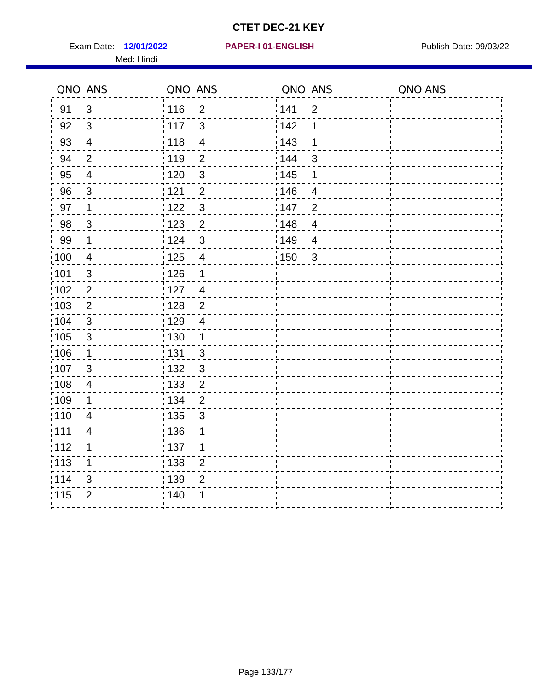Exam Date: 12/01/2022 **PAPER-I 01-ENGLISH Exam Date: 09/03/22** Med: Hindi

#### **12/01/2022 PAPER-I 01-ENGLISH**

|       | QNO ANS                  | QNO ANS           |                         | QNO ANS |                          | QNO ANS |
|-------|--------------------------|-------------------|-------------------------|---------|--------------------------|---------|
| 91    | $\mathfrak{S}$           | 116               | $\overline{2}$          | 1141    | $\overline{2}$           |         |
| 92    | $\mathfrak{S}$           | $\frac{1}{2}$ 117 | 3                       | 142     | 1                        |         |
| 93    | $\overline{4}$           | 118               | $\overline{\mathbf{4}}$ | 143     | 1                        |         |
| 94    | $\overline{2}$           | : 119             | $\overline{2}$          | : 144   | 3                        |         |
| 95    | $\overline{\mathcal{A}}$ | : 120             | $\mathbf{3}$            | : 145   | 1                        |         |
| 96    | $\mathbf{3}$             | 121               | $\overline{2}$          | :146    | $\overline{4}$           |         |
| 97    | $\mathbf{1}$             | 122               | $\mathbf{3}$            | 147     | $\overline{2}$           |         |
| 98    | $\mathbf{3}$             | 1123              | $\overline{2}$          | 148     | $\overline{4}$           |         |
| 99    | $\mathbf 1$              | 124               | $\sqrt{3}$              | 149     | $\overline{\mathcal{A}}$ |         |
| :100  | $\overline{4}$           | 125               | $\overline{4}$          | 150     | $\mathbf{3}$             |         |
| :101  | $\sqrt{3}$               | $\frac{1}{1}$ 126 | 1                       |         |                          |         |
| 102   | $\overline{2}$           | : 127             | $\overline{4}$          |         |                          |         |
| 103   | $\overline{2}$           | : 128             | 2                       |         |                          |         |
| 104   | $\mathfrak{3}$           | : 129             | $\overline{4}$          |         |                          |         |
| 105   | $\sqrt{3}$               | 130               | $\mathbf{1}$            |         |                          |         |
| :106  | $\mathbf{1}$             | : 131             | 3                       |         |                          |         |
| 107   | $\mathbf{3}$             | :132              | $\mathbf{3}$            |         |                          |         |
| 108   | $\overline{4}$           | : 133             | $\overline{2}$          |         |                          |         |
| ;109  | 1                        | : 134             | $\overline{2}$          |         |                          |         |
| :110  | 4                        | : 135             | 3                       |         |                          |         |
| : 111 | $\overline{\mathcal{A}}$ | : 136             | 1                       |         |                          |         |
| 112   | 1                        | : 137             | 1                       |         |                          |         |
| 113   | 1                        | : 138             | $\overline{c}$          |         |                          |         |
| 114   | 3                        | : 139             | $\overline{2}$          |         |                          |         |
| 115   | $\overline{2}$           | 140               | 1                       |         |                          |         |
|       |                          |                   |                         |         |                          |         |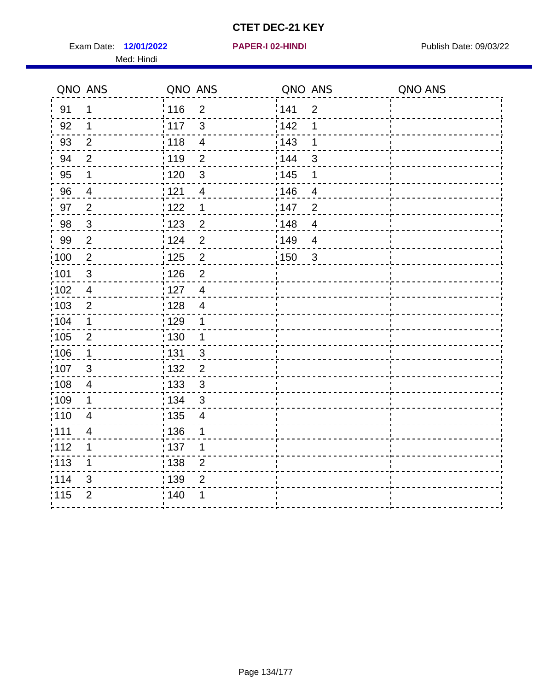Exam Date: 12/01/2022 **PAPER-I 02-HINDI Exam Date: 09/03/22** Med: Hindi

|      | QNO ANS                  | QNO ANS                 | QNO ANS |                | QNO ANS |
|------|--------------------------|-------------------------|---------|----------------|---------|
| 91   | 1                        | 116<br>$\overline{2}$   | 141     | $\overline{2}$ |         |
| 92   | 1                        | 117<br>3                | 142     | 1              |         |
| 93   | $\overline{2}$           | 118<br>$\overline{4}$   | 143     | 1              |         |
| 94   | $\overline{2}$           | : 119<br>$\overline{2}$ | : 144   | 3              |         |
| 95   | 1                        | : 120<br>$\mathfrak{B}$ | : 145   | 1              |         |
| 96   | 4                        | 121<br>$\overline{4}$   | 146     | 4              |         |
| 97   | $\overline{2}$           | : 122<br>1              | 147     | $\overline{2}$ |         |
| 98   | $\mathbf{3}$             | 123<br>$\overline{c}$   | 148     | $\overline{4}$ |         |
| 99   | $\mathbf{2}$             | 124<br>$\overline{2}$   | 149     | $\overline{4}$ |         |
| 100  | $\overline{2}$           | $\overline{2}$<br>125   | 150     | $\mathbf{3}$   |         |
| :101 | $\mathfrak{B}$           | : 126<br>$\overline{2}$ |         |                |         |
| 102  | $\overline{4}$           | : 127<br>$\overline{4}$ |         |                |         |
| :103 | $\overline{2}$           | : 128<br>$\overline{4}$ |         |                |         |
| :104 | $\mathbf 1$              | : 129<br>$\mathbf{1}$   |         |                |         |
| 105  | $\overline{2}$           | : 130<br>$\mathbf 1$    |         |                |         |
| :106 | $\mathbf 1$              | : 131<br>$\mathbf{3}$   |         |                |         |
| 107  | 3                        | $\overline{2}$<br>132   |         |                |         |
| :108 | $\overline{\mathbf{4}}$  | 133<br>$\mathbf{3}$     |         |                |         |
| :109 | $\mathbf 1$              | : 134<br>$\mathfrak{S}$ |         |                |         |
| :110 | $\overline{4}$           | : 135<br>$\overline{4}$ |         |                |         |
| ;111 | $\overline{\mathcal{A}}$ | : 136<br>1              |         |                |         |
| 112  | 1                        | : 137<br>1              |         |                |         |
| 113  | 1                        | : 138<br>$\overline{2}$ |         |                |         |
| 114  | 3                        | 139<br>$\overline{2}$   |         |                |         |
| 115  | $\overline{2}$           | : 140<br>1              |         |                |         |
|      |                          |                         |         |                |         |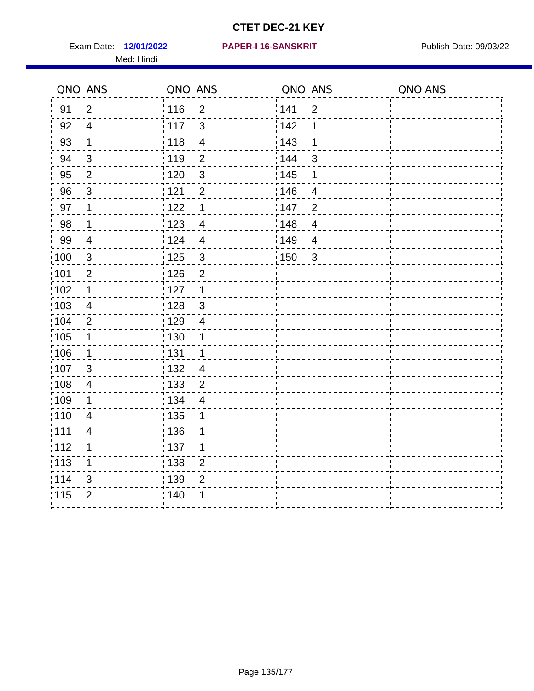Exam Date: 12/01/2022 **PAPER-I 16-SANSKRIT** Publish Date: 09/03/22 Med: Hindi

|                   | QNO ANS                  | QNO ANS                           | QNO ANS                           | QNO ANS |
|-------------------|--------------------------|-----------------------------------|-----------------------------------|---------|
| 91                | $\overline{2}$           | : 116<br>$\overline{2}$           | 141<br>$\overline{2}$             |         |
| 92                | $\overline{4}$           | $\mathbf{3}$<br>117               | 142<br>1                          |         |
| 93                | $\mathbf 1$              | 118<br>$\overline{\mathbf{4}}$    | 143<br>1                          |         |
| 94                | $\mathbf{3}$             | : 119<br>$\overline{2}$           | : 144<br>3                        |         |
| 95                | $\overline{2}$           | : 120<br>$\mathfrak{S}$           | : 145<br>1                        |         |
| 96                | 3                        | 121<br>$\overline{2}$             | 146<br>4                          |         |
| 97                | $\mathbf 1$              | 122<br>1                          | 147<br>$\overline{2}$             |         |
| 98                | $\mathbf{1}$             | 123<br>$\overline{4}$             | 148<br>$\overline{4}$             |         |
| 99                | $\overline{4}$           | 124<br>$\overline{4}$             | 149<br>$\overline{4}$             |         |
| $\frac{1}{1}$ 100 | $\mathbf 3$              | $\frac{1}{1}$ 125<br>$\mathbf{3}$ | $\frac{1}{1}$ 150<br>$\mathbf{3}$ |         |
| :101              | $\overline{2}$           | 126<br>$\overline{2}$             |                                   |         |
| 102               | $\mathbf 1$              | : 127<br>$\mathbf{1}$             |                                   |         |
| 103               | $\overline{4}$           | : 128<br>$\mathbf{3}$             |                                   |         |
| :104              | $\overline{2}$           | : 129<br>$\overline{4}$           |                                   |         |
| 105               | $\mathbf{1}$             | 130<br>1                          |                                   |         |
| :106              | $\mathbf 1$              | : 131<br>$\mathbf 1$              |                                   |         |
| 107               | $\mathbf{3}$             | 132<br>$\overline{4}$             |                                   |         |
| 108               | $\overline{4}$           | : 133<br>$\mathbf 2$              |                                   |         |
| :109              | 1                        | : 134<br>$\overline{4}$           |                                   |         |
| :110              | $\overline{4}$           | 135<br>1                          |                                   |         |
| :111              | $\overline{\mathcal{A}}$ | : 136<br>1                        |                                   |         |
| 112               | 1                        | 137<br>1                          |                                   |         |
| 113               | 1                        | 138<br>$\overline{2}$             |                                   |         |
| 114               | 3                        | 139<br>$\overline{2}$             |                                   |         |
| 115               | $\overline{2}$           | 140<br>1                          |                                   |         |
|                   |                          |                                   |                                   |         |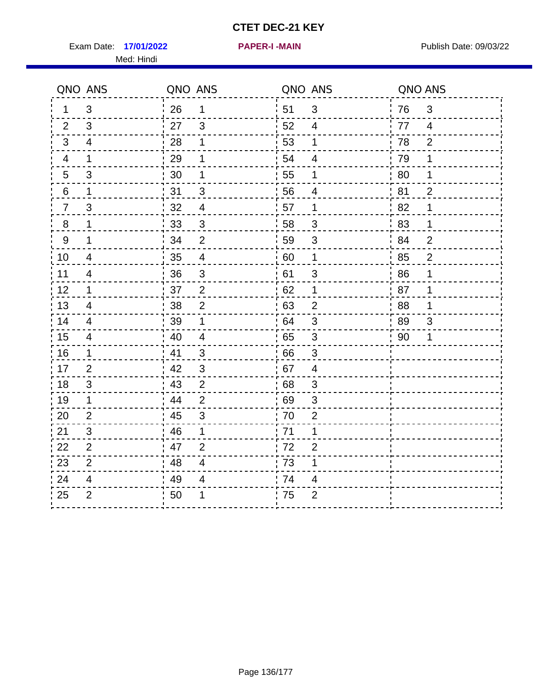Exam Date: 17/01/2022 **PAPER-I-MAIN Exam Date: 09/03/22** Med: Hindi

**17/01/2022 PAPER-I -MAIN**

|                  | QNO ANS        | QNO ANS |                | QNO ANS          |                           | QNO ANS |                |
|------------------|----------------|---------|----------------|------------------|---------------------------|---------|----------------|
| 1                | 3              | 26      | 1              | ¦ 51             | $\mathfrak{B}$            | 76      | $\mathfrak{B}$ |
| 2                | 3              | 27      | 3              | 52               | $\overline{4}$            | 77      | $\overline{4}$ |
| 3                | $\overline{4}$ | 28      | 1              | 53               | 1                         | 78      | $\overline{2}$ |
| 4                | 1              | 29      | 1              | 54               | $\overline{\mathbf{4}}$   | 79      | 1              |
| 5                | 3              | 30      | 1              | 55               | 1                         | 80      | 1              |
| 6                | 1              | 31      | 3              | 56               | 4                         | 81      | $\overline{2}$ |
| $\overline{7}$   | 3              | 32      | $\overline{4}$ | 57               | 1                         | 82      | 1              |
| $\bf 8$          | 1              | 33      | $\sqrt{3}$     | 58               | $\mathfrak{S}$            | 83      | 1              |
| $\boldsymbol{9}$ | 1              | 34      | $\overline{2}$ | 59               | $\mathsf 3$               | 84      | $\overline{2}$ |
| 10               | $\overline{4}$ | 35      | $\overline{4}$ | 60               | $\mathbf 1$               | 85      | $\overline{2}$ |
| 11               | $\overline{4}$ | 36      | $\mathfrak{S}$ | 61               | 3                         | 86      | 1              |
| 12               | $\mathbf{1}$   | 37      | $\overline{2}$ | 62               | $\mathbf 1$               | 87      | 1              |
| 13               | 4              | 38      | $\overline{2}$ | 63               | $\overline{2}$            | 88      | 1              |
| 14               | 4              | 39      | 1              | 64               | 3                         | 89      | 3              |
| 15               | $\overline{4}$ | 40      | $\overline{4}$ | 65               | $\sqrt{3}$                | 90      | 1              |
| 16               | $\mathbf 1$    | 41      | 3              | 66               | 3                         |         |                |
| 17               | 2              | 42      | 3              | 67               | 4                         |         |                |
| 18               | 3              | 43      | $\overline{2}$ | 68               | $\mathfrak{S}$            |         |                |
| 19               | $\mathbf{1}$   | 44      | $\overline{2}$ | .69              | $\ensuremath{\mathsf{3}}$ |         |                |
| 20               | $\overline{2}$ | 45      | 3              | 70               | $\overline{2}$            |         |                |
| 21               | 3              | 46      | 1              | 71               | 1                         |         |                |
| 22               | $\overline{2}$ | 47      | $\overline{2}$ | 72               | $\overline{2}$            |         |                |
| 23               | $\overline{2}$ | 48      | $\overline{4}$ | $\frac{1}{2}$ 73 | 1                         |         |                |
| 24               | 4              | 49      | 4              | .74              | 4                         |         |                |
| 25               | $\overline{2}$ | 50      | 1              | 75               | $\overline{2}$            |         |                |
|                  |                |         |                |                  |                           |         |                |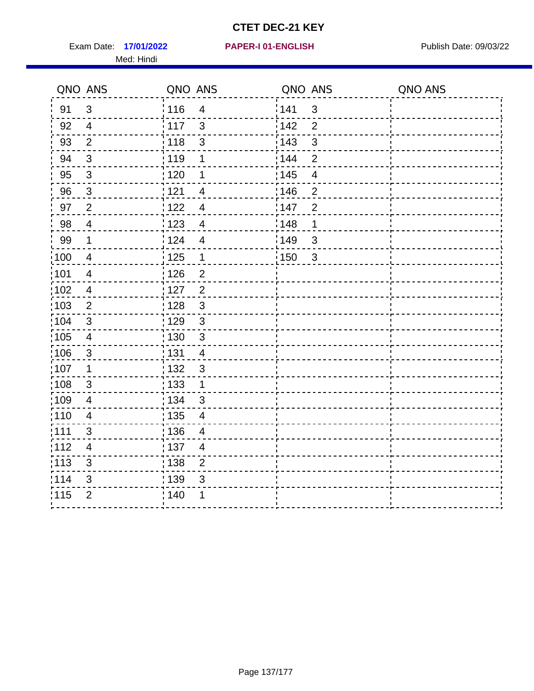Exam Date: 17/01/2022 **PAPER-I 01-ENGLISH Exam Date: 09/03/22** Med: Hindi

**17/01/2022 PAPER-I 01-ENGLISH**

|       | QNO ANS                  | QNO ANS           |                          | QNO ANS |                         | QNO ANS |
|-------|--------------------------|-------------------|--------------------------|---------|-------------------------|---------|
| 91    | $\mathbf{3}$             | 116               | $\overline{4}$           | 141     | $\mathbf{3}$            |         |
| 92    | $\overline{4}$           | 117               | $\mathbf{3}$             | 142     | $\overline{2}$          |         |
| 93    | $\overline{2}$           | 118               | $\sqrt{3}$               | 143     | $\mathfrak{S}$          |         |
| 94    | 3                        | : 119             | 1                        | 144     | $\overline{2}$          |         |
| 95    | $\mathfrak{B}$           | : 120             | 1                        | : 145   | $\overline{\mathbf{4}}$ |         |
| 96    | $\mathfrak{S}$           | 121               | 4                        | 146     | $\overline{2}$          |         |
| 97    | $\overline{2}$           | 122               | 4                        | 147     | $\overline{2}$          |         |
| 98    | $\overline{4}$           | $\frac{1}{2}$ 123 | $\overline{4}$           | : 148   | 1                       |         |
| 99    | $\mathbf 1$              | 124               | $\overline{\mathbf{4}}$  | 149     | $\mathfrak{S}$          |         |
| 100   | $\overline{4}$           | $\frac{1}{1}$ 125 | $\mathbf 1$              | 150     | $\mathbf{3}$            |         |
| :101  | $\overline{\mathcal{A}}$ | : 126             | $\overline{2}$           |         |                         |         |
| 102   | $\overline{4}$           | : 127             | $\overline{2}$           |         |                         |         |
| 103   | $\overline{2}$           | : 128             | $\mathbf{3}$             |         |                         |         |
| :104  | $\mathbf{3}$             | 129               | $\mathfrak{3}$           |         |                         |         |
| 105   | $\overline{\mathbf{4}}$  | : 130             | $\mathfrak{S}$           |         |                         |         |
| :106  | $\mathfrak{S}$           | : 131             | 4                        |         |                         |         |
| ;107  | $\mathbf{1}$             | : 132             | $\mathbf{3}$             |         |                         |         |
| 108   | $\sqrt{3}$               | : 133             | $\mathbf{1}$             |         |                         |         |
| :109  | $\overline{4}$           | : 134             | $\mathbf{3}$             |         |                         |         |
| :110  | $\overline{4}$           | : 135             | $\overline{\mathcal{A}}$ |         |                         |         |
| : 111 | 3                        | 136               | $\overline{4}$           |         |                         |         |
| 112   | $\overline{4}$           | : 137             | $\overline{4}$           |         |                         |         |
| 113   | $\mathbf{3}$             | : 138             | $\overline{c}$           |         |                         |         |
| 114   | 3                        | 139               | 3                        |         |                         |         |
| 115   | $\overline{2}$           | 140               | 1                        |         |                         |         |
|       |                          |                   |                          |         |                         |         |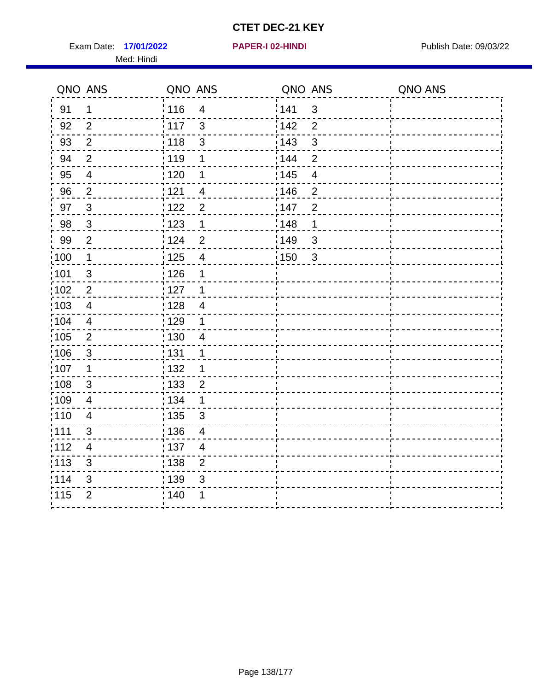Exam Date: 17/01/2022 **PAPER-I 02-HINDI Exam Date: 09/03/22** Med: Hindi

|        | QNO ANS                  | QNO ANS           |                         | QNO ANS           |                | QNO ANS |
|--------|--------------------------|-------------------|-------------------------|-------------------|----------------|---------|
| 91     | $\mathbf 1$              | 116               | $\overline{\mathbf{4}}$ | 141               | $\sqrt{3}$     |         |
| 92     | $\overline{2}$           | 117               | 3                       | 142               | $\overline{2}$ |         |
| 93     | $\overline{2}$           | 118               | $\mathbf{3}$            | 143               | 3              |         |
| 94     | $\overline{2}$           | : 119             | 1                       | 144               | $\overline{2}$ |         |
| 95     | $\overline{\mathcal{A}}$ | :120              | 1                       | : 145             | $\overline{4}$ |         |
| 96     | $\overline{2}$           | 121               | 4                       | 146               | $\mathbf 2$    |         |
| 97     | $\mathbf{3}$             | 122               | $\overline{2}$          | 147               | $\overline{2}$ |         |
| $98\,$ | $\mathbf{3}$             | 123               | $\mathbf{1}$            | $\frac{1}{2}$ 148 | 1              |         |
| 99     | $\overline{2}$           | 124               | $\overline{2}$          | ¦149              | $\mathfrak{S}$ |         |
| 100    | $\overline{1}$           | : 125             | $\overline{\mathbf{4}}$ | 150               | $\sqrt{3}$     |         |
| 101    | $\mathfrak{S}$           | 126               | 1                       |                   |                |         |
| 102    | $\overline{2}$           | : 127             | 1                       |                   |                |         |
| 103    | $\overline{4}$           | 128               | $\overline{4}$          |                   |                |         |
| 104    | $\overline{4}$           | : 129             | 1                       |                   |                |         |
| 105    | $\overline{2}$           | : 130             | $\overline{4}$          |                   |                |         |
| ;106   | $\mathfrak{S}$           | : 131             | 1                       |                   |                |         |
| :107   | 1                        | : 132             | 1                       |                   |                |         |
| 108    | $\sqrt{3}$               | : 133             | $\overline{2}$          |                   |                |         |
| :109   | $\overline{4}$           | : 134             | 1                       |                   |                |         |
| :110   | $\overline{4}$           | : 135             | 3                       |                   |                |         |
| : 111  | 3                        | : 136             | $\overline{4}$          |                   |                |         |
| 112    | $\overline{4}$           | $\frac{1}{1}$ 137 | $\overline{4}$          |                   |                |         |
| : 113  | 3                        | 138               | $\overline{c}$          |                   |                |         |
| 1114   | 3                        | 139               | 3                       |                   |                |         |
| 115    | $\overline{2}$           | 140               | 1                       |                   |                |         |
|        |                          |                   |                         |                   |                |         |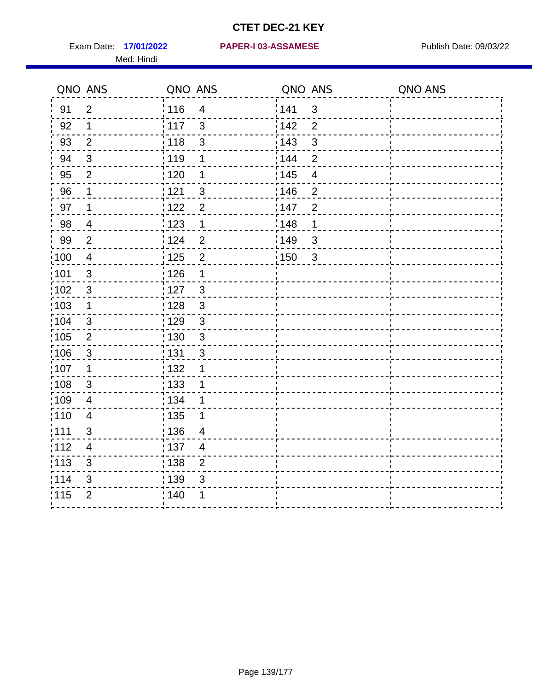Med: Hindi

**17/01/2022 PAPER-I 03-ASSAMESE** Exam Date: Publish Date: 09/03/22

|                   | QNO ANS                  | QNO ANS                           | QNO ANS                 | QNO ANS |
|-------------------|--------------------------|-----------------------------------|-------------------------|---------|
| 91                | $\overline{2}$           | 116<br>$\overline{4}$             | 141<br>$\mathsf 3$      |         |
| 92                | 1                        | 117<br>3                          | 142<br>$\overline{2}$   |         |
| 93                | $\overline{2}$           | 118<br>3                          | 143<br>$\mathfrak{S}$   |         |
| 94                | 3                        | : 119<br>1                        | 144<br>$\overline{2}$   |         |
| 95                | 2                        | : 120<br>1                        | : 145<br>$\overline{4}$ |         |
| 96                | 1                        | 121<br>3                          | 146<br>$\overline{2}$   |         |
| 97                | 1                        | 122<br>$\overline{2}$             | 147<br>$\overline{2}$   |         |
| 98                | $\overline{\mathcal{A}}$ | 1123<br>$\mathbf{1}$              | 148<br>1                |         |
| 99                | $\overline{2}$           | 124<br>$\overline{2}$             | 149<br>$\mathsf 3$      |         |
| 100               | $\overline{4}$           | $\overline{2}$<br>125             | 150<br>$\mathbf{3}$     |         |
| :101              | $\sqrt{3}$               | : 126<br>1                        |                         |         |
| 102               | $\mathbf{3}$             | : 127<br>3                        |                         |         |
| 103               | $\mathbf 1$              | $\mathbf{3}$<br>: 128             |                         |         |
| :104              | $\mathbf{3}$             | : 129<br>$\mathfrak{3}$           |                         |         |
| 105               | $\overline{2}$           | $\frac{1}{1}$ 130<br>$\mathbf{3}$ |                         |         |
| 106               | 3                        | : 131<br>3                        |                         |         |
| :107              | 1                        | : 132<br>1                        |                         |         |
| $\frac{1}{1}$ 108 | $\sqrt{3}$               | $\frac{1}{1}$ 133<br>1            |                         |         |
| :109              | $\overline{4}$           | : 134<br>1                        |                         |         |
| :110              | $\overline{4}$           | 135<br>1                          |                         |         |
| :111              | 3                        | : 136<br>$\overline{4}$           |                         |         |
| 112               | 4                        | : 137<br>$\overline{4}$           |                         |         |
| : 113             | $\sqrt{3}$               | : 138<br>$\overline{2}$           |                         |         |
| 114               | 3                        | 139<br>3                          |                         |         |
| 115               | $\overline{2}$           | 140<br>1                          |                         |         |
|                   |                          |                                   |                         |         |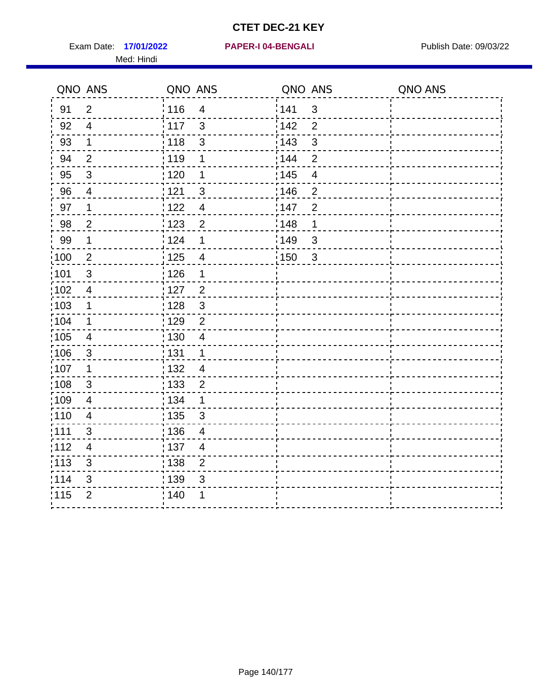Exam Date: 17/01/2022 **PAPER-I 04-BENGALI** Publish Date: 09/03/22 Med: Hindi

**17/01/2022 PAPER-I 04-BENGALI**

|                   | QNO ANS                  | QNO ANS           |                          | QNO ANS |                          | QNO ANS |
|-------------------|--------------------------|-------------------|--------------------------|---------|--------------------------|---------|
| 91                | $\overline{2}$           | 116               | $\overline{4}$           | 1141    | $\mathfrak{S}$           |         |
| 92                | $\overline{4}$           | $\frac{1}{2}$ 117 | $\mathbf{3}$             | 142     | $\overline{2}$           |         |
| 93                | $\mathbf{1}$             | 118               | $\sqrt{3}$               | 143     | $\mathfrak{S}$           |         |
| 94                | $\overline{2}$           | : 119             | 1                        | : 144   | $\overline{2}$           |         |
| 95                | $\mathfrak{B}$           | : 120             | 1                        | : 145   | $\overline{\mathcal{A}}$ |         |
| 96                | 4                        | 121               | 3                        | :146    | $\overline{2}$           |         |
| 97                | 1                        | 122               | $\overline{\mathcal{A}}$ | 147     | $\overline{2}$           |         |
| 98                | $\overline{c}$           | 123               | $\overline{2}$           | 148     | 1                        |         |
| 99                | $\mathbf 1$              | 124               | $\mathbf 1$              | 149     | $\mathbf{3}$             |         |
| :100              | $\overline{2}$           | $\frac{1}{1}$ 125 | $\overline{4}$           | 150     | $\mathbf{3}$             |         |
| :101              | $\sqrt{3}$               | : 126             | 1                        |         |                          |         |
| 102               | $\overline{4}$           | : 127             | $\overline{2}$           |         |                          |         |
| 103               | $\mathbf 1$              | : 128             | $\mathbf{3}$             |         |                          |         |
| :104              | $\mathbf 1$              | : 129             | $\overline{2}$           |         |                          |         |
| $\frac{1}{1}$ 105 | $\overline{\mathbf{4}}$  | : 130             | $\overline{4}$           |         |                          |         |
| :106              | $\mathbf{3}$             | : 131             | $\mathbf 1$              |         |                          |         |
| ;107              | $\mathbf 1$              | 132               | $\overline{4}$           |         |                          |         |
| 108               | $\mathbf{3}$             | : 133             | $\overline{2}$           |         |                          |         |
| :109              | $\overline{\mathbf{4}}$  | : 134             | $\mathbf 1$              |         |                          |         |
| :110              | $\overline{4}$           | : 135             | 3                        |         |                          |         |
| 1111              | 3                        | : 136             | $\overline{\mathcal{A}}$ |         |                          |         |
| 112               | $\overline{\mathcal{A}}$ | : 137             | $\overline{4}$           |         |                          |         |
| 113               | $\mathfrak{S}$           | $\frac{1}{1}$ 138 | $\overline{2}$           |         |                          |         |
| 114               | 3                        | : 139             | 3                        |         |                          |         |
| 115               | $\overline{2}$           | 140               | 1                        |         |                          |         |
|                   |                          |                   |                          |         |                          |         |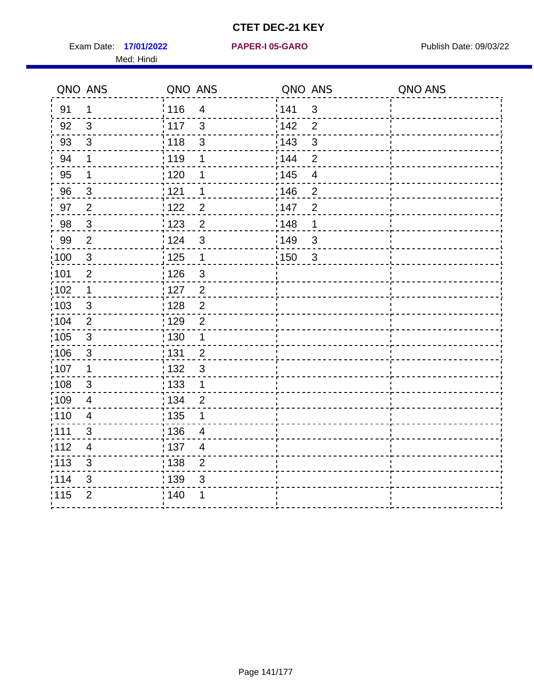Exam Date: 17/01/2022 **PAPER-I 05-GARO** Publish Date: 09/03/22 Med: Hindi

**17/01/2022 PAPER-I 05-GARO**

|                   | QNO ANS                  | QNO ANS                            | QNO ANS                 | QNO ANS |
|-------------------|--------------------------|------------------------------------|-------------------------|---------|
| 91                | $\mathbf{1}$             | 116<br>$\overline{\mathbf{4}}$     | 141<br>$\mathfrak{B}$   |         |
| 92                | $\mathfrak{3}$           | 117<br>$\mathfrak{S}$              | 142<br>$\overline{2}$   |         |
| 93                | $\sqrt{3}$               | 118<br>$\mathbf{3}$                | 143<br>$\mathbf{3}$     |         |
| 94                | 1                        | : 119<br>1                         | 144<br>2                |         |
| 95                | 1                        | : 120<br>1                         | : 145<br>$\overline{4}$ |         |
| 96                | $\mathbf{3}$             | 121<br>1                           | :146<br>$\overline{2}$  |         |
| 97                | $\overline{2}$           | 122<br>$\overline{2}$              | 147<br>$\overline{2}$   |         |
| 98                | $\mathbf{3}$             | 123<br>$\overline{c}$              | 148<br>1                |         |
| 99                | $\mathbf{2}$             | : 124<br>$\mathfrak{3}$            | 149<br>$\sqrt{3}$       |         |
| 100               | $\mathbf 3$              | 125<br>$\mathbf{1}$                | 150<br>$\mathbf{3}$     |         |
| 101               | $\mathbf 2$              | : 126<br>$\ensuremath{\mathsf{3}}$ |                         |         |
| 102               | $\mathbf 1$              | : 127<br>$\overline{2}$            |                         |         |
| 103               | $\mathbf{3}$             | $\overline{2}$<br>: 128            |                         |         |
| 104               | $\overline{2}$           | : 129<br>$\overline{2}$            |                         |         |
| 105               | $\mathbf{3}$             | 130<br>$\mathbf 1$                 |                         |         |
| :106              | $\mathbf{3}$             | : 131<br>$\overline{2}$            |                         |         |
| ;107              | $\mathbf{1}$             | $\mathbf{3}$<br>132                |                         |         |
| 108               | $\sqrt{3}$               | 133<br>$\mathbf{1}$                |                         |         |
| :109              | $\overline{\mathbf{4}}$  | : 134<br>$\overline{2}$            |                         |         |
| :110              | $\overline{4}$           | : 135<br>1                         |                         |         |
| ;111              | 3                        | 136<br>$\overline{4}$              |                         |         |
| 112               | $\overline{\mathcal{A}}$ | : 137<br>4                         |                         |         |
| $\frac{1}{1}$ 113 | $\sqrt{3}$               | : 138<br>$\mathbf 2$               |                         |         |
| 114               | 3                        | : 139<br>3                         |                         |         |
| 115               | $\overline{2}$           | 140<br>1                           |                         |         |
|                   |                          |                                    |                         |         |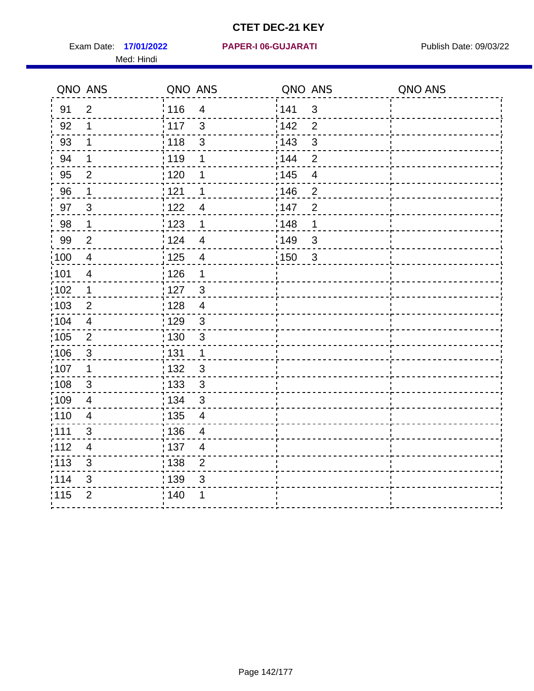Exam Date: 17/01/2022 PAPER-I 06-GUJARATI Publish Date: 09/03/22 Med: Hindi

**17/01/2022 PAPER-I 06-GUJARATI**

|                   | QNO ANS                 | QNO ANS           |                          | QNO ANS           |                | QNO ANS |
|-------------------|-------------------------|-------------------|--------------------------|-------------------|----------------|---------|
| 91                | $\overline{2}$          | 116               | $\overline{4}$           | 1141              | $\mathfrak{S}$ |         |
| 92                | 1                       | $\frac{1}{117}$   | 3                        | 142               | $\overline{2}$ |         |
| 93                | $\mathbf 1$             | : 118             | $\mathfrak{S}$           | 143               | $\mathfrak{S}$ |         |
| 94                | 1                       | : 119             | 1                        | 144               | $\overline{2}$ |         |
| 95                | 2                       | : 120             | 1                        | 145               | $\overline{4}$ |         |
| 96                | 1                       | : 121             | 1                        | :146              | $\overline{2}$ |         |
| 97                | $\mathfrak{S}$          | 1122              | $\overline{4}$           | 147               | $\overline{2}$ |         |
| 98                | $\mathbf 1$             | 1123              | $\mathbf 1$              | 148               | 1              |         |
| 99                | $\overline{2}$          | 124               | $\overline{4}$           | $\frac{1}{2}$ 149 | $\sqrt{3}$     |         |
| :100              | $\overline{4}$          | 125               | $\overline{\mathcal{A}}$ | 150               | $\mathbf{3}$   |         |
| :101              | $\overline{4}$          | : 126             | 1                        |                   |                |         |
| 102               | 1                       | : 127             | $\mathbf{3}$             |                   |                |         |
| :103              | $\overline{2}$          | : 128             | $\overline{4}$           |                   |                |         |
| :104              | $\overline{4}$          | : 129             | $\mathfrak{S}$           |                   |                |         |
| 105               | $\overline{2}$          | $\frac{1}{1}$ 130 | $\mathbf{3}$             |                   |                |         |
| 106               | $\mathfrak{S}$          | : 131             | $\mathbf 1$              |                   |                |         |
| 107               | 1                       | :132              | $\mathfrak{B}$           |                   |                |         |
| $\frac{1}{1}$ 108 | $\sqrt{3}$              | 133               | $\sqrt{3}$               |                   |                |         |
| :109              | $\overline{\mathbf{4}}$ | : 134             | $\mathfrak{S}$           |                   |                |         |
| :110              | 4                       | : 135             | 4                        |                   |                |         |
| 111               | 3                       | 136               | $\overline{\mathcal{A}}$ |                   |                |         |
| 112               | $\overline{4}$          | $\frac{1}{1}$ 137 | $\overline{4}$           |                   |                |         |
| : 113             | $\mathfrak{S}$          | : 138             | $\overline{2}$           |                   |                |         |
| 114               | 3                       | 139               | 3                        |                   |                |         |
| 115               | $\overline{2}$          | 140               | 1                        |                   |                |         |
|                   |                         |                   |                          |                   |                |         |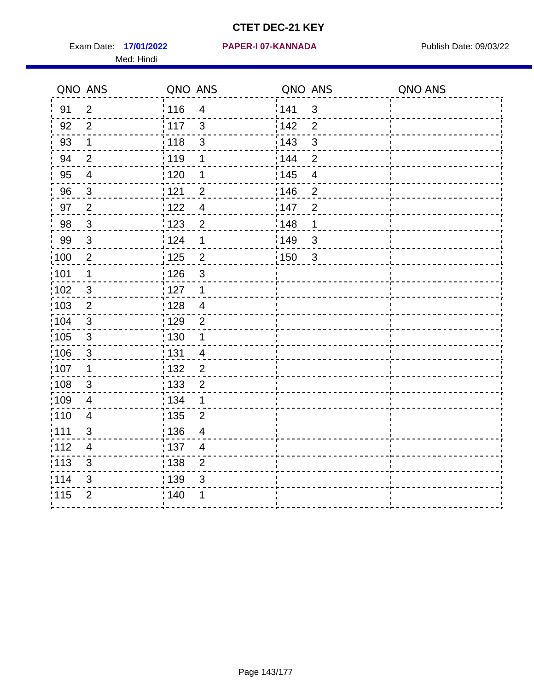Exam Date: 17/01/2022 PAPER-I 07-KANNADA Publish Date: 09/03/22 Med: Hindi

#### **17/01/2022 PAPER-I 07-KANNADA**

|      | QNO ANS                   | QNO ANS           |                | QNO ANS           |                          | QNO ANS |
|------|---------------------------|-------------------|----------------|-------------------|--------------------------|---------|
| 91   | $\overline{2}$            | 116               | $\overline{4}$ | 141               | $\mathfrak{S}$           |         |
| 92   | $\overline{2}$            | 117               | 3              | 142               | $\overline{2}$           |         |
| 93   | $\mathbf 1$               | 118               | $\mathfrak{S}$ | 143               | $\mathfrak{S}$           |         |
| 94   | $\overline{2}$            | : 119             | 1              | : 144             | $\overline{2}$           |         |
| 95   | $\overline{4}$            | : 120             | 1              | : 145             | $\overline{\mathcal{A}}$ |         |
| 96   | $\mathfrak{S}$            | 121               | $\overline{2}$ | 146               | $\overline{2}$           |         |
| 97   | $\overline{2}$            | : 122             | $\overline{4}$ | 147               | $\overline{2}$           |         |
| 98   | $\mathbf{3}$              | 123               | $\overline{2}$ | 148               | 1                        |         |
| 99   | $\sqrt{3}$                | 124               | 1              | $\frac{1}{2}$ 149 | $\mathfrak{S}$           |         |
| 100  | $\overline{2}$            | $\frac{1}{1}$ 125 | $\overline{2}$ | 150               | $\mathfrak{S}$           |         |
| :101 | 1                         | : 126             | $\mathfrak{S}$ |                   |                          |         |
| 102  | $\mathfrak{3}$            | : 127             | $\mathbf 1$    |                   |                          |         |
| 103  | $\overline{2}$            | :128              | $\overline{4}$ |                   |                          |         |
| 104  | $\mathbf{3}$              | : 129             | $\overline{2}$ |                   |                          |         |
| 105  | $\sqrt{3}$                | 130               | $\mathbf 1$    |                   |                          |         |
| :106 | $\mathfrak{S}$            | : 131             | $\overline{4}$ |                   |                          |         |
| 107  | 1                         | :132              | $\overline{2}$ |                   |                          |         |
| 108  | $\ensuremath{\mathsf{3}}$ | 133               | $\overline{2}$ |                   |                          |         |
| :109 | $\overline{\mathbf{4}}$   | : 134             | $\mathbf 1$    |                   |                          |         |
| :110 | 4                         | : 135             | 2              |                   |                          |         |
| 111  | 3                         | : 136             | $\overline{4}$ |                   |                          |         |
| 112  | $\overline{4}$            | 137               | $\overline{4}$ |                   |                          |         |
| 113  | $\mathbf{3}$              | 138               | $\overline{2}$ |                   |                          |         |
| 114  | 3                         | 139               | 3              |                   |                          |         |
| 115  | $\overline{2}$            | 140               | 1              |                   |                          |         |
|      |                           |                   |                |                   |                          |         |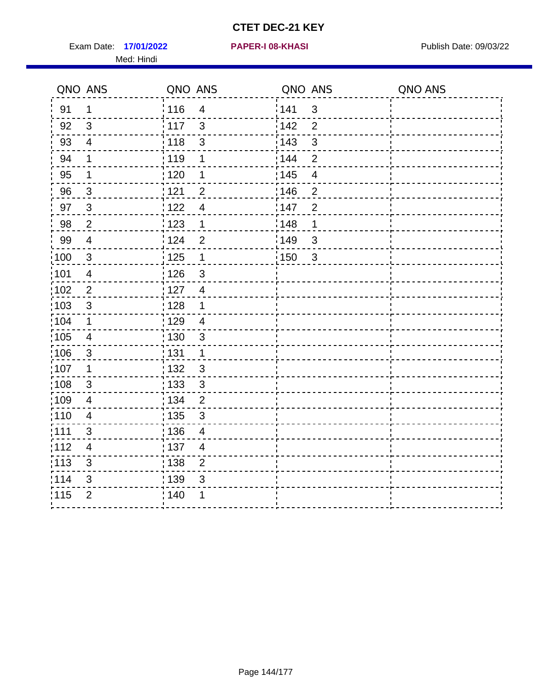Exam Date: 17/01/2022 **PAPER-I 08-KHASI** Publish Date: 09/03/22 Med: Hindi

**17/01/2022 PAPER-I 08-KHASI**

|        | QNO ANS                  | QNO ANS           |                         | QNO ANS |                | QNO ANS |
|--------|--------------------------|-------------------|-------------------------|---------|----------------|---------|
| 91     | $\mathbf 1$              | 116               | $\overline{\mathbf{4}}$ | 141     | $\sqrt{3}$     |         |
| 92     | $\mathfrak{B}$           | 117               | 3                       | 142     | $\overline{2}$ |         |
| 93     | $\overline{4}$           | 118               | $\mathbf{3}$            | 143     | 3              |         |
| 94     | 1                        | : 119             | 1                       | : 144   | 2              |         |
| 95     | 1                        | :120              | 1                       | : 145   | $\overline{4}$ |         |
| 96     | $\overline{3}$           | 121               | $\overline{2}$          | 146     | $\mathbf 2$    |         |
| 97     | $\mathbf{3}$             | : 122             | $\overline{4}$          | 147     | $\overline{2}$ |         |
| $98\,$ | $\boldsymbol{2}$         | 123               | $\mathbf{1}$            | 148     | 1              |         |
| 99     | $\overline{4}$           | 124               | $\mathbf 2$             | ¦149    | $\mathfrak{S}$ |         |
| 100    | $\mathbf{3}$             | 125               | $\mathbf 1$             | 150     | $\sqrt{3}$     |         |
| :101   | $\overline{\mathcal{A}}$ | 126               | 3                       |         |                |         |
| 102    | $\overline{2}$           | : 127             | $\overline{4}$          |         |                |         |
| 103    | $\mathfrak{S}$           | 128               | $\mathbf 1$             |         |                |         |
| 104    | $\mathbf 1$              | : 129             | $\overline{\mathbf{4}}$ |         |                |         |
| 105    | $\overline{4}$           | : 130             | $\mathbf{3}$            |         |                |         |
| :106   | $\mathfrak{S}$           | : 131             | $\mathbf 1$             |         |                |         |
| :107   | 1                        | : 132             | $\mathfrak{B}$          |         |                |         |
| 108    | $\sqrt{3}$               | 133               | $\sqrt{3}$              |         |                |         |
| :109   | $\overline{4}$           | : 134             | $\overline{2}$          |         |                |         |
| :110   | 4                        | : 135             | 3                       |         |                |         |
| : 111  | 3                        | : 136             | $\overline{4}$          |         |                |         |
| 112    | $\overline{4}$           | $\frac{1}{1}$ 137 | $\overline{4}$          |         |                |         |
| 113    | 3                        | 138               | $\overline{c}$          |         |                |         |
| 114    | 3                        | 139               | 3                       |         |                |         |
| 115    | $\overline{2}$           | 140               | 1                       |         |                |         |
|        |                          |                   |                         |         |                |         |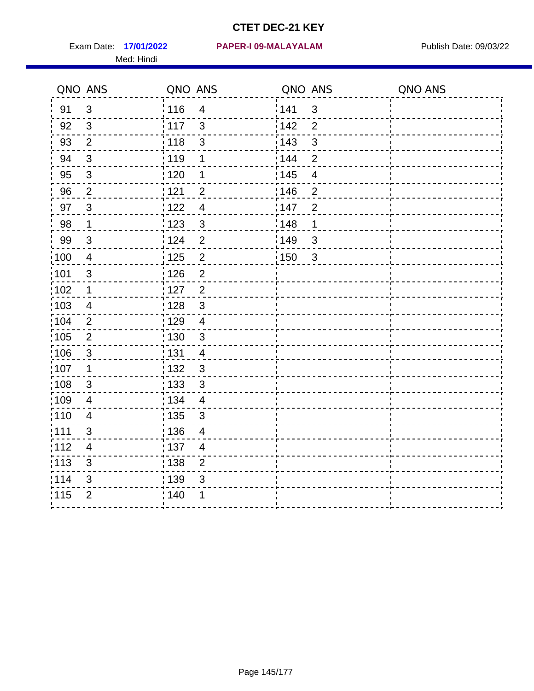Med: Hindi

**17/01/2022 PAPER-I 09-MALAYALAM** Exam Date: Publish Date: 09/03/22

|                   | QNO ANS                  | QNO ANS           |                          | QNO ANS |                | QNO ANS |
|-------------------|--------------------------|-------------------|--------------------------|---------|----------------|---------|
| 91                | $\mathbf{3}$             | 116               | $\overline{\mathbf{4}}$  | 141     | $\mathfrak{S}$ |         |
| 92                | $\mathfrak{S}$           | 117               | $\mathfrak{S}$           | 142     | $\overline{2}$ |         |
| 93                | $\overline{2}$           | $\frac{1}{2}$ 118 | $\mathfrak{S}$           | 143     | $\mathfrak{S}$ |         |
| 94                | 3                        | : 119             | 1                        | 144     | $\overline{2}$ |         |
| 95                | 3                        | : 120             | 1                        | : 145   | $\overline{4}$ |         |
| 96                | 2                        | 121               | $\overline{2}$           | 146     | $\overline{2}$ |         |
| 97                | $\mathbf{3}$             | 122               | $\overline{4}$           | 147     | $\overline{2}$ |         |
| 98                | $\mathbf 1$              | 123               | $\mathfrak{S}$           | 148     | $\mathbf 1$    |         |
| 99                | $\sqrt{3}$               | 124               | $\overline{2}$           | 149     | 3              |         |
| $\frac{1}{1}$ 100 | $\overline{4}$           | $\frac{1}{1}$ 125 | $\overline{2}$           | 150     | $\mathbf{3}$   |         |
| :101              | $\sqrt{3}$               | : 126             | $\overline{2}$           |         |                |         |
| 102               | $\mathbf{1}$             | : 127             | $\overline{2}$           |         |                |         |
| 103               | $\overline{4}$           | : 128             | $\mathbf{3}$             |         |                |         |
| $\frac{1}{104}$   | $\overline{2}$           | : 129             | $\overline{4}$           |         |                |         |
| $\frac{1}{1}$ 105 | $\overline{2}$           | 130               | $\mathbf{3}$             |         |                |         |
| :106              | $\mathbf{3}$             | : 131             | $\overline{4}$           |         |                |         |
| ;107              | $\mathbf 1$              | 132               | $\mathbf{3}$             |         |                |         |
| 108               | $\sqrt{3}$               | 133               | $\mathfrak{3}$           |         |                |         |
| :109              | $\overline{\mathbf{4}}$  | : 134             | $\overline{4}$           |         |                |         |
| :110              | $\overline{4}$           | 135               | 3                        |         |                |         |
| :111              | 3                        | 136               | $\overline{\mathcal{A}}$ |         |                |         |
| 112               | $\overline{\mathcal{A}}$ | $\frac{1}{1}$ 137 | $\overline{4}$           |         |                |         |
| 113               | $\mathfrak{S}$           | : 138             | $\overline{2}$           |         |                |         |
| 114               | 3                        | 139               | 3                        |         |                |         |
| 115               | $\overline{2}$           | 140               | 1                        |         |                |         |
|                   |                          |                   |                          |         |                |         |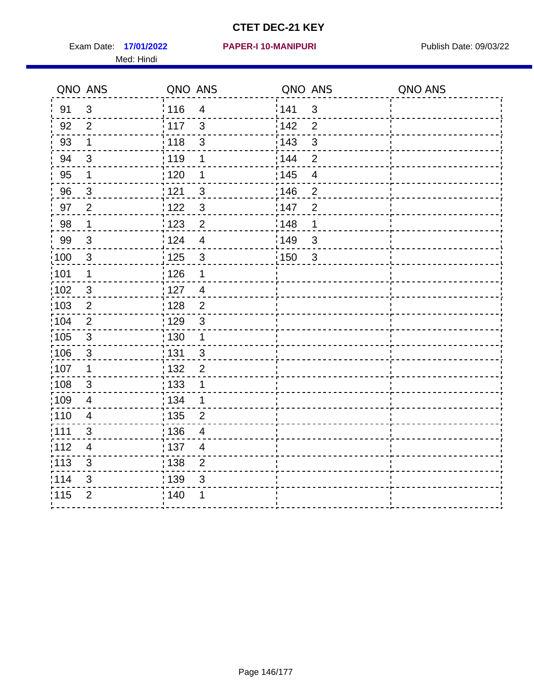Exam Date: 17/01/2022 **PAPER-I 10-MANIPURI** Publish Date: 09/03/22 Med: Hindi

#### **17/01/2022 PAPER-I 10-MANIPURI**

|      | QNO ANS                 | QNO ANS           |                         | QNO ANS |                          | QNO ANS |
|------|-------------------------|-------------------|-------------------------|---------|--------------------------|---------|
| 91   | $\mathfrak{S}$          | : 116             | $\overline{4}$          | 141     | $\mathbf{3}$             |         |
| 92   | $\overline{2}$          | $\frac{1}{117}$   | $\mathbf{3}$            | 142     | $\overline{2}$           |         |
| 93   | $\mathbf 1$             | 118               | $\mathfrak{S}$          | 143     | $\mathbf{3}$             |         |
| 94   | $\mathbf{3}$            | : 119             | $\mathbf 1$             | 144     | $\overline{2}$           |         |
| 95   | 1                       | :120              | 1                       | : 145   | $\overline{\mathcal{A}}$ |         |
| 96   | 3                       | : 121             | $\mathfrak{S}$          | :146    | $\overline{2}$           |         |
| 97   | $\overline{2}$          | 122               | $\mathbf{3}$            | 147     | $\overline{2}$           |         |
| 98   | $\mathbf{1}$            | 123               | $\overline{2}$          | 148     | $\mathbf 1$              |         |
| 99   | $\sqrt{3}$              | 124               | $\overline{\mathbf{4}}$ | 149     | 3                        |         |
| 100  | $\mathbf{3}$            | 125               | $\mathfrak{3}$          | 150     | $\mathbf{3}$             |         |
| :101 | 1                       | $\frac{1}{1}$ 126 | 1                       |         |                          |         |
| 102  | $\mathfrak{3}$          | :127              | $\overline{4}$          |         |                          |         |
| 103  | $\overline{2}$          | : 128             | $\overline{2}$          |         |                          |         |
| 104  | $\overline{2}$          | : 129             | $\mathbf{3}$            |         |                          |         |
| 105  | $\sqrt{3}$              | : 130             | $\mathbf{1}$            |         |                          |         |
| ;106 | $\mathfrak{S}$          | : 131             | $\mathbf{3}$            |         |                          |         |
| :107 | $\mathbf 1$             | : 132             | $\overline{2}$          |         |                          |         |
| 108  | $\sqrt{3}$              | $\frac{1}{1}$ 133 | $\mathbf 1$             |         |                          |         |
| :109 | $\overline{\mathbf{4}}$ | : 134             | $\mathbf 1$             |         |                          |         |
| :110 | $\overline{4}$          | 135               | $\overline{2}$          |         |                          |         |
| 111  | $\mathfrak{B}$          | : 136             | $\overline{4}$          |         |                          |         |
| 112  | $\overline{4}$          | 137               | $\overline{4}$          |         |                          |         |
| 113  | 3                       | 138               | $\overline{2}$          |         |                          |         |
| 114  | 3                       | : 139             | 3                       |         |                          |         |
| 115  | $\overline{2}$          | 140               | 1                       |         |                          |         |
|      |                         |                   |                         |         |                          |         |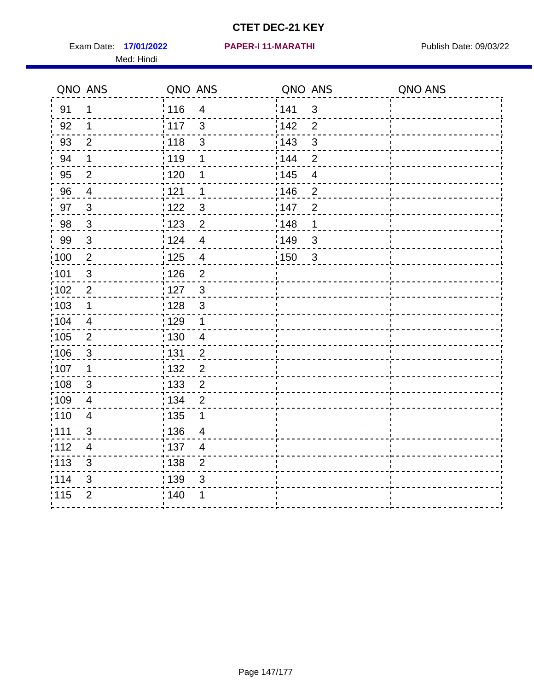Exam Date: 17/01/2022 PAPER-I 11-MARATHI Publish Date: 09/03/22 Med: Hindi

**17/01/2022 PAPER-I 11-MARATHI**

|                   | QNO ANS                  | QNO ANS           |                | QNO ANS           |                | QNO ANS |
|-------------------|--------------------------|-------------------|----------------|-------------------|----------------|---------|
| 91                | 1                        | 116               | $\overline{4}$ | 1141              | $\mathfrak{S}$ |         |
| 92                | 1                        | $\frac{1}{117}$   | $\mathfrak{S}$ | 142               | $\overline{2}$ |         |
| 93                | $\overline{2}$           | : 118             | $\mathfrak{S}$ | 143               | $\mathfrak{S}$ |         |
| 94                | 1                        | :119              | 1              | : 144             | $\overline{2}$ |         |
| 95                | 2                        | : 120             | 1              | : 145             | $\overline{4}$ |         |
| 96                | $\overline{4}$           | 121               | 1              | 146               | $\overline{2}$ |         |
| 97                | $\mathbf{3}$             | 122               | 3              | 147               | $\overline{2}$ |         |
| 98                | $\mathbf{3}$             | 123               | $\overline{c}$ | 148               | 1              |         |
| 99                | $\sqrt{3}$               | 124               | $\overline{4}$ | $\frac{1}{2}$ 149 | $\mathfrak{S}$ |         |
| 100               | $\sqrt{2}$               | 125               | $\overline{4}$ | $\frac{1}{2}$ 150 | $\mathbf{3}$   |         |
| :101              | $\sqrt{3}$               | : 126             | $\overline{2}$ |                   |                |         |
| 102               | $\overline{2}$           | : 127             | $\mathbf{3}$   |                   |                |         |
| 103               | $\mathbf 1$              | : 128             | 3              |                   |                |         |
| 104               | $\overline{4}$           | 129               | $\mathbf 1$    |                   |                |         |
| :105              | $\overline{2}$           | : 130             | $\overline{4}$ |                   |                |         |
| 106               | 3                        | : 131             | $\overline{2}$ |                   |                |         |
| :107              | 1                        | : 132             | $\overline{2}$ |                   |                |         |
| :108              | $\sqrt{3}$               | $\frac{1}{1}$ 133 | $\overline{2}$ |                   |                |         |
| :109              | $\overline{\mathcal{A}}$ | : 134             | $\overline{2}$ |                   |                |         |
| 110               | $\overline{4}$           | : 135             | 1              |                   |                |         |
| 111               | 3                        | 136               | $\overline{4}$ |                   |                |         |
| 112               | 4                        | $\frac{1}{1}$ 137 | $\overline{4}$ |                   |                |         |
| $\frac{1}{1}$ 113 | 3                        | : 138             | $\overline{c}$ |                   |                |         |
| 114               | 3                        | 139               | 3              |                   |                |         |
| 115               | $\overline{2}$           | 140               | 1              |                   |                |         |
|                   |                          |                   |                |                   |                |         |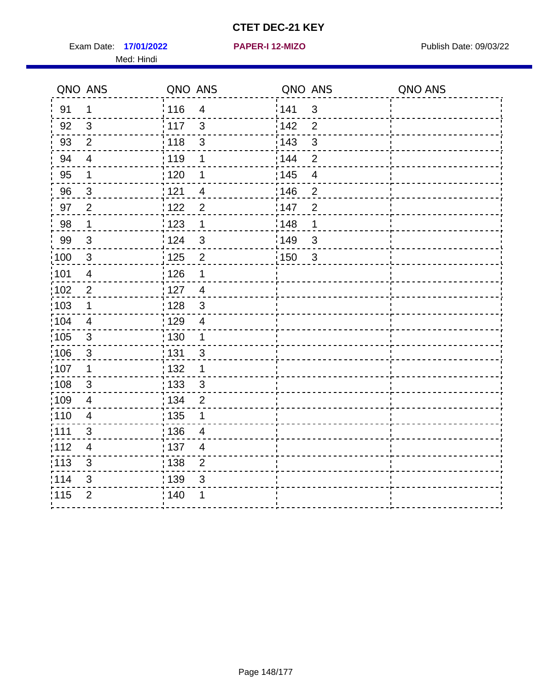Exam Date: 17/01/2022 **PAPER-I 12-MIZO** PAPER Publish Date: 09/03/22 Med: Hindi

**17/01/2022 PAPER-I 12-MIZO**

|                   | QNO ANS                   | QNO ANS                           | QNO ANS                           | QNO ANS |
|-------------------|---------------------------|-----------------------------------|-----------------------------------|---------|
| 91                | 1                         | 116<br>$\overline{\mathbf{4}}$    | 141<br>$\sqrt{3}$                 |         |
| 92                | $\mathfrak{S}$            | 117<br>$\mathbf{3}$               | 142<br>$\overline{2}$             |         |
| 93                | $\overline{2}$            | : 118<br>3                        | 143<br>3                          |         |
| 94                | $\overline{4}$            | : 119<br>1                        | 144<br>$\overline{2}$             |         |
| 95                | 1                         | : 120<br>1                        | : 145<br>$\overline{4}$           |         |
| 96                | 3                         | 121<br>4                          | 146<br>$\overline{2}$             |         |
| 97                | $\overline{2}$            | : 122<br>$\overline{2}$           | 147<br>$\overline{2}$             |         |
| 98                | $\mathbf 1$               | 123<br>$\mathbf{1}$               | ¦148<br>1                         |         |
| 99                | $\sqrt{3}$                | 124<br>$\mathbf{3}$               | $\frac{1}{2}$ 149<br>$\sqrt{3}$   |         |
| $\frac{1}{1}$ 100 | $\mathbf{3}$              | $\overline{2}$<br>125             | $\frac{1}{1}$ 150<br>$\mathbf{3}$ |         |
| :101              | $\overline{4}$            | : 126<br>1                        |                                   |         |
| 102               | $\overline{2}$            | : 127<br>$\overline{4}$           |                                   |         |
| :103              | 1                         | $\mathfrak{3}$<br>: 128           |                                   |         |
| 104               | $\overline{4}$            | : 129<br>$\overline{4}$           |                                   |         |
| 105               | $\sqrt{3}$                | : 130<br>$\mathbf{1}$             |                                   |         |
| 106               | $\mathbf{3}$              | : 131<br>3                        |                                   |         |
| :107              | 1                         | : 132<br>1                        |                                   |         |
| :108              | $\ensuremath{\mathsf{3}}$ | $\frac{1}{1}$ 133<br>$\mathbf{3}$ |                                   |         |
| :109              | $\overline{\mathbf{4}}$   | : 134<br>$\overline{2}$           |                                   |         |
| :110              | $\overline{4}$            | 135<br>1                          |                                   |         |
| : 111             | 3                         | : 136<br>$\overline{\mathcal{A}}$ |                                   |         |
| 112               | $\overline{\mathbf{4}}$   | : 137<br>$\overline{4}$           |                                   |         |
| : 113             | $\sqrt{3}$                | : 138<br>$\overline{c}$           |                                   |         |
| 114               | 3                         | 139<br>3                          |                                   |         |
| 115               | $\overline{2}$            | 140<br>1                          |                                   |         |
|                   |                           |                                   |                                   |         |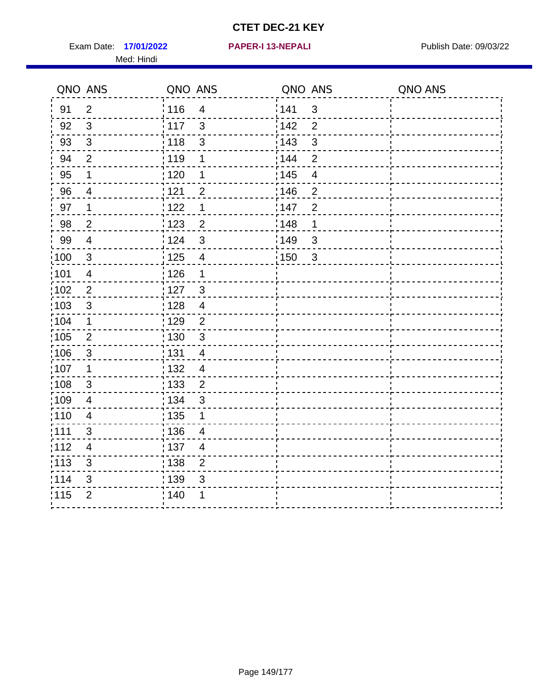Exam Date: 17/01/2022 **PAPER-I 13-NEPALI** Publish Date: 09/03/22 Med: Hindi

**17/01/2022 PAPER-I 13-NEPALI**

|                   | QNO ANS                  | QNO ANS |                         | QNO ANS |                | QNO ANS |
|-------------------|--------------------------|---------|-------------------------|---------|----------------|---------|
| 91                | $\overline{2}$           | 116     | $\overline{\mathbf{4}}$ | 141     | $\mathfrak{S}$ |         |
| 92                | 3                        | 117     | 3                       | 142     | $\overline{2}$ |         |
| 93                | $\mathbf{3}$             | 118     | $\mathfrak{3}$          | 143     | 3              |         |
| 94                | $\overline{2}$           | : 119   | 1                       | 144     | $\overline{2}$ |         |
| 95                | 1                        | :120    | 1                       | : 145   | $\overline{4}$ |         |
| 96                | 4                        | 121     | $\overline{2}$          | :146    | $\overline{2}$ |         |
| 97                | $\mathbf 1$              | 122     | $\mathbf 1$             | 147     | $\overline{2}$ |         |
| 98                | $\overline{c}$           | 123     | $\overline{c}$          | 148     | 1              |         |
| 99                | $\overline{4}$           | : 124   | $\mathfrak{3}$          | 149¦    | $\mathfrak{S}$ |         |
| $\frac{1}{1}$ 100 | $\sqrt{3}$               | 125     | $\overline{4}$          | 150     | $\sqrt{3}$     |         |
| 101               | $\overline{\mathcal{A}}$ | : 126   | 1                       |         |                |         |
| 102               | $\overline{2}$           | :127    | $\mathbf{3}$            |         |                |         |
| 103               | $\mathfrak{S}$           | 128     | $\overline{4}$          |         |                |         |
| 104               | $\mathbf 1$              | : 129   | $\overline{2}$          |         |                |         |
| 105               | $\overline{2}$           | : 130   | $\mathbf{3}$            |         |                |         |
| ;106              | $\mathfrak{S}$           | : 131   | $\overline{4}$          |         |                |         |
| :107              | 1                        | : 132   | $\overline{4}$          |         |                |         |
| 108               | $\sqrt{3}$               | : 133   | $\overline{2}$          |         |                |         |
| :109              | $\overline{4}$           | : 134   | 3                       |         |                |         |
| :110              | $\overline{4}$           | : 135   | 1                       |         |                |         |
| 111               | 3                        | : 136   | $\overline{4}$          |         |                |         |
| 112               | $\overline{\mathcal{A}}$ | 137     | $\overline{4}$          |         |                |         |
| 113               | $\mathfrak{S}$           | : 138   | $\mathbf{2}$            |         |                |         |
| 114               | 3                        | 139     | 3                       |         |                |         |
| 115               | $\overline{2}$           | 140     | 1                       |         |                |         |
|                   |                          |         |                         |         |                |         |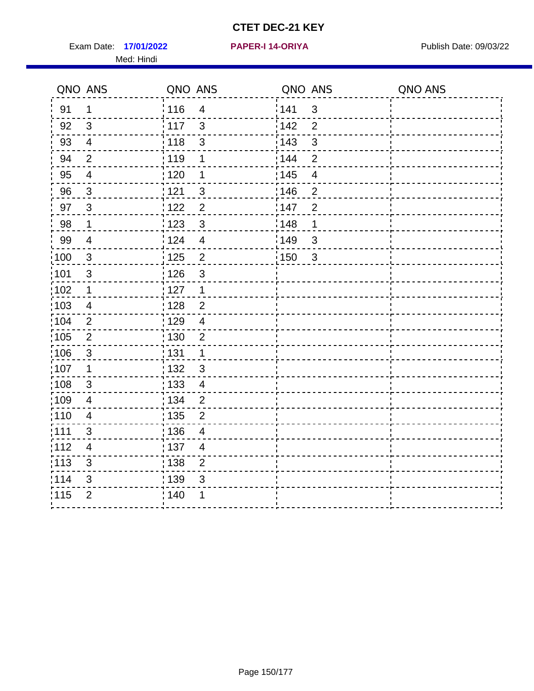Exam Date: 17/01/2022 **PAPER-I 14-ORIYA** Publish Date: 09/03/22 Med: Hindi

**17/01/2022 PAPER-I 14-ORIYA**

|                   | QNO ANS        | QNO ANS |                         | QNO ANS |                | QNO ANS |
|-------------------|----------------|---------|-------------------------|---------|----------------|---------|
| 91                | 1              | 116     | $\overline{4}$          | 141     | 3              |         |
| 92                | 3              | : 117   | $\mathbf{3}$            | 142     | $\overline{2}$ |         |
| 93                | $\overline{4}$ | 118     | $\mathfrak{S}$          | 143     | $\mathfrak{S}$ |         |
| 94                | $\overline{2}$ | 119     | 1                       | 144     | $\overline{2}$ |         |
| 95                | $\overline{4}$ | : 120   | 1                       | : 145   | 4              |         |
| 96                | $\mathbf{3}$   | : 121   | $\mathbf{3}$            | 146     | $\overline{2}$ |         |
| 97                | $\overline{3}$ | : 122   | $\overline{2}$          | 147     | $\overline{2}$ |         |
| 98                | $\mathbf 1$    | 123     | $\mathbf{3}$            | 148     | $\mathbf 1$    |         |
| 99                | $\overline{4}$ | : 124   | $\overline{\mathbf{4}}$ | 149     | 3              |         |
| 100               | $\mathbf{3}$   | 125     | $\overline{2}$          | 150     | $\mathbf{3}$   |         |
| $\frac{1}{1}$ 101 | 3              | : 126   | 3                       |         |                |         |
| :102              | 1              | : 127   | $\mathbf{1}$            |         |                |         |
| 103               | $\overline{4}$ | : 128   | $\overline{2}$          |         |                |         |
| :104              | $\overline{2}$ | : 129   | $\overline{4}$          |         |                |         |
| 105               | $\overline{2}$ | : 130   | $\overline{2}$          |         |                |         |
| ;106              | $\mathfrak{S}$ | : 131   | $\mathbf 1$             |         |                |         |
| :107              | 1              | : 132   | $\mathbf{3}$            |         |                |         |
| 108               | $\sqrt{3}$     | 133     | $\overline{\mathbf{4}}$ |         |                |         |
| :109              | $\overline{4}$ | : 134   | $\overline{2}$          |         |                |         |
| :110              | $\overline{4}$ | : 135   | 2                       |         |                |         |
| : 111             | $\mathfrak{S}$ | : 136   | $\overline{4}$          |         |                |         |
| :112              | $\overline{4}$ | 137     | $\overline{4}$          |         |                |         |
| $\frac{1}{1}$ 113 | 3              | : 138   | $\overline{2}$          |         |                |         |
| 114               | 3              | 139     | 3                       |         |                |         |
| 115               | $\overline{2}$ | 140     | 1                       |         |                |         |
|                   |                |         |                         |         |                |         |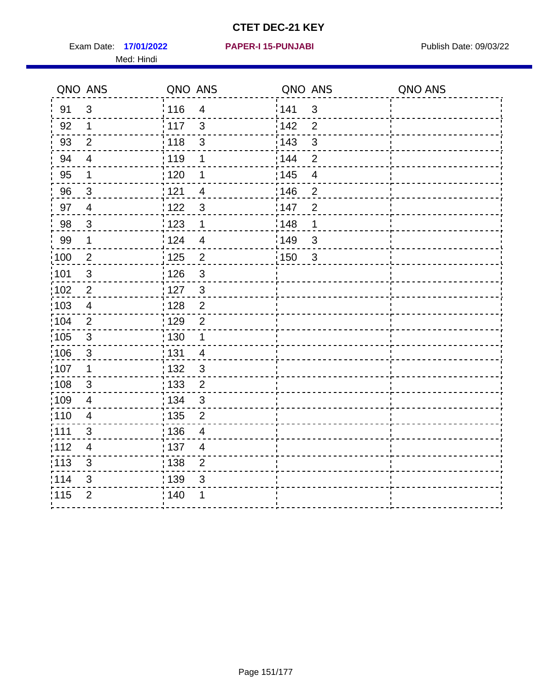Exam Date: 17/01/2022 **PAPER-I 15-PUNJABI** Publish Date: 09/03/22 Med: Hindi

|                   | QNO ANS                   | QNO ANS           |                         | QNO ANS |                | QNO ANS |
|-------------------|---------------------------|-------------------|-------------------------|---------|----------------|---------|
| 91                | $\mathfrak{S}$            | 116               | $\overline{\mathbf{4}}$ | 141     | $\mathsf 3$    |         |
| 92                | $\mathbf 1$               | 117               | 3                       | 142     | $\overline{2}$ |         |
| 93                | $\overline{2}$            | 118               | $\mathfrak{S}$          | 143     | 3              |         |
| 94                | $\overline{4}$            | : 119             | 1                       | : 144   | $\overline{2}$ |         |
| 95                | 1                         | : 120             | 1                       | : 145   | $\overline{4}$ |         |
| 96                | $\mathfrak{S}$            | 121               | $\overline{4}$          | 146     | $\overline{2}$ |         |
| 97                | $\overline{4}$            | $122$             | 3                       | 147     | $\overline{2}$ |         |
| 98                | $\mathbf 3$               | 123               | $\mathbf{1}$            | 148     | 1              |         |
| 99                | $\mathbf{1}$              | 124               | $\overline{4}$          | ¦149    | $\mathfrak{S}$ |         |
| $\frac{1}{1}$ 100 | $\overline{2}$            | 125               | $\overline{2}$          | 150     | $\mathbf{3}$   |         |
| :101              | $\mathsf 3$               | 126               | 3                       |         |                |         |
| 102               | $\overline{2}$            | : 127             | 3                       |         |                |         |
| 103               | $\overline{4}$            | : 128             | $\overline{2}$          |         |                |         |
| 104               | $\overline{2}$            | : 129             | $\overline{2}$          |         |                |         |
| 105               | $\sqrt{3}$                | : 130             | $\mathbf{1}$            |         |                |         |
| :106              | $\mathfrak{S}$            | : 131             | $\overline{4}$          |         |                |         |
| :107              | $\mathbf 1$               | : 132             | $\mathbf{3}$            |         |                |         |
| 108               | $\ensuremath{\mathsf{3}}$ | : 133             | $\overline{2}$          |         |                |         |
| :109              | $\overline{\mathbf{4}}$   | : 134             | $\mathbf{3}$            |         |                |         |
| 110               | 4                         | : 135             | 2                       |         |                |         |
| 111               | 3                         | : 136             | $\overline{4}$          |         |                |         |
| 112               | $\overline{\mathcal{A}}$  | $\frac{1}{1}$ 137 | $\overline{4}$          |         |                |         |
| 113               | $\mathfrak{S}$            | 138               | $\overline{2}$          |         |                |         |
| 114               | 3                         | 139               | 3                       |         |                |         |
| 115               | $\overline{2}$            | 140               | 1                       |         |                |         |
|                   |                           |                   |                         |         |                |         |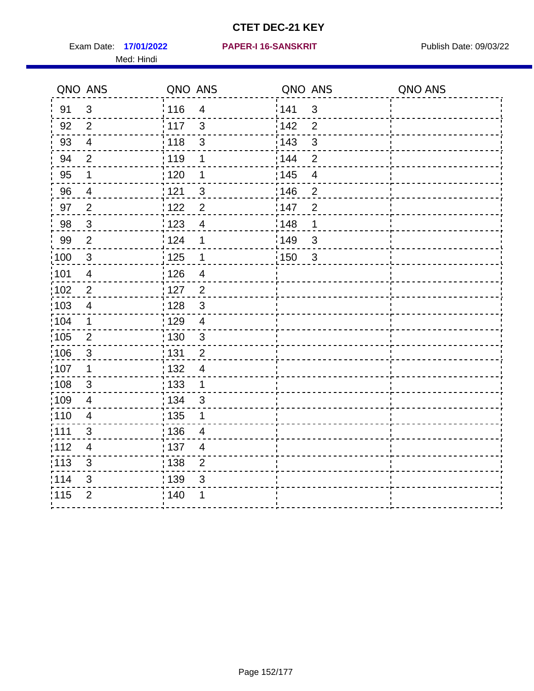Exam Date: 17/01/2022 PAPER-I 16-SANSKRIT Publish Date: 09/03/22 Med: Hindi

|                   | QNO ANS                   | QNO ANS           |                          | QNO ANS           |                          | QNO ANS |
|-------------------|---------------------------|-------------------|--------------------------|-------------------|--------------------------|---------|
| 91                | $\mathfrak{B}$            | 116               | $\overline{\mathbf{4}}$  | 141               | $\mathfrak{S}$           |         |
| 92                | $\overline{2}$            | $\frac{1}{2}$ 117 | $\mathfrak{S}$           | 142               | $\overline{2}$           |         |
| 93                | $\overline{4}$            | 118               | $\mathfrak{S}$           | 143               | $\mathfrak{S}$           |         |
| 94                | $\overline{2}$            | : 119             | 1                        | : 144             | $\overline{2}$           |         |
| 95                | 1                         | : 120             | 1                        | : 145             | $\overline{\mathcal{A}}$ |         |
| 96                | 4                         | 121               | 3                        | 146               | $\overline{2}$           |         |
| 97                | $\overline{2}$            | : 122             | $\overline{c}$           | 147               | $\overline{2}$           |         |
| 98                | $\mathbf{3}$              | 123               | $\overline{4}$           | 148               | 1                        |         |
| 99                | $\mathbf{2}$              | 124               | 1                        | $\frac{1}{2}$ 149 | $\mathfrak{S}$           |         |
| $\frac{1}{1}$ 100 | $\mathbf{3}$              | $\frac{1}{2}$ 125 | $\mathbf 1$              | 150               | $\mathbf{3}$             |         |
| :101              | $\overline{\mathbf{4}}$   | : 126             | $\overline{\mathbf{4}}$  |                   |                          |         |
| 102               | $\overline{2}$            | : 127             | $\overline{2}$           |                   |                          |         |
| ;103              | $\overline{4}$            | :128              | $\mathbf{3}$             |                   |                          |         |
| 104               | $\mathbf 1$               | : 129             | $\overline{4}$           |                   |                          |         |
| 105               | $\overline{2}$            | $\frac{1}{1}$ 130 | $\mathbf{3}$             |                   |                          |         |
| :106              | $\mathfrak{S}$            | : 131             | $\overline{2}$           |                   |                          |         |
| 107               | 1                         | :132              | $\overline{\mathcal{A}}$ |                   |                          |         |
| 108               | $\ensuremath{\mathsf{3}}$ | 133               | $\mathbf{1}$             |                   |                          |         |
| :109              | $\overline{\mathbf{4}}$   | : 134             | 3                        |                   |                          |         |
| :110              | 4                         | : 135             | 1                        |                   |                          |         |
| : 111             | 3                         | : 136             | $\overline{4}$           |                   |                          |         |
| 112               | $\overline{4}$            | 137               | $\overline{4}$           |                   |                          |         |
| 113               | $\mathbf{3}$              | 138               | $\overline{2}$           |                   |                          |         |
| 114               | 3                         | 139               | 3                        |                   |                          |         |
| 115               | $\overline{2}$            | 140               | 1                        |                   |                          |         |
|                   |                           |                   |                          |                   |                          |         |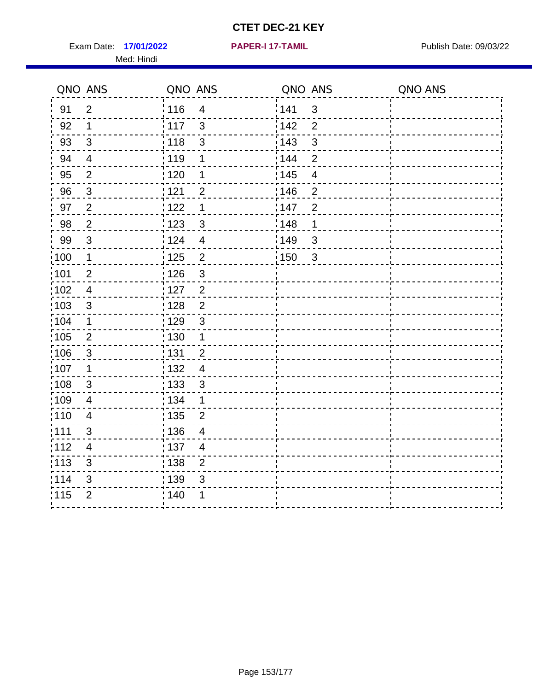Exam Date: 17/01/2022 **PAPER-I 17-TAMIL Exam Date: 09/03/22** Med: Hindi

**17/01/2022 PAPER-I 17-TAMIL**

|                   | QNO ANS                  | QNO ANS                             | QNO ANS                           | QNO ANS |
|-------------------|--------------------------|-------------------------------------|-----------------------------------|---------|
| 91                | $\overline{2}$           | 116<br>$\overline{\mathbf{4}}$      | 141<br>$\sqrt{3}$                 |         |
| 92                | 1                        | 117<br>$\mathbf{3}$                 | 142<br>$\overline{2}$             |         |
| 93                | $\sqrt{3}$               | $\frac{1}{1}$ 118<br>3              | 143<br>3                          |         |
| 94                | $\overline{\mathcal{A}}$ | : 119<br>1                          | 144<br>$\overline{2}$             |         |
| 95                | $\overline{2}$           | : 120<br>1                          | : 145<br>$\overline{4}$           |         |
| 96                | $\mathfrak{S}$           | : 121<br>$\overline{2}$             | 146<br>$\overline{2}$             |         |
| 97                | $\overline{2}$           | $\mathbf 1$<br>122                  | 147<br>$\overline{2}$             |         |
| 98                | $\sqrt{2}$               | $\frac{1}{2}$ 123<br>$\mathfrak{S}$ | 148<br>1                          |         |
| 99                | $\sqrt{3}$               | 124<br>$\overline{4}$               | :149<br>$\sqrt{3}$                |         |
| $\frac{1}{1}$ 100 | $\mathbf 1$              | 125<br>$\overline{2}$               | $\mathbf{3}$<br>$\frac{1}{2}$ 150 |         |
| :101              | $\mathbf{2}$             | : 126<br>3                          |                                   |         |
| 102               | $\overline{4}$           | : 127<br>$\overline{2}$             |                                   |         |
| :103              | 3                        | $\overline{2}$<br>:128              |                                   |         |
| 104               | $\mathbf 1$              | : 129<br>$\mathbf{3}$               |                                   |         |
| 105               | $\overline{2}$           | : 130<br>$\mathbf 1$                |                                   |         |
| 106               | 3                        | : 131<br>$\overline{2}$             |                                   |         |
| :107              | 1                        | : 132<br>$\overline{4}$             |                                   |         |
| :108              | $\sqrt{3}$               | $\frac{1}{1}$ 133<br>$\mathbf{3}$   |                                   |         |
| :109              | $\overline{\mathbf{4}}$  | : 134<br>$\mathbf 1$                |                                   |         |
| :110              | 4                        | 135<br>$\overline{2}$               |                                   |         |
| 1111              | 3                        | : 136<br>$\overline{\mathcal{A}}$   |                                   |         |
| 112               | 4                        | : 137<br>$\overline{4}$             |                                   |         |
| : 113             | $\sqrt{3}$               | : 138<br>$\overline{c}$             |                                   |         |
| 114               | 3                        | 139<br>3                            |                                   |         |
| 115               | $\overline{2}$           | : 140<br>1                          |                                   |         |
|                   |                          |                                     |                                   |         |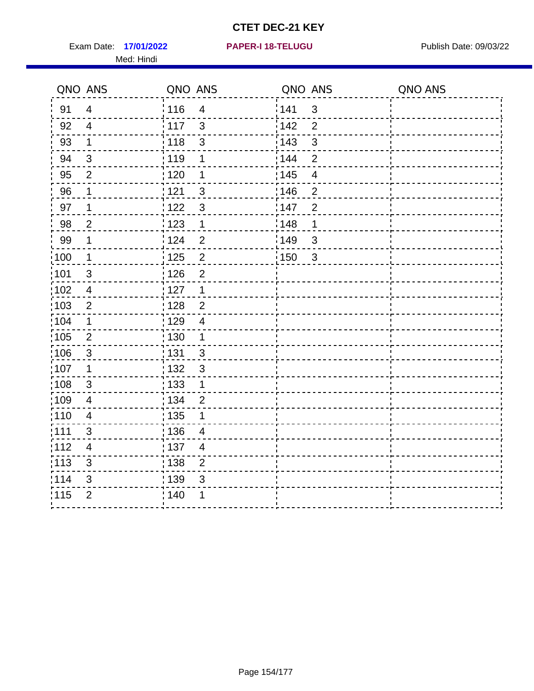Exam Date: 17/01/2022 **PAPER-I 18-TELUGU** PUBLISH Date: 09/03/22 Med: Hindi

**17/01/2022 PAPER-I 18-TELUGU**

|                   | QNO ANS                  | QNO ANS |                | QNO ANS |                | QNO ANS |
|-------------------|--------------------------|---------|----------------|---------|----------------|---------|
| 91                | $\overline{4}$           | 116     | $\overline{4}$ | 141     | $\sqrt{3}$     |         |
| 92                | $\overline{4}$           | 117     | 3              | 142     | $\overline{2}$ |         |
| 93                | $\mathbf 1$              | 118     | $\sqrt{3}$     | 143     | $\mathbf{3}$   |         |
| 94                | 3                        | :119    | 1              | 144     | $\overline{2}$ |         |
| 95                | $\overline{2}$           | : 120   | 1              | : 145   | $\overline{4}$ |         |
| 96                | 1                        | 121     | 3              | 146     | $\overline{2}$ |         |
| 97                | 1                        | 122     | $\mathbf{3}$   | :147    | $\overline{2}$ |         |
| 98                | $\overline{2}$           | 123     | $\mathbf{1}$   | 148     | 1              |         |
| 99                | $\mathbf 1$              | 124     | $\overline{2}$ | 149     | $\sqrt{3}$     |         |
| $\frac{1}{1}$ 100 | $\overline{1}$           | 125     | $\overline{2}$ | 150     | $\mathbf{3}$   |         |
| 101               | $\sqrt{3}$               | : 126   | $\overline{2}$ |         |                |         |
| 102               | $\overline{4}$           | : 127   | $\mathbf 1$    |         |                |         |
| :103              | 2                        | : 128   | $\overline{2}$ |         |                |         |
| :104              | $\mathbf 1$              | : 129   | $\overline{4}$ |         |                |         |
| 105               | $\sqrt{2}$               | : 130   | $\mathbf{1}$   |         |                |         |
| :106              | $\mathbf{3}$             | : 131   | $\mathbf{3}$   |         |                |         |
| :107              | $\mathbf 1$              | : 132   | $\mathbf{3}$   |         |                |         |
| 108               | $\sqrt{3}$               | 133     | $\mathbf 1$    |         |                |         |
| :109              | $\overline{\mathbf{4}}$  | : 134   | $\overline{2}$ |         |                |         |
| :110              | $\overline{\mathbf{4}}$  | : 135   | 1              |         |                |         |
| ;111              | 3                        | : 136   | 4              |         |                |         |
| 112               | $\overline{\mathcal{A}}$ | : 137   | 4              |         |                |         |
| :113              | $\sqrt{3}$               | : 138   | $\mathbf 2$    |         |                |         |
| 114               | 3                        | : 139   | 3              |         |                |         |
| 115               | $\overline{2}$           | 140     | 1              |         |                |         |
|                   |                          |         |                |         |                |         |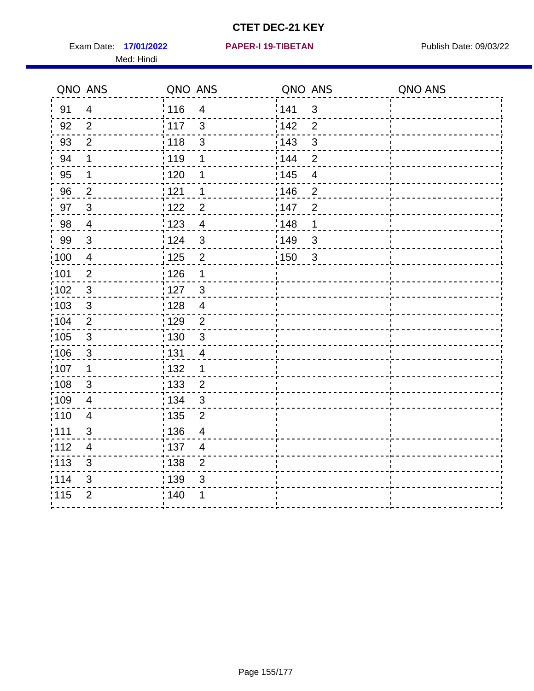Exam Date: 17/01/2022 **PAPER-I 19-TIBETAN** Publish Date: 09/03/22 Med: Hindi

**17/01/2022 PAPER-I 19-TIBETAN**

|                   | QNO ANS                  | QNO ANS |                         | QNO ANS |                | QNO ANS |
|-------------------|--------------------------|---------|-------------------------|---------|----------------|---------|
| 91                | $\overline{4}$           | 116     | $\overline{\mathbf{4}}$ | 141     | $\mathfrak{S}$ |         |
| 92                | $\overline{2}$           | 117     | 3                       | 142     | $\overline{2}$ |         |
| 93                | $\overline{2}$           | 118     | $\mathbf{3}$            | 143     | $\mathbf{3}$   |         |
| 94                | 1                        | : 119   | 1                       | 144     | $\overline{2}$ |         |
| 95                | 1                        | :120    | 1                       | : 145   | $\overline{4}$ |         |
| 96                | $\overline{2}$           | 121     | 1                       | :146    | $\overline{2}$ |         |
| 97                | $\mathbf{3}$             | 122     | $\overline{2}$          | 147     | $\overline{2}$ |         |
| 98                | $\overline{\mathbf{4}}$  | 123     | $\overline{4}$          | : 148   | 1              |         |
| 99                | $\sqrt{3}$               | : 124   | $\mathfrak{3}$          | 149¦    | $\mathfrak{S}$ |         |
| $\frac{1}{1}$ 100 | $\overline{4}$           | 125     | $\overline{2}$          | 150     | $\sqrt{3}$     |         |
| 101               | $\overline{2}$           | : 126   | 1                       |         |                |         |
| 102               | 3                        | :127    | $\mathbf{3}$            |         |                |         |
| 103               | 3                        | 128     | $\overline{4}$          |         |                |         |
| 104               | $\overline{2}$           | : 129   | $\overline{2}$          |         |                |         |
| 105               | $\sqrt{3}$               | : 130   | $\mathbf{3}$            |         |                |         |
| :106              | $\mathfrak{S}$           | : 131   | 4                       |         |                |         |
| :107              | $\mathbf 1$              | : 132   | $\mathbf 1$             |         |                |         |
| 108               | $\sqrt{3}$               | : 133   | $\overline{2}$          |         |                |         |
| :109              | $\overline{\mathbf{4}}$  | : 134   | $\mathfrak{3}$          |         |                |         |
| :110              | $\overline{4}$           | : 135   | 2                       |         |                |         |
| 111               | 3                        | : 136   | $\overline{4}$          |         |                |         |
| 112               | $\overline{\mathcal{A}}$ | 137     | $\overline{4}$          |         |                |         |
| 113               | $\mathfrak{S}$           | : 138   | $\overline{2}$          |         |                |         |
| 114               | 3                        | 139     | 3                       |         |                |         |
| 115               | $\overline{2}$           | 140     | 1                       |         |                |         |
|                   |                          |         |                         |         |                |         |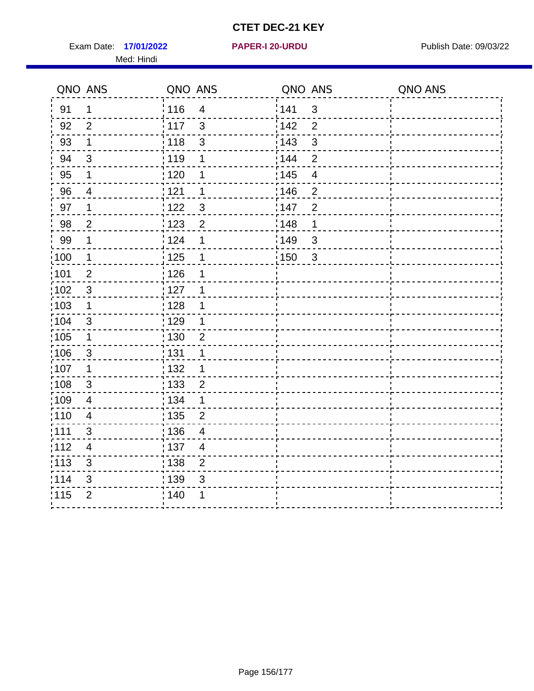Exam Date: 17/01/2022 **PAPER-I 20-URDU** PAPER 120-VERSITY Publish Date: 09/03/22 Med: Hindi

**17/01/2022 PAPER-I 20-URDU**

|                   | QNO ANS                  | QNO ANS                             | QNO ANS                 | QNO ANS |
|-------------------|--------------------------|-------------------------------------|-------------------------|---------|
| 91                | $\mathbf{1}$             | 116<br>$\overline{\mathbf{4}}$      | 141<br>$\sqrt{3}$       |         |
| 92                | $\overline{2}$           | 117<br>3                            | 142<br>$\overline{2}$   |         |
| 93                | $\mathbf 1$              | $\mathbf{3}$<br>118                 | 143<br>3                |         |
| 94                | 3                        | : 119<br>1                          | 144<br>$\overline{2}$   |         |
| 95                | 1                        | :120<br>1                           | : 145<br>$\overline{4}$ |         |
| 96                | 4                        | 121<br>1                            | :146<br>$\overline{2}$  |         |
| 97                | $\mathbf 1$              | 3<br>122                            | 147<br>$\overline{2}$   |         |
| 98                | $\mathbf 2$              | $\frac{1}{2}$ 123<br>$\overline{c}$ | : 148<br>1              |         |
| 99                | $\mathbf 1$              | 124<br>$\mathbf 1$                  | ¦149<br>$\sqrt{3}$      |         |
| $\frac{1}{1}$ 100 | $\overline{1}$           | 125<br>$\mathbf 1$                  | 150<br>$\sqrt{3}$       |         |
| 101               | $\overline{2}$           | 126<br>1                            |                         |         |
| 102               | 3                        | : 127<br>1                          |                         |         |
| ;103              | $\mathbf 1$              | 128<br>1                            |                         |         |
| 104               | $\sqrt{3}$               | $\frac{1}{1}$ 129<br>1              |                         |         |
| 105               | $\mathbf 1$              | : 130<br>$\overline{2}$             |                         |         |
| :106              | $\mathfrak{S}$           | : 131<br>1                          |                         |         |
| :107              | $\mathbf 1$              | : 132<br>1                          |                         |         |
| 108               | $\sqrt{3}$               | : 133<br>$\overline{2}$             |                         |         |
| :109              | $\overline{\mathbf{4}}$  | : 134<br>$\mathbf 1$                |                         |         |
| :110              | $\overline{4}$           | : 135<br>$\overline{2}$             |                         |         |
| :111              | 3                        | 136<br>$\overline{4}$               |                         |         |
| 112               | $\overline{\mathcal{A}}$ | 137<br>$\overline{4}$               |                         |         |
| 113               | $\mathbf{3}$             | : 138<br>$\overline{2}$             |                         |         |
| 114               | 3                        | 139<br>3                            |                         |         |
| 115               | $\overline{2}$           | 140<br>1                            |                         |         |
|                   |                          |                                     |                         |         |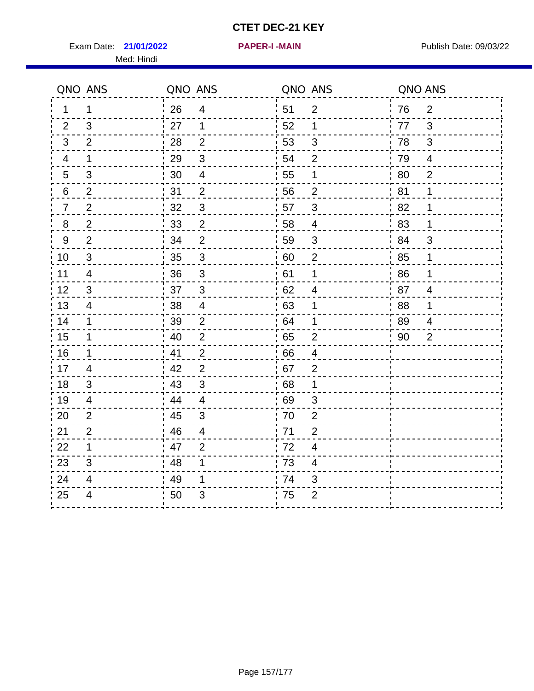Exam Date: 21/01/2022 **PAPER-I-MAIN Proposed Bublish Date: 09/03/22** Med: Hindi

**21/01/2022 PAPER-I -MAIN**

|    | QNO ANS                  | QNO ANS |                          |                  | QNO ANS                  |    | QNO ANS        |
|----|--------------------------|---------|--------------------------|------------------|--------------------------|----|----------------|
| 1. | 1                        | 26      | $\overline{4}$           | 51               | $\overline{2}$           | 76 | $\overline{2}$ |
| 2  | 3                        | 27      | 1                        | 52               | $\mathbf 1$              | 77 | 3              |
| 3  | $\overline{2}$           | 28      | $\overline{2}$           | 53               | $\sqrt{3}$               | 78 | $\mathfrak{B}$ |
| 4  | 1                        | 29      | $\mathfrak{S}$           | 54               | $\overline{2}$           | 79 | $\overline{4}$ |
| 5  | 3                        | 30      | $\overline{\mathcal{A}}$ | 55               | 1                        | 80 | $\overline{2}$ |
| 6  | $\overline{2}$           | 31      | $\overline{2}$           | 56               | $\overline{2}$           | 81 | 1              |
| 7  | $\overline{2}$           | 32      | $\sqrt{3}$               | 57               | $\sqrt{3}$               | 82 | 1              |
| 8  | $\boldsymbol{2}$         | $33\,$  | $\overline{c}$           | 58               | $\overline{\mathcal{A}}$ | 83 | 1              |
| 9  | $\overline{2}$           | 34      | $\overline{2}$           | 59               | $\sqrt{3}$               | 84 | 3              |
| 10 | $\mathfrak{S}$           | 35      | $\mathsf 3$              | 60               | $\mathbf 2$              | 85 | 1              |
| 11 | $\overline{4}$           | 36      | $\mathfrak{S}$           | 61               | $\mathbf 1$              | 86 | 1              |
| 12 | 3                        | 37      | $\mathbf{3}$             | 62               | $\overline{\mathcal{A}}$ | 87 | $\overline{4}$ |
| 13 | 4                        | 38      | $\overline{4}$           | .63              | 1                        | 88 | 1              |
| 14 | $\mathbf 1$              | 39      | $\overline{2}$           | 64               | 1                        | 89 | 4              |
| 15 | 1                        | 40      | $\overline{2}$           | 65               | $\overline{2}$           | 90 | $\overline{2}$ |
| 16 | $\mathbf 1$              | 41      | $\overline{2}$           | 66               | $\overline{4}$           |    |                |
| 17 | 4                        | 42      | $\overline{2}$           | 67               | $\overline{2}$           |    |                |
| 18 | 3                        | 43      | $\mathbf{3}$             | 68               | 1                        |    |                |
| 19 | $\overline{\mathcal{A}}$ | 44      | $\overline{4}$           | .69              | $\sqrt{3}$               |    |                |
| 20 | 2                        | 45      | 3                        | 70               | $\overline{2}$           |    |                |
| 21 | $\overline{2}$           | 46      | 4                        | 71               | $\overline{2}$           |    |                |
| 22 | 1                        | 47      | $\overline{2}$           | 72               | $\overline{\mathbf{4}}$  |    |                |
| 23 | $\mathfrak{B}$           | 48      | 1                        | $\frac{1}{2}$ 73 | $\overline{\mathbf{4}}$  |    |                |
| 24 | 4                        | 49      | 1                        | .74              | 3                        |    |                |
| 25 | 4                        | 50      | 3                        | 75               | $\overline{2}$           |    |                |
|    |                          |         |                          |                  |                          |    |                |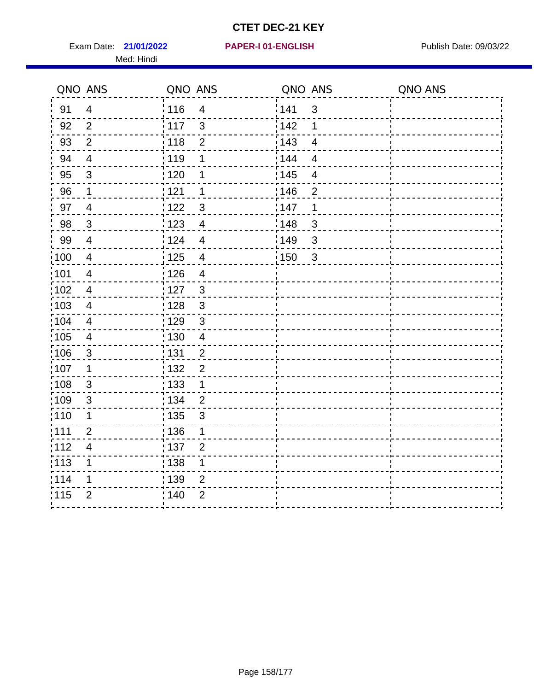Exam Date: 21/01/2022 PAPER-I 01-ENGLISH PREER FOR Publish Date: 09/03/22 Med: Hindi

**21/01/2022 PAPER-I 01-ENGLISH**

|                 | QNO ANS                  | QNO ANS           |                | QNO ANS |                         | QNO ANS |
|-----------------|--------------------------|-------------------|----------------|---------|-------------------------|---------|
| 91              | $\overline{4}$           | 116               | $\overline{4}$ | 141     | $\mathbf{3}$            |         |
| 92              | $\overline{2}$           | 117               | $\mathbf{3}$   | 142     | 1                       |         |
| 93              | $\mathbf{2}$             | 118               | $\overline{2}$ | 143     | $\overline{4}$          |         |
| 94              | $\overline{4}$           | : 119             | 1              | 144     | $\overline{4}$          |         |
| 95              | $\mathfrak{S}$           | : 120             | 1              | : 145   | $\overline{\mathbf{4}}$ |         |
| 96              | 1                        | 121               | 1              | 146     | $\overline{2}$          |         |
| 97              | $\overline{4}$           | 122               | 3              | 147     | 1                       |         |
| 98              | $\mathbf{3}$             | $\frac{1}{2}$ 123 | $\overline{4}$ | 148     | $\mathbf{3}$            |         |
| 99              | $\overline{4}$           | 124               | $\overline{4}$ | :149    | $\sqrt{3}$              |         |
| 100             | $\overline{4}$           | $\frac{1}{1}$ 125 | $\overline{4}$ | 150     | $\mathbf{3}$            |         |
| :101            | $\overline{\mathcal{A}}$ | : 126             | $\overline{4}$ |         |                         |         |
| 102             | $\overline{4}$           | : 127             | $\mathbf{3}$   |         |                         |         |
| 103             | $\overline{4}$           | : 128             | $\mathbf{3}$   |         |                         |         |
| $\frac{1}{104}$ | $\overline{4}$           | $\frac{1}{1}$ 129 | $\mathfrak{3}$ |         |                         |         |
| 105             | $\overline{\mathbf{4}}$  | : 130             | $\overline{4}$ |         |                         |         |
| :106            | $\mathfrak{S}$           | : 131             | $\overline{2}$ |         |                         |         |
| ;107            | $\mathbf{1}$             | : 132             | $\overline{2}$ |         |                         |         |
| 108             | $\mathbf{3}$             | $\frac{1}{1}$ 133 | $\mathbf{1}$   |         |                         |         |
| :109            | $\mathfrak{S}$           | : 134             | $\overline{2}$ |         |                         |         |
| :110            | 1                        | : 135             | 3              |         |                         |         |
| : 111           | $\overline{2}$           | 136               | 1              |         |                         |         |
| 112             | $\overline{\mathbf{4}}$  | : 137             | $\overline{2}$ |         |                         |         |
| 113             | 1                        | : 138             | 1              |         |                         |         |
| 114             | 1                        | : 139             | 2              |         |                         |         |
| 115             | $\overline{2}$           | 140               | $\overline{2}$ |         |                         |         |
|                 |                          |                   |                |         |                         |         |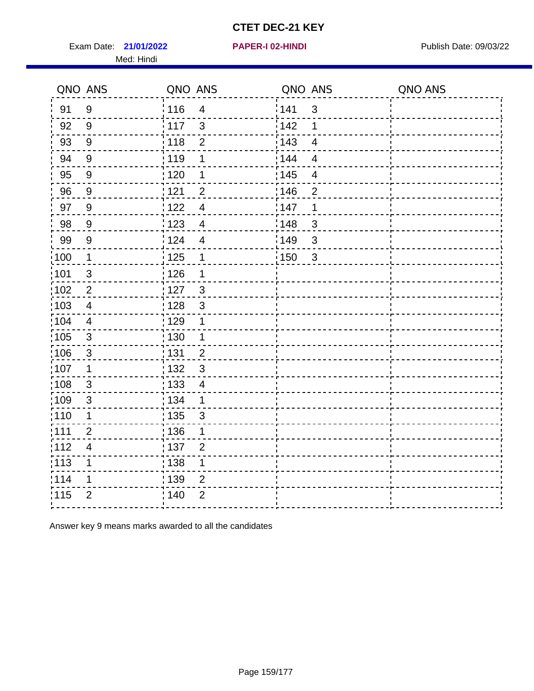Exam Date: 21/01/2022 **PAPER-I 02-HINDI** PAPER PUBlish Date: 09/03/22 Med: Hindi

**21/01/2022 PAPER-I 02-HINDI**

|                   | QNO ANS          | QNO ANS           |                         |                   | QNO ANS        | QNO ANS |
|-------------------|------------------|-------------------|-------------------------|-------------------|----------------|---------|
| 91                | $9\,$            | 116               | $\overline{4}$          | 141               | $\mathbf{3}$   |         |
| 92                | $9\,$            | 117               | $\mathfrak{S}$          | 142               | 1              |         |
| 93                | $\boldsymbol{9}$ | $\frac{1}{2}$ 118 | $\overline{2}$          | 143               | $\overline{4}$ |         |
| 94                | $9\,$            | : 119             | 1                       | 144               | $\overline{4}$ |         |
| 95                | 9                | : 120             | 1                       | : 145             | $\overline{4}$ |         |
| 96                | 9                | 121               | $\overline{2}$          | 146               | $\overline{2}$ |         |
| 97                | 9                | : 122             | $\overline{4}$          | 147               | 1              |         |
| 98                | 9                | $\frac{1}{2}$ 123 | $\overline{4}$          | 148               | $\mathbf{3}$   |         |
| 99                | $9\,$            | 124               | $\overline{4}$          | $\frac{1}{2}$ 149 | $\sqrt{3}$     |         |
| 100               | $\mathbf 1$      | 125               | $\mathbf 1$             | 150               | $\overline{3}$ |         |
| 101               | $\sqrt{3}$       | : 126             | 1                       |                   |                |         |
| 102               | $\overline{2}$   | :127              | $\mathbf{3}$            |                   |                |         |
| 103               | $\overline{4}$   | 128               | $\mathfrak{3}$          |                   |                |         |
| $\frac{1}{1}$ 104 | $\overline{4}$   | : 129             | 1                       |                   |                |         |
| $\frac{1}{1}$ 105 | $\sqrt{3}$       | : 130             | $\overline{\mathbf{1}}$ |                   |                |         |
| 106               | $\mathbf{3}$     | : 131             | $\overline{2}$          |                   |                |         |
| :107              | 1                | : 132             | $\mathbf{3}$            |                   |                |         |
| 108               | $\mathbf{3}$     | : 133             | $\overline{4}$          |                   |                |         |
| $\frac{1}{1}$ 109 | $\mathfrak{S}$   | : 134             | $\mathbf 1$             |                   |                |         |
| 110               | 1                | : 135             | 3                       |                   |                |         |
| :111              | $\overline{2}$   | :136              | 1                       |                   |                |         |
| 112               | $\overline{4}$   | : 137             | $\overline{2}$          |                   |                |         |
| $\frac{1}{1}$ 113 | $\mathbf 1$      | : 138             | $\mathbf 1$             |                   |                |         |
| 114               | 1                | : 139             | $\overline{2}$          |                   |                |         |
| 115               | $\overline{2}$   | ; 140             | $\overline{2}$          |                   |                |         |
|                   |                  |                   |                         |                   |                |         |

Answer key 9 means marks awarded to all the candidates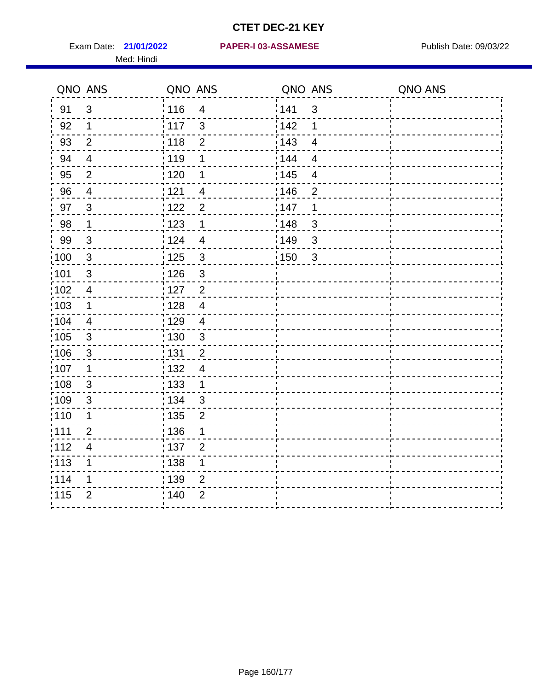Med: Hindi

**21/01/2022 PAPER-I 03-ASSAMESE** Exam Date: Publish Date: 09/03/22

|                   | QNO ANS                  | QNO ANS           |                | QNO ANS |                | QNO ANS |
|-------------------|--------------------------|-------------------|----------------|---------|----------------|---------|
| 91                | $\mathfrak{S}$           | 116               | $\overline{4}$ | 141     | $\mathfrak{S}$ |         |
| 92                | $\mathbf 1$              | $\frac{1}{2}$ 117 | $\mathbf{3}$   | 142     | 1              |         |
| 93                | $\overline{2}$           | 118               | $\mathbf 2$    | 143     | $\overline{4}$ |         |
| 94                | $\overline{4}$           | : 119             | 1              | 144     | $\overline{4}$ |         |
| 95                | 2                        | : 120             | 1              | : 145   | $\overline{4}$ |         |
| 96                | 4                        | 121               | $\overline{4}$ | 146     | $\overline{2}$ |         |
| 97                | $\mathbf{3}$             | 122               | $\overline{2}$ | 147     | 1              |         |
| 98                | $\mathbf{1}$             | 123               | 1              | 148     | $\mathbf{3}$   |         |
| 99                | $\sqrt{3}$               | 124               | $\overline{4}$ | 149     | 3              |         |
| $\frac{1}{1}$ 100 | $\sqrt{3}$               | $\frac{1}{1}$ 125 | $\mathfrak{S}$ | 150     | $\mathbf{3}$   |         |
| :101              | $\sqrt{3}$               | : 126             | $\mathfrak{S}$ |         |                |         |
| 102               | $\overline{4}$           | : 127             | $\overline{2}$ |         |                |         |
| 103               | $\mathbf{1}$             | : 128             | $\overline{4}$ |         |                |         |
| 104               | $\overline{4}$           | : 129             | $\overline{4}$ |         |                |         |
| $\frac{1}{1}$ 105 | $\mathbf{3}$             | : 130             | $\mathbf{3}$   |         |                |         |
| :106              | 3                        | : 131             | $\overline{2}$ |         |                |         |
| ;107              | $\mathbf{1}$             | 132               | $\overline{4}$ |         |                |         |
| 108               | $\sqrt{3}$               | 133               | $\mathbf{1}$   |         |                |         |
| :109              | $\sqrt{3}$               | : 134             | $\mathbf{3}$   |         |                |         |
| :110              | 1                        | 135               | $\overline{2}$ |         |                |         |
| :111              | $\overline{2}$           | : 136             | 1              |         |                |         |
| 112               | $\overline{\mathcal{A}}$ | $\frac{1}{1}$ 137 | $\overline{2}$ |         |                |         |
| 113               | 1                        | : 138             | 1              |         |                |         |
| 114               | 1                        | :139              | 2              |         |                |         |
| 115               | $\overline{2}$           | 140               | $\overline{2}$ |         |                |         |
|                   |                          |                   |                |         |                |         |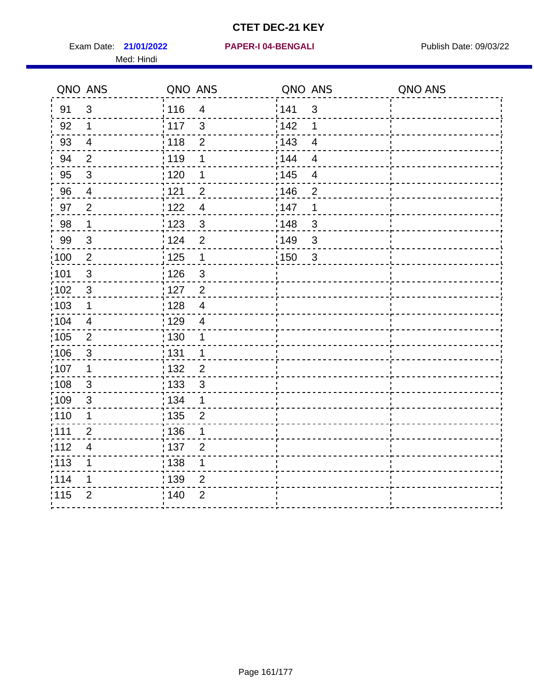Exam Date: 21/01/2022 PAPER-I 04-BENGALI PREREMENTED Publish Date: 09/03/22 Med: Hindi

**21/01/2022 PAPER-I 04-BENGALI**

|                   | QNO ANS                   | QNO ANS |                           | QNO ANS |                          | QNO ANS |
|-------------------|---------------------------|---------|---------------------------|---------|--------------------------|---------|
| 91                | $\mathbf{3}$              | 116     | $\overline{\mathbf{4}}$   | 1141    | $\sqrt{3}$               |         |
| 92                | $\mathbf 1$               | 117     | $\mathfrak{S}$            | 142     | 1                        |         |
| 93                | $\overline{4}$            | 118     | $\mathbf{2}$              | 143     | $\overline{\mathbf{4}}$  |         |
| 94                | 2                         | : 119   | 1                         | 144     | $\overline{4}$           |         |
| 95                | $\mathfrak{B}$            | : 120   | 1                         | : 145   | $\overline{\mathcal{A}}$ |         |
| 96                | 4                         | 121     | $\overline{2}$            | 146     | $\overline{2}$           |         |
| 97                | $\overline{2}$            | 122     | $\overline{4}$            | 147     | 1                        |         |
| 98                | $\overline{1}$            | 1123    | $\mathbf{3}$              | 148     | $\sqrt{3}$               |         |
| 99                | $\ensuremath{\mathsf{3}}$ | 124     | $\overline{2}$            | :149    | $\sqrt{3}$               |         |
| $\frac{1}{1}$ 100 | $\overline{2}$            | 125     | $\mathbf{1}$              | 150     | $\mathbf{3}$             |         |
| :101              | $\sqrt{3}$                | : 126   | $\ensuremath{\mathsf{3}}$ |         |                          |         |
| 102               | $\mathfrak{S}$            | : 127   | $\overline{2}$            |         |                          |         |
| 103               | $\mathbf 1$               | :128    | $\overline{4}$            |         |                          |         |
| 104               | $\overline{4}$            | : 129   | $\overline{\mathcal{A}}$  |         |                          |         |
| 105               | $\sqrt{2}$                | 130     | $\mathbf 1$               |         |                          |         |
| :106              | $\mathfrak{S}$            | : 131   | $\mathbf 1$               |         |                          |         |
| 107               | 1                         | :132    | $\overline{2}$            |         |                          |         |
| 108               | $\sqrt{3}$                | : 133   | $\mathbf{3}$              |         |                          |         |
| :109              | $\mathfrak{S}$            | : 134   | $\mathbf 1$               |         |                          |         |
| : 110             | 1                         | : 135   | $\overline{2}$            |         |                          |         |
| 111               | $\overline{2}$            | : 136   | 1                         |         |                          |         |
| 112               | $\overline{\mathcal{A}}$  | : 137   | $\overline{2}$            |         |                          |         |
| 113               | 1                         | 138     | 1                         |         |                          |         |
| 114               | 1                         | : 139   | 2                         |         |                          |         |
| 115               | $\overline{2}$            | 140     | $\overline{2}$            |         |                          |         |
|                   |                           |         |                           |         |                          |         |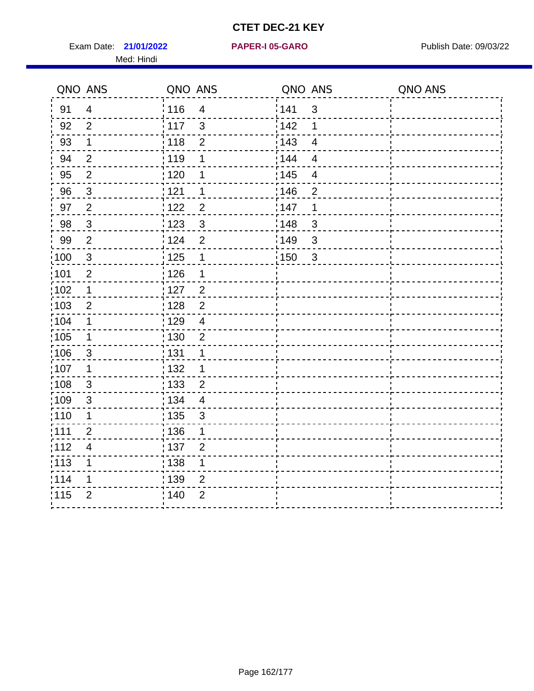Exam Date: 21/01/2022 PAPER-I 05-GARO Publish Date: 09/03/22 Med: Hindi

**21/01/2022 PAPER-I 05-GARO**

|        | QNO ANS        | QNO ANS           |                         | QNO ANS           |                         | QNO ANS |
|--------|----------------|-------------------|-------------------------|-------------------|-------------------------|---------|
| 91     | $\overline{4}$ | 116               | $\overline{4}$          | 141               | $\sqrt{3}$              |         |
| 92     | $\overline{2}$ | 117               | 3                       | 142               | 1                       |         |
| 93     | $\mathbf 1$    | 118               | $\overline{2}$          | 143               | $\overline{4}$          |         |
| 94     | $\overline{2}$ | : 119             | 1                       | 144               | $\overline{\mathbf{4}}$ |         |
| 95     | $\overline{2}$ | : 120             | 1                       | : 145             | $\overline{\mathbf{4}}$ |         |
| 96     | $\mathbf{3}$   | 121               | 1                       | 146               | $\overline{2}$          |         |
| 97     | $\overline{c}$ | 122               | $\overline{c}$          | 147               | 1                       |         |
| $98\,$ | $\mathbf{3}$   | $\frac{1}{2}$ 123 | $\mathfrak{3}$          | ¦148              | 3                       |         |
| 99     | $\overline{2}$ | 124               | $\overline{2}$          | $\frac{1}{2}$ 149 | $\mathfrak{S}$          |         |
| 100    | $\mathbf{3}$   | 125               | $\mathbf 1$             | 150               | $\sqrt{3}$              |         |
| :101   | $\overline{c}$ | : 126             | 1                       |                   |                         |         |
| :102   | $\mathbf 1$    | : 127             | $\overline{2}$          |                   |                         |         |
| 103    | 2              | : 128             | $\overline{2}$          |                   |                         |         |
| :104   | $\mathbf 1$    | : 129             | $\overline{\mathbf{4}}$ |                   |                         |         |
| 105    | $\mathbf 1$    | $\frac{1}{1}$ 130 | $\overline{2}$          |                   |                         |         |
| 106    | $\mathbf{3}$   | : 131             | 1                       |                   |                         |         |
| :107   | 1              | : 132             | 1                       |                   |                         |         |
| :108   | $\mathbf{3}$   | $\frac{1}{1}$ 133 | $\overline{2}$          |                   |                         |         |
| :109   | $\mathfrak{S}$ | : 134             | $\overline{4}$          |                   |                         |         |
| :110   | 1              | : 135             | 3                       |                   |                         |         |
| :111   | $\overline{2}$ | : 136             | 1                       |                   |                         |         |
| 112    | $\overline{4}$ | : 137             | $\overline{2}$          |                   |                         |         |
| 113    | 1              | : 138             | 1                       |                   |                         |         |
| 114    | 1              | : 139             | $\overline{2}$          |                   |                         |         |
| 115    | $\overline{2}$ | : 140             | $\overline{2}$          |                   |                         |         |
|        |                |                   |                         |                   |                         |         |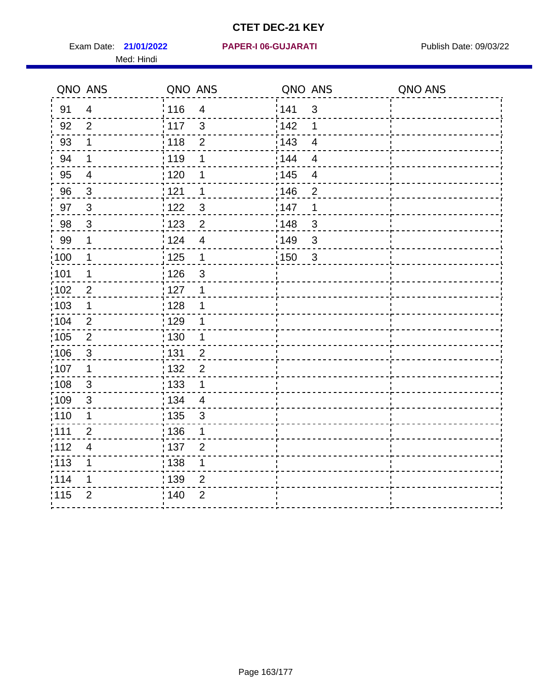Exam Date: 21/01/2022 PAPER-I 06-GUJARATI Publish Date: 09/03/22 Med: Hindi

**21/01/2022 PAPER-I 06-GUJARATI**

|       | QNO ANS                  | QNO ANS                        | QNO ANS                           | QNO ANS |
|-------|--------------------------|--------------------------------|-----------------------------------|---------|
| 91    | $\overline{4}$           | 116<br>$\overline{\mathbf{4}}$ | 1141<br>$\sqrt{3}$                |         |
| 92    | $\overline{2}$           | 117<br>$\mathfrak{S}$          | 142<br>1                          |         |
| 93    | $\mathbf 1$              | 118<br>$\mathbf{2}$            | 143<br>$\overline{\mathbf{4}}$    |         |
| 94    | 1                        | : 119<br>1                     | : 144<br>$\overline{4}$           |         |
| 95    | $\overline{\mathcal{A}}$ | : 120<br>1                     | : 145<br>$\overline{\mathcal{A}}$ |         |
| 96    | $\mathbf{3}$             | 121<br>1                       | 146<br>$\overline{2}$             |         |
| 97    | $\mathbf{3}$             | $\mathbf{3}$<br>122            | 147<br>1                          |         |
| 98    | $\mathbf{3}$             | 123<br>$\overline{2}$          | 148<br>$\sqrt{3}$                 |         |
| 99    | $\mathbf 1$              | 124<br>$\overline{\mathbf{4}}$ | :149<br>$\sqrt{3}$                |         |
| :100  | $\mathbf 1$              | 125<br>$\mathbf{1}$            | 150<br>$\mathbf{3}$               |         |
| :101  | 1                        | : 126<br>3                     |                                   |         |
| 102   | $\overline{2}$           | : 127<br>1                     |                                   |         |
| 103   | $\mathbf 1$              | :128<br>1                      |                                   |         |
| 104   | $\overline{2}$           | : 129<br>1                     |                                   |         |
| 105   | $\sqrt{2}$               | 130<br>$\mathbf 1$             |                                   |         |
| :106  | $\mathfrak{S}$           | : 131<br>$\overline{2}$        |                                   |         |
| 107   | 1                        | $\overline{2}$<br>:132         |                                   |         |
| 108   | $\sqrt{3}$               | : 133<br>$\mathbf{1}$          |                                   |         |
| :109  | $\mathfrak{S}$           | : 134<br>$\overline{4}$        |                                   |         |
| : 110 | 1                        | : 135<br>3                     |                                   |         |
| 111   | $\overline{2}$           | : 136<br>1                     |                                   |         |
| 112   | $\overline{\mathcal{A}}$ | : 137<br>$\overline{2}$        |                                   |         |
| 113   | 1                        | 138<br>1                       |                                   |         |
| 114   | 1                        | : 139<br>2                     |                                   |         |
| 115   | $\overline{2}$           | 140<br>$\overline{2}$          |                                   |         |
|       |                          |                                |                                   |         |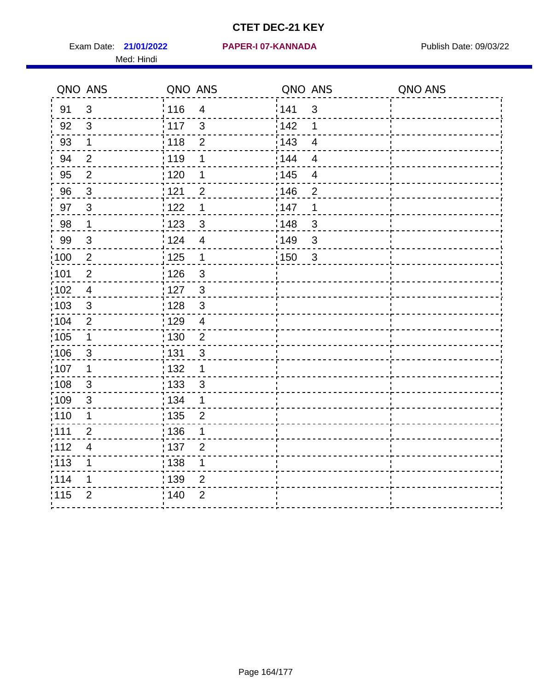Exam Date: 21/01/2022 **PAPER-I 07-KANNADA** Publish Date: 09/03/22 Med: Hindi

**21/01/2022 PAPER-I 07-KANNADA**

|                   | QNO ANS        | QNO ANS           |                         | QNO ANS           |                         | QNO ANS |
|-------------------|----------------|-------------------|-------------------------|-------------------|-------------------------|---------|
| 91                | $\mathfrak{S}$ | : 116             | $\overline{4}$          | 141               | $\mathbf{3}$            |         |
| 92                | 3              | $\frac{1}{117}$   | $\mathfrak{S}$          | 142               | 1                       |         |
| 93                | $\mathbf 1$    | 118               | $\mathbf 2$             | 143               | $\overline{4}$          |         |
| 94                | $\overline{2}$ | : 119             | $\mathbf 1$             | : 144             | $\overline{4}$          |         |
| 95                | $\overline{2}$ | : 120             | 1                       | : 145             | $\overline{\mathbf{4}}$ |         |
| 96                | 3              | 121               | $\overline{2}$          | :146              | $\overline{2}$          |         |
| 97                | $\mathbf{3}$   | 122               | 1                       | 147               | 1                       |         |
| 98                | $\mathbf{1}$   | 123               | $\mathfrak{S}$          | :148              | $\sqrt{3}$              |         |
| 99                | $\sqrt{3}$     | 124               | $\overline{\mathbf{4}}$ | :149              | $\mathsf 3$             |         |
| 100               | $\sqrt{2}$     | $\frac{1}{1}$ 125 | $\mathbf 1$             | $\frac{1}{1}$ 150 | $\mathbf{3}$            |         |
| :101              | $\mathbf 2$    | 126               | $\mathsf 3$             |                   |                         |         |
| 102               | $\overline{4}$ | : 127             | $\mathbf{3}$            |                   |                         |         |
| 103               | 3              | : 128             | $\mathbf{3}$            |                   |                         |         |
| 104               | $\overline{2}$ | : 129             | $\overline{4}$          |                   |                         |         |
| 105               | $\mathbf 1$    | 130               | $\overline{c}$          |                   |                         |         |
| 106               | $\mathbf{3}$   | : 131             | $\mathfrak{B}$          |                   |                         |         |
| :107              | 1              | : 132             | $\mathbf 1$             |                   |                         |         |
| $\frac{1}{1}$ 108 | $\mathfrak{S}$ | : 133             | $\mathbf{3}$            |                   |                         |         |
| :109              | $\mathfrak{S}$ | : 134             | $\mathbf 1$             |                   |                         |         |
| :110              | 1              | : 135             | $\overline{2}$          |                   |                         |         |
| 111               | $\overline{2}$ | : 136             | 1                       |                   |                         |         |
| 112               | $\overline{4}$ | : 137             | $\overline{2}$          |                   |                         |         |
| $\frac{1}{1}$ 113 | 1              | 138               | 1                       |                   |                         |         |
| 114               | 1              | : 139             | $\overline{2}$          |                   |                         |         |
| 115               | $\overline{2}$ | : 140             | $\overline{2}$          |                   |                         |         |
|                   |                |                   |                         |                   |                         |         |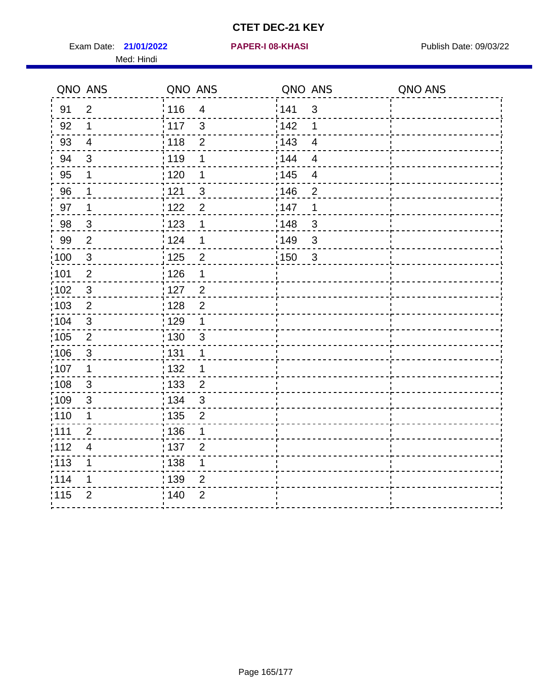Exam Date: 21/01/2022 **PAPER-I 08-KHASI** Publish Date: 09/03/22 Med: Hindi

**21/01/2022 PAPER-I 08-KHASI**

|       | QNO ANS                  | QNO ANS           |                         | QNO ANS |                          | QNO ANS |
|-------|--------------------------|-------------------|-------------------------|---------|--------------------------|---------|
| 91    | $\overline{2}$           | 116               | $\overline{\mathbf{4}}$ | 1141    | $\sqrt{3}$               |         |
| 92    | $\mathbf 1$              | 117               | $\mathfrak{3}$          | 142     | 1                        |         |
| 93    | $\overline{4}$           | 118               | $\mathbf{2}$            | 143     | $\overline{\mathbf{4}}$  |         |
| 94    | 3                        | 119               | 1                       | : 144   | $\overline{4}$           |         |
| 95    | 1                        | : 120             | 1                       | : 145   | $\overline{\mathcal{A}}$ |         |
| 96    | $\mathbf 1$              | 121               | $\mathbf{3}$            | 146     | $\overline{2}$           |         |
| 97    | 1                        | 122               | $\overline{2}$          | 147     | 1                        |         |
| 98    | $\mathbf{3}$             | 123               | $\mathbf{1}$            | 148     | $\sqrt{3}$               |         |
| 99    | $\overline{2}$           | 124               | $\mathbf 1$             | :149    | $\sqrt{3}$               |         |
| :100  | $\sqrt{3}$               | $\frac{1}{1}$ 125 | $\overline{2}$          | 150     | $\mathbf{3}$             |         |
| :101  | $\mathbf 2$              | : 126             | 1                       |         |                          |         |
| 102   | $\mathfrak{3}$           | : 127             | $\overline{2}$          |         |                          |         |
| 103   | $\overline{2}$           | : 128             | $\overline{2}$          |         |                          |         |
| 104   | $\sqrt{3}$               | : 129             | $\mathbf 1$             |         |                          |         |
| 105   | $\sqrt{2}$               | 130               | $\sqrt{3}$              |         |                          |         |
| :106  | $\mathfrak{S}$           | : 131             | 1                       |         |                          |         |
| 107   | 1                        | :132              | 1                       |         |                          |         |
| 108   | $\sqrt{3}$               | : 133             | $\overline{2}$          |         |                          |         |
| :109  | $\mathfrak{S}$           | : 134             | $\mathfrak{3}$          |         |                          |         |
| : 110 | 1                        | : 135             | $\overline{2}$          |         |                          |         |
| 111   | $\overline{2}$           | : 136             | 1                       |         |                          |         |
| 112   | $\overline{\mathcal{A}}$ | : 137             | $\overline{2}$          |         |                          |         |
| 113   | 1                        | 138               | 1                       |         |                          |         |
| 114   | 1                        | : 139             | 2                       |         |                          |         |
| 115   | $\overline{2}$           | 140               | $\overline{2}$          |         |                          |         |
|       |                          |                   |                         |         |                          |         |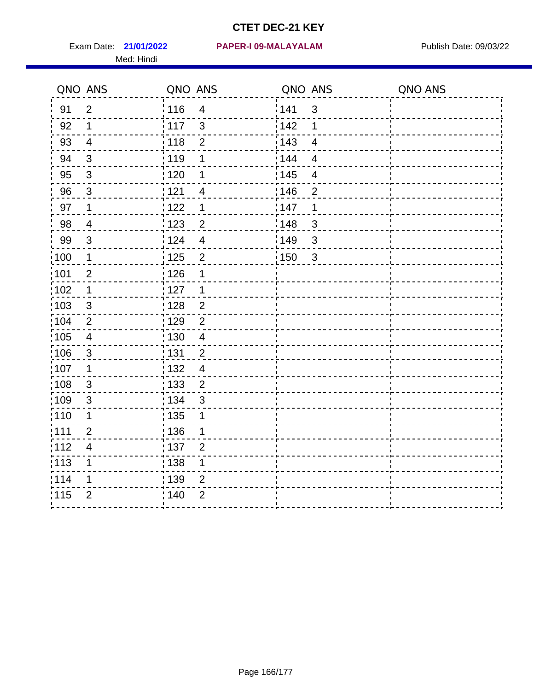Med: Hindi

**21/01/2022 PAPER-I 09-MALAYALAM** Exam Date: Publish Date: 09/03/22

|                   | QNO ANS                  | QNO ANS         |                         | QNO ANS |                | QNO ANS |
|-------------------|--------------------------|-----------------|-------------------------|---------|----------------|---------|
| 91                | $\overline{2}$           | : 116           | $\overline{\mathbf{4}}$ | 1141    | $\sqrt{3}$     |         |
| 92                | 1                        | : 117           | $\mathfrak{S}$          | 142     | 1              |         |
| 93                | $\overline{4}$           | $\frac{1}{118}$ | $\mathbf 2$             | 143     | $\overline{4}$ |         |
| 94                | 3                        | 119             | 1                       | : 144   | $\overline{4}$ |         |
| 95                | 3                        | : 120           | 1                       | : 145   | $\overline{4}$ |         |
| 96                | $\mathfrak{S}$           | 121             | 4                       | 146     | $\overline{2}$ |         |
| 97                | $\mathbf 1$              | 1122            | 1                       | 147     | 1              |         |
| 98                | $\overline{\mathcal{A}}$ | 1123            | $\overline{c}$          | 148     | $\sqrt{3}$     |         |
| 99                | $\sqrt{3}$               | 124             | $\overline{\mathbf{4}}$ | :149    | $\mathsf 3$    |         |
| $\frac{1}{1}$ 100 | $\mathbf 1$              | 125             | $\overline{2}$          | 150     | $\mathbf{3}$   |         |
| :101              | $\overline{2}$           | : 126           | 1                       |         |                |         |
| 102               | $\mathbf 1$              | : 127           | 1                       |         |                |         |
| 103               | 3                        | : 128           | $\overline{2}$          |         |                |         |
| $\frac{1}{104}$   | $\overline{2}$           | : 129           | $\overline{2}$          |         |                |         |
| :105              | $\overline{4}$           | : 130           | $\overline{4}$          |         |                |         |
| 106               | $\mathbf{3}$             | : 131           | $\overline{2}$          |         |                |         |
| :107              | 1                        | : 132           | $\overline{4}$          |         |                |         |
| $\frac{1}{1}$ 108 | $\sqrt{3}$               | 133             | $\overline{2}$          |         |                |         |
| :109              | $\sqrt{3}$               | : 134           | $\mathbf{3}$            |         |                |         |
| :110              | 1                        | 135             | 1                       |         |                |         |
| : 111             | $\overline{2}$           | 136             | 1                       |         |                |         |
| 112               | $\overline{\mathbf{4}}$  | : 137           | $\overline{2}$          |         |                |         |
| $\frac{1}{1}$ 113 | 1                        | : 138           | 1                       |         |                |         |
| 114               | 1                        | :139            | $\overline{2}$          |         |                |         |
| 115               | $\overline{2}$           | 140             | $\overline{2}$          |         |                |         |
|                   |                          |                 |                         |         |                |         |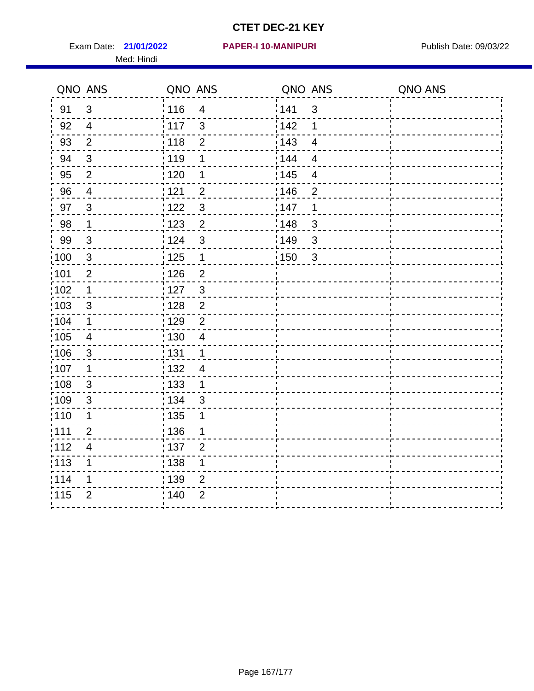Exam Date: 21/01/2022 **PAPER-I 10-MANIPURI** Publish Date: 09/03/22 Med: Hindi

|      | QNO ANS                  | QNO ANS           |                | QNO ANS |                          | QNO ANS |
|------|--------------------------|-------------------|----------------|---------|--------------------------|---------|
| 91   | $\mathfrak{3}$           | 116               | $\overline{4}$ | 1141    | $\sqrt{3}$               |         |
| 92   | $\overline{4}$           | $\frac{1}{2}$ 117 | $\mathfrak{3}$ | 142     | 1                        |         |
| 93   | $\overline{2}$           | 118               | $\mathbf{2}$   | 143     | $\overline{\mathbf{4}}$  |         |
| 94   | 3                        | : 119             | 1              | 144     | $\overline{4}$           |         |
| 95   | $\overline{2}$           | : 120             | 1              | : 145   | $\overline{\mathcal{A}}$ |         |
| 96   | $\overline{4}$           | 121               | $\overline{2}$ | 146     | $\overline{2}$           |         |
| 97   | 3                        | 122               | $\mathbf{3}$   | 147     | 1                        |         |
| 98   | $\mathbf{1}$             | 123               | $\overline{2}$ | 148     | $\sqrt{3}$               |         |
| 99   | $\sqrt{3}$               | 124               | $\sqrt{3}$     | :149    | $\mathsf 3$              |         |
| :100 | $\sqrt{3}$               | 125               | $\mathbf{1}$   | 150     | $\mathbf{3}$             |         |
| :101 | $\mathbf 2$              | $\frac{1}{1}$ 126 | $\overline{2}$ |         |                          |         |
| 102  | $\mathbf 1$              | : 127             | $\mathbf{3}$   |         |                          |         |
| 103  | 3                        | :128              | $\overline{2}$ |         |                          |         |
| 104  | $\mathbf 1$              | : 129             | $\overline{2}$ |         |                          |         |
| 105  | $\overline{4}$           | $\frac{1}{1}$ 130 | 4              |         |                          |         |
| :106 | $\mathfrak{S}$           | : 131             | $\mathbf 1$    |         |                          |         |
| 107  | 1                        | :132              | $\overline{4}$ |         |                          |         |
| 108  | $\sqrt{3}$               | : 133             | $\mathbf{1}$   |         |                          |         |
| :109 | $\mathfrak{S}$           | : 134             | 3              |         |                          |         |
| :110 | 1                        | : 135             | 1              |         |                          |         |
| 111  | $\overline{2}$           | : 136             | 1              |         |                          |         |
| 112  | $\overline{\mathcal{A}}$ | : 137             | $\overline{2}$ |         |                          |         |
| 113  | 1                        | 138               | 1              |         |                          |         |
| 114  | 1                        | :139              | 2              |         |                          |         |
| 115  | $\overline{2}$           | 140               | $\overline{2}$ |         |                          |         |
|      |                          |                   |                |         |                          |         |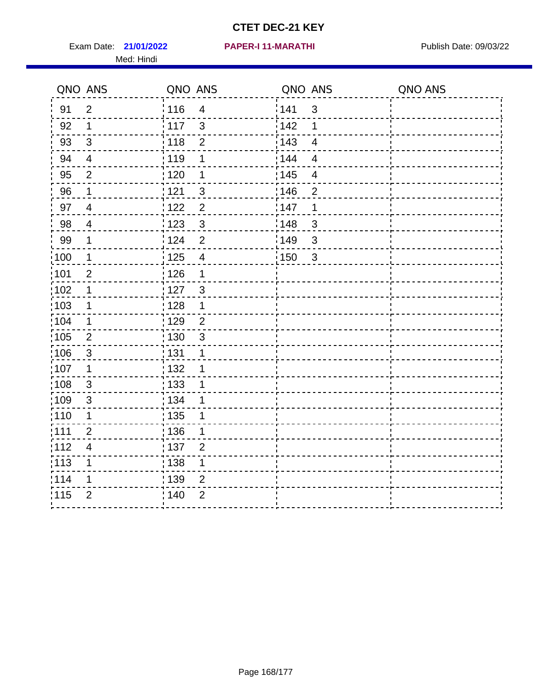Exam Date: 21/01/2022 PAPER-I 11-MARATHI Publish Date: 09/03/22 Med: Hindi

#### **21/01/2022 PAPER-I 11-MARATHI**

|                   | QNO ANS        | QNO ANS           |                | QNO ANS           |                         | QNO ANS |
|-------------------|----------------|-------------------|----------------|-------------------|-------------------------|---------|
| 91                | $\overline{2}$ | 116               | $\overline{4}$ | 141               | $\mathfrak{S}$          |         |
| 92                | 1              | $\frac{1}{117}$   | $\mathbf{3}$   | 142               | 1                       |         |
| 93                | $\mathfrak{S}$ | : 118             | $\mathbf{2}$   | 143               | $\overline{4}$          |         |
| 94                | $\overline{4}$ | : 119             | 1              | 144               | $\overline{4}$          |         |
| 95                | $\overline{2}$ | : 120             | 1              | : 145             | $\overline{\mathbf{4}}$ |         |
| 96                | 1              | 121               | 3              | 146               | $\overline{2}$          |         |
| 97                | $\overline{4}$ | 122               | $\overline{2}$ | 147               | 1                       |         |
| 98                | $\overline{4}$ | $\frac{1}{2}$ 123 | $\mathfrak{S}$ | 148               | $\mathfrak{S}$          |         |
| 99                | $\mathbf 1$    | 124               | $\overline{2}$ | 149               | $\mathfrak{S}$          |         |
| 100               | $\mathbf 1$    | $\frac{1}{1}$ 125 | $\overline{4}$ | $\frac{1}{1}$ 150 | $\sqrt{3}$              |         |
| :101              | $\overline{2}$ | 126               | 1              |                   |                         |         |
| 102               | $\mathbf 1$    | : 127             | 3              |                   |                         |         |
| 103               | 1              | : 128             | 1              |                   |                         |         |
| :104              | $\mathbf 1$    | : 129             | $\overline{2}$ |                   |                         |         |
| 105               | $\mathbf{2}$   | : 130             | $\mathbf{3}$   |                   |                         |         |
| 106               | $\mathbf{3}$   | : 131             | 1              |                   |                         |         |
| :107              | 1              | : 132             | 1              |                   |                         |         |
| :108              | $\sqrt{3}$     | : 133             | 1              |                   |                         |         |
| :109              | $\mathfrak{B}$ | : 134             | 1              |                   |                         |         |
| :110              | 1              | : 135             | 1              |                   |                         |         |
| 111               | $\overline{2}$ | 136               | 1              |                   |                         |         |
| 112               | $\overline{4}$ | : 137             | $\overline{2}$ |                   |                         |         |
| $\frac{1}{1}$ 113 | 1              | : 138             | 1              |                   |                         |         |
| 114               | 1              | 139               | $\overline{2}$ |                   |                         |         |
| 115               | $\overline{2}$ | 140               | $\overline{2}$ |                   |                         |         |
|                   |                |                   |                |                   |                         |         |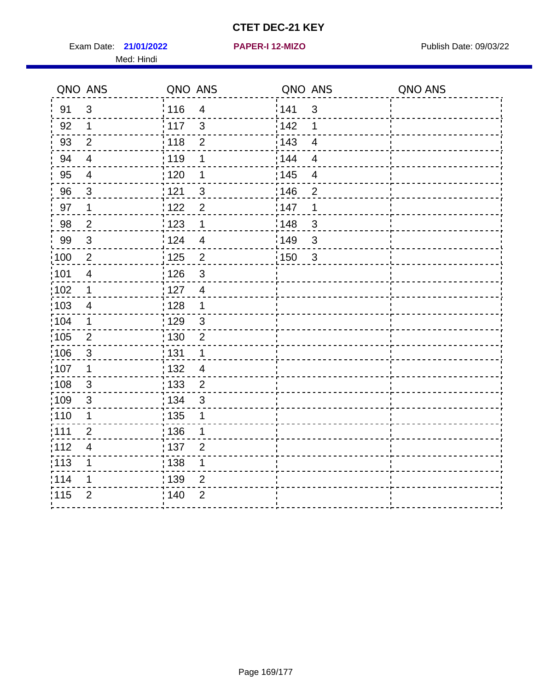Exam Date: 21/01/2022 **PAPER-I 12-MIZO** PAPER Publish Date: 09/03/22 Med: Hindi

**21/01/2022 PAPER-I 12-MIZO**

|                   | QNO ANS        | QNO ANS |                | QNO ANS           |                | QNO ANS |
|-------------------|----------------|---------|----------------|-------------------|----------------|---------|
| 91                | 3              | : 116   | $\overline{4}$ | 141               | $\sqrt{3}$     |         |
| 92                | 1              | 117     | $\mathbf{3}$   | 142               | 1              |         |
| 93                | $\overline{2}$ | 118     | $\overline{2}$ | 143               | $\overline{4}$ |         |
| 94                | $\overline{4}$ | : 119   | 1              | 144               | $\overline{4}$ |         |
| 95                | 4              | : 120   | 1              | : 145             | $\overline{4}$ |         |
| 96                | 3              | 121     | 3              | 146               | $\overline{2}$ |         |
| 97                | 1              | 122     | $\overline{2}$ | 147               | 1              |         |
| 98                | $\overline{2}$ | 1123    | $\mathbf 1$    | 148               | $\mathfrak{S}$ |         |
| 99                | $\sqrt{3}$     | 124     | $\overline{4}$ | 149               | $\sqrt{3}$     |         |
| $\frac{1}{1}$ 100 | $\sqrt{2}$     | 125     | $\overline{2}$ | $\frac{1}{2}$ 150 | $\sqrt{3}$     |         |
| :101              | $\overline{4}$ | : 126   | 3              |                   |                |         |
| 102               | $\mathbf 1$    | : 127   | $\overline{4}$ |                   |                |         |
| 103               | $\overline{4}$ | : 128   | $\mathbf{1}$   |                   |                |         |
| :104              | $\mathbf 1$    | : 129   | $\mathbf{3}$   |                   |                |         |
| 105               | $\overline{2}$ | : 130   | $\overline{2}$ |                   |                |         |
| 106               | 3              | : 131   | 1              |                   |                |         |
| :107              | 1              | : 132   | $\overline{4}$ |                   |                |         |
| :108              | $\sqrt{3}$     | : 133   | $\overline{2}$ |                   |                |         |
| 109               | $\sqrt{3}$     | : 134   | $\mathbf{3}$   |                   |                |         |
| : 110             | 1              | 135     | 1              |                   |                |         |
| : 111             | $\overline{2}$ | 136     | 1              |                   |                |         |
| 112               | 4              | : 137   | $\overline{2}$ |                   |                |         |
| : 113             | 1              | : 138   | 1              |                   |                |         |
| 114               | 1              | : 139   | 2              |                   |                |         |
| 115               | $\overline{2}$ | 140     | $\overline{2}$ |                   |                |         |
|                   |                |         |                |                   |                |         |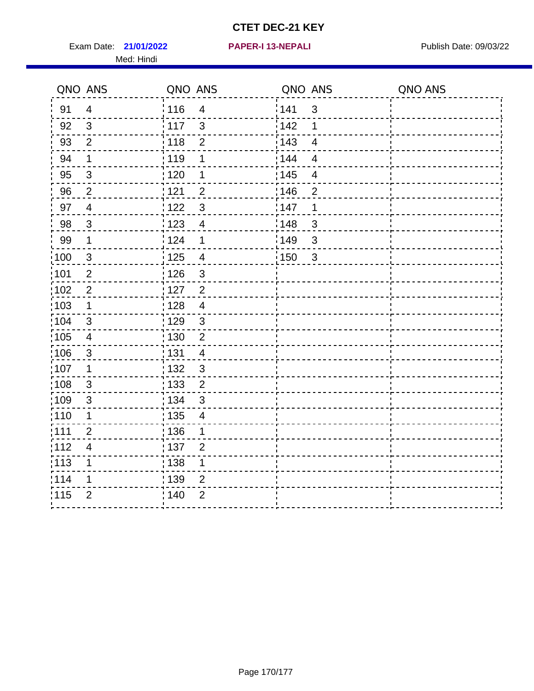Exam Date: 21/01/2022 **PAPER-I 13-NEPALI** Publish Date: 09/03/22 Med: Hindi

**21/01/2022 PAPER-I 13-NEPALI**

|        | QNO ANS                 | QNO ANS           |                         | QNO ANS           |                         | QNO ANS |
|--------|-------------------------|-------------------|-------------------------|-------------------|-------------------------|---------|
| 91     | $\overline{4}$          | 116               | $\overline{\mathbf{4}}$ | 141               | $\sqrt{3}$              |         |
| 92     | $\mathbf{3}$            | 117               | 3                       | 142               | 1                       |         |
| 93     | $\overline{2}$          | 118               | $\overline{2}$          | 143               | $\overline{4}$          |         |
| 94     | 1                       | : 119             | 1                       | 144               | 4                       |         |
| 95     | 3                       | :120              | 1                       | : 145             | $\overline{\mathbf{4}}$ |         |
| 96     | $\overline{2}$          | 121               | $\overline{2}$          | 146               | $\mathbf 2$             |         |
| 97     | $\overline{4}$          | 122               | $\mathbf{3}$            | 147               | 1                       |         |
| $98\,$ | $\mathbf{3}$            | 123               | $\overline{4}$          | $\frac{1}{2}$ 148 | $\mathbf{3}$            |         |
| 99     | $\mathbf 1$             | 124               | $\mathbf 1$             | ¦149              | $\sqrt{3}$              |         |
| 100    | $\mathbf{3}$            | : 125             | $\overline{4}$          | 150               | $\sqrt{3}$              |         |
| :101   | $\overline{2}$          | 126               | $\mathfrak{S}$          |                   |                         |         |
| 102    | $\overline{2}$          | : 127             | $\overline{2}$          |                   |                         |         |
| 103    | $\mathbf 1$             | 128               | $\overline{4}$          |                   |                         |         |
| :104   | $\mathfrak{S}$          | : 129             | $\mathbf{3}$            |                   |                         |         |
| 105    | $\overline{\mathbf{4}}$ | : 130             | $\overline{2}$          |                   |                         |         |
| :106   | $\mathfrak{S}$          | : 131             | $\overline{4}$          |                   |                         |         |
| :107   | 1                       | : 132             | $\mathfrak{3}$          |                   |                         |         |
| 108    | $\mathbf{3}$            | : 133             | $\overline{2}$          |                   |                         |         |
| :109   | $\mathfrak{S}$          | : 134             | 3                       |                   |                         |         |
| :110   | 1                       | : 135             | 4                       |                   |                         |         |
| : 111  | $\overline{2}$          | : 136             | 1                       |                   |                         |         |
| 112    | $\overline{4}$          | $\frac{1}{1}$ 137 | $\overline{2}$          |                   |                         |         |
| 113    | 1                       | : 138             | 1                       |                   |                         |         |
| 1114   | 1                       | : 139             | $\overline{2}$          |                   |                         |         |
| 115    | $\overline{2}$          | 140               | $\overline{2}$          |                   |                         |         |
|        |                         |                   |                         |                   |                         |         |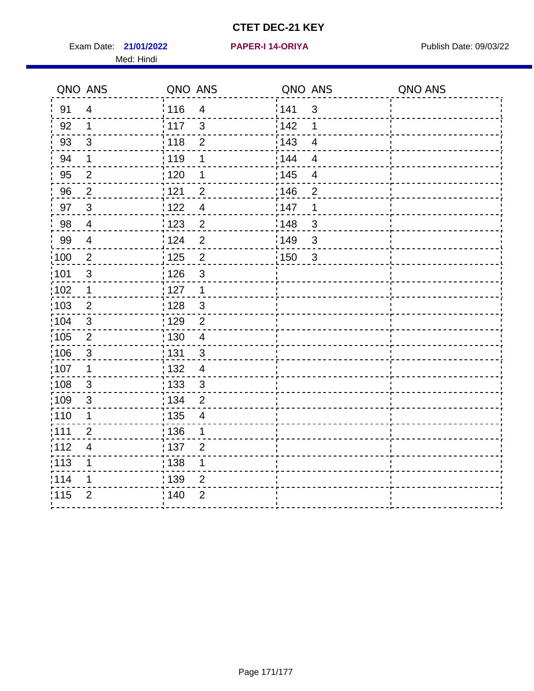Exam Date: 21/01/2022 **PAPER-I 14-ORIYA** Publish Date: 09/03/22 Med: Hindi

**21/01/2022 PAPER-I 14-ORIYA**

|      | QNO ANS        | QNO ANS           |                | QNO ANS |                          | QNO ANS |
|------|----------------|-------------------|----------------|---------|--------------------------|---------|
| 91   | $\overline{4}$ | 116               | $\overline{4}$ | 141     | $\mathbf{3}$             |         |
| 92   | $\mathbf 1$    | 117               | $\mathbf{3}$   | 142     | $\mathbf 1$              |         |
| 93   | $\sqrt{3}$     | 118               | $\overline{2}$ | 143     | $\overline{4}$           |         |
| 94   | $\mathbf 1$    | 119               | $\mathbf 1$    | : 144   | $\overline{4}$           |         |
| 95   | 2              | :120              | 1              | : 145   | $\overline{\mathcal{A}}$ |         |
| 96   | $\overline{2}$ | 121               | $\overline{2}$ | 146     | $\overline{2}$           |         |
| 97   | $\overline{3}$ | 122               | $\overline{4}$ | 147     | 1                        |         |
| 98   | $\overline{4}$ | 123               | $\overline{c}$ | 148     | $\sqrt{3}$               |         |
| 99   | $\overline{4}$ | 124               | $\overline{2}$ | 149     | $\sqrt{3}$               |         |
| 100  | $\overline{2}$ | $\frac{1}{1}$ 125 | $\overline{2}$ | 150     | $\mathbf{3}$             |         |
| :101 | $\sqrt{3}$     | : 126             | $\sqrt{3}$     |         |                          |         |
| 102  | $\mathbf 1$    | : 127             | $\mathbf 1$    |         |                          |         |
| 103  | 2              | : 128             | $\mathbf{3}$   |         |                          |         |
| 104  | $\mathbf{3}$   | : 129             | $\overline{2}$ |         |                          |         |
| 105  | $\sqrt{2}$     | : 130             | $\overline{4}$ |         |                          |         |
| ;106 | $\mathfrak{S}$ | : 131             | 3              |         |                          |         |
| :107 | $\mathbf 1$    | : 132             | $\overline{4}$ |         |                          |         |
| 108  | $\sqrt{3}$     | $\frac{1}{1}$ 133 | $\mathfrak{3}$ |         |                          |         |
| :109 | $\mathfrak{B}$ | : 134             | $\overline{2}$ |         |                          |         |
| :110 | 1              | : 135             | 4              |         |                          |         |
| 111  | $\overline{2}$ | : 136             | $\mathbf{1}$   |         |                          |         |
| 112  | $\overline{4}$ | 137               | $\overline{2}$ |         |                          |         |
| 113  | 1              | : 138             | 1              |         |                          |         |
| 1114 | 1              | : 139             | 2              |         |                          |         |
| 115  | $\overline{2}$ | 140               | $\overline{2}$ |         |                          |         |
|      |                |                   |                |         |                          |         |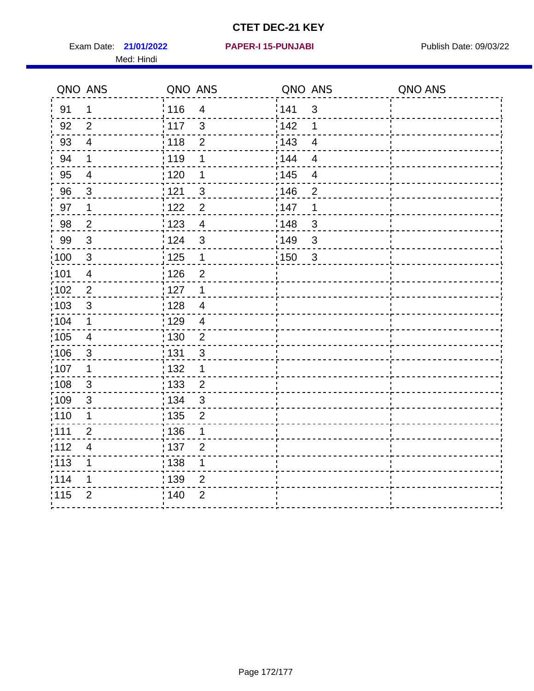Exam Date: 21/01/2022 **PAPER-I 15-PUNJABI** Publish Date: 09/03/22 Med: Hindi

**21/01/2022 PAPER-I 15-PUNJABI**

|                   | QNO ANS                  | QNO ANS           |                | QNO ANS |                | QNO ANS |
|-------------------|--------------------------|-------------------|----------------|---------|----------------|---------|
| 91                | $\mathbf 1$              | 116               | $\overline{4}$ | 141     | $\mathfrak{S}$ |         |
| 92                | $\overline{2}$           | $\frac{1}{2}$ 117 | $\mathbf{3}$   | 142     | 1              |         |
| 93                | $\overline{4}$           | 118               | $\mathbf 2$    | 143     | $\overline{4}$ |         |
| 94                | $\mathbf 1$              | : 119             | 1              | 144     | $\overline{4}$ |         |
| 95                | $\overline{4}$           | : 120             | 1              | : 145   | $\overline{4}$ |         |
| 96                | 3                        | 121               | 3              | 146     | $\overline{2}$ |         |
| 97                | 1                        | 122               | $\overline{2}$ | 147     | 1              |         |
| 98                | $\overline{2}$           | 123               | $\overline{4}$ | 148     | $\mathbf{3}$   |         |
| 99                | $\sqrt{3}$               | 124               | $\mathfrak{S}$ | 149     | 3              |         |
| $\frac{1}{1}$ 100 | $\sqrt{3}$               | $\frac{1}{1}$ 125 | $\mathbf{1}$   | 150     | $\mathbf{3}$   |         |
| :101              | $\overline{\mathcal{A}}$ | : 126             | $\overline{2}$ |         |                |         |
| 102               | $\overline{2}$           | : 127             | $\mathbf{1}$   |         |                |         |
| 103               | $\mathbf{3}$             | 128               | $\overline{4}$ |         |                |         |
| 104               | $\mathbf{1}$             | : 129             | $\overline{4}$ |         |                |         |
| $\frac{1}{1}$ 105 | $\overline{4}$           | 130               | $\overline{2}$ |         |                |         |
| :106              | 3                        | : 131             | 3              |         |                |         |
| ;107              | $\mathbf 1$              | 132               | $\mathbf 1$    |         |                |         |
| 108               | $\mathbf{3}$             | $\frac{1}{1}$ 133 | $\overline{2}$ |         |                |         |
| :109              | $\sqrt{3}$               | : 134             | $\mathbf{3}$   |         |                |         |
| :110              | 1                        | 135               | $\overline{2}$ |         |                |         |
| :111              | $\overline{2}$           | 136               | 1              |         |                |         |
| 112               | $\overline{\mathcal{A}}$ | $\frac{1}{1}$ 137 | $\overline{2}$ |         |                |         |
| 113               | 1                        | : 138             | 1              |         |                |         |
| 114               | 1                        | :139              | 2              |         |                |         |
| 115               | $\overline{2}$           | 140               | $\overline{2}$ |         |                |         |
|                   |                          |                   |                |         |                |         |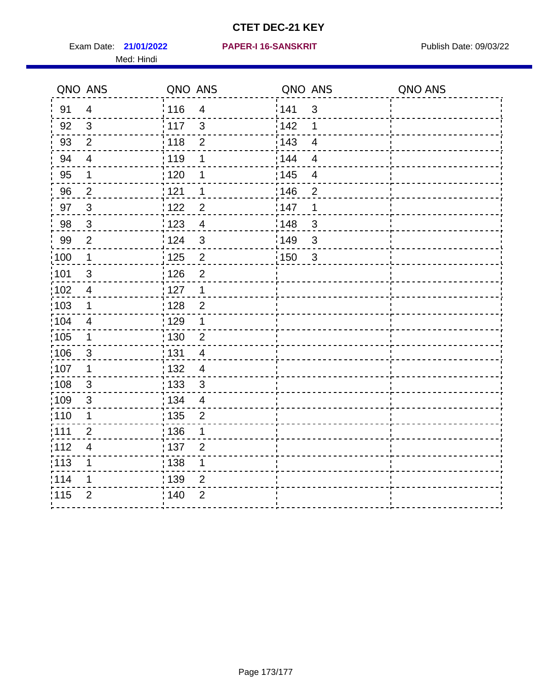Exam Date: 21/01/2022 PAPER-I 16-SANSKRIT Publish Date: 09/03/22 Med: Hindi

|                   | QNO ANS                  | QNO ANS           |                | QNO ANS           |                          | QNO ANS |
|-------------------|--------------------------|-------------------|----------------|-------------------|--------------------------|---------|
| 91                | $\overline{4}$           | 116               | $\overline{4}$ | 141               | $\mathfrak{S}$           |         |
| 92                | $\mathfrak{S}$           | $\frac{1}{2}$ 117 | $\mathbf{3}$   | 142               | 1                        |         |
| 93                | $\overline{2}$           | 118               | $\mathbf 2$    | 143               | $\overline{\mathbf{4}}$  |         |
| 94                | $\overline{\mathbf{4}}$  | : 119             | 1              | : 144             | $\overline{4}$           |         |
| 95                | 1                        | : 120             | 1              | : 145             | $\overline{\mathcal{A}}$ |         |
| 96                | $\overline{2}$           | 121               | 1              | 146               | $\overline{2}$           |         |
| 97                | $\mathbf{3}$             | : 122             | $\overline{c}$ | 147               | 1                        |         |
| 98                | $\mathbf{3}$             | 123               | $\overline{4}$ | 148               | $\mathbf{3}$             |         |
| 99                | $\overline{2}$           | 124               | $\mathfrak{S}$ | $\frac{1}{2}$ 149 | $\mathfrak{S}$           |         |
| $\frac{1}{1}$ 100 | $\overline{\mathbf{1}}$  | $\frac{1}{1}$ 125 | $\overline{2}$ | 150               | $\mathfrak{S}$           |         |
| :101              | $\mathfrak{S}$           | : 126             | $\overline{2}$ |                   |                          |         |
| 102               | $\overline{4}$           | : 127             | $\mathbf 1$    |                   |                          |         |
| ;103              | $\mathbf 1$              | :128              | $\overline{2}$ |                   |                          |         |
| 104               | $\overline{4}$           | : 129             | 1              |                   |                          |         |
| ;105              | $\mathbf 1$              | 130               | $\overline{2}$ |                   |                          |         |
| 106               | $\mathfrak{S}$           | : 131             | $\overline{4}$ |                   |                          |         |
| 107               | 1                        | :132              | $\overline{4}$ |                   |                          |         |
| 108               | $\sqrt{3}$               | : 133             | $\mathfrak{S}$ |                   |                          |         |
| :109              | $\mathsf 3$              | : 134             | $\overline{4}$ |                   |                          |         |
| :110              | 1                        | : 135             | 2              |                   |                          |         |
| 111               | $\overline{2}$           | : 136             | 1              |                   |                          |         |
| 112               | $\overline{\mathcal{A}}$ | 137               | $\overline{2}$ |                   |                          |         |
| 113               | 1                        | 138               | 1              |                   |                          |         |
| 114               | 1                        | 139               | 2              |                   |                          |         |
| 115               | $\overline{2}$           | 140               | $\overline{2}$ |                   |                          |         |
|                   |                          |                   |                |                   |                          |         |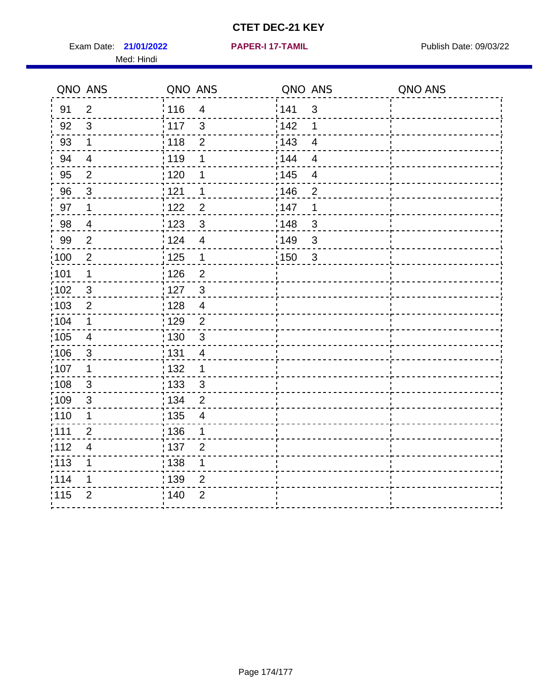Exam Date: 21/01/2022 **PAPER-I 17-TAMIL Exam Date: 09/03/22** Med: Hindi

**21/01/2022 PAPER-I 17-TAMIL**

|      | QNO ANS                  | QNO ANS           |                         |       | QNO ANS        | QNO ANS |
|------|--------------------------|-------------------|-------------------------|-------|----------------|---------|
| 91   | $\overline{2}$           | 116               | $\overline{\mathbf{4}}$ | 141   | $\mathbf{3}$   |         |
| 92   | $\mathfrak{S}$           | 117               | 3                       | 142   | 1              |         |
| 93   | $\mathbf 1$              | 118               | $\overline{2}$          | 143   | $\overline{4}$ |         |
| 94   | $\overline{\mathcal{A}}$ | : 119             | 1                       | : 144 | 4              |         |
| 95   | $\overline{2}$           | :120              | 1                       | : 145 | $\overline{4}$ |         |
| 96   | $\mathfrak{S}$           | 121               | 1                       | :146  | $\overline{2}$ |         |
| 97   | $\mathbf 1$              | 122               | $\overline{2}$          | 147   | 1              |         |
| 98   | $\overline{\mathbf{4}}$  | 123               | $\mathfrak{3}$          | 148   | $\sqrt{3}$     |         |
| 99   | $\overline{2}$           | 124               | $\overline{4}$          | 149¦  | $\sqrt{3}$     |         |
| 100  | $\overline{2}$           | 125               | $\mathbf{1}$            | 150   | $\sqrt{3}$     |         |
| 101  | 1                        | : 126             | $\overline{2}$          |       |                |         |
| 102  | 3                        | : 127             | $\mathbf{3}$            |       |                |         |
| ;103 | $\overline{2}$           | 128               | $\overline{4}$          |       |                |         |
| 104  | $\mathbf 1$              | : 129             | $\overline{2}$          |       |                |         |
| 105  | $\overline{\mathbf{4}}$  | : 130             | $\mathbf{3}$            |       |                |         |
| :106 | $\mathfrak{S}$           | : 131             | 4                       |       |                |         |
| :107 | $\mathbf 1$              | : 132             | $\mathbf 1$             |       |                |         |
| 108  | $\sqrt{3}$               | $\frac{1}{1}$ 133 | $\mathbf{3}$            |       |                |         |
| :109 | $\mathfrak{S}$           | : 134             | $\overline{2}$          |       |                |         |
| :110 | 1                        | : 135             | 4                       |       |                |         |
| 111  | $\overline{2}$           | : 136             | $\mathbf 1$             |       |                |         |
| 112  | $\overline{\mathcal{A}}$ | 137               | $\overline{2}$          |       |                |         |
| 113  | 1                        | : 138             | 1                       |       |                |         |
| 114  | 1                        | : 139             | 2                       |       |                |         |
| 115  | $\overline{2}$           | 140               | $\overline{2}$          |       |                |         |
|      |                          |                   |                         |       |                |         |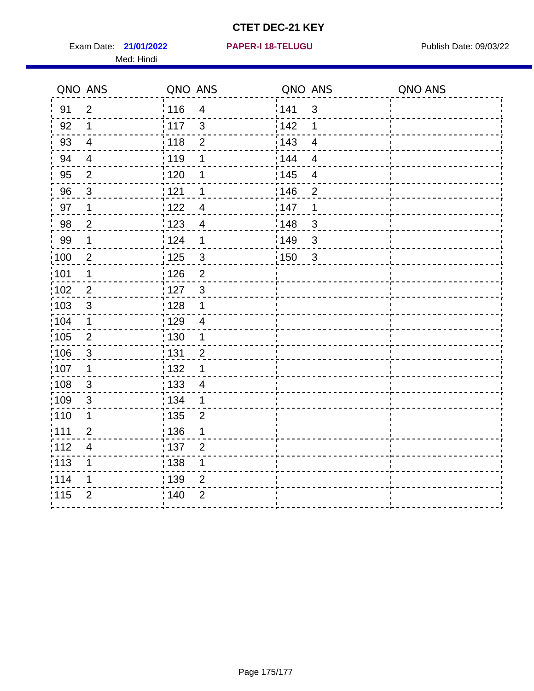Exam Date: 21/01/2022 **PAPER-I 18-TELUGU** PUBLISH Date: 09/03/22 Med: Hindi

**21/01/2022 PAPER-I 18-TELUGU**

|                   | QNO ANS        | QNO ANS                           | QNO ANS                        | QNO ANS |
|-------------------|----------------|-----------------------------------|--------------------------------|---------|
| 91                | $\overline{2}$ | 116<br>$\overline{\mathbf{4}}$    | 1141<br>$\mathfrak{S}$         |         |
| 92                | $\mathbf 1$    | 117<br>3                          | 142<br>1                       |         |
| 93                | $\overline{4}$ | 118<br>$\overline{2}$             | 143<br>$\overline{\mathbf{4}}$ |         |
| 94                | $\overline{4}$ | : 119<br>1                        | 144<br>4                       |         |
| 95                | $\overline{2}$ | :120<br>1                         | : 145<br>$\overline{4}$        |         |
| 96                | $\mathfrak{S}$ | 121<br>1                          | :146<br>$\overline{2}$         |         |
| 97                | $\mathbf 1$    | : 122<br>$\overline{4}$           | 147<br>1                       |         |
| 98                | $\overline{c}$ | 123<br>$\overline{4}$             | 148<br>$\sqrt{3}$              |         |
| 99                | $\mathbf 1$    | 124<br>$\mathbf 1$                | :149<br>$\sqrt{3}$             |         |
| $\frac{1}{1}$ 100 | $\overline{2}$ | $\mathbf{3}$<br>125               | 150<br>$\mathbf{3}$            |         |
| 101               | 1              | : 126<br>$\overline{2}$           |                                |         |
| 102               | $\overline{2}$ | : 127<br>$\mathbf{3}$             |                                |         |
| 103               | $\mathbf{3}$   | : 128<br>$\mathbf{1}$             |                                |         |
| :104              | $\mathbf 1$    | : 129<br>$\overline{4}$           |                                |         |
| :105              | $\sqrt{2}$     | $\frac{1}{1}$ 130<br>$\mathbf{1}$ |                                |         |
| :106              | $\mathbf{3}$   | : 131<br>$\overline{2}$           |                                |         |
| :107              | $\mathbf 1$    | : 132<br>$\mathbf 1$              |                                |         |
| 108               | $\mathbf{3}$   | : 133<br>$\overline{4}$           |                                |         |
| :109              | $\sqrt{3}$     | : 134<br>$\mathbf 1$              |                                |         |
| :110              | 1              | : 135<br>$\overline{2}$           |                                |         |
| :111              | $\overline{2}$ | : 136<br>1                        |                                |         |
| 112               | $\overline{4}$ | : 137<br>$\overline{2}$           |                                |         |
| :113              | 1              | $\frac{1}{1}$ 138<br>$\mathbf 1$  |                                |         |
| 1114              | 1              | 139<br>$\overline{2}$             |                                |         |
| 115               | $\overline{2}$ | 140<br>$\overline{2}$             |                                |         |
|                   |                |                                   |                                |         |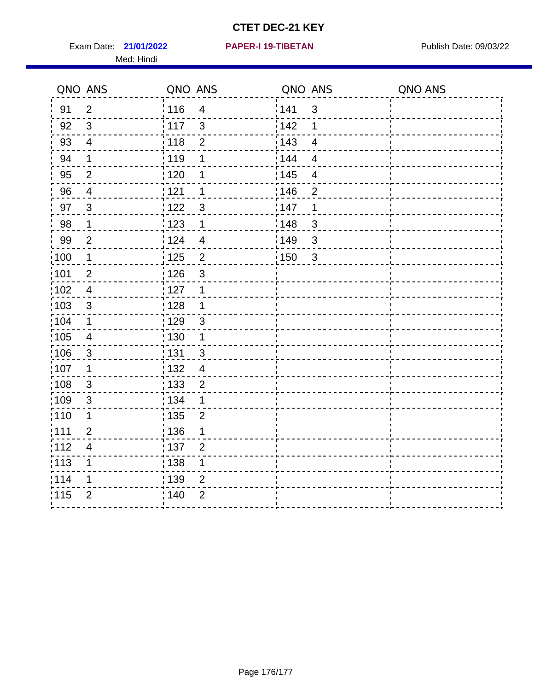Exam Date: 21/01/2022 **PAPER-I 19-TIBETAN** Publish Date: 09/03/22 Med: Hindi

|                   | QNO ANS                  | QNO ANS                          | QNO ANS           |                | QNO ANS |
|-------------------|--------------------------|----------------------------------|-------------------|----------------|---------|
| 91                | $\overline{2}$           | 116<br>$\overline{\mathbf{4}}$   | 141               | $\mathfrak{S}$ |         |
| 92                | $\mathfrak{S}$           | 3<br>117                         | 142               | 1              |         |
| 93                | $\overline{4}$           | 118<br>$\overline{2}$            | 143               | $\overline{4}$ |         |
| 94                | 1                        | : 119<br>1                       | 144               | 4              |         |
| 95                | $\overline{2}$           | : 120<br>1                       | : 145             | $\overline{4}$ |         |
| 96                | 4                        | 121<br>1                         | 146               | $\overline{2}$ |         |
| 97                | $\mathbf{3}$             | 3<br>122                         | 147               | 1              |         |
| $98\,$            | $\mathbf 1$              | $\frac{1}{2}$ 123<br>$\mathbf 1$ | $\frac{1}{2}$ 148 | $\mathbf{3}$   |         |
| 99                | $\overline{2}$           | 124<br>$\overline{4}$            | ¦149              | 3              |         |
| $\frac{1}{1}$ 100 | $\mathbf{1}$             | $\overline{2}$<br>125            | 150               | $\mathbf{3}$   |         |
| 101               | $\mathbf 2$              | 126<br>3                         |                   |                |         |
| 102               | $\overline{4}$           | : 127<br>1                       |                   |                |         |
| 103               | $\mathfrak{S}$           | 128<br>$\mathbf 1$               |                   |                |         |
| 104               | $\mathbf 1$              | : 129<br>$\mathfrak{S}$          |                   |                |         |
| $\frac{1}{1}$ 105 | $\overline{\mathbf{4}}$  | : 130<br>$\mathbf 1$             |                   |                |         |
| :106              | $\mathfrak{S}$           | : 131<br>3                       |                   |                |         |
| :107              | $\mathbf 1$              | : 132<br>$\overline{4}$          |                   |                |         |
| 108               | $\sqrt{3}$               | $\frac{1}{1}$ 133<br>$\mathbf 2$ |                   |                |         |
| :109              | $\mathfrak{S}$           | : 134<br>1                       |                   |                |         |
| :110              | 1                        | : 135<br>$\overline{2}$          |                   |                |         |
| :111              | $\overline{2}$           | : 136<br>1                       |                   |                |         |
| 112               | $\overline{\mathcal{A}}$ | 137<br>$\overline{2}$            |                   |                |         |
| 113               | 1                        | : 138<br>1                       |                   |                |         |
| 114               | 1                        | : 139<br>2                       |                   |                |         |
| 115               | $\overline{2}$           | 140<br>$\overline{2}$            |                   |                |         |
|                   |                          |                                  |                   |                |         |